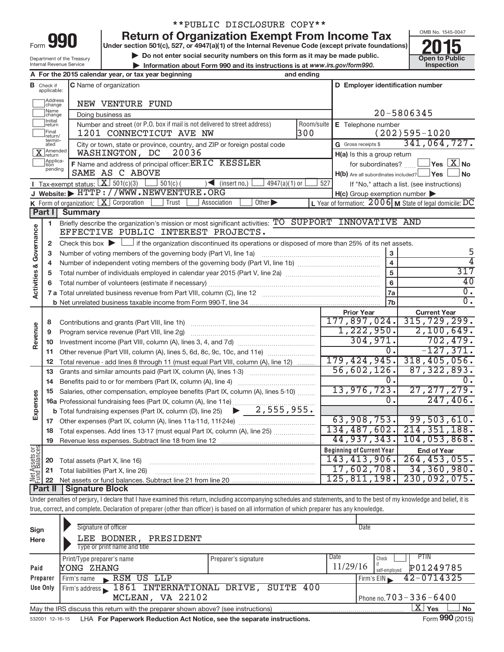|      | L |  |
|------|---|--|
| -orm |   |  |

## \*\*PUBLIC DISCLOSURE COPY\*\*

**Under section 501(c), 527, or 4947(a)(1) of the Internal Revenue Code (except private foundations) Return of Organization Exempt From Income Tax**<br>Under section 501(c), 527, or 4947(a)(1) of the Internal Revenue Code (except private foundations)<br>Do not enter social security numbers on this form as it may be made public.

**and Struction 501(c), 527, or 4947(a)(1) of the internal Revenue Code (except private foundations)<br>
■ Do not enter social security numbers on this form as it may be made public.<br>
■ Information about Form 990 and its inst** 

• Information about Form 990 and its instructions is at www.irs.gov/form990. Inspection



Department of the Treasury Internal Revenue Service

|                                       | A For the 2015 calendar year, or tax year beginning<br>and ending |                                                                                                                                                                            |                   |                                                              |                                                           |  |  |  |
|---------------------------------------|-------------------------------------------------------------------|----------------------------------------------------------------------------------------------------------------------------------------------------------------------------|-------------------|--------------------------------------------------------------|-----------------------------------------------------------|--|--|--|
|                                       | <b>B</b> Check if applicable:                                     | C Name of organization<br>D Employer identification number                                                                                                                 |                   |                                                              |                                                           |  |  |  |
|                                       | Address<br> change                                                | NEW VENTURE FUND                                                                                                                                                           |                   |                                                              |                                                           |  |  |  |
|                                       | Name<br>change                                                    |                                                                                                                                                                            | 20-5806345        |                                                              |                                                           |  |  |  |
|                                       | Initial<br>return                                                 | E Telephone number                                                                                                                                                         |                   |                                                              |                                                           |  |  |  |
|                                       | Final<br>return/<br>termin-                                       |                                                                                                                                                                            | $(202)595 - 1020$ |                                                              |                                                           |  |  |  |
|                                       | ated                                                              | G Gross receipts \$                                                                                                                                                        | 341,064,727.      |                                                              |                                                           |  |  |  |
|                                       | Amended<br>Treturn<br>Applica-<br>Ition                           | 20036<br>WASHINGTON, DC<br>F Name and address of principal officer: ERTC KESSLER                                                                                           |                   | H(a) Is this a group return                                  | $\sqrt{}$ Yes $\boxed{\text{X}}$ No                       |  |  |  |
|                                       | pending                                                           | SAME AS C ABOVE                                                                                                                                                            |                   | for subordinates?<br>H(b) Are all subordinates included? Ves | ∫No                                                       |  |  |  |
|                                       |                                                                   | Tax-exempt status: $X \ 501(c)(3)$<br>$501(c)$ (<br>$\sum$ (insert no.)<br>$4947(a)(1)$ or                                                                                 | 527               |                                                              | If "No," attach a list. (see instructions)                |  |  |  |
|                                       |                                                                   | J Website: FITTP://WWW.NEWVENTURE.ORG                                                                                                                                      |                   | $H(c)$ Group exemption number $\blacktriangleright$          |                                                           |  |  |  |
|                                       |                                                                   | K Form of organization: $X$ Corporation<br>Trust<br>Association<br>Other $\blacktriangleright$                                                                             |                   |                                                              | L Year of formation: $2006$ M State of legal domicile: DC |  |  |  |
|                                       | Part I                                                            | <b>Summary</b>                                                                                                                                                             |                   |                                                              |                                                           |  |  |  |
|                                       | 1                                                                 | Briefly describe the organization's mission or most significant activities: TO SUPPORT INNOVATIVE AND                                                                      |                   |                                                              |                                                           |  |  |  |
| & Governance                          |                                                                   | EFFECTIVE PUBLIC INTEREST PROJECTS.                                                                                                                                        |                   |                                                              |                                                           |  |  |  |
|                                       | 2                                                                 | Check this box $\blacktriangleright$ $\Box$ if the organization discontinued its operations or disposed of more than 25% of its net assets.                                |                   |                                                              |                                                           |  |  |  |
|                                       | 3                                                                 |                                                                                                                                                                            |                   | 3                                                            | 5                                                         |  |  |  |
|                                       | 4                                                                 |                                                                                                                                                                            |                   | 4                                                            | 4                                                         |  |  |  |
| Activities                            | 5                                                                 |                                                                                                                                                                            | 5                 | 317<br>40                                                    |                                                           |  |  |  |
|                                       | 6                                                                 |                                                                                                                                                                            | 6                 | $\overline{0}$ .                                             |                                                           |  |  |  |
|                                       |                                                                   |                                                                                                                                                                            |                   | 7a                                                           | $\overline{0}$ .                                          |  |  |  |
|                                       |                                                                   |                                                                                                                                                                            |                   | 7b<br><b>Prior Year</b>                                      | <b>Current Year</b>                                       |  |  |  |
|                                       | 8                                                                 |                                                                                                                                                                            |                   | 177,897,024.                                                 | 315, 729, 299.                                            |  |  |  |
| Revenue                               | 9                                                                 | Program service revenue (Part VIII, line 2g)                                                                                                                               |                   | 1,222,950.                                                   | 2,100,649.                                                |  |  |  |
|                                       | 10                                                                |                                                                                                                                                                            |                   | 304,971.                                                     | 702,479.                                                  |  |  |  |
|                                       | 11                                                                | Other revenue (Part VIII, column (A), lines 5, 6d, 8c, 9c, 10c, and 11e)                                                                                                   |                   | 0.                                                           | $-127, 371.$                                              |  |  |  |
|                                       | 12                                                                | Total revenue - add lines 8 through 11 (must equal Part VIII, column (A), line 12)                                                                                         |                   | 179, 424, 945.                                               | 318,405,056.                                              |  |  |  |
|                                       | 13                                                                | Grants and similar amounts paid (Part IX, column (A), lines 1-3)                                                                                                           |                   | 56,602,126.                                                  | 87, 322, 893.                                             |  |  |  |
|                                       | 14                                                                |                                                                                                                                                                            |                   | $0$ .                                                        | 0.                                                        |  |  |  |
|                                       | 15                                                                | Salaries, other compensation, employee benefits (Part IX, column (A), lines 5-10)                                                                                          |                   | 13,976,723.                                                  | 27, 277, 279.                                             |  |  |  |
| Expenses                              |                                                                   | 16a Professional fundraising fees (Part IX, column (A), line 11e)                                                                                                          |                   | $\overline{0}$ .                                             | 247,406.                                                  |  |  |  |
|                                       |                                                                   | <b>b</b> Total fundraising expenses (Part IX, column (D), line 25) $\rightarrow$ $\frac{2,555}{,955}$ , 955.                                                               |                   |                                                              |                                                           |  |  |  |
|                                       |                                                                   |                                                                                                                                                                            |                   | 63,908,753.                                                  | 99,503,610.                                               |  |  |  |
|                                       |                                                                   | 18 Total expenses. Add lines 13-17 (must equal Part IX, column (A), line 25)                                                                                               |                   |                                                              | 134, 487, 602. 214, 351, 188.                             |  |  |  |
|                                       |                                                                   | 19 Revenue less expenses. Subtract line 18 from line 12                                                                                                                    |                   |                                                              | 44,937,343. 104,053,868.                                  |  |  |  |
| <b>Net Assets or</b><br>Fund Balances |                                                                   |                                                                                                                                                                            |                   | <b>Beginning of Current Year</b><br>143, 413, 906.           | <b>End of Year</b><br>264, 453, 055.                      |  |  |  |
|                                       | 20<br>21                                                          | Total assets (Part X, line 16)<br>Total liabilities (Part X, line 26)                                                                                                      |                   | 17,602,708.                                                  | 34,360,980.                                               |  |  |  |
|                                       | 22                                                                |                                                                                                                                                                            |                   | 125, 811, 198.                                               | 230,092,075.                                              |  |  |  |
|                                       | Part II                                                           | <b>Signature Block</b>                                                                                                                                                     |                   |                                                              |                                                           |  |  |  |
|                                       |                                                                   | Under penalties of perjury, I declare that I have examined this return, including accompanying schedules and statements, and to the best of my knowledge and belief, it is |                   |                                                              |                                                           |  |  |  |
|                                       |                                                                   | true, correct, and complete. Declaration of preparer (other than officer) is based on all information of which preparer has any knowledge.                                 |                   |                                                              |                                                           |  |  |  |

| Sign<br>Here | Signature of officer<br>LEE BODNER,<br>PRESIDENT<br>Type or print name and title  |                      | Date                                                            |
|--------------|-----------------------------------------------------------------------------------|----------------------|-----------------------------------------------------------------|
| Paid         | Print/Type preparer's name<br>YONG ZHANG                                          | Preparer's signature | Date<br>PTIN<br>Check<br>11/29/16<br>P01249785<br>self-emploved |
| Preparer     | RSM US LLP<br>Firm's name<br>$\mathbf{R}$                                         |                      | $42 - 0714325$<br>Firm's EIN                                    |
| Use Only     | Firm's address 1861 INTERNATIONAL DRIVE,                                          | SUITE 400            |                                                                 |
|              | MCLEAN, VA 22102                                                                  |                      | Phone no. $703 - 336 - 6400$                                    |
|              | May the IRS discuss this return with the preparer shown above? (see instructions) |                      | X.<br>Yes<br><b>No</b>                                          |
|              |                                                                                   |                      | $\sim$                                                          |

532001 12-16-15 **For Paperwork Reduction Act Notice, see the separate instructions.**  LHA Form (2015)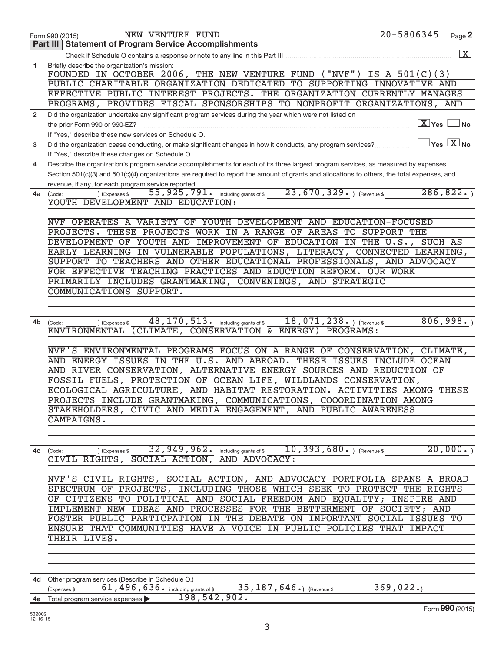|                | 20-5806345<br>NEW VENTURE FUND<br>Form 990 (2015)                                                                                                 |                        | Page 2                              |
|----------------|---------------------------------------------------------------------------------------------------------------------------------------------------|------------------------|-------------------------------------|
|                | <b>Part III   Statement of Program Service Accomplishments</b>                                                                                    |                        |                                     |
|                |                                                                                                                                                   |                        | $\overline{\mathbf{X}}$             |
| 1.             | Briefly describe the organization's mission:                                                                                                      |                        |                                     |
|                | FOUNDED IN OCTOBER 2006, THE NEW VENTURE FUND ("NVF") IS A 501(C)(3)                                                                              |                        |                                     |
|                | PUBLIC CHARITABLE ORGANIZATION DEDICATED TO SUPPORTING INNOVATIVE AND<br>EFFECTIVE PUBLIC INTEREST PROJECTS. THE ORGANIZATION CURRENTLY MANAGES   |                        |                                     |
|                | PROGRAMS, PROVIDES FISCAL SPONSORSHIPS TO NONPROFIT ORGANIZATIONS, AND                                                                            |                        |                                     |
| $\overline{2}$ | Did the organization undertake any significant program services during the year which were not listed on                                          |                        |                                     |
|                | the prior Form 990 or 990-EZ?                                                                                                                     | $\boxed{\text{X}}$ Yes | ⊥No                                 |
|                | If "Yes," describe these new services on Schedule O.                                                                                              |                        |                                     |
| 3              | Did the organization cease conducting, or make significant changes in how it conducts, any program services?                                      |                        | $\overline{Y}$ es $\overline{X}$ No |
|                | If "Yes," describe these changes on Schedule O.                                                                                                   |                        |                                     |
| 4              | Describe the organization's program service accomplishments for each of its three largest program services, as measured by expenses.              |                        |                                     |
|                | Section 501(c)(3) and 501(c)(4) organizations are required to report the amount of grants and allocations to others, the total expenses, and      |                        |                                     |
|                | revenue, if any, for each program service reported.                                                                                               |                        |                                     |
| 4a             | 23, 670, 329. ) (Revenue \$<br>55, 925, 791. including grants of \$<br>(Code:<br>) (Expenses \$                                                   | 286, 822.              |                                     |
|                | YOUTH DEVELOPMENT AND EDUCATION:                                                                                                                  |                        |                                     |
|                |                                                                                                                                                   |                        |                                     |
|                | NVF OPERATES A VARIETY OF YOUTH DEVELOPMENT AND EDUCATION-FOCUSED                                                                                 |                        |                                     |
|                | PROJECTS. THESE PROJECTS WORK IN A RANGE OF AREAS TO SUPPORT THE                                                                                  |                        |                                     |
|                | DEVELOPMENT OF YOUTH AND IMPROVEMENT OF EDUCATION IN THE U.S., SUCH AS                                                                            |                        |                                     |
|                | EARLY LEARNING IN VULNERABLE POPULATIONS, LITERACY, CONNECTED LEARNING,                                                                           |                        |                                     |
|                | SUPPORT TO TEACHERS AND OTHER EDUCATIONAL PROFESSIONALS, AND ADVOCACY                                                                             |                        |                                     |
|                | FOR EFFECTIVE TEACHING PRACTICES AND EDUCTION REFORM. OUR WORK                                                                                    |                        |                                     |
|                | PRIMARILY INCLUDES GRANTMAKING, CONVENINGS, AND STRATEGIC                                                                                         |                        |                                     |
|                | COMMUNICATIONS SUPPORT.                                                                                                                           |                        |                                     |
|                |                                                                                                                                                   |                        |                                     |
| 4b             | 48, 170, 513. including grants of \$<br>$18,071,238.$ (Revenue \$<br>) (Expenses \$<br>(Code:                                                     | 806,998.               |                                     |
|                | <b>ENVIRONMENTAL</b><br>(CLIMATE, CONSERVATION & ENERGY)<br>PROGRAMS:                                                                             |                        |                                     |
|                |                                                                                                                                                   |                        |                                     |
|                | NVF'S ENVIRONMENTAL PROGRAMS FOCUS ON A RANGE OF CONSERVATION, CLIMATE,                                                                           |                        |                                     |
|                | AND ENERGY ISSUES IN THE U.S. AND ABROAD. THESE ISSUES INCLUDE OCEAN                                                                              |                        |                                     |
|                | AND RIVER CONSERVATION, ALTERNATIVE ENERGY SOURCES AND REDUCTION OF                                                                               |                        |                                     |
|                | FOSSIL FUELS, PROTECTION OF OCEAN LIFE, WILDLANDS CONSERVATION,                                                                                   |                        |                                     |
|                | ECOLOGICAL AGRICULTURE, AND HABITAT RESTORATION. ACTIVITIES AMONG THESE                                                                           |                        |                                     |
|                | PROJECTS INCLUDE GRANTMAKING, COMMUNICATIONS, COOORDINATION AMONG                                                                                 |                        |                                     |
|                | STAKEHOLDERS, CIVIC AND MEDIA ENGAGEMENT, AND PUBLIC AWARENESS<br>CAMPAIGNS.                                                                      |                        |                                     |
|                |                                                                                                                                                   |                        |                                     |
|                |                                                                                                                                                   |                        |                                     |
|                | $(10, 393, 680)$ (Expenses \$20,000.)<br>4c (Code:                                                                                                |                        |                                     |
|                | CIVIL RIGHTS, SOCIAL ACTION, AND ADVOCACY:                                                                                                        |                        |                                     |
|                |                                                                                                                                                   |                        |                                     |
|                | NVF'S CIVIL RIGHTS, SOCIAL ACTION, AND ADVOCACY PORTFOLIA SPANS A BROAD                                                                           |                        |                                     |
|                | SPECTRUM OF PROJECTS, INCLUDING THOSE WHICH SEEK TO PROTECT THE RIGHTS                                                                            |                        |                                     |
|                | OF CITIZENS TO POLITICAL AND SOCIAL FREEDOM AND EQUALITY; INSPIRE AND                                                                             |                        |                                     |
|                | IMPLEMENT NEW IDEAS AND PROCESSES FOR THE BETTERMENT OF SOCIETY; AND                                                                              |                        |                                     |
|                | FOSTER PUBLIC PARTICPATION IN THE DEBATE ON IMPORTANT SOCIAL ISSUES TO                                                                            |                        |                                     |
|                | ENSURE THAT COMMUNITIES HAVE A VOICE IN PUBLIC POLICIES THAT IMPACT                                                                               |                        |                                     |
|                | THEIR LIVES.                                                                                                                                      |                        |                                     |
|                |                                                                                                                                                   |                        |                                     |
|                |                                                                                                                                                   |                        |                                     |
|                |                                                                                                                                                   |                        |                                     |
|                | 4d Other program services (Describe in Schedule O.)<br>61, 496, 636. including grants of \$35, 187, 646.) (Revenue \$<br>369,022.<br>(Expenses \$ |                        |                                     |
|                | 198,542,902.<br>4e Total program service expenses                                                                                                 |                        |                                     |
|                |                                                                                                                                                   |                        |                                     |

| $\bullet$ Total program service expenses $\blacktriangleright$ | 198 |
|----------------------------------------------------------------|-----|
|                                                                |     |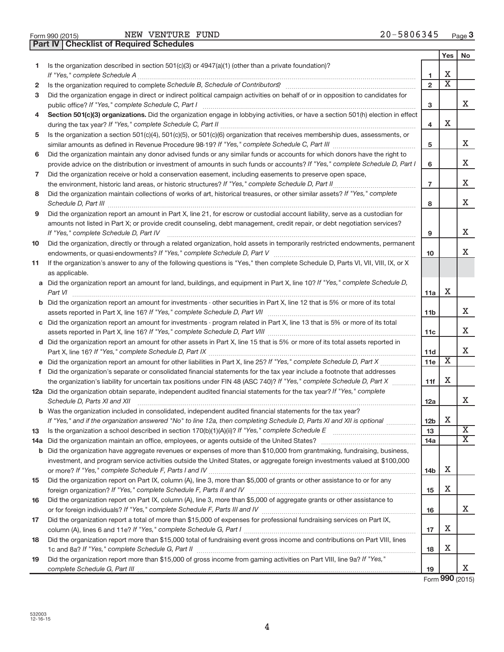NEW VENTURE FUND

**Part IV Checklist of Required Schedules**

|    |                                                                                                                                                                                                                                     |                 | Yes                     | No                      |
|----|-------------------------------------------------------------------------------------------------------------------------------------------------------------------------------------------------------------------------------------|-----------------|-------------------------|-------------------------|
| 1  | Is the organization described in section $501(c)(3)$ or $4947(a)(1)$ (other than a private foundation)?                                                                                                                             |                 |                         |                         |
|    | If "Yes," complete Schedule A                                                                                                                                                                                                       | 1               | X                       |                         |
| 2  | Is the organization required to complete Schedule B, Schedule of Contributors? [111] [12] the organization required to complete Schedule B, Schedule of Contributors? [11] [12] [12] the organization required to complete Sch      | $\overline{2}$  | $\overline{\textbf{x}}$ |                         |
| 3  | Did the organization engage in direct or indirect political campaign activities on behalf of or in opposition to candidates for<br>public office? If "Yes," complete Schedule C, Part I                                             | 3               |                         | x                       |
| 4  | Section 501(c)(3) organizations. Did the organization engage in lobbying activities, or have a section 501(h) election in effect                                                                                                    | 4               | х                       |                         |
| 5  | Is the organization a section 501(c)(4), 501(c)(5), or 501(c)(6) organization that receives membership dues, assessments, or                                                                                                        |                 |                         |                         |
|    |                                                                                                                                                                                                                                     | 5               |                         | X                       |
| 6  | Did the organization maintain any donor advised funds or any similar funds or accounts for which donors have the right to                                                                                                           |                 |                         |                         |
|    | provide advice on the distribution or investment of amounts in such funds or accounts? If "Yes," complete Schedule D, Part I                                                                                                        | 6               |                         | X                       |
| 7  | Did the organization receive or hold a conservation easement, including easements to preserve open space,                                                                                                                           |                 |                         |                         |
|    | the environment, historic land areas, or historic structures? If "Yes," complete Schedule D, Part II<br>.                                                                                                                           | $\overline{7}$  |                         | X                       |
| 8  | Did the organization maintain collections of works of art, historical treasures, or other similar assets? If "Yes," complete<br>Schedule D, Part III                                                                                | 8               |                         | X                       |
| 9  | Did the organization report an amount in Part X, line 21, for escrow or custodial account liability, serve as a custodian for                                                                                                       |                 |                         |                         |
|    | amounts not listed in Part X; or provide credit counseling, debt management, credit repair, or debt negotiation services?                                                                                                           |                 |                         |                         |
|    | If "Yes," complete Schedule D, Part IV                                                                                                                                                                                              | 9               |                         | X                       |
| 10 | Did the organization, directly or through a related organization, hold assets in temporarily restricted endowments, permanent                                                                                                       | 10              |                         | X                       |
| 11 | If the organization's answer to any of the following questions is "Yes," then complete Schedule D, Parts VI, VII, VIII, IX, or X                                                                                                    |                 |                         |                         |
|    | as applicable.                                                                                                                                                                                                                      |                 |                         |                         |
|    | a Did the organization report an amount for land, buildings, and equipment in Part X, line 10? If "Yes," complete Schedule D,                                                                                                       |                 |                         |                         |
|    | Part VI                                                                                                                                                                                                                             | 11a             | х                       |                         |
|    | <b>b</b> Did the organization report an amount for investments - other securities in Part X, line 12 that is 5% or more of its total                                                                                                |                 |                         |                         |
|    |                                                                                                                                                                                                                                     | 11b             |                         | x                       |
|    | c Did the organization report an amount for investments - program related in Part X, line 13 that is 5% or more of its total                                                                                                        |                 |                         |                         |
|    |                                                                                                                                                                                                                                     | 11c             |                         | X                       |
|    | d Did the organization report an amount for other assets in Part X, line 15 that is 5% or more of its total assets reported in                                                                                                      | 11d             |                         | x                       |
|    | e Did the organization report an amount for other liabilities in Part X, line 25? If "Yes," complete Schedule D, Part X                                                                                                             | 11e             | $\overline{\mathbf{x}}$ |                         |
| f  | Did the organization's separate or consolidated financial statements for the tax year include a footnote that addresses                                                                                                             |                 |                         |                         |
|    | the organization's liability for uncertain tax positions under FIN 48 (ASC 740)? If "Yes," complete Schedule D, Part X                                                                                                              | 11f             | х                       |                         |
|    | 12a Did the organization obtain separate, independent audited financial statements for the tax year? If "Yes," complete                                                                                                             |                 |                         |                         |
|    | Schedule D, Parts XI and XII                                                                                                                                                                                                        | 12a             |                         | x                       |
|    | <b>b</b> Was the organization included in consolidated, independent audited financial statements for the tax year?                                                                                                                  |                 |                         |                         |
|    | If "Yes," and if the organization answered "No" to line 12a, then completing Schedule D, Parts XI and XII is optional                                                                                                               | 12 <sub>b</sub> | X                       | $\overline{\textbf{X}}$ |
| 13 | Is the organization a school described in section $170(b)(1)(A)(ii)$ ? If "Yes," complete Schedule E                                                                                                                                | 13              |                         | х                       |
|    | 14a Did the organization maintain an office, employees, or agents outside of the United States?<br><b>b</b> Did the organization have aggregate revenues or expenses of more than \$10,000 from grantmaking, fundraising, business, | 14a             |                         |                         |
|    | investment, and program service activities outside the United States, or aggregate foreign investments valued at \$100,000                                                                                                          |                 |                         |                         |
|    |                                                                                                                                                                                                                                     | 14b             | х                       |                         |
| 15 | Did the organization report on Part IX, column (A), line 3, more than \$5,000 of grants or other assistance to or for any                                                                                                           |                 |                         |                         |
|    |                                                                                                                                                                                                                                     | 15              | х                       |                         |
| 16 | Did the organization report on Part IX, column (A), line 3, more than \$5,000 of aggregate grants or other assistance to                                                                                                            |                 |                         |                         |
|    |                                                                                                                                                                                                                                     | 16              |                         | x                       |
| 17 | Did the organization report a total of more than \$15,000 of expenses for professional fundraising services on Part IX,                                                                                                             |                 |                         |                         |
|    |                                                                                                                                                                                                                                     | 17              | х                       |                         |
| 18 | Did the organization report more than \$15,000 total of fundraising event gross income and contributions on Part VIII, lines                                                                                                        | 18              | X                       |                         |
| 19 | Did the organization report more than \$15,000 of gross income from gaming activities on Part VIII, line 9a? If "Yes,"                                                                                                              |                 |                         |                         |
|    |                                                                                                                                                                                                                                     | 19              |                         | x                       |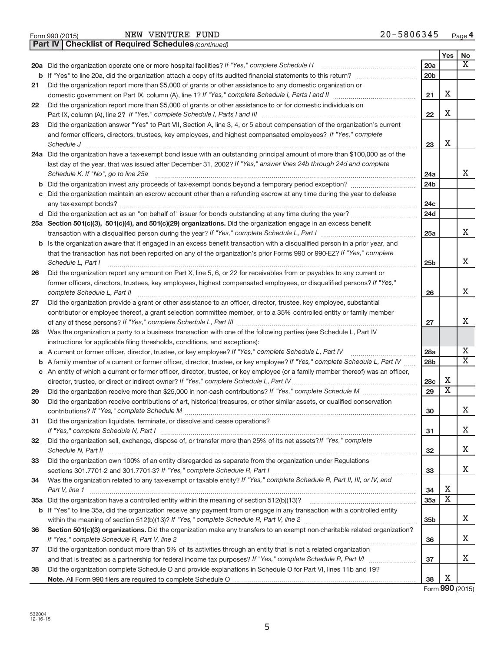|  | Form 990 (2015) |
|--|-----------------|
|  |                 |

*(continued)* **Part IV Checklist of Required Schedules**

|    |                                                                                                                                                                                                                                                       |                  | Yes                     | No                    |
|----|-------------------------------------------------------------------------------------------------------------------------------------------------------------------------------------------------------------------------------------------------------|------------------|-------------------------|-----------------------|
|    | 20a Did the organization operate one or more hospital facilities? If "Yes," complete Schedule H                                                                                                                                                       | 20a              |                         | X                     |
|    |                                                                                                                                                                                                                                                       | 20 <sub>b</sub>  |                         |                       |
| 21 | Did the organization report more than \$5,000 of grants or other assistance to any domestic organization or                                                                                                                                           |                  |                         |                       |
|    | domestic government on Part IX, column (A), line 1? If "Yes," complete Schedule I, Parts I and II                                                                                                                                                     | 21               | Х                       |                       |
| 22 | Did the organization report more than \$5,000 of grants or other assistance to or for domestic individuals on                                                                                                                                         | 22               | Х                       |                       |
| 23 | Did the organization answer "Yes" to Part VII, Section A, line 3, 4, or 5 about compensation of the organization's current                                                                                                                            |                  |                         |                       |
|    | and former officers, directors, trustees, key employees, and highest compensated employees? If "Yes," complete                                                                                                                                        |                  |                         |                       |
|    | Schedule J                                                                                                                                                                                                                                            | 23               | Х                       |                       |
|    | 24a Did the organization have a tax-exempt bond issue with an outstanding principal amount of more than \$100,000 as of the                                                                                                                           |                  |                         |                       |
|    | last day of the year, that was issued after December 31, 2002? If "Yes," answer lines 24b through 24d and complete                                                                                                                                    |                  |                         |                       |
|    | Schedule K. If "No", go to line 25a                                                                                                                                                                                                                   | 24a              |                         | X                     |
| b  |                                                                                                                                                                                                                                                       | 24 <sub>b</sub>  |                         |                       |
| С  | Did the organization maintain an escrow account other than a refunding escrow at any time during the year to defease                                                                                                                                  |                  |                         |                       |
|    |                                                                                                                                                                                                                                                       | 24c              |                         |                       |
|    |                                                                                                                                                                                                                                                       | 24d              |                         |                       |
|    | 25a Section 501(c)(3), 501(c)(4), and 501(c)(29) organizations. Did the organization engage in an excess benefit                                                                                                                                      |                  |                         | X                     |
|    |                                                                                                                                                                                                                                                       | 25a              |                         |                       |
|    | b Is the organization aware that it engaged in an excess benefit transaction with a disqualified person in a prior year, and<br>that the transaction has not been reported on any of the organization's prior Forms 990 or 990-EZ? If "Yes," complete |                  |                         |                       |
|    | Schedule L, Part I                                                                                                                                                                                                                                    | 25b              |                         | X                     |
| 26 | Did the organization report any amount on Part X, line 5, 6, or 22 for receivables from or payables to any current or                                                                                                                                 |                  |                         |                       |
|    | former officers, directors, trustees, key employees, highest compensated employees, or disqualified persons? If "Yes,"                                                                                                                                |                  |                         |                       |
|    | complete Schedule L, Part II                                                                                                                                                                                                                          | 26               |                         | X                     |
| 27 | Did the organization provide a grant or other assistance to an officer, director, trustee, key employee, substantial                                                                                                                                  |                  |                         |                       |
|    | contributor or employee thereof, a grant selection committee member, or to a 35% controlled entity or family member                                                                                                                                   |                  |                         |                       |
|    |                                                                                                                                                                                                                                                       | 27               |                         | х                     |
| 28 | Was the organization a party to a business transaction with one of the following parties (see Schedule L, Part IV                                                                                                                                     |                  |                         |                       |
|    | instructions for applicable filing thresholds, conditions, and exceptions):                                                                                                                                                                           |                  |                         |                       |
| а  | A current or former officer, director, trustee, or key employee? If "Yes," complete Schedule L, Part IV                                                                                                                                               | 28a              |                         | X                     |
| b  | A family member of a current or former officer, director, trustee, or key employee? If "Yes," complete Schedule L, Part IV                                                                                                                            | 28 <sub>b</sub>  |                         | $\overline{\text{X}}$ |
| С  | An entity of which a current or former officer, director, trustee, or key employee (or a family member thereof) was an officer,                                                                                                                       |                  | Х                       |                       |
|    | director, trustee, or direct or indirect owner? If "Yes," complete Schedule L, Part IV                                                                                                                                                                | <b>28c</b><br>29 | $\overline{\text{x}}$   |                       |
| 29 | Did the organization receive contributions of art, historical treasures, or other similar assets, or qualified conservation                                                                                                                           |                  |                         |                       |
| 30 |                                                                                                                                                                                                                                                       | 30               |                         | х                     |
| 31 | Did the organization liquidate, terminate, or dissolve and cease operations?                                                                                                                                                                          |                  |                         |                       |
|    |                                                                                                                                                                                                                                                       | 31               |                         | х                     |
| 32 | Did the organization sell, exchange, dispose of, or transfer more than 25% of its net assets? If "Yes," complete                                                                                                                                      |                  |                         |                       |
|    |                                                                                                                                                                                                                                                       | 32               |                         | х                     |
| 33 | Did the organization own 100% of an entity disregarded as separate from the organization under Regulations                                                                                                                                            |                  |                         |                       |
|    |                                                                                                                                                                                                                                                       | 33               |                         | X                     |
| 34 | Was the organization related to any tax-exempt or taxable entity? If "Yes," complete Schedule R, Part II, III, or IV, and                                                                                                                             |                  |                         |                       |
|    | Part V, line 1                                                                                                                                                                                                                                        | 34               | Х                       |                       |
|    |                                                                                                                                                                                                                                                       | 35a              | $\overline{\textbf{x}}$ |                       |
|    | b If "Yes" to line 35a, did the organization receive any payment from or engage in any transaction with a controlled entity                                                                                                                           |                  |                         |                       |
|    |                                                                                                                                                                                                                                                       | 35b              |                         | X                     |
| 36 | Section 501(c)(3) organizations. Did the organization make any transfers to an exempt non-charitable related organization?                                                                                                                            |                  |                         |                       |
|    |                                                                                                                                                                                                                                                       | 36               |                         | х                     |
| 37 | Did the organization conduct more than 5% of its activities through an entity that is not a related organization                                                                                                                                      |                  |                         | х                     |
| 38 | Did the organization complete Schedule O and provide explanations in Schedule O for Part VI, lines 11b and 19?                                                                                                                                        | 37               |                         |                       |
|    |                                                                                                                                                                                                                                                       | 38               | Х                       |                       |
|    |                                                                                                                                                                                                                                                       |                  |                         |                       |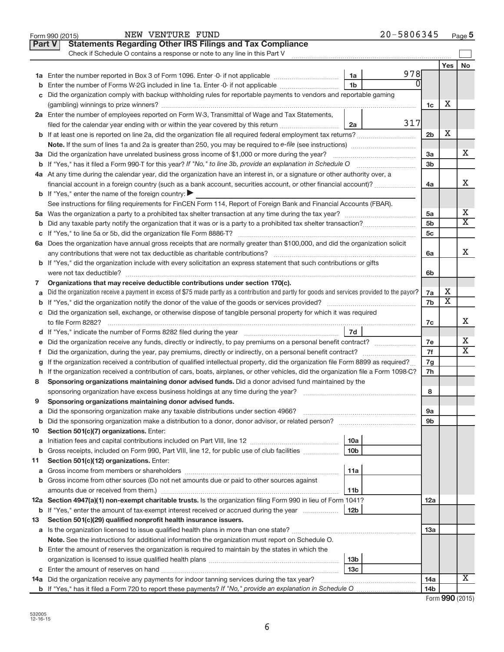|         | NEW VENTURE FUND<br>Form 990 (2015)                                                                                                             |                        | 20-5806345 |                |                         | Page 5                |
|---------|-------------------------------------------------------------------------------------------------------------------------------------------------|------------------------|------------|----------------|-------------------------|-----------------------|
|         | <b>Statements Regarding Other IRS Filings and Tax Compliance</b><br><b>Part V</b>                                                               |                        |            |                |                         |                       |
|         | Check if Schedule O contains a response or note to any line in this Part V                                                                      |                        |            |                |                         |                       |
|         |                                                                                                                                                 |                        |            |                | Yes                     | No                    |
|         |                                                                                                                                                 | 1a                     | 978        |                |                         |                       |
| b       | Enter the number of Forms W-2G included in line 1a. Enter -0- if not applicable                                                                 | 1 <sub>b</sub>         | 0          |                |                         |                       |
|         | c Did the organization comply with backup withholding rules for reportable payments to vendors and reportable gaming                            |                        |            |                |                         |                       |
|         |                                                                                                                                                 |                        |            | 1c             | х                       |                       |
|         | 2a Enter the number of employees reported on Form W-3, Transmittal of Wage and Tax Statements,                                                  |                        |            |                |                         |                       |
|         | filed for the calendar year ending with or within the year covered by this return                                                               | 2a                     | 317        |                |                         |                       |
|         | <b>b</b> If at least one is reported on line 2a, did the organization file all required federal employment tax returns?                         |                        |            | 2 <sub>b</sub> | X                       |                       |
|         |                                                                                                                                                 |                        |            |                |                         |                       |
|         |                                                                                                                                                 |                        |            | 3a             |                         | х                     |
|         |                                                                                                                                                 |                        |            | 3 <sub>b</sub> |                         |                       |
|         | 4a At any time during the calendar year, did the organization have an interest in, or a signature or other authority over, a                    |                        |            |                |                         |                       |
|         | financial account in a foreign country (such as a bank account, securities account, or other financial account)?                                |                        |            | 4a             |                         | X                     |
|         | <b>b</b> If "Yes," enter the name of the foreign country:                                                                                       |                        |            |                |                         |                       |
|         | See instructions for filing requirements for FinCEN Form 114, Report of Foreign Bank and Financial Accounts (FBAR).                             |                        |            |                |                         |                       |
|         |                                                                                                                                                 |                        |            | 5a             |                         | х                     |
|         |                                                                                                                                                 |                        |            | 5 <sub>b</sub> |                         | $\overline{\text{X}}$ |
|         |                                                                                                                                                 |                        |            | 5c             |                         |                       |
|         | 6a Does the organization have annual gross receipts that are normally greater than \$100,000, and did the organization solicit                  |                        |            |                |                         |                       |
|         |                                                                                                                                                 |                        |            | 6a             |                         | X                     |
|         | <b>b</b> If "Yes," did the organization include with every solicitation an express statement that such contributions or gifts                   |                        |            |                |                         |                       |
|         |                                                                                                                                                 |                        |            | 6b             |                         |                       |
| 7       | Organizations that may receive deductible contributions under section 170(c).                                                                   |                        |            |                |                         |                       |
| a       | Did the organization receive a payment in excess of \$75 made partly as a contribution and partly for goods and services provided to the payor? |                        |            | 7a             | х                       |                       |
|         |                                                                                                                                                 |                        |            | 7b             | $\overline{\textbf{X}}$ |                       |
|         | c Did the organization sell, exchange, or otherwise dispose of tangible personal property for which it was required                             |                        |            |                |                         |                       |
|         |                                                                                                                                                 |                        |            | 7c             |                         | X                     |
|         |                                                                                                                                                 |                        |            |                |                         |                       |
| e       | Did the organization receive any funds, directly or indirectly, to pay premiums on a personal benefit contract?                                 |                        |            | 7e             |                         | Х                     |
| f.      |                                                                                                                                                 |                        |            | 7f             |                         | $\overline{\text{X}}$ |
|         | If the organization received a contribution of qualified intellectual property, did the organization file Form 8899 as required?                |                        |            | 7g             |                         |                       |
|         | h If the organization received a contribution of cars, boats, airplanes, or other vehicles, did the organization file a Form 1098-C?            |                        |            | 7h             |                         |                       |
| 8       | Sponsoring organizations maintaining donor advised funds. Did a donor advised fund maintained by the                                            |                        |            |                |                         |                       |
|         |                                                                                                                                                 |                        |            | 8              |                         |                       |
|         | Sponsoring organizations maintaining donor advised funds.                                                                                       |                        |            |                |                         |                       |
| а       | Did the sponsoring organization make any taxable distributions under section 4966?                                                              |                        |            | 9а             |                         |                       |
| b       |                                                                                                                                                 |                        |            | 9b             |                         |                       |
| 10      | Section 501(c)(7) organizations. Enter:                                                                                                         |                        |            |                |                         |                       |
| a       |                                                                                                                                                 | 10a<br>10 <sub>b</sub> |            |                |                         |                       |
| b       | Gross receipts, included on Form 990, Part VIII, line 12, for public use of club facilities                                                     |                        |            |                |                         |                       |
| 11<br>а | Section 501(c)(12) organizations. Enter:                                                                                                        | 11a                    |            |                |                         |                       |
|         | b Gross income from other sources (Do not net amounts due or paid to other sources against                                                      |                        |            |                |                         |                       |
|         |                                                                                                                                                 | 11b                    |            |                |                         |                       |
|         | 12a Section 4947(a)(1) non-exempt charitable trusts. Is the organization filing Form 990 in lieu of Form 1041?                                  |                        |            | 12a            |                         |                       |
|         | <b>b</b> If "Yes," enter the amount of tax-exempt interest received or accrued during the year                                                  | 12b                    |            |                |                         |                       |
| 13      | Section 501(c)(29) qualified nonprofit health insurance issuers.                                                                                |                        |            |                |                         |                       |
|         | a Is the organization licensed to issue qualified health plans in more than one state?                                                          |                        |            | 13a            |                         |                       |
|         | Note. See the instructions for additional information the organization must report on Schedule O.                                               |                        |            |                |                         |                       |
|         | <b>b</b> Enter the amount of reserves the organization is required to maintain by the states in which the                                       |                        |            |                |                         |                       |
|         |                                                                                                                                                 | 13b                    |            |                |                         |                       |
|         |                                                                                                                                                 | 13 <sub>c</sub>        |            |                |                         |                       |
|         | 14a Did the organization receive any payments for indoor tanning services during the tax year?                                                  |                        |            | 14a            |                         | x                     |
|         |                                                                                                                                                 |                        |            | 14b            |                         |                       |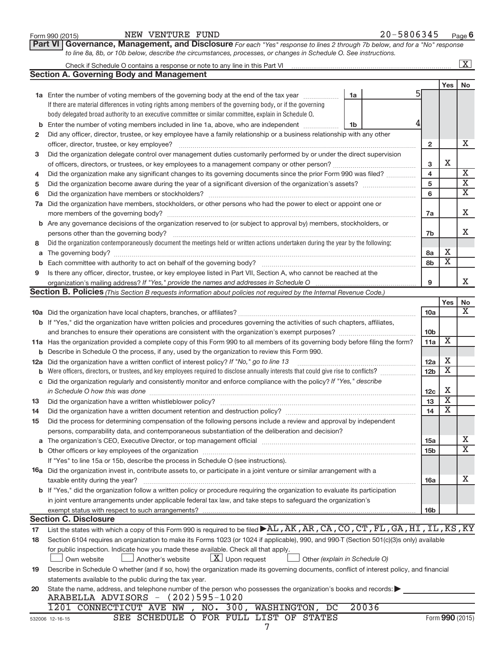|    | Part VI Governance, Management, and Disclosure For each "Yes" response to lines 2 through 7b below, and for a "No" response                          |                               |                         |                         |                         |
|----|------------------------------------------------------------------------------------------------------------------------------------------------------|-------------------------------|-------------------------|-------------------------|-------------------------|
|    | to line 8a, 8b, or 10b below, describe the circumstances, processes, or changes in Schedule O. See instructions.                                     |                               |                         |                         |                         |
|    |                                                                                                                                                      |                               |                         |                         | $\boxed{\text{X}}$      |
|    | <b>Section A. Governing Body and Management</b>                                                                                                      |                               |                         |                         |                         |
|    |                                                                                                                                                      |                               |                         | Yes <sub>1</sub>        | No                      |
|    | 1a Enter the number of voting members of the governing body at the end of the tax year                                                               | 1a                            |                         |                         |                         |
|    | If there are material differences in voting rights among members of the governing body, or if the governing                                          |                               |                         |                         |                         |
|    | body delegated broad authority to an executive committee or similar committee, explain in Schedule O.                                                |                               |                         |                         |                         |
| b  | Enter the number of voting members included in line 1a, above, who are independent                                                                   | 1b                            |                         |                         |                         |
| 2  | Did any officer, director, trustee, or key employee have a family relationship or a business relationship with any other                             |                               |                         |                         |                         |
|    | officer, director, trustee, or key employee?                                                                                                         |                               | $\overline{2}$          |                         | X                       |
| 3  | Did the organization delegate control over management duties customarily performed by or under the direct supervision                                |                               |                         |                         |                         |
|    |                                                                                                                                                      |                               | 3                       | X                       |                         |
| 4  | Did the organization make any significant changes to its governing documents since the prior Form 990 was filed?                                     |                               | $\overline{\mathbf{4}}$ |                         | $\overline{\mathbf{X}}$ |
| 5  |                                                                                                                                                      |                               | 5                       |                         | $\overline{\mathbf{X}}$ |
| 6  |                                                                                                                                                      |                               | 6                       |                         | $\overline{\mathbf{X}}$ |
| 7a | Did the organization have members, stockholders, or other persons who had the power to elect or appoint one or                                       |                               |                         |                         |                         |
|    |                                                                                                                                                      |                               | 7a                      |                         | Χ                       |
|    | <b>b</b> Are any governance decisions of the organization reserved to (or subject to approval by) members, stockholders, or                          |                               |                         |                         |                         |
|    | persons other than the governing body?                                                                                                               |                               | 7b                      |                         | X                       |
| 8  | Did the organization contemporaneously document the meetings held or written actions undertaken during the year by the following:                    |                               |                         |                         |                         |
| a  |                                                                                                                                                      |                               | 8a                      | х                       |                         |
| b  |                                                                                                                                                      |                               | 8b                      | $\overline{\mathbf{X}}$ |                         |
| 9  | Is there any officer, director, trustee, or key employee listed in Part VII, Section A, who cannot be reached at the                                 |                               |                         |                         |                         |
|    |                                                                                                                                                      |                               | 9                       |                         | x                       |
|    | Section B. Policies (This Section B requests information about policies not required by the Internal Revenue Code.)                                  |                               |                         |                         |                         |
|    |                                                                                                                                                      |                               |                         | Yes                     | No                      |
|    |                                                                                                                                                      |                               | 10a                     |                         | X                       |
|    | b If "Yes," did the organization have written policies and procedures governing the activities of such chapters, affiliates,                         |                               |                         |                         |                         |
|    |                                                                                                                                                      |                               | 10 <sub>b</sub>         |                         |                         |
|    | 11a Has the organization provided a complete copy of this Form 990 to all members of its governing body before filing the form?                      |                               | 11a                     | X                       |                         |
|    | <b>b</b> Describe in Schedule O the process, if any, used by the organization to review this Form 990.                                               |                               |                         |                         |                         |
|    | 12a Did the organization have a written conflict of interest policy? If "No," go to line 13                                                          |                               | 12a                     | х                       |                         |
|    | <b>b</b> Were officers, directors, or trustees, and key employees required to disclose annually interests that could give rise to conflicts?         |                               | 12 <sub>b</sub>         | Х                       |                         |
|    | c Did the organization regularly and consistently monitor and enforce compliance with the policy? If "Yes," describe                                 |                               |                         |                         |                         |
|    |                                                                                                                                                      |                               | 12c                     | Х                       |                         |
| 13 |                                                                                                                                                      |                               | 13                      | $\overline{\textbf{X}}$ |                         |
| 14 |                                                                                                                                                      |                               | 14                      | $\overline{\text{x}}$   |                         |
| 15 | Did the process for determining compensation of the following persons include a review and approval by independent                                   |                               |                         |                         |                         |
|    | persons, comparability data, and contemporaneous substantiation of the deliberation and decision?                                                    |                               |                         |                         |                         |
|    |                                                                                                                                                      |                               | 15a                     |                         | X                       |
|    |                                                                                                                                                      |                               | 15 <sub>b</sub>         |                         | $\overline{\text{X}}$   |
|    | If "Yes" to line 15a or 15b, describe the process in Schedule O (see instructions).                                                                  |                               |                         |                         |                         |
|    | <b>16a</b> Did the organization invest in, contribute assets to, or participate in a joint venture or similar arrangement with a                     |                               |                         |                         |                         |
|    | taxable entity during the year?                                                                                                                      |                               | 16a                     |                         | x                       |
|    | b If "Yes," did the organization follow a written policy or procedure requiring the organization to evaluate its participation                       |                               |                         |                         |                         |
|    | in joint venture arrangements under applicable federal tax law, and take steps to safeguard the organization's                                       |                               |                         |                         |                         |
|    | exempt status with respect to such arrangements?                                                                                                     |                               | 16b                     |                         |                         |
|    | <b>Section C. Disclosure</b>                                                                                                                         |                               |                         |                         |                         |
| 17 | List the states with which a copy of this Form 990 is required to be filed >AL, AK, AR, CA, CO, CT, FL, GA, HI, IL, KS, KY                           |                               |                         |                         |                         |
| 18 | Section 6104 requires an organization to make its Forms 1023 (or 1024 if applicable), 990, and 990-T (Section 501(c)(3)s only) available             |                               |                         |                         |                         |
|    | for public inspection. Indicate how you made these available. Check all that apply.                                                                  |                               |                         |                         |                         |
|    | $\lfloor x \rfloor$ Upon request<br>Own website<br>Another's website                                                                                 | Other (explain in Schedule O) |                         |                         |                         |
| 19 | Describe in Schedule O whether (and if so, how) the organization made its governing documents, conflict of interest policy, and financial            |                               |                         |                         |                         |
|    | statements available to the public during the tax year.                                                                                              |                               |                         |                         |                         |
| 20 | State the name, address, and telephone number of the person who possesses the organization's books and records:<br>ARABELLA ADVISORS - (202)595-1020 |                               |                         |                         |                         |

Form 990 (2015) Page NEW VENTURE FUND 20-5806345

| 1201 CONNECTICUT AVE NW , |  |  | , NO. 300, WASHINGTON, DC 20036 |  |
|---------------------------|--|--|---------------------------------|--|
|                           |  |  |                                 |  |

SEE SCHEDULE O FOR FULL LIST OF STATES

7

**6**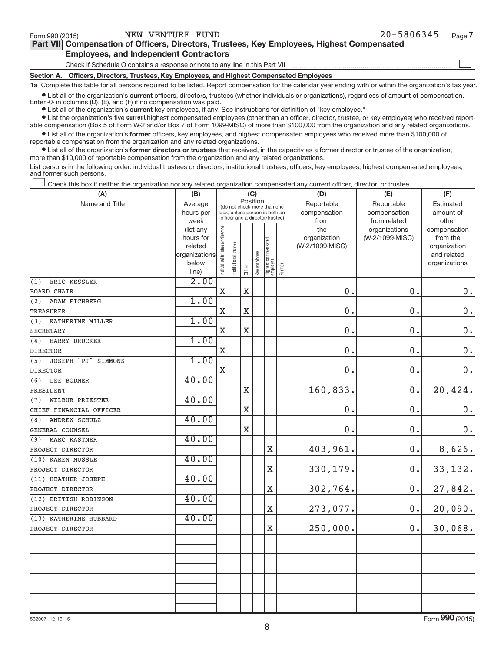$\begin{array}{c} \hline \end{array}$ 

| Part VII Compensation of Officers, Directors, Trustees, Key Employees, Highest Compensated |
|--------------------------------------------------------------------------------------------|
| <b>Employees, and Independent Contractors</b>                                              |

Check if Schedule O contains a response or note to any line in this Part VII

**Section A. Officers, Directors, Trustees, Key Employees, and Highest Compensated Employees**

**1a**  Complete this table for all persons required to be listed. Report compensation for the calendar year ending with or within the organization's tax year.

 $\bullet$  List all of the organization's current officers, directors, trustees (whether individuals or organizations), regardless of amount of compensation. Enter  $-0$ - in columns  $(D)$ ,  $(E)$ , and  $(F)$  if no compensation was paid.

**•** List all of the organization's **current** key employees, if any. See instructions for definition of "key employee."

**Examber 1** Current Lightest compensated employees (other than an officer, director, trustee, or key employee) who received reportable compensation (Box 5 of Form W-2 and/or Box 7 of Form 1099-MISC) of more than \$100,000 from the organization and any related organizations.

 $\bullet$  List all of the organization's former officers, key employees, and highest compensated employees who received more than \$100,000 of reportable compensation from the organization and any related organizations.

**•** List all of the organization's former directors or trustees that received, in the capacity as a former director or trustee of the organization, more than \$10,000 of reportable compensation from the organization and any related organizations.

List persons in the following order: individual trustees or directors; institutional trustees; officers; key employees; highest compensated employees; and former such persons.

Check this box if neither the organization nor any related organization compensated any current officer, director, or trustee.  $\overline{\phantom{a}}$ 

| Position<br>Name and Title<br>Average<br>Reportable<br>Reportable<br>Estimated<br>(do not check more than one<br>compensation<br>hours per<br>box, unless person is both an<br>compensation<br>amount of<br>officer and a director/trustee)<br>from related<br>week<br>from<br>other<br>Individual trustee or director<br>(list any<br>the<br>organizations<br>compensation<br>organization<br>(W-2/1099-MISC)<br>from the<br>hours for<br>Highest compensated<br>employee<br>Institutional trustee<br>(W-2/1099-MISC)<br>related<br>organization<br>Key employee<br>organizations<br>and related<br>below<br>organizations<br>Former<br>Officer | $0$ .         |
|--------------------------------------------------------------------------------------------------------------------------------------------------------------------------------------------------------------------------------------------------------------------------------------------------------------------------------------------------------------------------------------------------------------------------------------------------------------------------------------------------------------------------------------------------------------------------------------------------------------------------------------------------|---------------|
|                                                                                                                                                                                                                                                                                                                                                                                                                                                                                                                                                                                                                                                  |               |
|                                                                                                                                                                                                                                                                                                                                                                                                                                                                                                                                                                                                                                                  |               |
|                                                                                                                                                                                                                                                                                                                                                                                                                                                                                                                                                                                                                                                  |               |
|                                                                                                                                                                                                                                                                                                                                                                                                                                                                                                                                                                                                                                                  |               |
|                                                                                                                                                                                                                                                                                                                                                                                                                                                                                                                                                                                                                                                  |               |
|                                                                                                                                                                                                                                                                                                                                                                                                                                                                                                                                                                                                                                                  |               |
|                                                                                                                                                                                                                                                                                                                                                                                                                                                                                                                                                                                                                                                  |               |
| line)                                                                                                                                                                                                                                                                                                                                                                                                                                                                                                                                                                                                                                            |               |
| 2.00<br>ERIC KESSLER<br>(1)                                                                                                                                                                                                                                                                                                                                                                                                                                                                                                                                                                                                                      |               |
| 0.<br>$\mathbf X$<br>$\mathbf X$<br>0.<br>BOARD CHAIR                                                                                                                                                                                                                                                                                                                                                                                                                                                                                                                                                                                            |               |
| 1.00<br>(2)<br>ADAM EICHBERG                                                                                                                                                                                                                                                                                                                                                                                                                                                                                                                                                                                                                     |               |
| $\mathbf X$<br>$\mathbf X$<br>0.<br>0.<br><b>TREASURER</b>                                                                                                                                                                                                                                                                                                                                                                                                                                                                                                                                                                                       | $0$ .         |
| 1.00<br>(3)<br>KATHERINE MILLER                                                                                                                                                                                                                                                                                                                                                                                                                                                                                                                                                                                                                  |               |
| 0.<br>$\mathbf X$<br>0.<br>X<br><b>SECRETARY</b>                                                                                                                                                                                                                                                                                                                                                                                                                                                                                                                                                                                                 | $\mathbf 0$ . |
| 1.00<br>(4)<br>HARRY DRUCKER                                                                                                                                                                                                                                                                                                                                                                                                                                                                                                                                                                                                                     |               |
| $\overline{\text{X}}$<br>0.<br>0.<br><b>DIRECTOR</b>                                                                                                                                                                                                                                                                                                                                                                                                                                                                                                                                                                                             | $\mathbf 0$ . |
| JOSEPH "PJ" SIMMONS<br>1.00<br>(5)                                                                                                                                                                                                                                                                                                                                                                                                                                                                                                                                                                                                               |               |
| 0.<br>0.<br>$\mathbf X$<br><b>DIRECTOR</b>                                                                                                                                                                                                                                                                                                                                                                                                                                                                                                                                                                                                       | $\mathbf 0$ . |
| 40.00<br>LEE BODNER<br>(6)                                                                                                                                                                                                                                                                                                                                                                                                                                                                                                                                                                                                                       |               |
| 160,833.<br>0.<br>$\mathbf X$<br>PRESIDENT                                                                                                                                                                                                                                                                                                                                                                                                                                                                                                                                                                                                       | 20,424.       |
| 40.00<br>WILBUR PRIESTER<br>(7)                                                                                                                                                                                                                                                                                                                                                                                                                                                                                                                                                                                                                  |               |
| $\mathbf X$<br>0.<br>0.<br>CHIEF FINANCIAL OFFICER                                                                                                                                                                                                                                                                                                                                                                                                                                                                                                                                                                                               | $0$ .         |
| 40.00<br>ANDREW SCHULZ<br>(8)                                                                                                                                                                                                                                                                                                                                                                                                                                                                                                                                                                                                                    |               |
| $\mathbf X$<br>0.<br>0.<br>GENERAL COUNSEL                                                                                                                                                                                                                                                                                                                                                                                                                                                                                                                                                                                                       | $0$ .         |
| 40.00<br>MARC KASTNER<br>(9)                                                                                                                                                                                                                                                                                                                                                                                                                                                                                                                                                                                                                     |               |
| 403,961.<br>0.<br>X<br>PROJECT DIRECTOR                                                                                                                                                                                                                                                                                                                                                                                                                                                                                                                                                                                                          | 8,626.        |
| 40.00<br>(10) KAREN NUSSLE                                                                                                                                                                                                                                                                                                                                                                                                                                                                                                                                                                                                                       |               |
| X<br>330,179.<br>$\mathbf 0$ .<br>PROJECT DIRECTOR                                                                                                                                                                                                                                                                                                                                                                                                                                                                                                                                                                                               | 33,132.       |
| 40.00<br>(11) HEATHER JOSEPH                                                                                                                                                                                                                                                                                                                                                                                                                                                                                                                                                                                                                     |               |
| 302,764.<br>$\overline{\text{X}}$<br>0.<br>PROJECT DIRECTOR                                                                                                                                                                                                                                                                                                                                                                                                                                                                                                                                                                                      | 27,842.       |
| 40.00<br>(12) BRITISH ROBINSON                                                                                                                                                                                                                                                                                                                                                                                                                                                                                                                                                                                                                   |               |
| X<br>0.<br>273,077.<br>PROJECT DIRECTOR                                                                                                                                                                                                                                                                                                                                                                                                                                                                                                                                                                                                          | 20,090.       |
| 40.00<br>(13) KATHERINE HUBBARD                                                                                                                                                                                                                                                                                                                                                                                                                                                                                                                                                                                                                  |               |
| 250,000.<br>X<br>0.<br>PROJECT DIRECTOR                                                                                                                                                                                                                                                                                                                                                                                                                                                                                                                                                                                                          | 30,068.       |
|                                                                                                                                                                                                                                                                                                                                                                                                                                                                                                                                                                                                                                                  |               |
|                                                                                                                                                                                                                                                                                                                                                                                                                                                                                                                                                                                                                                                  |               |
|                                                                                                                                                                                                                                                                                                                                                                                                                                                                                                                                                                                                                                                  |               |
|                                                                                                                                                                                                                                                                                                                                                                                                                                                                                                                                                                                                                                                  |               |
|                                                                                                                                                                                                                                                                                                                                                                                                                                                                                                                                                                                                                                                  |               |
|                                                                                                                                                                                                                                                                                                                                                                                                                                                                                                                                                                                                                                                  |               |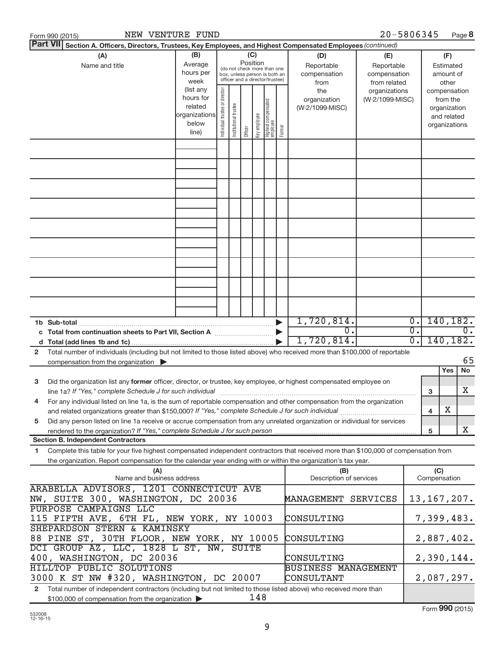| NEW VENTURE FUND<br>Form 990 (2015)                                                                                                                                                                                                                          |                                                                                                                                                                                                                                                             |                               |                       |         |              |                                   |        |                                          | 20-5806345                       |                        |     |                                                                          | Page 8           |
|--------------------------------------------------------------------------------------------------------------------------------------------------------------------------------------------------------------------------------------------------------------|-------------------------------------------------------------------------------------------------------------------------------------------------------------------------------------------------------------------------------------------------------------|-------------------------------|-----------------------|---------|--------------|-----------------------------------|--------|------------------------------------------|----------------------------------|------------------------|-----|--------------------------------------------------------------------------|------------------|
| <b>Part VII</b><br>Section A. Officers, Directors, Trustees, Key Employees, and Highest Compensated Employees (continued)                                                                                                                                    |                                                                                                                                                                                                                                                             |                               |                       |         |              |                                   |        |                                          |                                  |                        |     |                                                                          |                  |
| (A)<br>Name and title                                                                                                                                                                                                                                        | (B)<br>(C)<br>(D)<br>(E)<br>Position<br>Average<br>Reportable<br>Reportable<br>(do not check more than one<br>hours per<br>compensation<br>compensation<br>box, unless person is both an<br>officer and a director/trustee)<br>week<br>from related<br>from |                               |                       |         |              |                                   |        | (F)<br>Estimated<br>amount of<br>other   |                                  |                        |     |                                                                          |                  |
|                                                                                                                                                                                                                                                              | (list any<br>hours for<br>related<br>organizations<br>below<br>line)                                                                                                                                                                                        | ndividual trustee or director | Institutional trustee | Officer | Key employee | Highest compensated<br>  employee | Former | the<br>organization<br>(W-2/1099-MISC)   | organizations<br>(W-2/1099-MISC) |                        |     | compensation<br>from the<br>organization<br>and related<br>organizations |                  |
|                                                                                                                                                                                                                                                              |                                                                                                                                                                                                                                                             |                               |                       |         |              |                                   |        |                                          |                                  |                        |     |                                                                          |                  |
|                                                                                                                                                                                                                                                              |                                                                                                                                                                                                                                                             |                               |                       |         |              |                                   |        |                                          |                                  |                        |     |                                                                          |                  |
|                                                                                                                                                                                                                                                              |                                                                                                                                                                                                                                                             |                               |                       |         |              |                                   |        |                                          |                                  |                        |     |                                                                          |                  |
|                                                                                                                                                                                                                                                              |                                                                                                                                                                                                                                                             |                               |                       |         |              |                                   |        |                                          |                                  |                        |     |                                                                          |                  |
|                                                                                                                                                                                                                                                              |                                                                                                                                                                                                                                                             |                               |                       |         |              |                                   |        |                                          |                                  |                        |     |                                                                          |                  |
|                                                                                                                                                                                                                                                              |                                                                                                                                                                                                                                                             |                               |                       |         |              |                                   |        |                                          |                                  |                        |     |                                                                          |                  |
|                                                                                                                                                                                                                                                              |                                                                                                                                                                                                                                                             |                               |                       |         |              |                                   |        |                                          |                                  |                        |     |                                                                          |                  |
|                                                                                                                                                                                                                                                              |                                                                                                                                                                                                                                                             |                               |                       |         |              |                                   |        |                                          |                                  |                        |     |                                                                          |                  |
|                                                                                                                                                                                                                                                              |                                                                                                                                                                                                                                                             |                               |                       |         |              |                                   |        |                                          |                                  |                        |     |                                                                          |                  |
|                                                                                                                                                                                                                                                              |                                                                                                                                                                                                                                                             |                               |                       |         |              |                                   |        | 1,720,814.<br>$\overline{0}$ .           |                                  | $\overline{0}$ .<br>σ. |     | 140, 182.                                                                |                  |
| c Total from continuation sheets to Part VII, Section A manufactured by                                                                                                                                                                                      |                                                                                                                                                                                                                                                             |                               |                       |         |              |                                   |        | 1,720,814.                               |                                  | $\overline{0}$ .       |     | 140, 182.                                                                | $\overline{0}$ . |
| Total number of individuals (including but not limited to those listed above) who received more than \$100,000 of reportable<br>2<br>compensation from the organization $\blacktriangleright$                                                                |                                                                                                                                                                                                                                                             |                               |                       |         |              |                                   |        |                                          |                                  |                        |     |                                                                          | 65               |
|                                                                                                                                                                                                                                                              |                                                                                                                                                                                                                                                             |                               |                       |         |              |                                   |        |                                          |                                  |                        |     | Yes                                                                      | No.              |
| Did the organization list any former officer, director, or trustee, key employee, or highest compensated employee on<br>3                                                                                                                                    |                                                                                                                                                                                                                                                             |                               |                       |         |              |                                   |        |                                          |                                  |                        | 3   |                                                                          | х                |
| For any individual listed on line 1a, is the sum of reportable compensation and other compensation from the organization<br>and related organizations greater than \$150,000? If "Yes," complete Schedule J for such individual                              |                                                                                                                                                                                                                                                             |                               |                       |         |              |                                   |        |                                          |                                  |                        | 4   | х                                                                        |                  |
| Did any person listed on line 1a receive or accrue compensation from any unrelated organization or individual for services<br>5                                                                                                                              |                                                                                                                                                                                                                                                             |                               |                       |         |              |                                   |        |                                          |                                  |                        | 5   |                                                                          | X                |
| <b>Section B. Independent Contractors</b>                                                                                                                                                                                                                    |                                                                                                                                                                                                                                                             |                               |                       |         |              |                                   |        |                                          |                                  |                        |     |                                                                          |                  |
| Complete this table for your five highest compensated independent contractors that received more than \$100,000 of compensation from<br>1.<br>the organization. Report compensation for the calendar year ending with or within the organization's tax year. |                                                                                                                                                                                                                                                             |                               |                       |         |              |                                   |        |                                          |                                  |                        |     |                                                                          |                  |
| (A)<br>Name and business address                                                                                                                                                                                                                             |                                                                                                                                                                                                                                                             |                               |                       |         |              |                                   |        | (B)<br>Description of services           |                                  |                        | (C) | Compensation                                                             |                  |
| ARABELLA ADVISORS, 1201 CONNECTICUT AVE<br>NW, SUITE 300, WASHINGTON, DC 20036                                                                                                                                                                               |                                                                                                                                                                                                                                                             |                               |                       |         |              |                                   |        | MANAGEMENT SERVICES                      |                                  |                        |     | 13, 167, 207.                                                            |                  |
| PURPOSE CAMPAIGNS LLC<br>115 FIFTH AVE, 6TH FL, NEW YORK, NY 10003                                                                                                                                                                                           |                                                                                                                                                                                                                                                             |                               |                       |         |              |                                   |        | CONSULTING                               |                                  |                        |     | 7,399,483.                                                               |                  |
| SHEPARDSON STERN & KAMINSKY<br>88 PINE ST, 30TH FLOOR, NEW YORK, NY 10005                                                                                                                                                                                    |                                                                                                                                                                                                                                                             |                               |                       |         |              |                                   |        | CONSULTING                               |                                  |                        |     | 2,887,402.                                                               |                  |
| DCI GROUP AZ, LLC, 1828 L ST, NW, SUITE<br>400, WASHINGTON, DC 20036                                                                                                                                                                                         |                                                                                                                                                                                                                                                             |                               |                       |         |              |                                   |        | CONSULTING                               |                                  |                        |     | 2,390,144.                                                               |                  |
| <b>HILLTOP PUBLIC SOLUTIONS</b><br>3000 K ST NW #320, WASHINGTON, DC 20007                                                                                                                                                                                   |                                                                                                                                                                                                                                                             |                               |                       |         |              |                                   |        | <b>BUSINESS MANAGEMENT</b><br>CONSULTANT |                                  |                        |     | 2,087,297.                                                               |                  |
| Total number of independent contractors (including but not limited to those listed above) who received more than<br>$\mathbf{2}$<br>\$100,000 of compensation from the organization                                                                          |                                                                                                                                                                                                                                                             |                               |                       |         | 148          |                                   |        |                                          |                                  |                        |     |                                                                          |                  |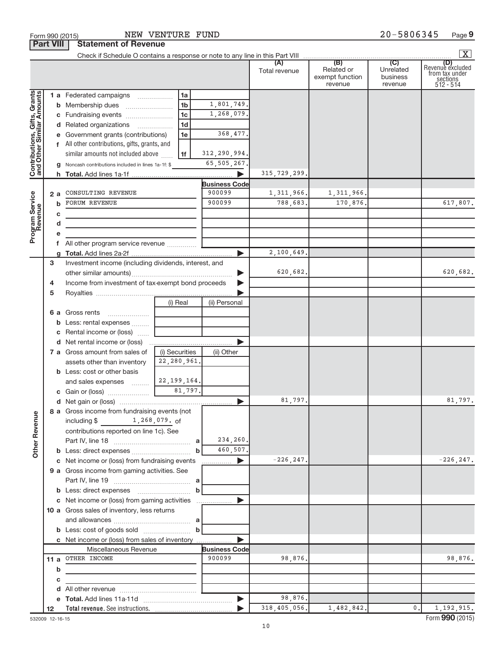|                                                           | <b>Part VIII</b> | Statement or Revenue                                  |                |                            |                      |                                                 |                                         | X                                                           |
|-----------------------------------------------------------|------------------|-------------------------------------------------------|----------------|----------------------------|----------------------|-------------------------------------------------|-----------------------------------------|-------------------------------------------------------------|
|                                                           |                  |                                                       |                |                            | (A)<br>Total revenue | (B)<br>Related or<br>exempt function<br>revenue | (C)<br>Unrelated<br>business<br>revenue | Revenue excluded<br>from tax under<br>sections<br>512 - 514 |
|                                                           |                  | 1 a Federated campaigns                               | 1a             |                            |                      |                                                 |                                         |                                                             |
| Contributions, Gifts, Grants<br>and Other Similar Amounts |                  |                                                       | 1 <sub>b</sub> | 1,801,749.                 |                      |                                                 |                                         |                                                             |
|                                                           |                  |                                                       | 1 <sub>c</sub> | 1,268,079.                 |                      |                                                 |                                         |                                                             |
|                                                           |                  | d Related organizations                               | 1 <sub>d</sub> |                            |                      |                                                 |                                         |                                                             |
|                                                           |                  | e Government grants (contributions)                   | 1e             | 368,477.                   |                      |                                                 |                                         |                                                             |
|                                                           |                  | f All other contributions, gifts, grants, and         |                |                            |                      |                                                 |                                         |                                                             |
|                                                           |                  | similar amounts not included above                    | 1f             | 312,290,994.               |                      |                                                 |                                         |                                                             |
|                                                           |                  | Noncash contributions included in lines 1a-1f: \$     |                | 65,505,267.                |                      |                                                 |                                         |                                                             |
|                                                           |                  |                                                       |                |                            | 315, 729, 299.       |                                                 |                                         |                                                             |
|                                                           |                  |                                                       |                | <b>Business Code</b>       |                      |                                                 |                                         |                                                             |
|                                                           | 2 a              | CONSULTING REVENUE                                    |                | 900099                     | 1,311,966.           | 1,311,966.                                      |                                         |                                                             |
|                                                           | b                | <b>FORUM REVENUE</b>                                  |                | 900099                     | 788,683.             | 170,876.                                        |                                         | 617,807.                                                    |
|                                                           | С                |                                                       |                |                            |                      |                                                 |                                         |                                                             |
|                                                           | d                |                                                       |                |                            |                      |                                                 |                                         |                                                             |
| Program Service                                           | е                |                                                       |                |                            |                      |                                                 |                                         |                                                             |
|                                                           |                  | All other program service revenue                     |                |                            | 2,100,649.           |                                                 |                                         |                                                             |
|                                                           | g<br>3           |                                                       |                | ▶                          |                      |                                                 |                                         |                                                             |
|                                                           |                  | Investment income (including dividends, interest, and |                | ▶                          | 620,682.             |                                                 |                                         | 620,682.                                                    |
|                                                           | 4                | Income from investment of tax-exempt bond proceeds    |                | ▶                          |                      |                                                 |                                         |                                                             |
|                                                           | 5                |                                                       |                |                            |                      |                                                 |                                         |                                                             |
|                                                           |                  |                                                       | (i) Real       | (ii) Personal              |                      |                                                 |                                         |                                                             |
|                                                           |                  | 6 a Gross rents                                       |                |                            |                      |                                                 |                                         |                                                             |
|                                                           |                  | <b>b</b> Less: rental expenses                        |                |                            |                      |                                                 |                                         |                                                             |
|                                                           | с                | Rental income or (loss)                               |                |                            |                      |                                                 |                                         |                                                             |
|                                                           |                  |                                                       |                |                            |                      |                                                 |                                         |                                                             |
|                                                           |                  | 7 a Gross amount from sales of                        | (i) Securities | (ii) Other                 |                      |                                                 |                                         |                                                             |
|                                                           |                  | assets other than inventory                           | 22,280,961.    |                            |                      |                                                 |                                         |                                                             |
|                                                           |                  | <b>b</b> Less: cost or other basis                    |                |                            |                      |                                                 |                                         |                                                             |
|                                                           |                  | and sales expenses  [                                 | 22,199,164.    |                            |                      |                                                 |                                         |                                                             |
|                                                           |                  |                                                       | 81.797.        |                            |                      |                                                 |                                         |                                                             |
|                                                           |                  |                                                       |                | $\blacktriangleright$      | 81,797.              |                                                 |                                         | 81,797.                                                     |
|                                                           |                  | 8 a Gross income from fundraising events (not         |                |                            |                      |                                                 |                                         |                                                             |
| <b>Other Revenue</b>                                      |                  | including \$1,268,079. of                             |                |                            |                      |                                                 |                                         |                                                             |
|                                                           |                  | contributions reported on line 1c). See               |                |                            |                      |                                                 |                                         |                                                             |
|                                                           |                  |                                                       | a              | 234,260.                   |                      |                                                 |                                         |                                                             |
|                                                           |                  |                                                       | b              | 460,507.                   |                      |                                                 |                                         |                                                             |
|                                                           |                  | c Net income or (loss) from fundraising events        |                | $\blacktriangleright$<br>. | $-226, 247.$         |                                                 |                                         | $-226, 247.$                                                |
|                                                           |                  | 9 a Gross income from gaming activities. See          |                |                            |                      |                                                 |                                         |                                                             |
|                                                           |                  |                                                       |                |                            |                      |                                                 |                                         |                                                             |
|                                                           |                  | c Net income or (loss) from gaming activities         | b              |                            |                      |                                                 |                                         |                                                             |
|                                                           |                  |                                                       |                |                            |                      |                                                 |                                         |                                                             |
|                                                           |                  | 10 a Gross sales of inventory, less returns           |                |                            |                      |                                                 |                                         |                                                             |
|                                                           |                  |                                                       | b              |                            |                      |                                                 |                                         |                                                             |
|                                                           |                  | c Net income or (loss) from sales of inventory        |                |                            |                      |                                                 |                                         |                                                             |
|                                                           |                  | Miscellaneous Revenue                                 |                | <b>Business Code</b>       |                      |                                                 |                                         |                                                             |
|                                                           |                  | 11 a OTHER INCOME                                     |                | 900099                     | 98,876.              |                                                 |                                         | 98,876.                                                     |
|                                                           | b                |                                                       |                |                            |                      |                                                 |                                         |                                                             |
|                                                           | с                |                                                       |                |                            |                      |                                                 |                                         |                                                             |
|                                                           | d                |                                                       |                |                            |                      |                                                 |                                         |                                                             |
|                                                           |                  |                                                       |                |                            | 98,876.              |                                                 |                                         |                                                             |
|                                                           | 12               |                                                       |                |                            | 318,405,056.         | 1,482,842.                                      | 0.                                      | 1, 192, 915.                                                |

**Part VIII Statement Statement** 

|  |  |            | $\cdots$ 000 (2010) |               |  |
|--|--|------------|---------------------|---------------|--|
|  |  | art VIII l |                     | <b>Statem</b> |  |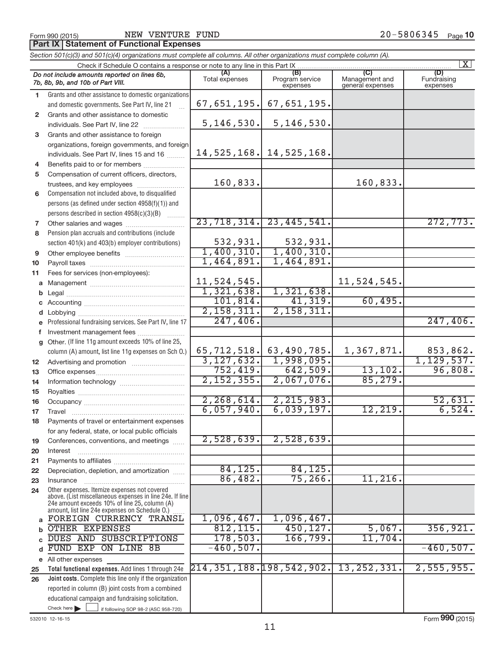NEW VENTURE FUND

**Part IX | Statement of Functional Expenses** 

|                 | Section 501(c)(3) and 501(c)(4) organizations must complete all columns. All other organizations must complete column (A).                                                                                  |                                                             |                                       |                                    |                                |
|-----------------|-------------------------------------------------------------------------------------------------------------------------------------------------------------------------------------------------------------|-------------------------------------------------------------|---------------------------------------|------------------------------------|--------------------------------|
|                 | Check if Schedule O contains a response or note to any line in this Part IX.                                                                                                                                |                                                             |                                       |                                    | $\mathbf{X}$                   |
|                 | Do not include amounts reported on lines 6b,<br>7b, 8b, 9b, and 10b of Part VIII.                                                                                                                           | (A)<br>Total expenses                                       | (B)<br>Program service<br>expenses    | Management and<br>general expenses | (D)<br>Fundraising<br>expenses |
| 1.              | Grants and other assistance to domestic organizations                                                                                                                                                       |                                                             |                                       |                                    |                                |
|                 | and domestic governments. See Part IV, line 21                                                                                                                                                              |                                                             | $67,651,195.$ 67,651,195.             |                                    |                                |
| $\mathbf{2}$    | Grants and other assistance to domestic                                                                                                                                                                     |                                                             |                                       |                                    |                                |
|                 | individuals. See Part IV, line 22                                                                                                                                                                           |                                                             | $5, 146, 530.$ 5, 146, 530.           |                                    |                                |
| 3               | Grants and other assistance to foreign                                                                                                                                                                      |                                                             |                                       |                                    |                                |
|                 | organizations, foreign governments, and foreign                                                                                                                                                             |                                                             |                                       |                                    |                                |
|                 | individuals. See Part IV, lines 15 and 16                                                                                                                                                                   |                                                             | 14, 525, 168. 14, 525, 168.           |                                    |                                |
| 4               | Benefits paid to or for members                                                                                                                                                                             |                                                             |                                       |                                    |                                |
| 5               | Compensation of current officers, directors,                                                                                                                                                                |                                                             |                                       |                                    |                                |
|                 | trustees, and key employees                                                                                                                                                                                 | 160,833.                                                    |                                       | 160,833.                           |                                |
| 6               | Compensation not included above, to disqualified                                                                                                                                                            |                                                             |                                       |                                    |                                |
|                 | persons (as defined under section 4958(f)(1)) and                                                                                                                                                           |                                                             |                                       |                                    |                                |
|                 | persons described in section 4958(c)(3)(B)                                                                                                                                                                  |                                                             |                                       |                                    |                                |
| 7               |                                                                                                                                                                                                             |                                                             | $23, 718, 314.$ $23, 445, 541.$       |                                    | 272,773.                       |
| 8               | Pension plan accruals and contributions (include                                                                                                                                                            |                                                             |                                       |                                    |                                |
|                 | section 401(k) and 403(b) employer contributions)                                                                                                                                                           | $\begin{array}{c} 532,931. \ \hline 1,400,310. \end{array}$ | 532,931.                              |                                    |                                |
| 9               | Other employee benefits                                                                                                                                                                                     |                                                             | $\frac{1,400,310}{.}$                 |                                    |                                |
| 10              |                                                                                                                                                                                                             | 1,464,891.                                                  | 1,464,891.                            |                                    |                                |
| 11              | Fees for services (non-employees):                                                                                                                                                                          |                                                             |                                       |                                    |                                |
|                 |                                                                                                                                                                                                             | 11,524,545.                                                 |                                       | 11,524,545.                        |                                |
|                 |                                                                                                                                                                                                             | 1,321,638.                                                  | 1,321,638.                            |                                    |                                |
|                 |                                                                                                                                                                                                             | 101, 814.                                                   | 41,319.                               | 60,495.                            |                                |
|                 |                                                                                                                                                                                                             | 2,158,311.                                                  | 2,158,311.                            |                                    |                                |
|                 | e Professional fundraising services. See Part IV, line 17                                                                                                                                                   | 247, 406.                                                   |                                       |                                    | 247, 406.                      |
|                 | f Investment management fees                                                                                                                                                                                |                                                             |                                       |                                    |                                |
|                 | g Other. (If line 11g amount exceeds 10% of line 25,                                                                                                                                                        |                                                             |                                       |                                    |                                |
|                 | column (A) amount, list line 11g expenses on Sch O.)                                                                                                                                                        | 3,127,632.                                                  | 65,712,518. 63,490,785.<br>1,998,095. | 1,367,871.                         | 853,862.<br>1, 129, 537.       |
| 12 <sub>2</sub> |                                                                                                                                                                                                             | 752,419.                                                    | 642,509.                              | 13, 102.                           | 96,808.                        |
| 13              |                                                                                                                                                                                                             | 2,152,355.                                                  | 2,067,076.                            | 85, 279.                           |                                |
| 14              |                                                                                                                                                                                                             |                                                             |                                       |                                    |                                |
| 15              |                                                                                                                                                                                                             | 2, 268, 614.                                                | 2, 215, 983.                          |                                    | 52,631.                        |
| 16              |                                                                                                                                                                                                             | 6,057,940.                                                  | 6,039,197.                            | 12, 219.                           | 6,524.                         |
| 17<br>18        | Payments of travel or entertainment expenses                                                                                                                                                                |                                                             |                                       |                                    |                                |
|                 | for any federal, state, or local public officials                                                                                                                                                           |                                                             |                                       |                                    |                                |
| 19              | Conferences, conventions, and meetings                                                                                                                                                                      | 2,528,639.                                                  | 2,528,639.                            |                                    |                                |
| 20              | Interest                                                                                                                                                                                                    |                                                             |                                       |                                    |                                |
| 21              |                                                                                                                                                                                                             |                                                             |                                       |                                    |                                |
| 22              | Depreciation, depletion, and amortization                                                                                                                                                                   | 84, 125.                                                    | 84,125.                               |                                    |                                |
| 23              | Insurance                                                                                                                                                                                                   | 86,482.                                                     | 75, 266.                              | $11,216$ .                         |                                |
| 24              | Other expenses. Itemize expenses not covered<br>above. (List miscellaneous expenses in line 24e. If line<br>24e amount exceeds 10% of line 25, column (A)<br>amount, list line 24e expenses on Schedule O.) |                                                             |                                       |                                    |                                |
| a               | FOREIGN CURRENCY TRANSL                                                                                                                                                                                     | 1,096,467.                                                  | 1,096,467.                            |                                    |                                |
|                 | OTHER EXPENSES                                                                                                                                                                                              | 812, 115.                                                   | 450, 127.                             | 5,067.                             | 356, 921.                      |
|                 | DUES AND SUBSCRIPTIONS                                                                                                                                                                                      | 178,503.                                                    | 166,799.                              | 11,704.                            |                                |
| d               | FUND EXP ON LINE 8B                                                                                                                                                                                         | $-460, 507.$                                                |                                       |                                    | $-460, 507.$                   |
|                 | e All other expenses                                                                                                                                                                                        |                                                             |                                       |                                    |                                |
| 25              | Total functional expenses. Add lines 1 through 24e                                                                                                                                                          | 214, 351, 188. 198, 542, 902.                               |                                       | 13, 252, 331.                      | 2,555,955.                     |
| 26              | Joint costs. Complete this line only if the organization                                                                                                                                                    |                                                             |                                       |                                    |                                |
|                 | reported in column (B) joint costs from a combined                                                                                                                                                          |                                                             |                                       |                                    |                                |
|                 | educational campaign and fundraising solicitation.                                                                                                                                                          |                                                             |                                       |                                    |                                |
|                 | Check here $\blacktriangleright$<br>if following SOP 98-2 (ASC 958-720)                                                                                                                                     |                                                             |                                       |                                    |                                |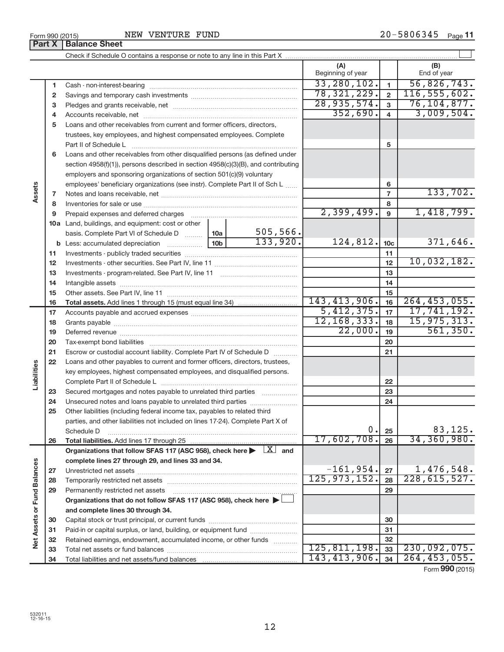| Form 990 (2015) | NEW                                                                        | VENTURE FUND |  | 20-5806345 | Page 11 |  |
|-----------------|----------------------------------------------------------------------------|--------------|--|------------|---------|--|
|                 | <b>Part X   Balance Sheet</b>                                              |              |  |            |         |  |
|                 | Check if Schedule O contains a response or note to any line in this Part X |              |  |            |         |  |

|                             |              |                                                                                                                                                                                                                                |                 |                         | (A)<br>Beginning of year |                 | (B)<br>End of year |
|-----------------------------|--------------|--------------------------------------------------------------------------------------------------------------------------------------------------------------------------------------------------------------------------------|-----------------|-------------------------|--------------------------|-----------------|--------------------|
|                             | 1            |                                                                                                                                                                                                                                |                 |                         | 33, 280, 102.            | $\mathbf{1}$    | 56,826,743.        |
|                             | $\mathbf{2}$ |                                                                                                                                                                                                                                | 78, 321, 229.   | $\overline{\mathbf{c}}$ | 116, 555, 602.           |                 |                    |
|                             | 3            |                                                                                                                                                                                                                                | 28,935,574.     | $\overline{3}$          | 76, 104, 877.            |                 |                    |
|                             | 4            |                                                                                                                                                                                                                                | 352,690.        | $\overline{4}$          | 3,009,504.               |                 |                    |
|                             | 5            | Loans and other receivables from current and former officers, directors,                                                                                                                                                       |                 |                         |                          |                 |                    |
|                             |              | trustees, key employees, and highest compensated employees. Complete                                                                                                                                                           |                 |                         |                          |                 |                    |
|                             |              | Part II of Schedule Later and Contract Dental Marshall Definition of Schedule Later and Contract Dental Marshall Definition of Definition of Definition of Definition of Definition of Definition of Definition of Definition  |                 |                         |                          | 5               |                    |
|                             | 6            | Loans and other receivables from other disqualified persons (as defined under                                                                                                                                                  |                 |                         |                          |                 |                    |
|                             |              | section 4958(f)(1)), persons described in section 4958(c)(3)(B), and contributing                                                                                                                                              |                 |                         |                          |                 |                    |
|                             |              | employers and sponsoring organizations of section 501(c)(9) voluntary                                                                                                                                                          |                 |                         |                          |                 |                    |
|                             |              | employees' beneficiary organizations (see instr). Complete Part II of Sch L                                                                                                                                                    |                 |                         |                          | 6               |                    |
| Assets                      | 7            |                                                                                                                                                                                                                                |                 |                         |                          | $\overline{7}$  | 133,702.           |
|                             | 8            |                                                                                                                                                                                                                                |                 |                         |                          | 8               |                    |
|                             | 9            | Prepaid expenses and deferred charges [11] [11] prepaid expenses and deferred charges [11] [11] presummation and the Prepaid expension and the Prepaid expension and the Prepaid experiment of Prepaid experiment and the Prep |                 |                         | 2,399,499.               | $\overline{9}$  | 1,418,799.         |
|                             |              | 10a Land, buildings, and equipment: cost or other                                                                                                                                                                              |                 |                         |                          |                 |                    |
|                             |              | basis. Complete Part VI of Schedule D                                                                                                                                                                                          | 10a             | 505, 566.               |                          |                 |                    |
|                             |              | <b>b</b> Less: accumulated depreciation <i>mimimimimi</i>                                                                                                                                                                      | 10 <sub>b</sub> | 133,920.                | 124,812.                 | 10 <sub>c</sub> | 371,646.           |
|                             | 11           |                                                                                                                                                                                                                                |                 | 11                      |                          |                 |                    |
|                             | 12           |                                                                                                                                                                                                                                |                 | 12                      | 10,032,182.              |                 |                    |
|                             | 13           |                                                                                                                                                                                                                                |                 | 13                      |                          |                 |                    |
|                             | 14           |                                                                                                                                                                                                                                |                 | 14                      |                          |                 |                    |
|                             | 15           |                                                                                                                                                                                                                                |                 | 15                      |                          |                 |                    |
|                             | 16           |                                                                                                                                                                                                                                |                 |                         | 143, 413, 906.           | 16              | 264, 453, 055.     |
|                             | 17           |                                                                                                                                                                                                                                |                 |                         | 5,412,375.               | 17              | 17,741,192.        |
|                             | 18           |                                                                                                                                                                                                                                |                 | 12, 168, 333.           | 18                       | 15, 975, 313.   |                    |
|                             | 19           |                                                                                                                                                                                                                                |                 |                         | 22,000.                  | 19              | 561,350.           |
|                             | 20           |                                                                                                                                                                                                                                |                 |                         |                          | 20              |                    |
|                             | 21           | Escrow or custodial account liability. Complete Part IV of Schedule D                                                                                                                                                          |                 |                         |                          | 21              |                    |
|                             | 22           | Loans and other payables to current and former officers, directors, trustees,                                                                                                                                                  |                 |                         |                          |                 |                    |
| Liabilities                 |              | key employees, highest compensated employees, and disqualified persons.                                                                                                                                                        |                 |                         |                          |                 |                    |
|                             |              |                                                                                                                                                                                                                                |                 |                         |                          | 22              |                    |
|                             | 23           | Secured mortgages and notes payable to unrelated third parties                                                                                                                                                                 |                 |                         |                          | 23              |                    |
|                             | 24           | Unsecured notes and loans payable to unrelated third parties                                                                                                                                                                   |                 |                         |                          | 24              |                    |
|                             | 25           | Other liabilities (including federal income tax, payables to related third                                                                                                                                                     |                 |                         |                          |                 |                    |
|                             |              | parties, and other liabilities not included on lines 17-24). Complete Part X of                                                                                                                                                |                 |                         |                          |                 |                    |
|                             |              | Schedule D                                                                                                                                                                                                                     |                 |                         | 0.                       | 25              | 83,125.            |
|                             | 26           |                                                                                                                                                                                                                                |                 |                         | 17,602,708.              | 26              | 34,360,980.        |
|                             |              | Organizations that follow SFAS 117 (ASC 958), check here $\blacktriangleright \begin{array}{c} \boxed{X} \\ \end{array}$ and                                                                                                   |                 |                         |                          |                 |                    |
|                             |              | complete lines 27 through 29, and lines 33 and 34.                                                                                                                                                                             |                 |                         |                          |                 |                    |
|                             | 27           |                                                                                                                                                                                                                                |                 |                         | $-161,954.$              | 27              | 1,476,548.         |
|                             | 28           |                                                                                                                                                                                                                                |                 |                         | 125, 973, 152.           | 28              | 228, 615, 527.     |
|                             | 29           | Permanently restricted net assets                                                                                                                                                                                              |                 |                         |                          | 29              |                    |
| Net Assets or Fund Balances |              | Organizations that do not follow SFAS 117 (ASC 958), check here >                                                                                                                                                              |                 |                         |                          |                 |                    |
|                             |              | and complete lines 30 through 34.                                                                                                                                                                                              |                 |                         |                          |                 |                    |
|                             | 30           |                                                                                                                                                                                                                                |                 |                         |                          | 30              |                    |
|                             | 31           | Paid-in or capital surplus, or land, building, or equipment fund                                                                                                                                                               |                 |                         |                          | 31              |                    |
|                             | 32           | Retained earnings, endowment, accumulated income, or other funds                                                                                                                                                               |                 |                         |                          | 32              |                    |
|                             | 33           |                                                                                                                                                                                                                                |                 |                         | 125, 811, 198.           | 33              | 230,092,075.       |
|                             | 34           |                                                                                                                                                                                                                                |                 |                         | 143, 413, 906.           | 34              | 264, 453, 055.     |

| Form 990 (2015) |                               |
|-----------------|-------------------------------|
|                 | <b>Part X   Balance Sheet</b> |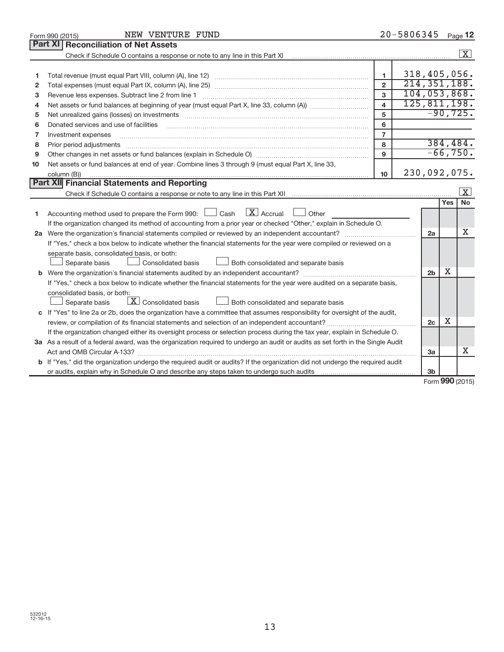|              | NEW VENTURE FUND<br>Form 990 (2015)                                                                                                  |                         | 20-5806345 |                |        | Page 12                 |
|--------------|--------------------------------------------------------------------------------------------------------------------------------------|-------------------------|------------|----------------|--------|-------------------------|
|              | <b>Part XI</b><br><b>Reconciliation of Net Assets</b>                                                                                |                         |            |                |        |                         |
|              |                                                                                                                                      |                         |            |                |        | $\overline{\mathbf{X}}$ |
|              |                                                                                                                                      |                         |            |                |        |                         |
| 1            |                                                                                                                                      | 1                       |            | 318,405,056.   |        |                         |
| $\mathbf{2}$ |                                                                                                                                      | $\overline{2}$          |            | 214, 351, 188. |        |                         |
| 3            |                                                                                                                                      | 3                       |            |                |        | 104,053,868.            |
| 4            |                                                                                                                                      | $\overline{\mathbf{4}}$ |            |                |        | 125, 811, 198.          |
| 5            |                                                                                                                                      | 5                       |            |                |        | $-90, 725.$             |
| 6            | Donated services and use of facilities                                                                                               | 6                       |            |                |        |                         |
| 7            | Investment expenses                                                                                                                  | $\overline{7}$          |            |                |        |                         |
| 8            |                                                                                                                                      | 8                       |            |                |        | 384, 484.               |
| 9            |                                                                                                                                      | 9                       |            |                |        | $-66,750.$              |
| 10           | Net assets or fund balances at end of year. Combine lines 3 through 9 (must equal Part X, line 33,                                   |                         |            |                |        |                         |
|              | column (B))                                                                                                                          | 10 <sup>10</sup>        |            | 230,092,075.   |        |                         |
|              | Part XII Financial Statements and Reporting                                                                                          |                         |            |                |        |                         |
|              |                                                                                                                                      |                         |            |                |        | $\vert$ X $\vert$       |
|              |                                                                                                                                      |                         |            |                | Yes    | <b>No</b>               |
| 1.           | $\lfloor x \rfloor$ Accrual<br>Accounting method used to prepare the Form 990: [130] Cash<br>$\Box$ Other                            |                         |            |                |        |                         |
|              | If the organization changed its method of accounting from a prior year or checked "Other," explain in Schedule O.                    |                         |            |                |        |                         |
|              |                                                                                                                                      |                         |            | 2a             |        | х                       |
|              | If "Yes," check a box below to indicate whether the financial statements for the year were compiled or reviewed on a                 |                         |            |                |        |                         |
|              | separate basis, consolidated basis, or both:                                                                                         |                         |            |                |        |                         |
|              | Both consolidated and separate basis<br>Separate basis<br><b>Consolidated basis</b>                                                  |                         |            |                |        |                         |
|              |                                                                                                                                      |                         |            | 2 <sub>b</sub> | X      |                         |
|              | If "Yes," check a box below to indicate whether the financial statements for the year were audited on a separate basis,              |                         |            |                |        |                         |
|              | consolidated basis, or both:                                                                                                         |                         |            |                |        |                         |
|              | $\boxed{\textbf{X}}$ Consolidated basis<br>Separate basis<br>Both consolidated and separate basis                                    |                         |            |                |        |                         |
|              | c If "Yes" to line 2a or 2b, does the organization have a committee that assumes responsibility for oversight of the audit,          |                         |            |                |        |                         |
|              |                                                                                                                                      |                         |            | 2 <sub>c</sub> | x      |                         |
|              | If the organization changed either its oversight process or selection process during the tax year, explain in Schedule O.            |                         |            |                |        |                         |
|              | 3a As a result of a federal award, was the organization required to undergo an audit or audits as set forth in the Single Audit      |                         |            |                |        |                         |
|              | Act and OMB Circular A-133?                                                                                                          |                         |            | 3a             |        | x                       |
|              | <b>b</b> If "Yes," did the organization undergo the required audit or audits? If the organization did not undergo the required audit |                         |            |                |        |                         |
|              | or audits, explain why in Schedule O and describe any steps taken to undergo such audits matures and the matur                       |                         |            | 3 <sub>b</sub> | $\sim$ |                         |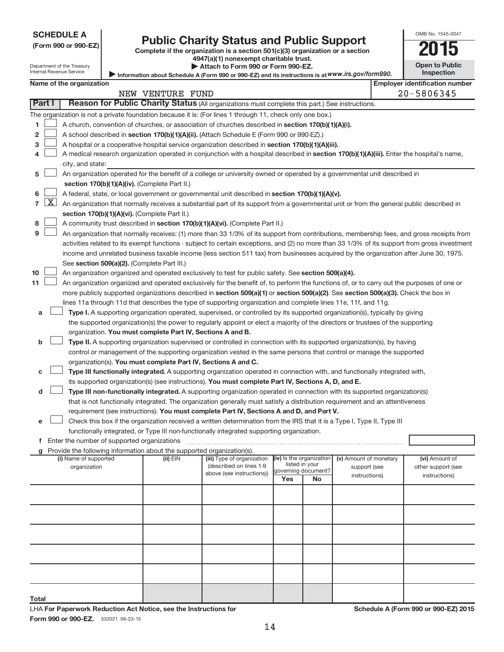| (Form 990 or 990-EZ) |  |  |  |  |
|----------------------|--|--|--|--|
|----------------------|--|--|--|--|

# Form 990 or 990-EZ) **Public Charity Status and Public Support**<br>
Complete if the organization is a section 501(c)(3) organization or a section<br> **2015**

|  |  | 4947(a)(1) nonexempt charitable trust. |  |
|--|--|----------------------------------------|--|
|  |  | . All. I. I. F.  000  F.  000 FT       |  |

| __ | . .                   |
|----|-----------------------|
|    | <b>Open to Public</b> |
|    | <b>Inspection</b>     |

OMB No. 1545-0047

Department of the Treasury Internal Revenue Service

| Attach to Form 990 or Form 990-EZ. |                                                                                                   |
|------------------------------------|---------------------------------------------------------------------------------------------------|
|                                    | Information about Schedule A (Form 990 or 990-EZ) and its instructions is at WWW.irs.gov/form990. |

|                | Internal Revenue Service<br><b>Inspection</b><br>Information about Schedule A (Form 990 or 990-EZ) and its instructions is at WWW.irs.gov/form990.                                                                               |                          |  |                                                                        |                                                                                                                                               |                                            |                     |                        |                                       |
|----------------|----------------------------------------------------------------------------------------------------------------------------------------------------------------------------------------------------------------------------------|--------------------------|--|------------------------------------------------------------------------|-----------------------------------------------------------------------------------------------------------------------------------------------|--------------------------------------------|---------------------|------------------------|---------------------------------------|
|                |                                                                                                                                                                                                                                  | Name of the organization |  |                                                                        |                                                                                                                                               |                                            |                     |                        | <b>Employer identification number</b> |
|                |                                                                                                                                                                                                                                  |                          |  | NEW VENTURE FUND                                                       |                                                                                                                                               |                                            |                     |                        | 20-5806345                            |
|                | Part I                                                                                                                                                                                                                           |                          |  |                                                                        | Reason for Public Charity Status (All organizations must complete this part.) See instructions.                                               |                                            |                     |                        |                                       |
|                |                                                                                                                                                                                                                                  |                          |  |                                                                        | The organization is not a private foundation because it is: (For lines 1 through 11, check only one box.)                                     |                                            |                     |                        |                                       |
| 1              |                                                                                                                                                                                                                                  |                          |  |                                                                        | A church, convention of churches, or association of churches described in section 170(b)(1)(A)(i).                                            |                                            |                     |                        |                                       |
| 2              |                                                                                                                                                                                                                                  |                          |  |                                                                        | A school described in section 170(b)(1)(A)(ii). (Attach Schedule E (Form 990 or 990-EZ).)                                                     |                                            |                     |                        |                                       |
| 3              | A hospital or a cooperative hospital service organization described in section 170(b)(1)(A)(iii).                                                                                                                                |                          |  |                                                                        |                                                                                                                                               |                                            |                     |                        |                                       |
| 4              |                                                                                                                                                                                                                                  |                          |  |                                                                        | A medical research organization operated in conjunction with a hospital described in section 170(b)(1)(A)(iii). Enter the hospital's name,    |                                            |                     |                        |                                       |
|                |                                                                                                                                                                                                                                  | city, and state:         |  |                                                                        |                                                                                                                                               |                                            |                     |                        |                                       |
| 5              |                                                                                                                                                                                                                                  |                          |  |                                                                        | An organization operated for the benefit of a college or university owned or operated by a governmental unit described in                     |                                            |                     |                        |                                       |
|                |                                                                                                                                                                                                                                  |                          |  | section 170(b)(1)(A)(iv). (Complete Part II.)                          |                                                                                                                                               |                                            |                     |                        |                                       |
| 6              |                                                                                                                                                                                                                                  |                          |  |                                                                        | A federal, state, or local government or governmental unit described in section 170(b)(1)(A)(v).                                              |                                            |                     |                        |                                       |
| $\overline{7}$ | $\lfloor x \rfloor$                                                                                                                                                                                                              |                          |  |                                                                        | An organization that normally receives a substantial part of its support from a governmental unit or from the general public described in     |                                            |                     |                        |                                       |
|                |                                                                                                                                                                                                                                  |                          |  | section 170(b)(1)(A)(vi). (Complete Part II.)                          |                                                                                                                                               |                                            |                     |                        |                                       |
| 8              |                                                                                                                                                                                                                                  |                          |  |                                                                        | A community trust described in section 170(b)(1)(A)(vi). (Complete Part II.)                                                                  |                                            |                     |                        |                                       |
| 9              |                                                                                                                                                                                                                                  |                          |  |                                                                        | An organization that normally receives: (1) more than 33 1/3% of its support from contributions, membership fees, and gross receipts from     |                                            |                     |                        |                                       |
|                |                                                                                                                                                                                                                                  |                          |  |                                                                        | activities related to its exempt functions - subject to certain exceptions, and (2) no more than 33 1/3% of its support from gross investment |                                            |                     |                        |                                       |
|                |                                                                                                                                                                                                                                  |                          |  |                                                                        | income and unrelated business taxable income (less section 511 tax) from businesses acquired by the organization after June 30, 1975.         |                                            |                     |                        |                                       |
|                |                                                                                                                                                                                                                                  |                          |  | See section 509(a)(2). (Complete Part III.)                            |                                                                                                                                               |                                            |                     |                        |                                       |
| 10             |                                                                                                                                                                                                                                  |                          |  |                                                                        | An organization organized and operated exclusively to test for public safety. See section 509(a)(4).                                          |                                            |                     |                        |                                       |
| 11             |                                                                                                                                                                                                                                  |                          |  |                                                                        | An organization organized and operated exclusively for the benefit of, to perform the functions of, or to carry out the purposes of one or    |                                            |                     |                        |                                       |
|                |                                                                                                                                                                                                                                  |                          |  |                                                                        | more publicly supported organizations described in section 509(a)(1) or section 509(a)(2). See section 509(a)(3). Check the box in            |                                            |                     |                        |                                       |
|                |                                                                                                                                                                                                                                  |                          |  |                                                                        | lines 11a through 11d that describes the type of supporting organization and complete lines 11e, 11f, and 11g.                                |                                            |                     |                        |                                       |
| а              |                                                                                                                                                                                                                                  |                          |  |                                                                        | Type I. A supporting organization operated, supervised, or controlled by its supported organization(s), typically by giving                   |                                            |                     |                        |                                       |
|                |                                                                                                                                                                                                                                  |                          |  |                                                                        | the supported organization(s) the power to regularly appoint or elect a majority of the directors or trustees of the supporting               |                                            |                     |                        |                                       |
|                |                                                                                                                                                                                                                                  |                          |  | organization. You must complete Part IV, Sections A and B.             |                                                                                                                                               |                                            |                     |                        |                                       |
| b              |                                                                                                                                                                                                                                  |                          |  |                                                                        | Type II. A supporting organization supervised or controlled in connection with its supported organization(s), by having                       |                                            |                     |                        |                                       |
|                |                                                                                                                                                                                                                                  |                          |  |                                                                        | control or management of the supporting organization vested in the same persons that control or manage the supported                          |                                            |                     |                        |                                       |
|                |                                                                                                                                                                                                                                  |                          |  | organization(s). You must complete Part IV, Sections A and C.          |                                                                                                                                               |                                            |                     |                        |                                       |
| с              |                                                                                                                                                                                                                                  |                          |  |                                                                        |                                                                                                                                               |                                            |                     |                        |                                       |
|                | Type III functionally integrated. A supporting organization operated in connection with, and functionally integrated with,<br>its supported organization(s) (see instructions). You must complete Part IV, Sections A, D, and E. |                          |  |                                                                        |                                                                                                                                               |                                            |                     |                        |                                       |
|                | Type III non-functionally integrated. A supporting organization operated in connection with its supported organization(s)<br>d                                                                                                   |                          |  |                                                                        |                                                                                                                                               |                                            |                     |                        |                                       |
|                | that is not functionally integrated. The organization generally must satisfy a distribution requirement and an attentiveness                                                                                                     |                          |  |                                                                        |                                                                                                                                               |                                            |                     |                        |                                       |
|                |                                                                                                                                                                                                                                  |                          |  |                                                                        | requirement (see instructions). You must complete Part IV, Sections A and D, and Part V.                                                      |                                            |                     |                        |                                       |
| е              |                                                                                                                                                                                                                                  |                          |  |                                                                        | Check this box if the organization received a written determination from the IRS that it is a Type I, Type II, Type III                       |                                            |                     |                        |                                       |
|                |                                                                                                                                                                                                                                  |                          |  |                                                                        | functionally integrated, or Type III non-functionally integrated supporting organization.                                                     |                                            |                     |                        |                                       |
|                |                                                                                                                                                                                                                                  |                          |  |                                                                        |                                                                                                                                               |                                            |                     |                        |                                       |
|                |                                                                                                                                                                                                                                  |                          |  | Provide the following information about the supported organization(s). |                                                                                                                                               |                                            |                     |                        |                                       |
|                |                                                                                                                                                                                                                                  | (i) Name of supported    |  | $(ii)$ EIN                                                             | (iii) Type of organization                                                                                                                    | (iv) Is the organization<br>listed in your |                     | (v) Amount of monetary | (vi) Amount of                        |
|                |                                                                                                                                                                                                                                  | organization             |  |                                                                        | (described on lines 1-9<br>above (see instructions))                                                                                          |                                            | governing document? | support (see           | other support (see                    |
|                |                                                                                                                                                                                                                                  |                          |  |                                                                        |                                                                                                                                               | Yes                                        | No                  | instructions)          | instructions)                         |
|                |                                                                                                                                                                                                                                  |                          |  |                                                                        |                                                                                                                                               |                                            |                     |                        |                                       |
|                |                                                                                                                                                                                                                                  |                          |  |                                                                        |                                                                                                                                               |                                            |                     |                        |                                       |
|                |                                                                                                                                                                                                                                  |                          |  |                                                                        |                                                                                                                                               |                                            |                     |                        |                                       |

**Total**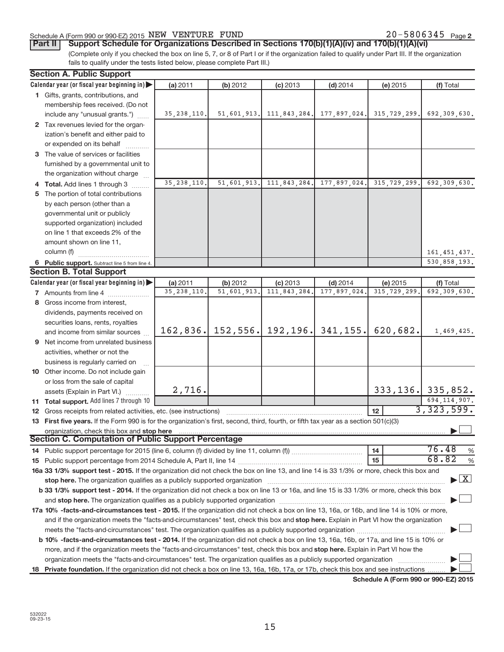#### Schedule A (Form 990 or 990-EZ) 2015  $NEW$   $VENTURE$   $FUND$   $20-5806345$   $Page$

**Part II** | Support Schedule for Organizations Described in Sections 170(b)(1)(A)(iv) and 170(b)(1)(A)(vi)

(Complete only if you checked the box on line 5, 7, or 8 of Part I or if the organization failed to qualify under Part III. If the organization fails to qualify under the tests listed below, please complete Part III.)

| Calendar year (or fiscal year beginning in)<br>(a) 2011<br>(b) 2012<br>$(c)$ 2013<br>$(d)$ 2014<br>(e) 2015<br>1 Gifts, grants, contributions, and<br>membership fees received. (Do not<br>51,601,913.<br>111,843,284. 177,897,024.<br>315, 729, 299.<br>include any "unusual grants.")<br>35, 238, 110.<br>2 Tax revenues levied for the organ-<br>ization's benefit and either paid to<br>or expended on its behalf<br>3 The value of services or facilities<br>furnished by a governmental unit to<br>the organization without charge<br>35, 238, 110.<br>51,601,913.<br>111,843,284.<br>177,897,024.<br>315, 729, 299.<br>4 Total. Add lines 1 through 3<br>5 The portion of total contributions<br>by each person (other than a<br>governmental unit or publicly<br>supported organization) included<br>on line 1 that exceeds 2% of the<br>amount shown on line 11, | (f) Total<br>692,309,630.<br>692,309,630. |
|---------------------------------------------------------------------------------------------------------------------------------------------------------------------------------------------------------------------------------------------------------------------------------------------------------------------------------------------------------------------------------------------------------------------------------------------------------------------------------------------------------------------------------------------------------------------------------------------------------------------------------------------------------------------------------------------------------------------------------------------------------------------------------------------------------------------------------------------------------------------------|-------------------------------------------|
|                                                                                                                                                                                                                                                                                                                                                                                                                                                                                                                                                                                                                                                                                                                                                                                                                                                                           |                                           |
|                                                                                                                                                                                                                                                                                                                                                                                                                                                                                                                                                                                                                                                                                                                                                                                                                                                                           |                                           |
|                                                                                                                                                                                                                                                                                                                                                                                                                                                                                                                                                                                                                                                                                                                                                                                                                                                                           |                                           |
|                                                                                                                                                                                                                                                                                                                                                                                                                                                                                                                                                                                                                                                                                                                                                                                                                                                                           |                                           |
|                                                                                                                                                                                                                                                                                                                                                                                                                                                                                                                                                                                                                                                                                                                                                                                                                                                                           |                                           |
|                                                                                                                                                                                                                                                                                                                                                                                                                                                                                                                                                                                                                                                                                                                                                                                                                                                                           |                                           |
|                                                                                                                                                                                                                                                                                                                                                                                                                                                                                                                                                                                                                                                                                                                                                                                                                                                                           |                                           |
|                                                                                                                                                                                                                                                                                                                                                                                                                                                                                                                                                                                                                                                                                                                                                                                                                                                                           |                                           |
|                                                                                                                                                                                                                                                                                                                                                                                                                                                                                                                                                                                                                                                                                                                                                                                                                                                                           |                                           |
|                                                                                                                                                                                                                                                                                                                                                                                                                                                                                                                                                                                                                                                                                                                                                                                                                                                                           |                                           |
|                                                                                                                                                                                                                                                                                                                                                                                                                                                                                                                                                                                                                                                                                                                                                                                                                                                                           |                                           |
|                                                                                                                                                                                                                                                                                                                                                                                                                                                                                                                                                                                                                                                                                                                                                                                                                                                                           |                                           |
|                                                                                                                                                                                                                                                                                                                                                                                                                                                                                                                                                                                                                                                                                                                                                                                                                                                                           |                                           |
|                                                                                                                                                                                                                                                                                                                                                                                                                                                                                                                                                                                                                                                                                                                                                                                                                                                                           |                                           |
|                                                                                                                                                                                                                                                                                                                                                                                                                                                                                                                                                                                                                                                                                                                                                                                                                                                                           |                                           |
|                                                                                                                                                                                                                                                                                                                                                                                                                                                                                                                                                                                                                                                                                                                                                                                                                                                                           |                                           |
|                                                                                                                                                                                                                                                                                                                                                                                                                                                                                                                                                                                                                                                                                                                                                                                                                                                                           |                                           |
| column (f)                                                                                                                                                                                                                                                                                                                                                                                                                                                                                                                                                                                                                                                                                                                                                                                                                                                                | 161, 451, 437.                            |
| 6 Public support. Subtract line 5 from line 4.                                                                                                                                                                                                                                                                                                                                                                                                                                                                                                                                                                                                                                                                                                                                                                                                                            | 530,858,193.                              |
| <b>Section B. Total Support</b>                                                                                                                                                                                                                                                                                                                                                                                                                                                                                                                                                                                                                                                                                                                                                                                                                                           |                                           |
| Calendar year (or fiscal year beginning in)<br>(a) 2011<br>(b) 2012<br>$(c)$ 2013<br>$(d)$ 2014                                                                                                                                                                                                                                                                                                                                                                                                                                                                                                                                                                                                                                                                                                                                                                           | (f) Total                                 |
| (e) 2015<br>35, 238, 110<br>51,601,913<br>111,843,284<br>177,897,024<br>315, 729, 299<br><b>7</b> Amounts from line 4                                                                                                                                                                                                                                                                                                                                                                                                                                                                                                                                                                                                                                                                                                                                                     | 692,309,630.                              |
| 8 Gross income from interest,                                                                                                                                                                                                                                                                                                                                                                                                                                                                                                                                                                                                                                                                                                                                                                                                                                             |                                           |
|                                                                                                                                                                                                                                                                                                                                                                                                                                                                                                                                                                                                                                                                                                                                                                                                                                                                           |                                           |
| dividends, payments received on                                                                                                                                                                                                                                                                                                                                                                                                                                                                                                                                                                                                                                                                                                                                                                                                                                           |                                           |
| securities loans, rents, royalties<br>192, 196.<br>152, 556.<br>341, 155.<br>620,682.<br>162,836.                                                                                                                                                                                                                                                                                                                                                                                                                                                                                                                                                                                                                                                                                                                                                                         |                                           |
| and income from similar sources                                                                                                                                                                                                                                                                                                                                                                                                                                                                                                                                                                                                                                                                                                                                                                                                                                           | 1,469,425.                                |
| 9 Net income from unrelated business                                                                                                                                                                                                                                                                                                                                                                                                                                                                                                                                                                                                                                                                                                                                                                                                                                      |                                           |
| activities, whether or not the                                                                                                                                                                                                                                                                                                                                                                                                                                                                                                                                                                                                                                                                                                                                                                                                                                            |                                           |
| business is regularly carried on                                                                                                                                                                                                                                                                                                                                                                                                                                                                                                                                                                                                                                                                                                                                                                                                                                          |                                           |
| 10 Other income. Do not include gain                                                                                                                                                                                                                                                                                                                                                                                                                                                                                                                                                                                                                                                                                                                                                                                                                                      |                                           |
| or loss from the sale of capital                                                                                                                                                                                                                                                                                                                                                                                                                                                                                                                                                                                                                                                                                                                                                                                                                                          |                                           |
| $333, 136$ , $335, 852$ .<br>2,716.<br>assets (Explain in Part VI.)                                                                                                                                                                                                                                                                                                                                                                                                                                                                                                                                                                                                                                                                                                                                                                                                       |                                           |
| 11 Total support. Add lines 7 through 10                                                                                                                                                                                                                                                                                                                                                                                                                                                                                                                                                                                                                                                                                                                                                                                                                                  | 694, 114, 907.                            |
| 12<br><b>12</b> Gross receipts from related activities, etc. (see instructions)                                                                                                                                                                                                                                                                                                                                                                                                                                                                                                                                                                                                                                                                                                                                                                                           | 3,323,599.                                |
| 13 First five years. If the Form 990 is for the organization's first, second, third, fourth, or fifth tax year as a section 501(c)(3)                                                                                                                                                                                                                                                                                                                                                                                                                                                                                                                                                                                                                                                                                                                                     |                                           |
| organization, check this box and stop here                                                                                                                                                                                                                                                                                                                                                                                                                                                                                                                                                                                                                                                                                                                                                                                                                                |                                           |
| Section C. Computation of Public Support Percentage                                                                                                                                                                                                                                                                                                                                                                                                                                                                                                                                                                                                                                                                                                                                                                                                                       |                                           |
| 14                                                                                                                                                                                                                                                                                                                                                                                                                                                                                                                                                                                                                                                                                                                                                                                                                                                                        | 76.48<br>%                                |
| 15                                                                                                                                                                                                                                                                                                                                                                                                                                                                                                                                                                                                                                                                                                                                                                                                                                                                        | 68.82<br>%                                |
| 16a 33 1/3% support test - 2015. If the organization did not check the box on line 13, and line 14 is 33 1/3% or more, check this box and                                                                                                                                                                                                                                                                                                                                                                                                                                                                                                                                                                                                                                                                                                                                 |                                           |
| stop here. The organization qualifies as a publicly supported organization manufactured content and the support of the state of the state of the state of the state of the state of the state of the state of the state of the                                                                                                                                                                                                                                                                                                                                                                                                                                                                                                                                                                                                                                            | $\blacktriangleright$ $X$                 |
| b 33 1/3% support test - 2014. If the organization did not check a box on line 13 or 16a, and line 15 is 33 1/3% or more, check this box                                                                                                                                                                                                                                                                                                                                                                                                                                                                                                                                                                                                                                                                                                                                  |                                           |
|                                                                                                                                                                                                                                                                                                                                                                                                                                                                                                                                                                                                                                                                                                                                                                                                                                                                           |                                           |
| 17a 10% -facts-and-circumstances test - 2015. If the organization did not check a box on line 13, 16a, or 16b, and line 14 is 10% or more,                                                                                                                                                                                                                                                                                                                                                                                                                                                                                                                                                                                                                                                                                                                                |                                           |
| and if the organization meets the "facts-and-circumstances" test, check this box and stop here. Explain in Part VI how the organization                                                                                                                                                                                                                                                                                                                                                                                                                                                                                                                                                                                                                                                                                                                                   |                                           |
|                                                                                                                                                                                                                                                                                                                                                                                                                                                                                                                                                                                                                                                                                                                                                                                                                                                                           |                                           |
| b 10% -facts-and-circumstances test - 2014. If the organization did not check a box on line 13, 16a, 16b, or 17a, and line 15 is 10% or                                                                                                                                                                                                                                                                                                                                                                                                                                                                                                                                                                                                                                                                                                                                   |                                           |
| more, and if the organization meets the "facts-and-circumstances" test, check this box and stop here. Explain in Part VI how the                                                                                                                                                                                                                                                                                                                                                                                                                                                                                                                                                                                                                                                                                                                                          |                                           |
|                                                                                                                                                                                                                                                                                                                                                                                                                                                                                                                                                                                                                                                                                                                                                                                                                                                                           |                                           |
| 18 Private foundation. If the organization did not check a box on line 13, 16a, 16b, 17a, or 17b, check this box and see instructions                                                                                                                                                                                                                                                                                                                                                                                                                                                                                                                                                                                                                                                                                                                                     |                                           |

**Schedule A (Form 990 or 990-EZ) 2015**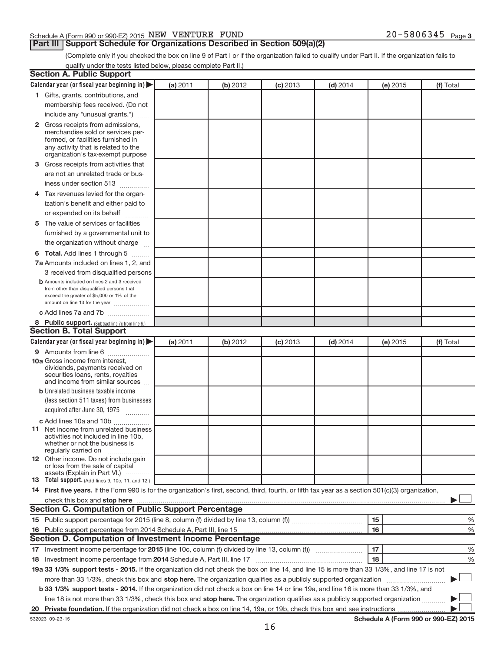#### Schedule A (Form 990 or 990-EZ) 2015  $NEW$   $VENTURE$   $FUND$   $20-5806345$   $Page$

#### **Part III | Support Schedule for Organizations Described in Section 509(a)(2)**

20-5806345 Page 3

(Complete only if you checked the box on line 9 of Part I or if the organization failed to qualify under Part II. If the organization fails to qualify under the tests listed below, please complete Part II.)

| <b>Section A. Public Support</b>                                                                                                                                                                                              |          |          |            |            |          |                                      |
|-------------------------------------------------------------------------------------------------------------------------------------------------------------------------------------------------------------------------------|----------|----------|------------|------------|----------|--------------------------------------|
| Calendar year (or fiscal year beginning in)                                                                                                                                                                                   | (a) 2011 | (b) 2012 | $(c)$ 2013 | $(d)$ 2014 | (e) 2015 | (f) Total                            |
| 1 Gifts, grants, contributions, and                                                                                                                                                                                           |          |          |            |            |          |                                      |
| membership fees received. (Do not                                                                                                                                                                                             |          |          |            |            |          |                                      |
| include any "unusual grants.")                                                                                                                                                                                                |          |          |            |            |          |                                      |
| 2 Gross receipts from admissions,<br>merchandise sold or services per-<br>formed, or facilities furnished in<br>any activity that is related to the<br>organization's tax-exempt purpose                                      |          |          |            |            |          |                                      |
| 3 Gross receipts from activities that                                                                                                                                                                                         |          |          |            |            |          |                                      |
| are not an unrelated trade or bus-<br>iness under section 513                                                                                                                                                                 |          |          |            |            |          |                                      |
| 4 Tax revenues levied for the organ-                                                                                                                                                                                          |          |          |            |            |          |                                      |
| ization's benefit and either paid to<br>or expended on its behalf<br>and a state                                                                                                                                              |          |          |            |            |          |                                      |
| 5 The value of services or facilities                                                                                                                                                                                         |          |          |            |            |          |                                      |
| furnished by a governmental unit to<br>the organization without charge                                                                                                                                                        |          |          |            |            |          |                                      |
| 6 Total. Add lines 1 through 5                                                                                                                                                                                                |          |          |            |            |          |                                      |
| 7a Amounts included on lines 1, 2, and                                                                                                                                                                                        |          |          |            |            |          |                                      |
| 3 received from disqualified persons                                                                                                                                                                                          |          |          |            |            |          |                                      |
| <b>b</b> Amounts included on lines 2 and 3 received<br>from other than disqualified persons that<br>exceed the greater of \$5,000 or 1% of the<br>amount on line 13 for the year                                              |          |          |            |            |          |                                      |
| c Add lines 7a and 7b                                                                                                                                                                                                         |          |          |            |            |          |                                      |
| 8 Public support. (Subtract line 7c from line 6.)                                                                                                                                                                             |          |          |            |            |          |                                      |
| <b>Section B. Total Support</b>                                                                                                                                                                                               |          |          |            |            |          |                                      |
| Calendar year (or fiscal year beginning in)                                                                                                                                                                                   | (a) 2011 | (b) 2012 | $(c)$ 2013 | $(d)$ 2014 | (e) 2015 | (f) Total                            |
| 9 Amounts from line 6                                                                                                                                                                                                         |          |          |            |            |          |                                      |
| <b>10a</b> Gross income from interest,<br>dividends, payments received on<br>securities loans, rents, royalties<br>and income from similar sources                                                                            |          |          |            |            |          |                                      |
| <b>b</b> Unrelated business taxable income                                                                                                                                                                                    |          |          |            |            |          |                                      |
| (less section 511 taxes) from businesses                                                                                                                                                                                      |          |          |            |            |          |                                      |
| acquired after June 30, 1975                                                                                                                                                                                                  |          |          |            |            |          |                                      |
| c Add lines 10a and 10b                                                                                                                                                                                                       |          |          |            |            |          |                                      |
| <b>11</b> Net income from unrelated business<br>activities not included in line 10b.<br>whether or not the business is<br>regularly carried on                                                                                |          |          |            |            |          |                                      |
| 12 Other income. Do not include gain<br>or loss from the sale of capital<br>assets (Explain in Part VI.)                                                                                                                      |          |          |            |            |          |                                      |
| <b>13</b> Total support. (Add lines 9, 10c, 11, and 12.)                                                                                                                                                                      |          |          |            |            |          |                                      |
| 14 First five years. If the Form 990 is for the organization's first, second, third, fourth, or fifth tax year as a section 501(c)(3) organization,                                                                           |          |          |            |            |          |                                      |
|                                                                                                                                                                                                                               |          |          |            |            |          |                                      |
| <b>Section C. Computation of Public Support Percentage</b>                                                                                                                                                                    |          |          |            |            |          |                                      |
|                                                                                                                                                                                                                               |          |          |            |            | 15       | %                                    |
| 16 Public support percentage from 2014 Schedule A, Part III, line 15 [11] manufacture manufacture manufacture manufacture 16 Public State Manufacture manufacture manufacture manufacture manufacture manufacture manufacture |          |          |            |            | 16       | %                                    |
| <b>Section D. Computation of Investment Income Percentage</b>                                                                                                                                                                 |          |          |            |            |          |                                      |
|                                                                                                                                                                                                                               |          |          |            |            | 17       | %                                    |
| 18 Investment income percentage from 2014 Schedule A, Part III, line 17                                                                                                                                                       |          |          |            |            | 18       | %                                    |
| 19a 33 1/3% support tests - 2015. If the organization did not check the box on line 14, and line 15 is more than 33 1/3%, and line 17 is not                                                                                  |          |          |            |            |          |                                      |
| more than 33 1/3%, check this box and stop here. The organization qualifies as a publicly supported organization                                                                                                              |          |          |            |            |          |                                      |
| b 33 1/3% support tests - 2014. If the organization did not check a box on line 14 or line 19a, and line 16 is more than 33 1/3%, and                                                                                         |          |          |            |            |          |                                      |
| line 18 is not more than 33 1/3%, check this box and stop here. The organization qualifies as a publicly supported organization                                                                                               |          |          |            |            |          |                                      |
|                                                                                                                                                                                                                               |          |          |            |            |          |                                      |
| 532023 09-23-15                                                                                                                                                                                                               |          |          |            |            |          | Schedule A (Form 990 or 990-EZ) 2015 |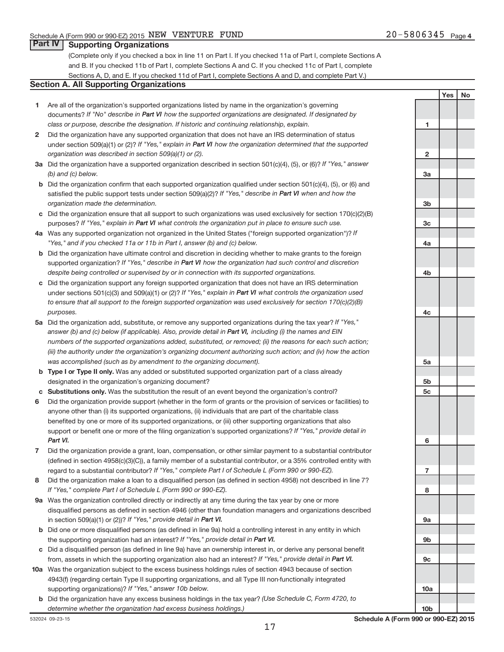**Yes No**

#### **Part IV Supporting Organizations**

(Complete only if you checked a box in line 11 on Part I. If you checked 11a of Part I, complete Sections A and B. If you checked 11b of Part I, complete Sections A and C. If you checked 11c of Part I, complete Sections A, D, and E. If you checked 11d of Part I, complete Sections A and D, and complete Part V.)

#### **Section A. All Supporting Organizations**

- **1** Are all of the organization's supported organizations listed by name in the organization's governing documents? If "No" describe in Part VI how the supported organizations are designated. If designated by *class or purpose, describe the designation. If historic and continuing relationship, explain.*
- **2** Did the organization have any supported organization that does not have an IRS determination of status under section 509(a)(1) or (2)? If "Yes," explain in Part VI how the organization determined that the supported *organization was described in section 509(a)(1) or (2).*
- **3a** Did the organization have a supported organization described in section 501(c)(4), (5), or (6)? If "Yes," answer *(b) and (c) below.*
- **b** Did the organization confirm that each supported organization qualified under section 501(c)(4), (5), or (6) and satisfied the public support tests under section 509(a)(2)? If "Yes," describe in Part VI when and how the *organization made the determination.*
- **c** Did the organization ensure that all support to such organizations was used exclusively for section 170(c)(2)(B) purposes? If "Yes," explain in Part VI what controls the organization put in place to ensure such use.
- **4 a** *If* Was any supported organization not organized in the United States ("foreign supported organization")? *"Yes," and if you checked 11a or 11b in Part I, answer (b) and (c) below.*
- **b** Did the organization have ultimate control and discretion in deciding whether to make grants to the foreign supported organization? If "Yes," describe in Part VI how the organization had such control and discretion *despite being controlled or supervised by or in connection with its supported organizations.*
- **c** Did the organization support any foreign supported organization that does not have an IRS determination under sections 501(c)(3) and 509(a)(1) or (2)? If "Yes," explain in Part VI what controls the organization used *to ensure that all support to the foreign supported organization was used exclusively for section 170(c)(2)(B) purposes.*
- **5a** Did the organization add, substitute, or remove any supported organizations during the tax year? If "Yes," answer (b) and (c) below (if applicable). Also, provide detail in Part VI, including (i) the names and EIN *numbers of the supported organizations added, substituted, or removed; (ii) the reasons for each such action; (iii) the authority under the organization's organizing document authorizing such action; and (iv) how the action was accomplished (such as by amendment to the organizing document).*
- **b** Type I or Type II only. Was any added or substituted supported organization part of a class already designated in the organization's organizing document?
- **c Substitutions only.**  Was the substitution the result of an event beyond the organization's control?
- **6** Did the organization provide support (whether in the form of grants or the provision of services or facilities) to support or benefit one or more of the filing organization's supported organizations? If "Yes," provide detail in anyone other than (i) its supported organizations, (ii) individuals that are part of the charitable class benefited by one or more of its supported organizations, or (iii) other supporting organizations that also *Part VI.*
- **7** Did the organization provide a grant, loan, compensation, or other similar payment to a substantial contributor regard to a substantial contributor? If "Yes," complete Part I of Schedule L (Form 990 or 990-EZ). (defined in section 4958(c)(3)(C)), a family member of a substantial contributor, or a 35% controlled entity with
- **8** Did the organization make a loan to a disqualified person (as defined in section 4958) not described in line 7? *If "Yes," complete Part I of Schedule L (Form 990 or 990-EZ).*
- **9 a** Was the organization controlled directly or indirectly at any time during the tax year by one or more in section 509(a)(1) or (2))? If "Yes," provide detail in Part VI. disqualified persons as defined in section 4946 (other than foundation managers and organizations described
- **b** Did one or more disqualified persons (as defined in line 9a) hold a controlling interest in any entity in which the supporting organization had an interest? If "Yes," provide detail in Part VI.
- **c** Did a disqualified person (as defined in line 9a) have an ownership interest in, or derive any personal benefit from, assets in which the supporting organization also had an interest? If "Yes," provide detail in Part VI.
- **10 a** Was the organization subject to the excess business holdings rules of section 4943 because of section supporting organizations)? If "Yes," answer 10b below. 4943(f) (regarding certain Type II supporting organizations, and all Type III non-functionally integrated
- **b** Did the organization have any excess business holdings in the tax year? (Use Schedule C, Form 4720, to *determine whether the organization had excess business holdings.)*

**1 2 3a 3b 3c 4a 4b 4c 5a 5b 5c 6 7 8 9a 9b 9c 10a**

**10b**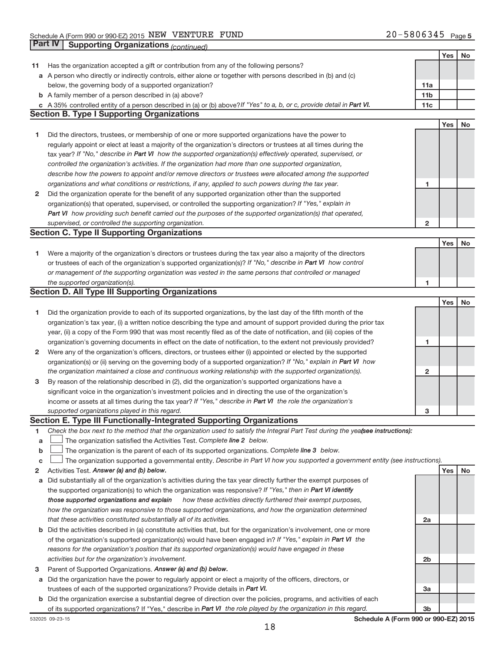|              |                                                                                                                                 |                 | Yes | No        |
|--------------|---------------------------------------------------------------------------------------------------------------------------------|-----------------|-----|-----------|
| 11           | Has the organization accepted a gift or contribution from any of the following persons?                                         |                 |     |           |
|              | a A person who directly or indirectly controls, either alone or together with persons described in (b) and (c)                  |                 |     |           |
|              | below, the governing body of a supported organization?                                                                          | 11a             |     |           |
|              | <b>b</b> A family member of a person described in (a) above?                                                                    | 11 <sub>b</sub> |     |           |
|              | c A 35% controlled entity of a person described in (a) or (b) above? If "Yes" to a, b, or c, provide detail in Part VI.         | 11c             |     |           |
|              | <b>Section B. Type I Supporting Organizations</b>                                                                               |                 |     |           |
|              |                                                                                                                                 |                 | Yes | <b>No</b> |
| 1            | Did the directors, trustees, or membership of one or more supported organizations have the power to                             |                 |     |           |
|              | regularly appoint or elect at least a majority of the organization's directors or trustees at all times during the              |                 |     |           |
|              | tax year? If "No," describe in Part VI how the supported organization(s) effectively operated, supervised, or                   |                 |     |           |
|              | controlled the organization's activities. If the organization had more than one supported organization,                         |                 |     |           |
|              | describe how the powers to appoint and/or remove directors or trustees were allocated among the supported                       |                 |     |           |
|              | organizations and what conditions or restrictions, if any, applied to such powers during the tax year.                          | 1               |     |           |
| $\mathbf{2}$ | Did the organization operate for the benefit of any supported organization other than the supported                             |                 |     |           |
|              | organization(s) that operated, supervised, or controlled the supporting organization? If "Yes," explain in                      |                 |     |           |
|              | Part VI how providing such benefit carried out the purposes of the supported organization(s) that operated,                     |                 |     |           |
|              | supervised, or controlled the supporting organization.                                                                          | $\overline{2}$  |     |           |
|              | <b>Section C. Type II Supporting Organizations</b>                                                                              |                 |     |           |
|              |                                                                                                                                 |                 | Yes | <b>No</b> |
| 1            | Were a majority of the organization's directors or trustees during the tax year also a majority of the directors                |                 |     |           |
|              | or trustees of each of the organization's supported organization(s)? If "No," describe in Part VI how control                   |                 |     |           |
|              | or management of the supporting organization was vested in the same persons that controlled or managed                          |                 |     |           |
|              | the supported organization(s).                                                                                                  | 1               |     |           |
|              | <b>Section D. All Type III Supporting Organizations</b>                                                                         |                 |     |           |
|              |                                                                                                                                 |                 | Yes | No        |
| 1            | Did the organization provide to each of its supported organizations, by the last day of the fifth month of the                  |                 |     |           |
|              | organization's tax year, (i) a written notice describing the type and amount of support provided during the prior tax           |                 |     |           |
|              | year, (ii) a copy of the Form 990 that was most recently filed as of the date of notification, and (iii) copies of the          |                 |     |           |
|              | organization's governing documents in effect on the date of notification, to the extent not previously provided?                | 1               |     |           |
| 2            | Were any of the organization's officers, directors, or trustees either (i) appointed or elected by the supported                |                 |     |           |
|              | organization(s) or (ii) serving on the governing body of a supported organization? If "No," explain in Part VI how              |                 |     |           |
|              | the organization maintained a close and continuous working relationship with the supported organization(s).                     | $\mathbf{2}$    |     |           |
| 3            | By reason of the relationship described in (2), did the organization's supported organizations have a                           |                 |     |           |
|              | significant voice in the organization's investment policies and in directing the use of the organization's                      |                 |     |           |
|              | income or assets at all times during the tax year? If "Yes," describe in Part VI the role the organization's                    |                 |     |           |
|              | supported organizations played in this regard.                                                                                  | 3               |     |           |
|              | Section E. Type III Functionally-Integrated Supporting Organizations                                                            |                 |     |           |
| 1            | Check the box next to the method that the organization used to satisfy the Integral Part Test during the yealsee instructions): |                 |     |           |
| a            | The organization satisfied the Activities Test. Complete line 2 below.                                                          |                 |     |           |
| b            | The organization is the parent of each of its supported organizations. Complete line 3 below.                                   |                 |     |           |
| c            | The organization supported a governmental entity. Describe in Part VI how you supported a government entity (see instructions). |                 |     |           |
| 2            | Activities Test. Answer (a) and (b) below.                                                                                      |                 | Yes | No        |
| a            | Did substantially all of the organization's activities during the tax year directly further the exempt purposes of              |                 |     |           |
|              | the supported organization(s) to which the organization was responsive? If "Yes," then in Part VI identify                      |                 |     |           |
|              | how these activities directly furthered their exempt purposes,<br>those supported organizations and explain                     |                 |     |           |
|              | how the organization was responsive to those supported organizations, and how the organization determined                       |                 |     |           |
|              | that these activities constituted substantially all of its activities.                                                          | 2a              |     |           |
|              | <b>b</b> Did the activities described in (a) constitute activities that, but for the organization's involvement, one or more    |                 |     |           |
|              | of the organization's supported organization(s) would have been engaged in? If "Yes," explain in Part VI the                    |                 |     |           |
|              | reasons for the organization's position that its supported organization(s) would have engaged in these                          |                 |     |           |
|              | activities but for the organization's involvement.                                                                              | 2b              |     |           |
| з            | Parent of Supported Organizations. Answer (a) and (b) below.                                                                    |                 |     |           |
|              | a Did the organization have the power to regularly appoint or elect a majority of the officers, directors, or                   |                 |     |           |
|              | trustees of each of the supported organizations? Provide details in Part VI.                                                    | 3a              |     |           |
|              | b Did the organization exercise a substantial degree of direction over the policies, programs, and activities of each           |                 |     |           |
|              | of its supported organizations? If "Yes," describe in Part VI the role played by the organization in this regard.               | 3b              |     |           |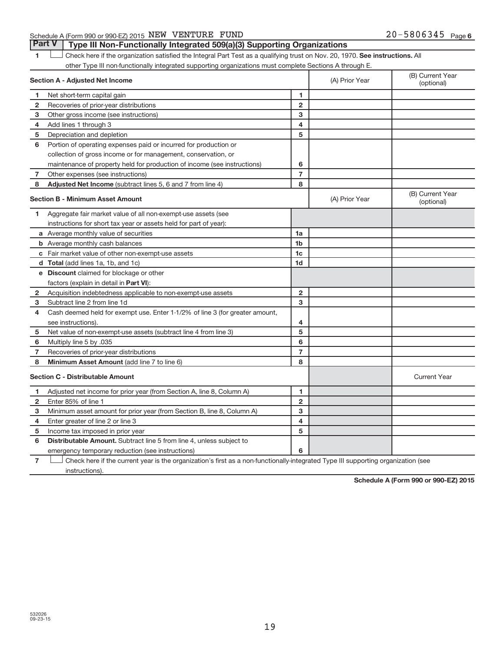#### Schedule A (Form 990 or 990-EZ) 2015  $NEW$   $VENTURE$   $FUND$   $20-5806345$   $Page$

1 **Letter here if the organization satisfied the Integral Part Test as a qualifying trust on Nov. 20, 1970. See instructions. All** other Type III non-functionally integrated supporting organizations must complete Sections A through E. **Part V Type III Non-Functionally Integrated 509(a)(3) Supporting Organizations** 

|              | Section A - Adjusted Net Income                                              |                | (A) Prior Year | (B) Current Year<br>(optional) |
|--------------|------------------------------------------------------------------------------|----------------|----------------|--------------------------------|
| 1            | Net short-term capital gain                                                  | $\blacksquare$ |                |                                |
| $\mathbf{2}$ | Recoveries of prior-year distributions                                       | $\overline{2}$ |                |                                |
| 3            | Other gross income (see instructions)                                        | 3              |                |                                |
| 4            | Add lines 1 through 3                                                        | 4              |                |                                |
| 5            | Depreciation and depletion                                                   | 5              |                |                                |
| 6            | Portion of operating expenses paid or incurred for production or             |                |                |                                |
|              | collection of gross income or for management, conservation, or               |                |                |                                |
|              | maintenance of property held for production of income (see instructions)     | 6              |                |                                |
| 7            | Other expenses (see instructions)                                            | $\overline{7}$ |                |                                |
| 8            | Adjusted Net Income (subtract lines 5, 6 and 7 from line 4)                  | 8              |                |                                |
|              | <b>Section B - Minimum Asset Amount</b>                                      |                | (A) Prior Year | (B) Current Year<br>(optional) |
| 1.           | Aggregate fair market value of all non-exempt-use assets (see                |                |                |                                |
|              | instructions for short tax year or assets held for part of year):            |                |                |                                |
|              | a Average monthly value of securities                                        | 1a             |                |                                |
|              | <b>b</b> Average monthly cash balances                                       | 1 <sub>b</sub> |                |                                |
|              | c Fair market value of other non-exempt-use assets                           | 1c             |                |                                |
|              | d Total (add lines 1a, 1b, and 1c)                                           | 1 <sub>d</sub> |                |                                |
|              | e Discount claimed for blockage or other                                     |                |                |                                |
|              | factors (explain in detail in <b>Part VI</b> ):                              |                |                |                                |
| 2            | Acquisition indebtedness applicable to non-exempt-use assets                 | $\mathbf{2}$   |                |                                |
| 3            | Subtract line 2 from line 1d                                                 | 3              |                |                                |
| 4            | Cash deemed held for exempt use. Enter 1-1/2% of line 3 (for greater amount, |                |                |                                |
|              | see instructions).                                                           | 4              |                |                                |
| 5            | Net value of non-exempt-use assets (subtract line 4 from line 3)             | 5              |                |                                |
| 6            | Multiply line 5 by .035                                                      | 6              |                |                                |
| 7            | Recoveries of prior-year distributions                                       | $\overline{7}$ |                |                                |
| 8            | Minimum Asset Amount (add line 7 to line 6)                                  | 8              |                |                                |
|              | <b>Section C - Distributable Amount</b>                                      |                |                | <b>Current Year</b>            |
| 1            | Adjusted net income for prior year (from Section A, line 8, Column A)        | 1              |                |                                |
| 2            | Enter 85% of line 1                                                          | $\mathbf{2}$   |                |                                |
| 3            | Minimum asset amount for prior year (from Section B, line 8, Column A)       | 3              |                |                                |
| 4            | Enter greater of line 2 or line 3                                            | 4              |                |                                |
| 5            | Income tax imposed in prior year                                             | 5              |                |                                |
| 6            | Distributable Amount. Subtract line 5 from line 4, unless subject to         |                |                |                                |
|              | emergency temporary reduction (see instructions)                             | 6              |                |                                |
|              |                                                                              |                |                |                                |

**7** Check here if the current year is the organization's first as a non-functionally-integrated Type III supporting organization (see instructions).

**Schedule A (Form 990 or 990-EZ) 2015**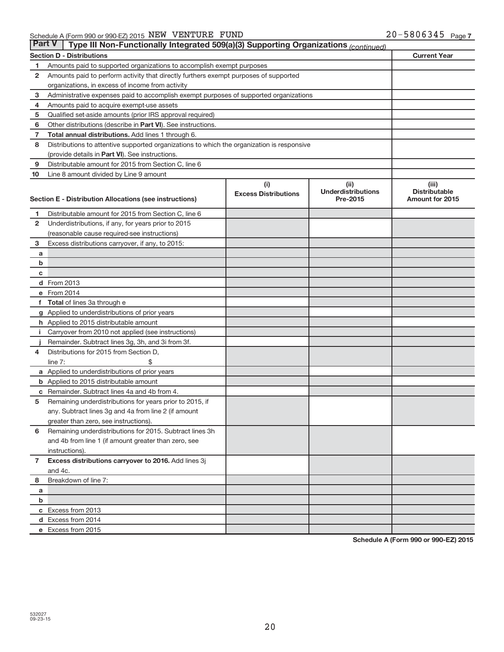| <b>Part V</b><br>Type III Non-Functionally Integrated 509(a)(3) Supporting Organizations (continued) |                                                                                                 |                             |                                       |                                                |  |
|------------------------------------------------------------------------------------------------------|-------------------------------------------------------------------------------------------------|-----------------------------|---------------------------------------|------------------------------------------------|--|
|                                                                                                      | <b>Section D - Distributions</b>                                                                |                             |                                       | <b>Current Year</b>                            |  |
| 1                                                                                                    | Amounts paid to supported organizations to accomplish exempt purposes                           |                             |                                       |                                                |  |
| 2                                                                                                    | Amounts paid to perform activity that directly furthers exempt purposes of supported            |                             |                                       |                                                |  |
|                                                                                                      | organizations, in excess of income from activity                                                |                             |                                       |                                                |  |
| 3                                                                                                    | Administrative expenses paid to accomplish exempt purposes of supported organizations           |                             |                                       |                                                |  |
| 4                                                                                                    | Amounts paid to acquire exempt-use assets                                                       |                             |                                       |                                                |  |
| 5                                                                                                    | Qualified set-aside amounts (prior IRS approval required)                                       |                             |                                       |                                                |  |
| 6                                                                                                    | Other distributions (describe in <b>Part VI</b> ). See instructions.                            |                             |                                       |                                                |  |
| 7                                                                                                    | <b>Total annual distributions.</b> Add lines 1 through 6.                                       |                             |                                       |                                                |  |
| 8                                                                                                    | Distributions to attentive supported organizations to which the organization is responsive      |                             |                                       |                                                |  |
|                                                                                                      | (provide details in Part VI). See instructions.                                                 |                             |                                       |                                                |  |
| 9                                                                                                    | Distributable amount for 2015 from Section C, line 6                                            |                             |                                       |                                                |  |
| 10                                                                                                   | Line 8 amount divided by Line 9 amount                                                          |                             |                                       |                                                |  |
|                                                                                                      |                                                                                                 | (i)                         | (ii)                                  | (iii)                                          |  |
|                                                                                                      | Section E - Distribution Allocations (see instructions)                                         | <b>Excess Distributions</b> | <b>Underdistributions</b><br>Pre-2015 | <b>Distributable</b><br><b>Amount for 2015</b> |  |
|                                                                                                      |                                                                                                 |                             |                                       |                                                |  |
| 1                                                                                                    | Distributable amount for 2015 from Section C, line 6                                            |                             |                                       |                                                |  |
| $\mathbf{2}$                                                                                         | Underdistributions, if any, for years prior to 2015                                             |                             |                                       |                                                |  |
|                                                                                                      | (reasonable cause required-see instructions)                                                    |                             |                                       |                                                |  |
| 3                                                                                                    | Excess distributions carryover, if any, to 2015:                                                |                             |                                       |                                                |  |
| a                                                                                                    |                                                                                                 |                             |                                       |                                                |  |
| b                                                                                                    |                                                                                                 |                             |                                       |                                                |  |
| c                                                                                                    |                                                                                                 |                             |                                       |                                                |  |
|                                                                                                      | d From 2013                                                                                     |                             |                                       |                                                |  |
|                                                                                                      | e From 2014                                                                                     |                             |                                       |                                                |  |
| f                                                                                                    | Total of lines 3a through e                                                                     |                             |                                       |                                                |  |
|                                                                                                      | g Applied to underdistributions of prior years                                                  |                             |                                       |                                                |  |
|                                                                                                      | h Applied to 2015 distributable amount                                                          |                             |                                       |                                                |  |
|                                                                                                      | Carryover from 2010 not applied (see instructions)                                              |                             |                                       |                                                |  |
|                                                                                                      | Remainder. Subtract lines 3g, 3h, and 3i from 3f.                                               |                             |                                       |                                                |  |
| 4                                                                                                    | Distributions for 2015 from Section D,                                                          |                             |                                       |                                                |  |
|                                                                                                      | line $7:$                                                                                       |                             |                                       |                                                |  |
|                                                                                                      | a Applied to underdistributions of prior years<br><b>b</b> Applied to 2015 distributable amount |                             |                                       |                                                |  |
| С                                                                                                    | Remainder. Subtract lines 4a and 4b from 4.                                                     |                             |                                       |                                                |  |
| 5                                                                                                    | Remaining underdistributions for years prior to 2015, if                                        |                             |                                       |                                                |  |
|                                                                                                      | any. Subtract lines 3g and 4a from line 2 (if amount                                            |                             |                                       |                                                |  |
|                                                                                                      | greater than zero, see instructions).                                                           |                             |                                       |                                                |  |
| 6                                                                                                    | Remaining underdistributions for 2015. Subtract lines 3h                                        |                             |                                       |                                                |  |
|                                                                                                      | and 4b from line 1 (if amount greater than zero, see                                            |                             |                                       |                                                |  |
|                                                                                                      | instructions).                                                                                  |                             |                                       |                                                |  |
| $\overline{7}$                                                                                       | Excess distributions carryover to 2016. Add lines 3j                                            |                             |                                       |                                                |  |
|                                                                                                      | and 4c.                                                                                         |                             |                                       |                                                |  |
| 8                                                                                                    | Breakdown of line 7:                                                                            |                             |                                       |                                                |  |
| a                                                                                                    |                                                                                                 |                             |                                       |                                                |  |
| b                                                                                                    |                                                                                                 |                             |                                       |                                                |  |
|                                                                                                      | c Excess from 2013                                                                              |                             |                                       |                                                |  |
|                                                                                                      | d Excess from 2014                                                                              |                             |                                       |                                                |  |
|                                                                                                      | e Excess from 2015                                                                              |                             |                                       |                                                |  |

**Schedule A (Form 990 or 990-EZ) 2015**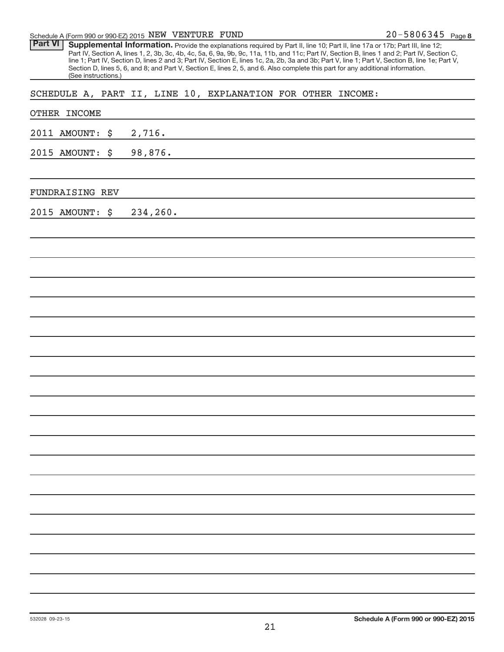Schedule A (Form 990 or 990-EZ) 2015  $NEW$   $VENTURE$   $FUND$   $20-5806345$   $Page$ 

| <b>Part VI</b> | Supplemental Information. Provide the explanations required by Part II, line 10; Part II, line 17a or 17b; Part III, line 12;                   |
|----------------|-------------------------------------------------------------------------------------------------------------------------------------------------|
|                | Part IV, Section A, lines 1, 2, 3b, 3c, 4b, 4c, 5a, 6, 9a, 9b, 9c, 11a, 11b, and 11c; Part IV, Section B, lines 1 and 2; Part IV, Section C,    |
|                | line 1; Part IV, Section D, lines 2 and 3; Part IV, Section E, lines 1c, 2a, 2b, 3a and 3b; Part V, line 1; Part V, Section B, line 1e; Part V, |
|                | Section D, lines 5, 6, and 8; and Part V, Section E, lines 2, 5, and 6. Also complete this part for any additional information.                 |
|                | (See instructions.)                                                                                                                             |

SCHEDULE A, PART II, LINE 10, EXPLANATION FOR OTHER INCOME:

| OTHER INCOME       |                                                                                       |
|--------------------|---------------------------------------------------------------------------------------|
| 2011 AMOUNT:<br>\$ | 2,716.                                                                                |
| 2015 AMOUNT:<br>\$ | 98,876.<br>the control of the control of the control of the control of the control of |
|                    |                                                                                       |
| FUNDRAISING REV    | the control of the control of the control of the control of the control of            |
| 2015 AMOUNT: \$    | 234,260.                                                                              |
|                    |                                                                                       |
|                    |                                                                                       |
|                    |                                                                                       |
|                    |                                                                                       |
|                    |                                                                                       |
|                    |                                                                                       |
|                    |                                                                                       |
|                    |                                                                                       |
|                    |                                                                                       |
|                    |                                                                                       |
|                    |                                                                                       |
|                    |                                                                                       |
|                    |                                                                                       |
|                    |                                                                                       |
|                    |                                                                                       |
|                    |                                                                                       |
|                    |                                                                                       |
|                    |                                                                                       |
|                    |                                                                                       |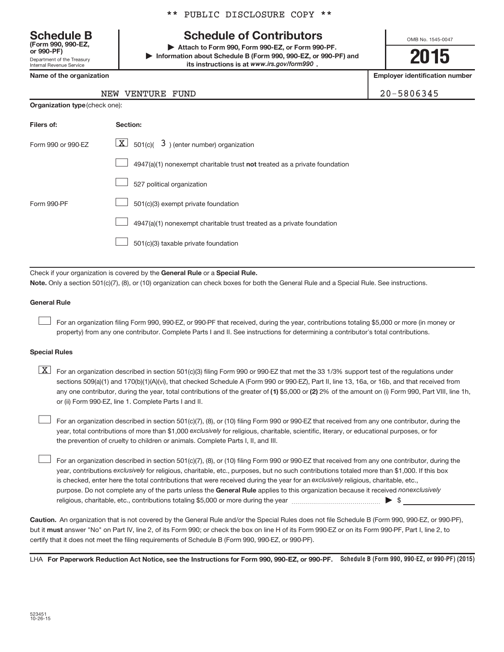Department of the Treasury Internal Revenue Service **(Form 990, 990-EZ,**

**Organization type** (check one):

#### \*\* PUBLIC DISCLOSURE COPY \*\*

### **Schedule B Schedule of Contributors**

**or 990-PF) | Attach to Form 990, Form 990-EZ, or Form 990-PF. | Information about Schedule B (Form 990, 990-EZ, or 990-PF) and** its instructions is at www.irs.gov/form990.

OMB No. 1545-0047

**2015**

**Name of the organization Employer identification number**

20-5806345

| NEW | VENTURE | FUND |
|-----|---------|------|
|-----|---------|------|

| Filers of:         | Section:                                                                  |
|--------------------|---------------------------------------------------------------------------|
| Form 990 or 990-FZ | $ \mathbf{X} $ 501(c)( 3) (enter number) organization                     |
|                    | 4947(a)(1) nonexempt charitable trust not treated as a private foundation |
|                    | 527 political organization                                                |
| Form 990-PF        | 501(c)(3) exempt private foundation                                       |
|                    | 4947(a)(1) nonexempt charitable trust treated as a private foundation     |
|                    | 501(c)(3) taxable private foundation                                      |

Check if your organization is covered by the General Rule or a Special Rule.

**Note.**  Only a section 501(c)(7), (8), or (10) organization can check boxes for both the General Rule and a Special Rule. See instructions.

#### **General Rule**

 $\begin{array}{c} \hline \end{array}$ 

For an organization filing Form 990, 990-EZ, or 990-PF that received, during the year, contributions totaling \$5,000 or more (in money or property) from any one contributor. Complete Parts I and II. See instructions for determining a contributor's total contributions.

#### **Special Rules**

any one contributor, during the year, total contributions of the greater of (1) \$5,000 or (2) 2% of the amount on (i) Form 990, Part VIII, line 1h,  $\boxed{\text{X}}$  For an organization described in section 501(c)(3) filing Form 990 or 990-EZ that met the 33 1/3% support test of the regulations under sections 509(a)(1) and 170(b)(1)(A)(vi), that checked Schedule A (Form 990 or 990-EZ), Part II, line 13, 16a, or 16b, and that received from or (ii) Form 990-EZ, line 1. Complete Parts I and II.

year, total contributions of more than \$1,000 *exclusively* for religious, charitable, scientific, literary, or educational purposes, or for For an organization described in section 501(c)(7), (8), or (10) filing Form 990 or 990-EZ that received from any one contributor, during the the prevention of cruelty to children or animals. Complete Parts I, II, and III.  $\begin{array}{c} \hline \end{array}$ 

purpose. Do not complete any of the parts unless the General Rule applies to this organization because it received nonexclusively year, contributions exclusively for religious, charitable, etc., purposes, but no such contributions totaled more than \$1,000. If this box is checked, enter here the total contributions that were received during the year for an exclusively religious, charitable, etc., For an organization described in section 501(c)(7), (8), or (10) filing Form 990 or 990-EZ that received from any one contributor, during the religious, charitable, etc., contributions totaling \$5,000 or more during the year  $\ldots$  $\ldots$  $\ldots$  $\ldots$  $\ldots$  $\ldots$  $\begin{array}{c} \hline \end{array}$ 

**Caution.** An organization that is not covered by the General Rule and/or the Special Rules does not file Schedule B (Form 990, 990-EZ, or 990-PF),  **must** but it answer "No" on Part IV, line 2, of its Form 990; or check the box on line H of its Form 990-EZ or on its Form 990-PF, Part I, line 2, to certify that it does not meet the filing requirements of Schedule B (Form 990, 990-EZ, or 990-PF).

LHA For Paperwork Reduction Act Notice, see the Instructions for Form 990, 990-EZ, or 990-PF. Schedule B (Form 990, 990-EZ, or 990-PF) (2015)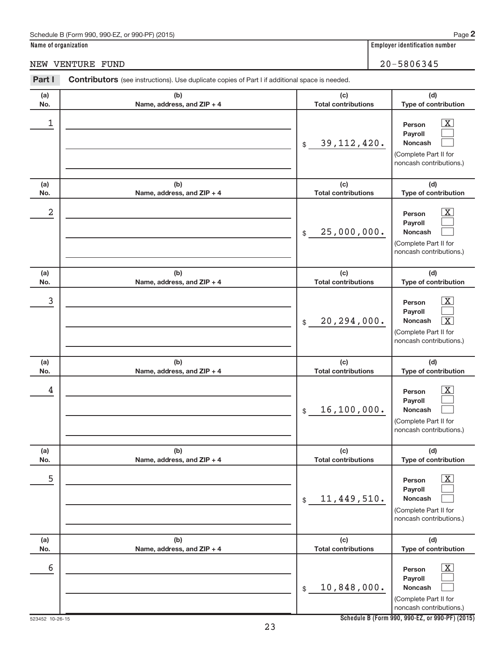#### Schedule B (Form 990, 990-EZ, or 990-PF) (2015)

**Name of organization Employer identification number**

NEW VENTURE FUND 20-5806345

| Part I     | Contributors (see instructions). Use duplicate copies of Part I if additional space is needed. |                                                               |                                                                                                                                                                |
|------------|------------------------------------------------------------------------------------------------|---------------------------------------------------------------|----------------------------------------------------------------------------------------------------------------------------------------------------------------|
| (a)        | (b)                                                                                            | (c)                                                           | (d)                                                                                                                                                            |
| No.        | Name, address, and ZIP + 4                                                                     | <b>Total contributions</b>                                    | Type of contribution                                                                                                                                           |
| 1          |                                                                                                | 39, 112, 420.<br>$\frac{1}{2}$                                | $\overline{\mathbf{X}}$<br>Person<br>Payroll<br><b>Noncash</b><br>(Complete Part II for<br>noncash contributions.)                                             |
| (a)<br>No. | (b)<br>Name, address, and ZIP + 4                                                              | (c)<br><b>Total contributions</b>                             | (d)<br>Type of contribution                                                                                                                                    |
| 2          |                                                                                                | 25,000,000.<br>$\frac{1}{2}$                                  | $\overline{\mathbf{X}}$<br>Person<br>Payroll<br><b>Noncash</b><br>(Complete Part II for<br>noncash contributions.)                                             |
| (a)        | (b)                                                                                            | (c)                                                           | (d)                                                                                                                                                            |
| No.<br>3   | Name, address, and ZIP + 4                                                                     | <b>Total contributions</b><br>20, 294, 000.<br>$\frac{1}{2}$  | Type of contribution<br>$\overline{\mathbf{X}}$<br>Person<br>Payroll<br>$\overline{\mathbf{X}}$<br>Noncash<br>(Complete Part II for<br>noncash contributions.) |
| (a)        | (b)                                                                                            | (c)                                                           | (d)                                                                                                                                                            |
| No.<br>4   | Name, address, and ZIP + 4                                                                     | <b>Total contributions</b><br>16, 100, 000.<br>$$\mathbb{S}$$ | Type of contribution<br>$\overline{\mathbf{X}}$<br>Person<br>Payroll<br>Noncash<br>(Complete Part II for<br>noncash contributions.)                            |
| (a)<br>No. | (b)<br>Name, address, and ZIP + 4                                                              | (c)<br><b>Total contributions</b>                             | (d)<br>Type of contribution                                                                                                                                    |
| 5          |                                                                                                | 11,449,510.<br>$$\$                                           | $\overline{\text{X}}$<br>Person<br>Payroll<br>Noncash<br>(Complete Part II for<br>noncash contributions.)                                                      |
| (a)<br>No. | (b)<br>Name, address, and ZIP + 4                                                              | (c)<br><b>Total contributions</b>                             | (d)<br>Type of contribution                                                                                                                                    |
| 6          |                                                                                                | 10,848,000.<br>\$                                             | $\overline{\text{X}}$<br>Person<br>Payroll<br><b>Noncash</b><br>(Complete Part II for<br>noncash contributions.)                                               |

**Schedule B (Form 990, 990-EZ, or 990-PF) (2015)**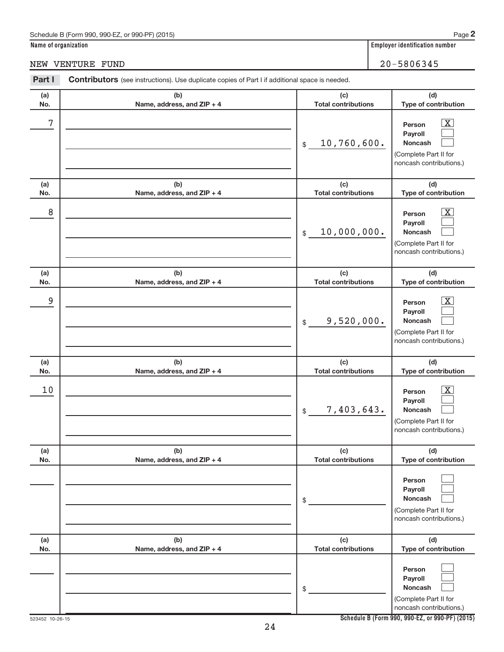#### Schedule B (Form 990, 990-EZ, or 990-PF) (2015)

**Name of organization Employer identification number**

NEW VENTURE FUND 20-5806345

#### **(a) No. (b) Name, address, and ZIP + 4 (c) Total contributions (d) Type of contribution Person Payroll Noncash (a) No. (b) Name, address, and ZIP + 4 (c) Total contributions (d) Type of contribution Person Payroll Noncash (a) No. (b) Name, address, and ZIP + 4 (c) Total contributions (d) Type of contribution Person Payroll Noncash (a) No. (b) Name, address, and ZIP + 4 (c) Total contributions (d) Type of contribution Person Payroll Noncash (a) No. (b) Name, address, and ZIP + 4 (c) Total contributions (d) Type of contribution Person Payroll Noncash (a) No. (b) Name, address, and ZIP + 4 (c) Total contributions (d) Type of contribution Person Payroll Noncash** Part I Contributors (see instructions). Use duplicate copies of Part I if additional space is needed. \$ (Complete Part II for noncash contributions.) \$ (Complete Part II for noncash contributions.) \$ (Complete Part II for noncash contributions.) \$ (Complete Part II for noncash contributions.) \$ (Complete Part II for noncash contributions.) \$ (Complete Part II for noncash contributions.) | X |  $\begin{array}{c} \hline \end{array}$  $\begin{array}{c} \hline \end{array}$  $\overline{\mathbf{X}}$  $\begin{array}{c} \hline \end{array}$  $\begin{array}{c} \hline \end{array}$  $\boxed{\text{X}}$  $\begin{array}{c} \hline \end{array}$  $\begin{array}{c} \hline \end{array}$  $\boxed{\text{X}}$  $\begin{array}{c} \hline \end{array}$  $\begin{array}{c} \hline \end{array}$  $\begin{array}{c} \hline \end{array}$  $\begin{array}{c} \hline \end{array}$  $\begin{array}{c} \hline \end{array}$  $\begin{array}{c} \hline \end{array}$  $\begin{array}{c} \hline \end{array}$  $\begin{array}{c} \hline \end{array}$  $7$   $|$  Person  $\overline{\text{X}}$ 10,760,600.  $8$  Person  $\overline{\text{X}}$ 10,000,000. 9 X 9,520,000.  $10$  Person  $\overline{\text{X}}$ 7,403,643.

**Schedule B (Form 990, 990-EZ, or 990-PF) (2015)**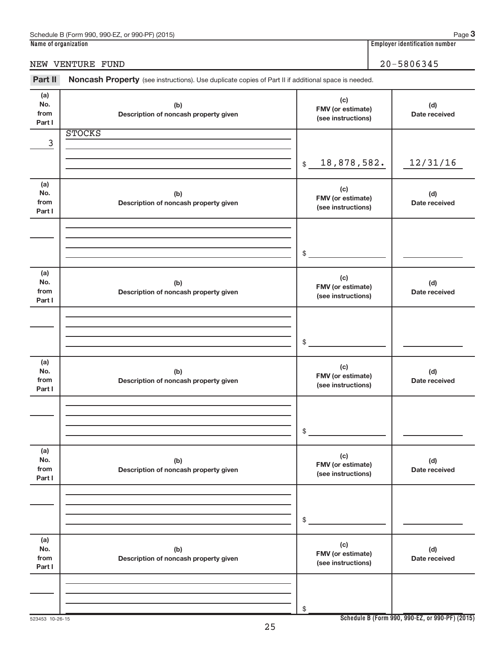|                              | NEW VENTURE FUND                                                                                    |                                                | 20-5806345           |
|------------------------------|-----------------------------------------------------------------------------------------------------|------------------------------------------------|----------------------|
| Part II                      | Noncash Property (see instructions). Use duplicate copies of Part II if additional space is needed. |                                                |                      |
| (a)<br>No.<br>from<br>Part I | (b)<br>Description of noncash property given                                                        | (c)<br>FMV (or estimate)<br>(see instructions) | (d)<br>Date received |
|                              | <b>STOCKS</b>                                                                                       |                                                |                      |
| 3                            |                                                                                                     | 18,878,582.<br>$\mathsf{\$}$                   | 12/31/16             |
| (a)<br>No.<br>from<br>Part I | (b)<br>Description of noncash property given                                                        | (c)<br>FMV (or estimate)<br>(see instructions) | (d)<br>Date received |
|                              |                                                                                                     | \$                                             |                      |
| (a)<br>No.<br>from<br>Part I | (b)<br>Description of noncash property given                                                        | (c)<br>FMV (or estimate)<br>(see instructions) | (d)<br>Date received |
|                              |                                                                                                     | \$                                             |                      |
| (a)<br>No.<br>from<br>Part I | (b)<br>Description of noncash property given                                                        | (c)<br>FMV (or estimate)<br>(see instructions) | (d)<br>Date received |
|                              |                                                                                                     | \$                                             |                      |
| (a)<br>No.<br>from<br>Part I | (b)<br>Description of noncash property given                                                        | (c)<br>FMV (or estimate)<br>(see instructions) | (d)<br>Date received |
|                              |                                                                                                     | \$                                             |                      |
| (a)<br>No.<br>from<br>Part I | (b)<br>Description of noncash property given                                                        | (c)<br>FMV (or estimate)<br>(see instructions) | (d)<br>Date received |
|                              |                                                                                                     | \$                                             |                      |

**3**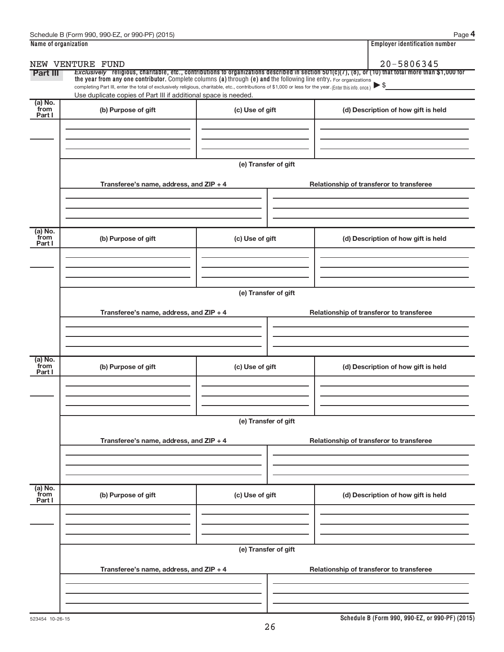| Name of organization                                                                                                                                                                                                                                                                                                                                                  |                      | <b>Employer identification number</b>                                                                                                                 |
|-----------------------------------------------------------------------------------------------------------------------------------------------------------------------------------------------------------------------------------------------------------------------------------------------------------------------------------------------------------------------|----------------------|-------------------------------------------------------------------------------------------------------------------------------------------------------|
| NEW VENTURE FUND                                                                                                                                                                                                                                                                                                                                                      |                      | 20-5806345                                                                                                                                            |
| <b>Part III</b><br>the year from any one contributor. Complete columns (a) through (e) and the following line entry. For organizations<br>completing Part III, enter the total of exclusively religious, charitable, etc., contributions of \$1,000 or less for the year. (Enter this info. once.)<br>Use duplicate copies of Part III if additional space is needed. |                      | Exclusively religious, charitable, etc., contributions to organizations described in section 501(c)(7), (8), or (10) that total more than \$1,000 for |
| (a) No.<br>from<br>(b) Purpose of gift<br>Part I                                                                                                                                                                                                                                                                                                                      | (c) Use of gift      | (d) Description of how gift is held                                                                                                                   |
|                                                                                                                                                                                                                                                                                                                                                                       |                      |                                                                                                                                                       |
|                                                                                                                                                                                                                                                                                                                                                                       | (e) Transfer of gift |                                                                                                                                                       |
| Transferee's name, address, and ZIP + 4                                                                                                                                                                                                                                                                                                                               |                      | Relationship of transferor to transferee                                                                                                              |
| (a) No.<br>from<br>(b) Purpose of gift                                                                                                                                                                                                                                                                                                                                | (c) Use of gift      | (d) Description of how gift is held                                                                                                                   |
| Part I                                                                                                                                                                                                                                                                                                                                                                |                      |                                                                                                                                                       |
|                                                                                                                                                                                                                                                                                                                                                                       | (e) Transfer of gift |                                                                                                                                                       |
| Transferee's name, address, and ZIP + 4                                                                                                                                                                                                                                                                                                                               |                      | Relationship of transferor to transferee                                                                                                              |
|                                                                                                                                                                                                                                                                                                                                                                       |                      |                                                                                                                                                       |
| (a) No.<br>from<br>(b) Purpose of gift<br>Part I                                                                                                                                                                                                                                                                                                                      | (c) Use of gift      | (d) Description of how gift is held                                                                                                                   |
|                                                                                                                                                                                                                                                                                                                                                                       |                      |                                                                                                                                                       |
|                                                                                                                                                                                                                                                                                                                                                                       | (e) Transfer of gift |                                                                                                                                                       |
| Transferee's name, address, and ZIP + 4                                                                                                                                                                                                                                                                                                                               |                      | Relationship of transferor to transferee                                                                                                              |
|                                                                                                                                                                                                                                                                                                                                                                       |                      |                                                                                                                                                       |
| $(a)$ No.<br>from<br>(b) Purpose of gift<br>Part I                                                                                                                                                                                                                                                                                                                    | (c) Use of gift      | (d) Description of how gift is held                                                                                                                   |
|                                                                                                                                                                                                                                                                                                                                                                       |                      |                                                                                                                                                       |
|                                                                                                                                                                                                                                                                                                                                                                       | (e) Transfer of gift |                                                                                                                                                       |
| Transferee's name, address, and ZIP + 4                                                                                                                                                                                                                                                                                                                               |                      | Relationship of transferor to transferee                                                                                                              |
|                                                                                                                                                                                                                                                                                                                                                                       |                      |                                                                                                                                                       |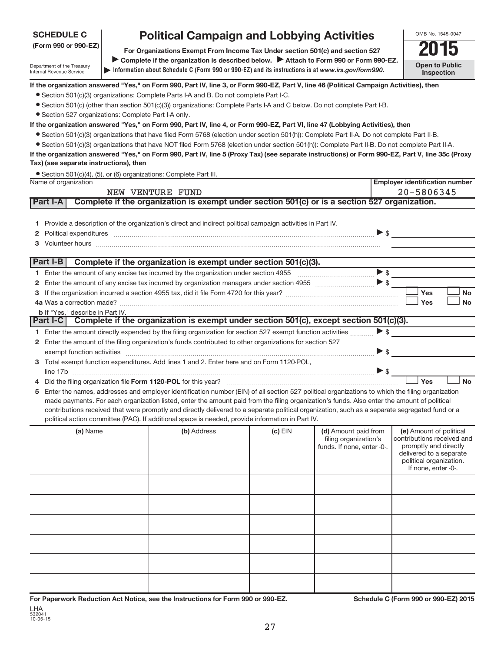# **SCHEDULE C**

Department of the Treasury Internal Revenue Service

# **Political Campaign and Lobbying Activities**<br> **Preanizations Exempt From Income Tax Under section 501(c) and section 527**

**Information about Schedule C (Form 990 or 990-EZ) and its instructions is at |**  *www.irs.gov/form990.* **(Form 990 or 990-EZ) For Organizations Exempt From Income Tax Under section 501(c) and section 527** Complete if the organization is described below. > Attach to Form 990 or Form 990-EZ.



#### **If the organization answered "Yes," on Form 990, Part IV, line 3, or Form 990-EZ, Part V, line 46 (Political Campaign Activities), then**

- Section 501(c)(3) organizations: Complete Parts I-A and B. Do not complete Part I-C.
- ¥ Section 501(c) (other than section 501(c)(3)) organizations: Complete Parts I-A and C below. Do not complete Part I-B.
- Section 527 organizations: Complete Part I-A only.

#### **If the organization answered "Yes," on Form 990, Part IV, line 4, or Form 990-EZ, Part VI, line 47 (Lobbying Activities), then**

- ¥ Section 501(c)(3) organizations that have filed Form 5768 (election under section 501(h)): Complete Part II-A. Do not complete Part II-B.
- Section 501(c)(3) organizations that have NOT filed Form 5768 (election under section 501(h)): Complete Part II-B. Do not complete Part II-A.

**If the organization answered "Yes," on Form 990, Part IV, line 5 (Proxy Tax) (see separate instructions) or Form 990-EZ, Part V, line 35c (Proxy Tax) (see separate instructions), then**

| • Section 501(c)(4), (5), or (6) organizations: Complete Part III. |  |  |
|--------------------------------------------------------------------|--|--|
|                                                                    |  |  |

|   | Name of organization           |                                         |                                                                                                                                                                                                                                                                                                                             |           |                                                                             | <b>Employer identification number</b>                                                                                                                       |
|---|--------------------------------|-----------------------------------------|-----------------------------------------------------------------------------------------------------------------------------------------------------------------------------------------------------------------------------------------------------------------------------------------------------------------------------|-----------|-----------------------------------------------------------------------------|-------------------------------------------------------------------------------------------------------------------------------------------------------------|
|   | 20-5806345<br>NEW VENTURE FUND |                                         |                                                                                                                                                                                                                                                                                                                             |           |                                                                             |                                                                                                                                                             |
|   | <b>Part I-A</b>                |                                         | Complete if the organization is exempt under section 501(c) or is a section 527 organization.                                                                                                                                                                                                                               |           |                                                                             |                                                                                                                                                             |
|   |                                |                                         | 1 Provide a description of the organization's direct and indirect political campaign activities in Part IV.<br>$Poltical expenditures$ $\qquad \qquad$                                                                                                                                                                      |           |                                                                             |                                                                                                                                                             |
|   |                                |                                         | Part I-B Complete if the organization is exempt under section $501(c)(3)$ .                                                                                                                                                                                                                                                 |           |                                                                             |                                                                                                                                                             |
|   |                                |                                         |                                                                                                                                                                                                                                                                                                                             |           |                                                                             |                                                                                                                                                             |
|   |                                |                                         |                                                                                                                                                                                                                                                                                                                             |           |                                                                             |                                                                                                                                                             |
|   |                                |                                         |                                                                                                                                                                                                                                                                                                                             |           |                                                                             | Yes<br><b>No</b>                                                                                                                                            |
|   |                                |                                         |                                                                                                                                                                                                                                                                                                                             |           |                                                                             | Yes<br><b>No</b>                                                                                                                                            |
|   |                                | <b>b</b> If "Yes," describe in Part IV. | Complete if the organization is exempt under section 501(c), except section 501(c)(3).                                                                                                                                                                                                                                      |           |                                                                             |                                                                                                                                                             |
|   | <b>Part I-C</b>                |                                         |                                                                                                                                                                                                                                                                                                                             |           |                                                                             |                                                                                                                                                             |
|   |                                |                                         | 1 Enter the amount directly expended by the filing organization for section 527 exempt function activities                                                                                                                                                                                                                  |           |                                                                             | $\blacktriangleright$ \$                                                                                                                                    |
|   |                                |                                         | 2 Enter the amount of the filing organization's funds contributed to other organizations for section 527                                                                                                                                                                                                                    |           |                                                                             |                                                                                                                                                             |
|   |                                |                                         | exempt function activities measurements and the contract of the set of the contract of the set of the set of the set of the set of the set of the set of the set of the set of the set of the set of the set of the set of the<br>3 Total exempt function expenditures. Add lines 1 and 2. Enter here and on Form 1120-POL, |           |                                                                             |                                                                                                                                                             |
|   |                                |                                         | line 17b $\ldots$ $\blacktriangleright$ s $\ldots$                                                                                                                                                                                                                                                                          |           |                                                                             |                                                                                                                                                             |
|   |                                |                                         |                                                                                                                                                                                                                                                                                                                             |           |                                                                             | Yes<br><b>No</b>                                                                                                                                            |
| 5 |                                |                                         | Enter the names, addresses and employer identification number (EIN) of all section 527 political organizations to which the filing organization                                                                                                                                                                             |           |                                                                             |                                                                                                                                                             |
|   |                                |                                         | made payments. For each organization listed, enter the amount paid from the filing organization's funds. Also enter the amount of political                                                                                                                                                                                 |           |                                                                             |                                                                                                                                                             |
|   |                                |                                         | contributions received that were promptly and directly delivered to a separate political organization, such as a separate segregated fund or a                                                                                                                                                                              |           |                                                                             |                                                                                                                                                             |
|   |                                |                                         | political action committee (PAC). If additional space is needed, provide information in Part IV.                                                                                                                                                                                                                            |           |                                                                             |                                                                                                                                                             |
|   |                                | (a) Name                                | (b) Address                                                                                                                                                                                                                                                                                                                 | $(c)$ EIN | (d) Amount paid from<br>filing organization's<br>funds. If none, enter -0-. | (e) Amount of political<br>contributions received and<br>promptly and directly<br>delivered to a separate<br>political organization.<br>If none, enter -0-. |
|   |                                |                                         |                                                                                                                                                                                                                                                                                                                             |           |                                                                             |                                                                                                                                                             |
|   |                                |                                         |                                                                                                                                                                                                                                                                                                                             |           |                                                                             |                                                                                                                                                             |
|   |                                |                                         |                                                                                                                                                                                                                                                                                                                             |           |                                                                             |                                                                                                                                                             |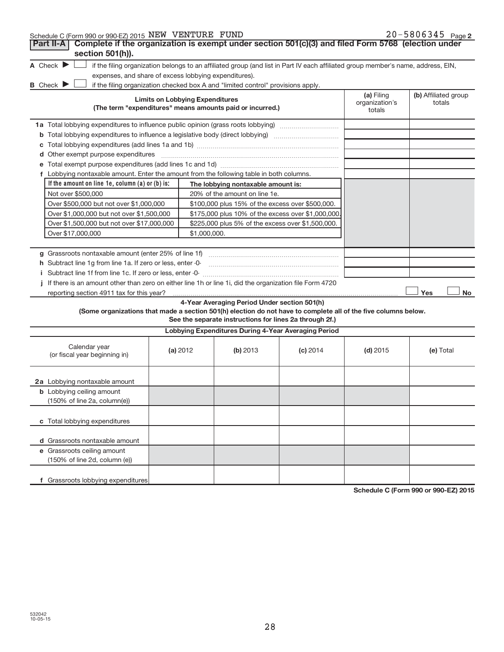|  | Schedule C (Form 990 or 990-EZ) 2015 NEW VENTURE FUND |  |  | $20 - 5806345$ Page 2 |  |
|--|-------------------------------------------------------|--|--|-----------------------|--|
|--|-------------------------------------------------------|--|--|-----------------------|--|

| Complete if the organization is exempt under section 501(c)(3) and filed Form 5768 (election under<br>Part II-A<br>section 501(h)).                                |                                        |                                                         |            |                                        |                                |
|--------------------------------------------------------------------------------------------------------------------------------------------------------------------|----------------------------------------|---------------------------------------------------------|------------|----------------------------------------|--------------------------------|
| A Check $\blacktriangleright$<br>if the filing organization belongs to an affiliated group (and list in Part IV each affiliated group member's name, address, EIN, |                                        |                                                         |            |                                        |                                |
| expenses, and share of excess lobbying expenditures).                                                                                                              |                                        |                                                         |            |                                        |                                |
| <b>B</b> Check $\blacktriangleright$<br>if the filing organization checked box A and "limited control" provisions apply.                                           |                                        |                                                         |            |                                        |                                |
| (The term "expenditures" means amounts paid or incurred.)                                                                                                          | <b>Limits on Lobbying Expenditures</b> |                                                         |            | (a) Filing<br>organization's<br>totals | (b) Affiliated group<br>totals |
| 1a Total lobbying expenditures to influence public opinion (grass roots lobbying)                                                                                  |                                        |                                                         |            |                                        |                                |
| <b>b</b> Total lobbying expenditures to influence a legislative body (direct lobbying) <i>manumumumum</i>                                                          |                                        |                                                         |            |                                        |                                |
|                                                                                                                                                                    |                                        |                                                         |            |                                        |                                |
|                                                                                                                                                                    |                                        |                                                         |            |                                        |                                |
|                                                                                                                                                                    |                                        |                                                         |            |                                        |                                |
| f Lobbying nontaxable amount. Enter the amount from the following table in both columns.                                                                           |                                        |                                                         |            |                                        |                                |
| If the amount on line 1e, column $(a)$ or $(b)$ is:                                                                                                                |                                        | The lobbying nontaxable amount is:                      |            |                                        |                                |
| Not over \$500,000                                                                                                                                                 |                                        | 20% of the amount on line 1e.                           |            |                                        |                                |
| Over \$500,000 but not over \$1,000,000                                                                                                                            |                                        | \$100,000 plus 15% of the excess over \$500,000.        |            |                                        |                                |
| Over \$1,000,000 but not over \$1,500,000                                                                                                                          |                                        | \$175,000 plus 10% of the excess over \$1,000,000       |            |                                        |                                |
| Over \$1,500,000 but not over \$17,000,000                                                                                                                         |                                        | \$225,000 plus 5% of the excess over \$1,500,000.       |            |                                        |                                |
| Over \$17,000,000                                                                                                                                                  | \$1,000,000.                           |                                                         |            |                                        |                                |
|                                                                                                                                                                    |                                        |                                                         |            |                                        |                                |
|                                                                                                                                                                    |                                        |                                                         |            |                                        |                                |
| h Subtract line 1g from line 1a. If zero or less, enter -0-                                                                                                        |                                        |                                                         |            |                                        |                                |
|                                                                                                                                                                    |                                        |                                                         |            |                                        |                                |
| If there is an amount other than zero on either line 1h or line 1i, did the organization file Form 4720                                                            |                                        |                                                         |            |                                        |                                |
| reporting section 4911 tax for this year?                                                                                                                          |                                        | 4-Year Averaging Period Under section 501(h)            |            |                                        | Yes<br>No                      |
| (Some organizations that made a section 501(h) election do not have to complete all of the five columns below.                                                     |                                        | See the separate instructions for lines 2a through 2f.) |            |                                        |                                |
|                                                                                                                                                                    |                                        | Lobbying Expenditures During 4-Year Averaging Period    |            |                                        |                                |
| Calendar year<br>(or fiscal year beginning in)                                                                                                                     | (a) 2012                               | (b) 2013                                                | $(c)$ 2014 | $(d)$ 2015                             | (e) Total                      |
| 2a Lobbying nontaxable amount                                                                                                                                      |                                        |                                                         |            |                                        |                                |
| <b>b</b> Lobbying ceiling amount<br>(150% of line 2a, column(e))                                                                                                   |                                        |                                                         |            |                                        |                                |
| c Total lobbying expenditures                                                                                                                                      |                                        |                                                         |            |                                        |                                |
| d Grassroots nontaxable amount                                                                                                                                     |                                        |                                                         |            |                                        |                                |
| e Grassroots ceiling amount<br>(150% of line 2d, column (e))                                                                                                       |                                        |                                                         |            |                                        |                                |
| f Grassroots lobbying expenditures                                                                                                                                 |                                        |                                                         |            |                                        |                                |

**Schedule C (Form 990 or 990-EZ) 2015**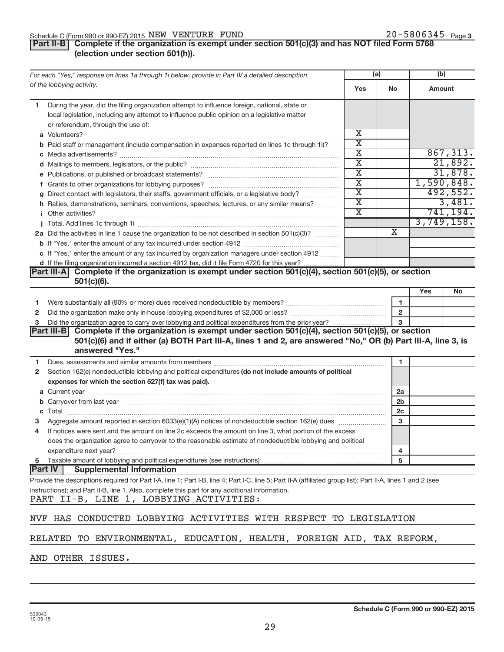#### Schedule C (Form 990 or 990-EZ) 2015  $NEW$   $VENTURE$   $FUND$   $20-5806345$   $Page$

### **Part II-B** Complete if the organization is exempt under section 501(c)(3) and has NOT filed Form 5768 **(election under section 501(h)).**

| For each "Yes," response on lines 1a through 1i below, provide in Part IV a detailed description                                                                                                                               |                             | (a)                     | (b)    |            |
|--------------------------------------------------------------------------------------------------------------------------------------------------------------------------------------------------------------------------------|-----------------------------|-------------------------|--------|------------|
| of the lobbying activity.                                                                                                                                                                                                      | Yes                         | No                      | Amount |            |
| During the year, did the filing organization attempt to influence foreign, national, state or<br>1.                                                                                                                            |                             |                         |        |            |
| local legislation, including any attempt to influence public opinion on a legislative matter                                                                                                                                   |                             |                         |        |            |
| or referendum, through the use of:                                                                                                                                                                                             |                             |                         |        |            |
|                                                                                                                                                                                                                                | х                           |                         |        |            |
| <b>b</b> Paid staff or management (include compensation in expenses reported on lines 1c through 1i)?                                                                                                                          | $\overline{\textnormal{x}}$ |                         |        |            |
|                                                                                                                                                                                                                                | $\overline{\textbf{x}}$     |                         |        | 867, 313.  |
|                                                                                                                                                                                                                                | $\overline{\text{x}}$       |                         |        | 21,892.    |
|                                                                                                                                                                                                                                | $\overline{\text{x}}$       |                         |        | 31,878.    |
|                                                                                                                                                                                                                                | $\overline{\text{x}}$       |                         |        | 1,590,848. |
| g Direct contact with legislators, their staffs, government officials, or a legislative body?                                                                                                                                  | $\overline{\text{x}}$       |                         |        | 492,552.   |
| h Rallies, demonstrations, seminars, conventions, speeches, lectures, or any similar means?                                                                                                                                    | $\overline{\texttt{x}}$     |                         |        | 3,481.     |
| <i>i</i> Other activities?                                                                                                                                                                                                     | $\overline{\textnormal{x}}$ |                         |        | 741, 194.  |
|                                                                                                                                                                                                                                |                             |                         |        | 3,749,158. |
| 2a Did the activities in line 1 cause the organization to be not described in section 501(c)(3)?                                                                                                                               |                             | $\overline{\mathbf{X}}$ |        |            |
|                                                                                                                                                                                                                                |                             |                         |        |            |
| c If "Yes," enter the amount of any tax incurred by organization managers under section 4912                                                                                                                                   |                             |                         |        |            |
| d If the filing organization incurred a section 4912 tax, did it file Form 4720 for this year?                                                                                                                                 |                             |                         |        |            |
| Part III-A Complete if the organization is exempt under section 501(c)(4), section 501(c)(5), or section                                                                                                                       |                             |                         |        |            |
| $501(c)(6)$ .                                                                                                                                                                                                                  |                             |                         |        |            |
|                                                                                                                                                                                                                                |                             |                         | Yes    | No         |
| 1                                                                                                                                                                                                                              |                             | 1                       |        |            |
| 2                                                                                                                                                                                                                              |                             | $\mathbf{2}$            |        |            |
| 3                                                                                                                                                                                                                              |                             | 3                       |        |            |
| Part III-B Complete if the organization is exempt under section 501(c)(4), section 501(c)(5), or section<br>501(c)(6) and if either (a) BOTH Part III-A, lines 1 and 2, are answered "No," OR (b) Part III-A, line 3, is       |                             |                         |        |            |
| answered "Yes."                                                                                                                                                                                                                |                             |                         |        |            |
| Dues, assessments and similar amounts from members [111] www.communicallynews.communicallyness.communicallyness.com<br>1                                                                                                       |                             | 1                       |        |            |
| Section 162(e) nondeductible lobbying and political expenditures (do not include amounts of political<br>$\mathbf{2}$                                                                                                          |                             |                         |        |            |
| expenses for which the section 527(f) tax was paid).                                                                                                                                                                           |                             |                         |        |            |
|                                                                                                                                                                                                                                |                             | 2a                      |        |            |
| b Carryover from last year manufactured and content to content the content of the content of the content of the content of the content of the content of the content of the content of the content of the content of the conte |                             | 2 <sub>b</sub>          |        |            |
|                                                                                                                                                                                                                                |                             | 2c                      |        |            |
|                                                                                                                                                                                                                                |                             | 3                       |        |            |
| If notices were sent and the amount on line 2c exceeds the amount on line 3, what portion of the excess<br>4                                                                                                                   |                             |                         |        |            |
| does the organization agree to carryover to the reasonable estimate of nondeductible lobbying and political                                                                                                                    |                             |                         |        |            |
| expenditure next year?                                                                                                                                                                                                         |                             | 4                       |        |            |
| Taxable amount of lobbying and political expenditures (see instructions)<br>5                                                                                                                                                  |                             | 5                       |        |            |
| <b>Part IV</b><br><b>Supplemental Information</b>                                                                                                                                                                              |                             |                         |        |            |
| Provide the descriptions required for Part I-A, line 1; Part I-B, line 4; Part I-C, line 5; Part II-A (affiliated group list); Part II-A, lines 1 and 2 (see                                                                   |                             |                         |        |            |
| instructions); and Part II-B, line 1. Also, complete this part for any additional information.<br>PART II-B, LINE 1, LOBBYING ACTIVITIES:                                                                                      |                             |                         |        |            |
| NVF HAS CONDUCTED LOBBYING ACTIVITIES WITH RESPECT TO LEGISLATION                                                                                                                                                              |                             |                         |        |            |
| RELATED TO ENVIRONMENTAL, EDUCATION, HEALTH, FOREIGN AID, TAX REFORM,                                                                                                                                                          |                             |                         |        |            |
| AND OTHER ISSUES.                                                                                                                                                                                                              |                             |                         |        |            |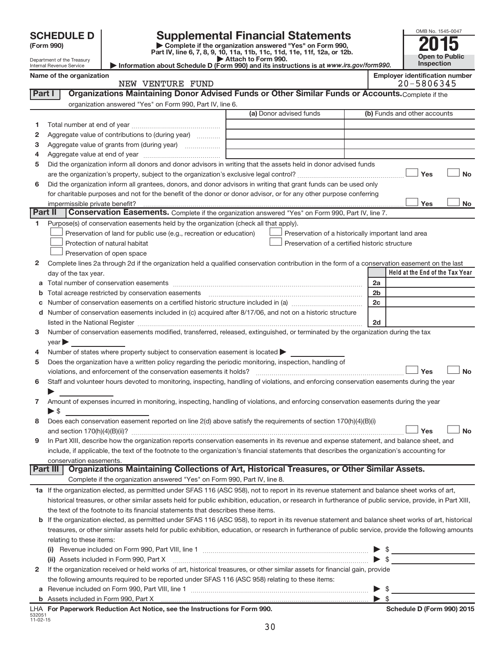| (Form 990) |  |
|------------|--|
|------------|--|

532051 11-02-15

**(Form 990) | Complete if the organization answered "Yes" on Form 990, Part IV, line 6, 7, 8, 9, 10, 11a, 11b, 11c, 11d, 11e, 11f, 12a, or 12b. SCHEDULE D Supplemental Financial Statements**<br> **Form 990 2015**<br> **Part IV** line 6.7.8.9.10, 11a, 11b, 11c, 11d, 11e, 11f, 12a, or 12b

| OMB No. 1545-0047     |
|-----------------------|
|                       |
| <b>Open to Public</b> |
| Inspection            |

|  |  |  |  | ployer identification number |  |
|--|--|--|--|------------------------------|--|
|  |  |  |  |                              |  |

|              | Attach to Form 990.<br>Department of the Treasury<br>Information about Schedule D (Form 990) and its instructions is at www.irs.gov/form990.<br>Internal Revenue Service |                                                                                                        |                                                                                                                                                |                | <b>Open to Public</b><br>Inspection |
|--------------|--------------------------------------------------------------------------------------------------------------------------------------------------------------------------|--------------------------------------------------------------------------------------------------------|------------------------------------------------------------------------------------------------------------------------------------------------|----------------|-------------------------------------|
|              | Name of the organization                                                                                                                                                 | <b>Employer identification number</b><br>20-5806345                                                    |                                                                                                                                                |                |                                     |
| Part I       |                                                                                                                                                                          |                                                                                                        | Organizations Maintaining Donor Advised Funds or Other Similar Funds or Accounts. Complete if the                                              |                |                                     |
|              |                                                                                                                                                                          | organization answered "Yes" on Form 990, Part IV, line 6.                                              |                                                                                                                                                |                |                                     |
|              |                                                                                                                                                                          |                                                                                                        | (a) Donor advised funds                                                                                                                        |                | (b) Funds and other accounts        |
| 1            |                                                                                                                                                                          |                                                                                                        |                                                                                                                                                |                |                                     |
| 2            |                                                                                                                                                                          | Aggregate value of contributions to (during year)                                                      |                                                                                                                                                |                |                                     |
| 3            |                                                                                                                                                                          | Aggregate value of grants from (during year)                                                           |                                                                                                                                                |                |                                     |
| 4            |                                                                                                                                                                          |                                                                                                        |                                                                                                                                                |                |                                     |
| 5            |                                                                                                                                                                          |                                                                                                        | Did the organization inform all donors and donor advisors in writing that the assets held in donor advised funds                               |                |                                     |
|              |                                                                                                                                                                          |                                                                                                        |                                                                                                                                                |                | Yes<br><b>No</b>                    |
| 6            |                                                                                                                                                                          |                                                                                                        | Did the organization inform all grantees, donors, and donor advisors in writing that grant funds can be used only                              |                |                                     |
|              |                                                                                                                                                                          |                                                                                                        | for charitable purposes and not for the benefit of the donor or donor advisor, or for any other purpose conferring                             |                |                                     |
|              | impermissible private benefit?                                                                                                                                           |                                                                                                        |                                                                                                                                                |                | Yes<br>No                           |
|              | Part II                                                                                                                                                                  |                                                                                                        | Conservation Easements. Complete if the organization answered "Yes" on Form 990, Part IV, line 7.                                              |                |                                     |
| 1.           |                                                                                                                                                                          | Purpose(s) of conservation easements held by the organization (check all that apply).                  |                                                                                                                                                |                |                                     |
|              |                                                                                                                                                                          | Preservation of land for public use (e.g., recreation or education)                                    | Preservation of a historically important land area                                                                                             |                |                                     |
|              |                                                                                                                                                                          | Protection of natural habitat                                                                          | Preservation of a certified historic structure                                                                                                 |                |                                     |
|              |                                                                                                                                                                          | Preservation of open space                                                                             |                                                                                                                                                |                |                                     |
| $\mathbf{2}$ |                                                                                                                                                                          |                                                                                                        | Complete lines 2a through 2d if the organization held a qualified conservation contribution in the form of a conservation easement on the last |                |                                     |
|              | day of the tax year.                                                                                                                                                     |                                                                                                        |                                                                                                                                                |                | Held at the End of the Tax Year     |
| а            |                                                                                                                                                                          |                                                                                                        |                                                                                                                                                | 2a             |                                     |
|              |                                                                                                                                                                          |                                                                                                        |                                                                                                                                                | 2 <sub>b</sub> |                                     |
|              |                                                                                                                                                                          |                                                                                                        |                                                                                                                                                | 2c             |                                     |
| d            |                                                                                                                                                                          |                                                                                                        | Number of conservation easements included in (c) acquired after 8/17/06, and not on a historic structure                                       |                |                                     |
|              |                                                                                                                                                                          |                                                                                                        |                                                                                                                                                | 2d             |                                     |
| 3            |                                                                                                                                                                          |                                                                                                        | Number of conservation easements modified, transferred, released, extinguished, or terminated by the organization during the tax               |                |                                     |
|              | year                                                                                                                                                                     |                                                                                                        |                                                                                                                                                |                |                                     |
|              |                                                                                                                                                                          | Number of states where property subject to conservation easement is located >                          |                                                                                                                                                |                |                                     |
| 5            |                                                                                                                                                                          | Does the organization have a written policy regarding the periodic monitoring, inspection, handling of |                                                                                                                                                |                |                                     |
|              |                                                                                                                                                                          | violations, and enforcement of the conservation easements it holds?                                    |                                                                                                                                                |                | <b>No</b><br>Yes                    |
| 6            |                                                                                                                                                                          |                                                                                                        | Staff and volunteer hours devoted to monitoring, inspecting, handling of violations, and enforcing conservation easements during the year      |                |                                     |
|              |                                                                                                                                                                          |                                                                                                        |                                                                                                                                                |                |                                     |
|              | $\blacktriangleright$ \$                                                                                                                                                 |                                                                                                        | Amount of expenses incurred in monitoring, inspecting, handling of violations, and enforcing conservation easements during the year            |                |                                     |

| 8 Does each conservation easement reported on line 2(d) above satisfy the requirements of section 170(h)(4)(B)(i)                         |                           |           |  |
|-------------------------------------------------------------------------------------------------------------------------------------------|---------------------------|-----------|--|
| and section $170(h)(4)(B)(ii)?$                                                                                                           | $\mathsf{Y}_{\mathsf{P}}$ | $\Box$ No |  |
| 9 In Part XIII, describe how the organization reports conservation easements in its revenue and expense statement, and balance sheet, and |                           |           |  |

| In Part XIII, describe how the organization reports conservation easements in its revenue and expense statement, and balance sheet, and      |
|----------------------------------------------------------------------------------------------------------------------------------------------|
| include, if applicable, the text of the footnote to the organization's financial statements that describes the organization's accounting for |
| conservation easements.                                                                                                                      |

| <b>Part III   Organizations Maintaining Collections of Art, Historical Treasures, or Other Similar Assets.</b> |
|----------------------------------------------------------------------------------------------------------------|
| Complete if the organization answered "Yes" on Form 990, Part IV, line 8.                                      |

| 1a If the organization elected, as permitted under SFAS 116 (ASC 958), not to report in its revenue statement and balance sheet works of art,             |
|-----------------------------------------------------------------------------------------------------------------------------------------------------------|
| historical treasures, or other similar assets held for public exhibition, education, or research in furtherance of public service, provide, in Part XIII, |
| the text of the footnote to its financial statements that describes these items.                                                                          |

| treasures, or other similar assets held for public exhibition, education, or research in furtherance of public service, provide the following amounts |
|-------------------------------------------------------------------------------------------------------------------------------------------------------|
| relating to these items:                                                                                                                              |
|                                                                                                                                                       |

|   | LHA For Paperwork Reduction Act Notice, see the Instructions for Form 990.                                                                                                                                                                           | Schedule D (Form 990) 2015 |
|---|------------------------------------------------------------------------------------------------------------------------------------------------------------------------------------------------------------------------------------------------------|----------------------------|
|   |                                                                                                                                                                                                                                                      |                            |
|   | <b>a</b> Revenue included on Form 990, Part VIII, line 1<br>$\triangleright$ s                                                                                                                                                                       |                            |
|   | the following amounts required to be reported under SFAS 116 (ASC 958) relating to these items:                                                                                                                                                      |                            |
| 2 | If the organization received or held works of art, historical treasures, or other similar assets for financial gain, provide                                                                                                                         |                            |
|   | (ii) Assets included in Form 990, Part X [11] [12] Marketing and Marketing Marketing Marketing Marketing Marketing Marketing Marketing Marketing Marketing Marketing Marketing Marketing Marketing Marketing Marketing Marketi<br>$\triangleright$ s |                            |
|   | (i) Revenue included on Form 990, Part VIII, line 1                                                                                                                                                                                                  |                            |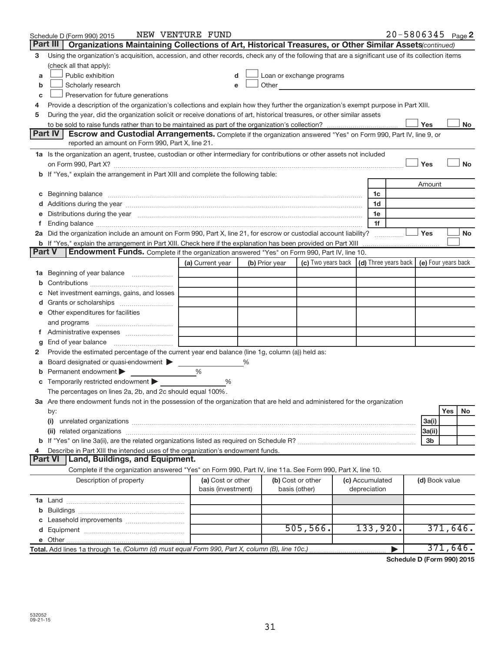|    | Schedule D (Form 990) 2015                                                                                                                                                                                                          | NEW VENTURE FUND   |                           |                                                                             |                 | $20 - 5806345$ Page 2 |                          |          |           |
|----|-------------------------------------------------------------------------------------------------------------------------------------------------------------------------------------------------------------------------------------|--------------------|---------------------------|-----------------------------------------------------------------------------|-----------------|-----------------------|--------------------------|----------|-----------|
|    | Part III<br>Organizations Maintaining Collections of Art, Historical Treasures, or Other Similar Assets(continued)                                                                                                                  |                    |                           |                                                                             |                 |                       |                          |          |           |
| З  | Using the organization's acquisition, accession, and other records, check any of the following that are a significant use of its collection items                                                                                   |                    |                           |                                                                             |                 |                       |                          |          |           |
|    | (check all that apply):                                                                                                                                                                                                             |                    |                           |                                                                             |                 |                       |                          |          |           |
| a  | Public exhibition                                                                                                                                                                                                                   | d                  | Loan or exchange programs |                                                                             |                 |                       |                          |          |           |
| b  | Scholarly research                                                                                                                                                                                                                  | е                  | Other                     |                                                                             |                 |                       |                          |          |           |
| c  | Preservation for future generations                                                                                                                                                                                                 |                    |                           |                                                                             |                 |                       |                          |          |           |
| 4  | Provide a description of the organization's collections and explain how they further the organization's exempt purpose in Part XIII.                                                                                                |                    |                           |                                                                             |                 |                       |                          |          |           |
| 5  | During the year, did the organization solicit or receive donations of art, historical treasures, or other similar assets                                                                                                            |                    |                           |                                                                             |                 |                       |                          |          |           |
|    |                                                                                                                                                                                                                                     |                    |                           |                                                                             |                 |                       | Yes                      |          | No        |
|    | Part IV<br>Escrow and Custodial Arrangements. Complete if the organization answered "Yes" on Form 990, Part IV, line 9, or                                                                                                          |                    |                           |                                                                             |                 |                       |                          |          |           |
|    | reported an amount on Form 990, Part X, line 21.                                                                                                                                                                                    |                    |                           |                                                                             |                 |                       |                          |          |           |
|    | 1a Is the organization an agent, trustee, custodian or other intermediary for contributions or other assets not included                                                                                                            |                    |                           |                                                                             |                 |                       |                          |          |           |
|    |                                                                                                                                                                                                                                     |                    |                           |                                                                             |                 |                       | Yes                      |          | <b>No</b> |
|    | b If "Yes," explain the arrangement in Part XIII and complete the following table:                                                                                                                                                  |                    |                           |                                                                             |                 |                       |                          |          |           |
|    |                                                                                                                                                                                                                                     |                    |                           |                                                                             |                 |                       | Amount                   |          |           |
| C  | Beginning balance <b>communications</b> and the contract of the contract of the contract of the contract of the contract of the contract of the contract of the contract of the contract of the contract of the contract of the con |                    |                           |                                                                             | 1c              |                       |                          |          |           |
|    |                                                                                                                                                                                                                                     |                    |                           |                                                                             | 1d              |                       |                          |          |           |
|    | Distributions during the year manufactured and an account of the year manufactured and the year manufactured and the year manufactured and the year manufactured and the year manufactured and the year manufactured and the y      |                    |                           |                                                                             | 1e              |                       |                          |          |           |
| f. |                                                                                                                                                                                                                                     |                    |                           |                                                                             | 1f              |                       |                          |          |           |
|    | 2a Did the organization include an amount on Form 990, Part X, line 21, for escrow or custodial account liability?                                                                                                                  |                    |                           |                                                                             |                 |                       | Yes                      |          | No        |
|    | <b>b</b> If "Yes," explain the arrangement in Part XIII. Check here if the explanation has been provided on Part XIII                                                                                                               |                    |                           |                                                                             |                 |                       |                          |          |           |
|    | Endowment Funds. Complete if the organization answered "Yes" on Form 990, Part IV, line 10.<br><b>Part V</b>                                                                                                                        |                    |                           |                                                                             |                 |                       |                          |          |           |
|    |                                                                                                                                                                                                                                     | (a) Current year   | (b) Prior year            | (c) Two years back $\vert$ (d) Three years back $\vert$ (e) Four years back |                 |                       |                          |          |           |
| 1а | Beginning of year balance                                                                                                                                                                                                           |                    |                           |                                                                             |                 |                       |                          |          |           |
|    |                                                                                                                                                                                                                                     |                    |                           |                                                                             |                 |                       |                          |          |           |
|    | Net investment earnings, gains, and losses                                                                                                                                                                                          |                    |                           |                                                                             |                 |                       |                          |          |           |
| d  |                                                                                                                                                                                                                                     |                    |                           |                                                                             |                 |                       |                          |          |           |
|    | e Other expenditures for facilities                                                                                                                                                                                                 |                    |                           |                                                                             |                 |                       |                          |          |           |
|    | and programs                                                                                                                                                                                                                        |                    |                           |                                                                             |                 |                       |                          |          |           |
| τ. |                                                                                                                                                                                                                                     |                    |                           |                                                                             |                 |                       |                          |          |           |
| g  | End of year balance                                                                                                                                                                                                                 |                    |                           |                                                                             |                 |                       |                          |          |           |
| 2  | Provide the estimated percentage of the current year end balance (line 1g, column (a)) held as:                                                                                                                                     |                    |                           |                                                                             |                 |                       |                          |          |           |
| а  | Board designated or quasi-endowment                                                                                                                                                                                                 |                    |                           |                                                                             |                 |                       |                          |          |           |
| b  | Permanent endowment                                                                                                                                                                                                                 | $\%$               |                           |                                                                             |                 |                       |                          |          |           |
|    | Temporarily restricted endowment                                                                                                                                                                                                    | %                  |                           |                                                                             |                 |                       |                          |          |           |
|    | The percentages on lines 2a, 2b, and 2c should equal 100%.                                                                                                                                                                          |                    |                           |                                                                             |                 |                       |                          |          |           |
|    | 3a Are there endowment funds not in the possession of the organization that are held and administered for the organization                                                                                                          |                    |                           |                                                                             |                 |                       |                          |          |           |
|    | by:                                                                                                                                                                                                                                 |                    |                           |                                                                             |                 |                       |                          | Yes      | No.       |
|    | (i)                                                                                                                                                                                                                                 |                    |                           |                                                                             |                 |                       | 3a(i)                    |          |           |
|    |                                                                                                                                                                                                                                     |                    |                           |                                                                             |                 |                       | 3a(ii)<br>3 <sub>b</sub> |          |           |
| 4  | Describe in Part XIII the intended uses of the organization's endowment funds.                                                                                                                                                      |                    |                           |                                                                             |                 |                       |                          |          |           |
|    | <b>Part VI</b><br>Land, Buildings, and Equipment.                                                                                                                                                                                   |                    |                           |                                                                             |                 |                       |                          |          |           |
|    | Complete if the organization answered "Yes" on Form 990, Part IV, line 11a. See Form 990, Part X, line 10.                                                                                                                          |                    |                           |                                                                             |                 |                       |                          |          |           |
|    | Description of property                                                                                                                                                                                                             | (a) Cost or other  | (b) Cost or other         |                                                                             | (c) Accumulated |                       | (d) Book value           |          |           |
|    |                                                                                                                                                                                                                                     | basis (investment) | basis (other)             |                                                                             | depreciation    |                       |                          |          |           |
|    |                                                                                                                                                                                                                                     |                    |                           |                                                                             |                 |                       |                          |          |           |
|    |                                                                                                                                                                                                                                     |                    |                           |                                                                             |                 |                       |                          |          |           |
|    |                                                                                                                                                                                                                                     |                    |                           |                                                                             |                 |                       |                          |          |           |
|    |                                                                                                                                                                                                                                     |                    |                           | 505, 566.                                                                   | 133,920.        |                       |                          | 371,646. |           |
|    |                                                                                                                                                                                                                                     |                    |                           |                                                                             |                 |                       |                          |          |           |
|    | Total. Add lines 1a through 1e. (Column (d) must equal Form 990, Part X, column (B), line 10c.)                                                                                                                                     |                    |                           |                                                                             |                 | ▶                     |                          | 371,646. |           |
|    |                                                                                                                                                                                                                                     |                    |                           |                                                                             |                 |                       |                          |          |           |

**Schedule D (Form 990) 2015**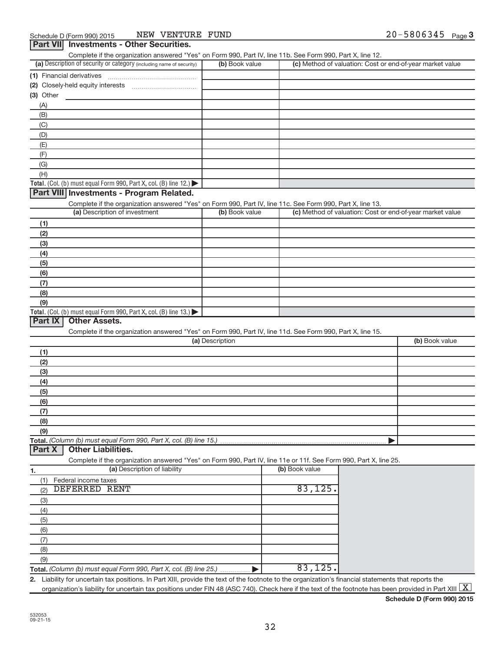| (a) Description of security or category (including name of security)                                              |                 | Complete if the organization answered "Yes" on Form 990, Part IV, line 11b. See Form 990, Part X, line 12. |                                                           |
|-------------------------------------------------------------------------------------------------------------------|-----------------|------------------------------------------------------------------------------------------------------------|-----------------------------------------------------------|
|                                                                                                                   | (b) Book value  |                                                                                                            | (c) Method of valuation: Cost or end-of-year market value |
| (1) Financial derivatives                                                                                         |                 |                                                                                                            |                                                           |
| (2) Closely-held equity interests                                                                                 |                 |                                                                                                            |                                                           |
| $(3)$ Other                                                                                                       |                 |                                                                                                            |                                                           |
| (A)                                                                                                               |                 |                                                                                                            |                                                           |
|                                                                                                                   |                 |                                                                                                            |                                                           |
| (B)                                                                                                               |                 |                                                                                                            |                                                           |
| (C)                                                                                                               |                 |                                                                                                            |                                                           |
| (D)                                                                                                               |                 |                                                                                                            |                                                           |
| (E)                                                                                                               |                 |                                                                                                            |                                                           |
| (F)                                                                                                               |                 |                                                                                                            |                                                           |
| (G)                                                                                                               |                 |                                                                                                            |                                                           |
| (H)                                                                                                               |                 |                                                                                                            |                                                           |
| Total. (Col. (b) must equal Form 990, Part X, col. (B) line 12.)                                                  |                 |                                                                                                            |                                                           |
| Part VIII Investments - Program Related.                                                                          |                 |                                                                                                            |                                                           |
| Complete if the organization answered "Yes" on Form 990, Part IV, line 11c. See Form 990, Part X, line 13.        |                 |                                                                                                            |                                                           |
| (a) Description of investment                                                                                     | (b) Book value  |                                                                                                            | (c) Method of valuation: Cost or end-of-year market value |
|                                                                                                                   |                 |                                                                                                            |                                                           |
| (1)                                                                                                               |                 |                                                                                                            |                                                           |
| (2)                                                                                                               |                 |                                                                                                            |                                                           |
| (3)                                                                                                               |                 |                                                                                                            |                                                           |
| (4)                                                                                                               |                 |                                                                                                            |                                                           |
| (5)                                                                                                               |                 |                                                                                                            |                                                           |
| (6)                                                                                                               |                 |                                                                                                            |                                                           |
| (7)                                                                                                               |                 |                                                                                                            |                                                           |
| (8)                                                                                                               |                 |                                                                                                            |                                                           |
| (9)                                                                                                               |                 |                                                                                                            |                                                           |
| Total. (Col. (b) must equal Form 990, Part X, col. (B) line $13.$ )                                               |                 |                                                                                                            |                                                           |
| Part IX<br><b>Other Assets.</b>                                                                                   |                 |                                                                                                            |                                                           |
|                                                                                                                   |                 |                                                                                                            |                                                           |
| Complete if the organization answered "Yes" on Form 990, Part IV, line 11d. See Form 990, Part X, line 15.        |                 |                                                                                                            |                                                           |
|                                                                                                                   | (a) Description |                                                                                                            | (b) Book value                                            |
| (1)                                                                                                               |                 |                                                                                                            |                                                           |
| (2)                                                                                                               |                 |                                                                                                            |                                                           |
|                                                                                                                   |                 |                                                                                                            |                                                           |
| (3)                                                                                                               |                 |                                                                                                            |                                                           |
|                                                                                                                   |                 |                                                                                                            |                                                           |
| (4)                                                                                                               |                 |                                                                                                            |                                                           |
| (5)                                                                                                               |                 |                                                                                                            |                                                           |
| (6)                                                                                                               |                 |                                                                                                            |                                                           |
| (7)                                                                                                               |                 |                                                                                                            |                                                           |
| (8)                                                                                                               |                 |                                                                                                            |                                                           |
| (9)                                                                                                               |                 |                                                                                                            |                                                           |
|                                                                                                                   |                 |                                                                                                            |                                                           |
| Total. (Column (b) must equal Form 990, Part X, col. (B) line 15.)<br><b>Other Liabilities.</b><br>Part X         |                 |                                                                                                            |                                                           |
| Complete if the organization answered "Yes" on Form 990, Part IV, line 11e or 11f. See Form 990, Part X, line 25. |                 |                                                                                                            |                                                           |
| (a) Description of liability                                                                                      |                 | (b) Book value                                                                                             |                                                           |
| Federal income taxes<br>(1)                                                                                       |                 |                                                                                                            |                                                           |
| DEFERRED RENT<br>(2)                                                                                              |                 | 83, 125.                                                                                                   |                                                           |
|                                                                                                                   |                 |                                                                                                            |                                                           |
| (3)                                                                                                               |                 |                                                                                                            |                                                           |
| (4)                                                                                                               |                 |                                                                                                            |                                                           |
| (5)                                                                                                               |                 |                                                                                                            |                                                           |
| (6)                                                                                                               |                 |                                                                                                            |                                                           |
| (7)                                                                                                               |                 |                                                                                                            |                                                           |
| 1.<br>(8)                                                                                                         |                 |                                                                                                            |                                                           |
| (9)                                                                                                               |                 | 83, 125.                                                                                                   |                                                           |

**Schedule D (Form 990) 2015**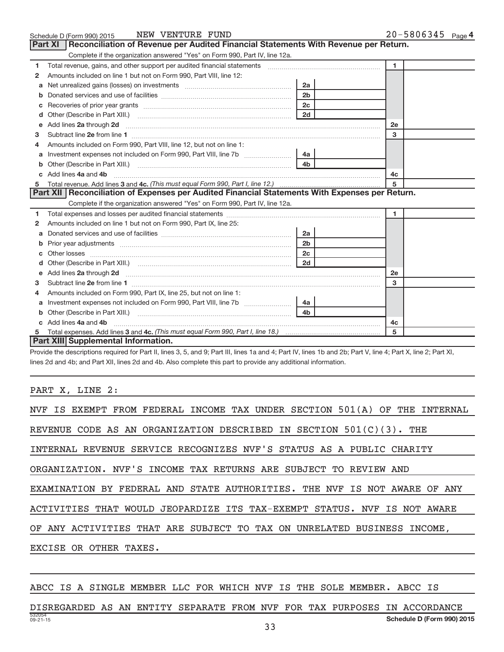|    | NEW VENTURE FUND<br>Schedule D (Form 990) 2015                                                                                                                                                                                                                          |                | 20-5806345 Page 4 |
|----|-------------------------------------------------------------------------------------------------------------------------------------------------------------------------------------------------------------------------------------------------------------------------|----------------|-------------------|
|    | <b>Part XI</b><br>Reconciliation of Revenue per Audited Financial Statements With Revenue per Return.                                                                                                                                                                   |                |                   |
|    | Complete if the organization answered "Yes" on Form 990, Part IV, line 12a.                                                                                                                                                                                             |                |                   |
| 1  | Total revenue, gains, and other support per audited financial statements [[[[[[[[[[[[[[[[[[[[[[]]]]]]]]]]]]]]                                                                                                                                                           |                | $\mathbf{1}$      |
| 2  | Amounts included on line 1 but not on Form 990, Part VIII, line 12:                                                                                                                                                                                                     |                |                   |
| a  |                                                                                                                                                                                                                                                                         | 2a             |                   |
| b  |                                                                                                                                                                                                                                                                         | 2 <sub>b</sub> |                   |
| с  |                                                                                                                                                                                                                                                                         | 2c             |                   |
| d  |                                                                                                                                                                                                                                                                         | 2d             |                   |
| е  | Add lines 2a through 2d <b>[10]</b> [20] <b>All and Parameter 2016</b> [20] <b>All and Parameter 2016</b> [20] <b>All and Parameter 2016</b> [20] <b>All and Parameter 2016</b> [20] <b>All and Parameter 2016</b> [20] <b>All and Parameter 2016</b> [20] <b>All a</b> |                | 2e                |
| 3  |                                                                                                                                                                                                                                                                         |                | 3                 |
|    | Amounts included on Form 990. Part VIII. line 12, but not on line 1:                                                                                                                                                                                                    |                |                   |
| a  |                                                                                                                                                                                                                                                                         | 4a             |                   |
| b  |                                                                                                                                                                                                                                                                         | 4 <sub>b</sub> |                   |
|    | Add lines 4a and 4b                                                                                                                                                                                                                                                     |                | 4c                |
| 5  |                                                                                                                                                                                                                                                                         |                | 5                 |
|    | Part XII Reconciliation of Expenses per Audited Financial Statements With Expenses per Return.                                                                                                                                                                          |                |                   |
|    | Complete if the organization answered "Yes" on Form 990, Part IV, line 12a.                                                                                                                                                                                             |                |                   |
| 1. |                                                                                                                                                                                                                                                                         |                | 1.                |
| 2  | Amounts included on line 1 but not on Form 990, Part IX, line 25:                                                                                                                                                                                                       |                |                   |
| a  |                                                                                                                                                                                                                                                                         | 2a             |                   |
| b  |                                                                                                                                                                                                                                                                         | 2 <sub>b</sub> |                   |
| c  | Other losses <b>communications</b> and the contract of the contract of the contract of the contract of the contract of the contract of the contract of the contract of the contract of the contract of the contract of the contract                                     | 2 <sub>c</sub> |                   |
|    |                                                                                                                                                                                                                                                                         | 2d             |                   |
| e  | Add lines 2a through 2d <b>[10]</b> University of the state of the state of the state of the state of the state of the state of the state of the state of the state of the state of the state of the state of the state of the stat                                     |                | <b>2e</b>         |
| з  |                                                                                                                                                                                                                                                                         |                | 3                 |
| 4  | Amounts included on Form 990, Part IX, line 25, but not on line 1:                                                                                                                                                                                                      |                |                   |
| a  |                                                                                                                                                                                                                                                                         | 4a             |                   |
| b  | Other (Describe in Part XIII.) <b>2000</b> 2000 2010 2010 2010 2010 2011 2010 2010 2010 2010 2010 2010 2010 2010 2010 2010 2010 2010 2010 2010 2010 2010 2010 2010 2010 2010 2010 2010 2010 2010 2010 2010 2010 2010 2010 2010 2010                                     | 4 <sub>b</sub> |                   |
|    | Add lines 4a and 4b                                                                                                                                                                                                                                                     |                | 4c                |
| 5  |                                                                                                                                                                                                                                                                         |                | 5                 |
|    | <b>Part XIII Supplemental Information.</b>                                                                                                                                                                                                                              |                |                   |

Provide the descriptions required for Part II, lines 3, 5, and 9; Part III, lines 1a and 4; Part IV, lines 1b and 2b; Part V, line 4; Part X, line 2; Part XI, lines 2d and 4b; and Part XII, lines 2d and 4b. Also complete this part to provide any additional information.

PART X, LINE 2:

| NVF IS EXEMPT FROM FEDERAL INCOME TAX UNDER SECTION 501(A) OF THE INTERNAL |  |  |  |  |  |
|----------------------------------------------------------------------------|--|--|--|--|--|
| REVENUE CODE AS AN ORGANIZATION DESCRIBED IN SECTION 501(C)(3). THE        |  |  |  |  |  |
| INTERNAL REVENUE SERVICE RECOGNIZES NVF'S STATUS AS A PUBLIC CHARITY       |  |  |  |  |  |
| ORGANIZATION. NVF'S INCOME TAX RETURNS ARE SUBJECT TO REVIEW AND           |  |  |  |  |  |
| EXAMINATION BY FEDERAL AND STATE AUTHORITIES. THE NVF IS NOT AWARE OF ANY  |  |  |  |  |  |
| ACTIVITIES THAT WOULD JEOPARDIZE ITS TAX-EXEMPT STATUS. NVF IS NOT AWARE   |  |  |  |  |  |
| OF ANY ACTIVITIES THAT ARE SUBJECT TO TAX ON UNRELATED BUSINESS INCOME,    |  |  |  |  |  |
| EXCISE OR OTHER TAXES.                                                     |  |  |  |  |  |

#### ABCC IS A SINGLE MEMBER LLC FOR WHICH NVF IS THE SOLE MEMBER. ABCC IS

532054 09-21-15 **Schedule D (Form 990) 2015** DISREGARDED AS AN ENTITY SEPARATE FROM NVF FOR TAX PURPOSES IN ACCORDANCE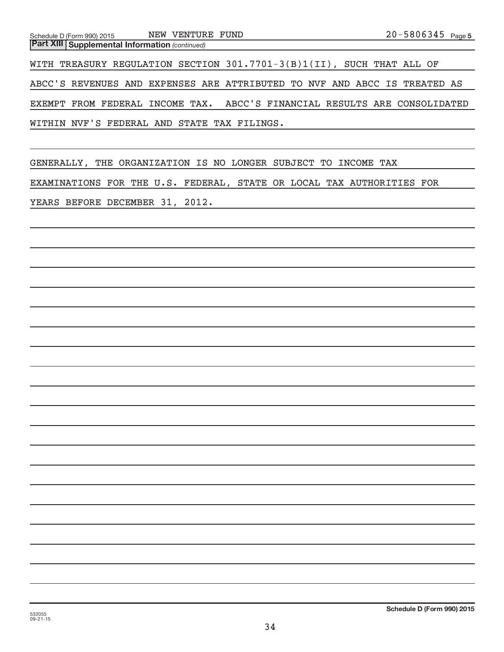**Part XIII | Supplemental Information** (continued)

WITH TREASURY REGULATION SECTION 301.7701-3(B)1(II), SUCH THAT ALL OF ABCC'S REVENUES AND EXPENSES ARE ATTRIBUTED TO NVF AND ABCC IS TREATED AS EXEMPT FROM FEDERAL INCOME TAX. ABCC'S FINANCIAL RESULTS ARE CONSOLIDATED WITHIN NVF'S FEDERAL AND STATE TAX FILINGS.

GENERALLY, THE ORGANIZATION IS NO LONGER SUBJECT TO INCOME TAX EXAMINATIONS FOR THE U.S. FEDERAL, STATE OR LOCAL TAX AUTHORITIES FOR YEARS BEFORE DECEMBER 31, 2012.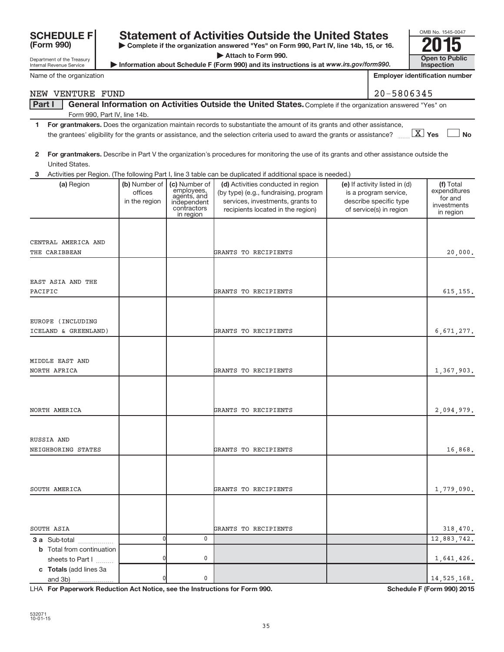| Department of the Treasury<br>Internal Revenue Service |                          |                                                                      | $\blacktriangleright$ Attach to Form 990.<br>Information about Schedule F (Form 990) and its instructions is at www.irs.gov/form990.                                                                                                                                          |                                                                            | <b>Open to Public</b><br>Inspection                 |
|--------------------------------------------------------|--------------------------|----------------------------------------------------------------------|-------------------------------------------------------------------------------------------------------------------------------------------------------------------------------------------------------------------------------------------------------------------------------|----------------------------------------------------------------------------|-----------------------------------------------------|
| Name of the organization                               |                          |                                                                      |                                                                                                                                                                                                                                                                               |                                                                            | <b>Employer identification number</b>               |
| NEW VENTURE FUND                                       |                          |                                                                      |                                                                                                                                                                                                                                                                               | 20-5806345                                                                 |                                                     |
| Part I                                                 |                          |                                                                      | General Information on Activities Outside the United States. Complete if the organization answered "Yes" on                                                                                                                                                                   |                                                                            |                                                     |
| Form 990, Part IV, line 14b.                           |                          |                                                                      |                                                                                                                                                                                                                                                                               |                                                                            |                                                     |
| 1.                                                     |                          |                                                                      | For grantmakers. Does the organization maintain records to substantiate the amount of its grants and other assistance,<br>the grantees' eligibility for the grants or assistance, and the selection criteria used to award the grants or assistance? $\boxed{\textbf{X}}$ Yes |                                                                            | <b>No</b>                                           |
| $\mathbf{2}$<br>United States.                         |                          |                                                                      | For grantmakers. Describe in Part V the organization's procedures for monitoring the use of its grants and other assistance outside the                                                                                                                                       |                                                                            |                                                     |
| 3<br>(a) Region                                        | (b) Number of            | (c) Number of                                                        | Activities per Region. (The following Part I, line 3 table can be duplicated if additional space is needed.)<br>(d) Activities conducted in region                                                                                                                            | (e) If activity listed in (d)                                              | (f) Total                                           |
|                                                        | offices<br>in the region | employees,<br>agents, and<br>independent<br>contractors<br>in region | (by type) (e.g., fundraising, program<br>services, investments, grants to<br>recipients located in the region)                                                                                                                                                                | is a program service,<br>describe specific type<br>of service(s) in region | expenditures<br>for and<br>investments<br>in region |
|                                                        |                          |                                                                      |                                                                                                                                                                                                                                                                               |                                                                            |                                                     |
| CENTRAL AMERICA AND<br>THE CARIBBEAN                   |                          |                                                                      | GRANTS TO RECIPIENTS                                                                                                                                                                                                                                                          |                                                                            | 20,000.                                             |
|                                                        |                          |                                                                      |                                                                                                                                                                                                                                                                               |                                                                            |                                                     |
| EAST ASIA AND THE                                      |                          |                                                                      |                                                                                                                                                                                                                                                                               |                                                                            |                                                     |
| PACIFIC                                                |                          |                                                                      | GRANTS TO RECIPIENTS                                                                                                                                                                                                                                                          |                                                                            | 615, 155.                                           |
|                                                        |                          |                                                                      |                                                                                                                                                                                                                                                                               |                                                                            |                                                     |
| EUROPE (INCLUDING                                      |                          |                                                                      |                                                                                                                                                                                                                                                                               |                                                                            |                                                     |
| ICELAND & GREENLAND)                                   |                          |                                                                      | GRANTS TO RECIPIENTS                                                                                                                                                                                                                                                          |                                                                            | 6,671,277.                                          |
|                                                        |                          |                                                                      |                                                                                                                                                                                                                                                                               |                                                                            |                                                     |
| MIDDLE EAST AND<br>NORTH AFRICA                        |                          |                                                                      | GRANTS TO RECIPIENTS                                                                                                                                                                                                                                                          |                                                                            | 1,367,903.                                          |
|                                                        |                          |                                                                      |                                                                                                                                                                                                                                                                               |                                                                            |                                                     |
|                                                        |                          |                                                                      |                                                                                                                                                                                                                                                                               |                                                                            |                                                     |
| NORTH AMERICA                                          |                          |                                                                      | GRANTS TO RECIPIENTS                                                                                                                                                                                                                                                          |                                                                            | 2,094,979.                                          |
|                                                        |                          |                                                                      |                                                                                                                                                                                                                                                                               |                                                                            |                                                     |
| RUSSIA AND                                             |                          |                                                                      | GRANTS TO RECIPIENTS                                                                                                                                                                                                                                                          |                                                                            |                                                     |
| NEIGHBORING STATES                                     |                          |                                                                      |                                                                                                                                                                                                                                                                               |                                                                            | 16,868.                                             |
|                                                        |                          |                                                                      |                                                                                                                                                                                                                                                                               |                                                                            |                                                     |
| SOUTH AMERICA                                          |                          |                                                                      | GRANTS TO RECIPIENTS                                                                                                                                                                                                                                                          |                                                                            | 1,779,090.                                          |
|                                                        |                          |                                                                      |                                                                                                                                                                                                                                                                               |                                                                            |                                                     |
|                                                        |                          |                                                                      |                                                                                                                                                                                                                                                                               |                                                                            |                                                     |
| SOUTH ASIA                                             |                          |                                                                      | GRANTS TO RECIPIENTS                                                                                                                                                                                                                                                          |                                                                            | 318,470.                                            |
| 3 a Sub-total<br><b>b</b> Total from continuation      | 0                        | 0                                                                    |                                                                                                                                                                                                                                                                               |                                                                            | 12,883,742.                                         |
| sheets to Part I                                       |                          | 0                                                                    |                                                                                                                                                                                                                                                                               |                                                                            | 1,641,426.                                          |
| c Totals (add lines 3a<br>and 3b)                      |                          | 0                                                                    |                                                                                                                                                                                                                                                                               |                                                                            | 14, 525, 168.                                       |

**| Complete if the organization answered "Yes" on Form 990, Part IV, line 14b, 15, or 16. | Attach to Form 990.**

Statement of Activities Outside the United States<br>  $\triangleright$  Complete if the organization answered "Yes" on Form 990, Part IV, line 14b, 15, or 16.<br>  $\triangleright$  Attach to Form 990.

LHA For Paperwork Reduction Act Notice, see the Instructions for Form 990. Shand the Schedule F (Form 990) 2015

OMB No. 1545-0047

**(Form 990)**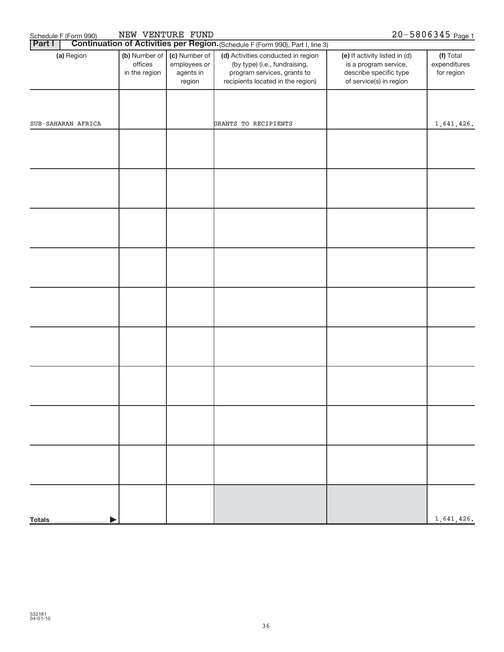| NEW VENTURE FUND<br>20-5806345 Page 1<br>Schedule F (Form 990) |                                           |                                                      |                                                                                                                                         |                                                                                                             |                                         |  |  |
|----------------------------------------------------------------|-------------------------------------------|------------------------------------------------------|-----------------------------------------------------------------------------------------------------------------------------------------|-------------------------------------------------------------------------------------------------------------|-----------------------------------------|--|--|
| <b>Part I</b>                                                  |                                           |                                                      | Continuation of Activities per Region. (Schedule F (Form 990), Part I, line 3)                                                          |                                                                                                             |                                         |  |  |
| (a) Region                                                     | (b) Number of<br>offices<br>in the region | (c) Number of<br>employees or<br>agents in<br>region | (d) Activities conducted in region<br>(by type) (i.e., fundraising,<br>program services, grants to<br>recipients located in the region) | (e) If activity listed in (d)<br>is a program service,<br>describe specific type<br>of service(s) in region | (f) Total<br>expenditures<br>for region |  |  |
|                                                                |                                           |                                                      |                                                                                                                                         |                                                                                                             |                                         |  |  |
| SUB-SAHARAN AFRICA                                             |                                           |                                                      | GRANTS TO RECIPIENTS                                                                                                                    |                                                                                                             | 1,641,426.                              |  |  |
|                                                                |                                           |                                                      |                                                                                                                                         |                                                                                                             |                                         |  |  |
|                                                                |                                           |                                                      |                                                                                                                                         |                                                                                                             |                                         |  |  |
|                                                                |                                           |                                                      |                                                                                                                                         |                                                                                                             |                                         |  |  |
|                                                                |                                           |                                                      |                                                                                                                                         |                                                                                                             |                                         |  |  |
|                                                                |                                           |                                                      |                                                                                                                                         |                                                                                                             |                                         |  |  |
|                                                                |                                           |                                                      |                                                                                                                                         |                                                                                                             |                                         |  |  |
|                                                                |                                           |                                                      |                                                                                                                                         |                                                                                                             |                                         |  |  |
|                                                                |                                           |                                                      |                                                                                                                                         |                                                                                                             |                                         |  |  |
|                                                                |                                           |                                                      |                                                                                                                                         |                                                                                                             |                                         |  |  |
|                                                                |                                           |                                                      |                                                                                                                                         |                                                                                                             |                                         |  |  |
| <b>Totals</b>                                                  |                                           |                                                      |                                                                                                                                         |                                                                                                             | 1,641,426.                              |  |  |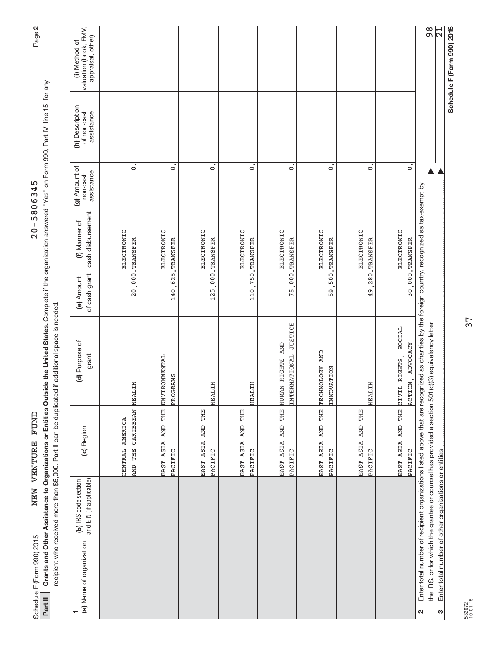| Page 2                                                                                                                                                                                      |                                                             |                                                 |                                         |                                  |                              |                              |                                           |                                        |                              |                                                       | $\frac{8}{9}$                                                                                                                                                                | $\frac{1}{2}$                                              |  |
|---------------------------------------------------------------------------------------------------------------------------------------------------------------------------------------------|-------------------------------------------------------------|-------------------------------------------------|-----------------------------------------|----------------------------------|------------------------------|------------------------------|-------------------------------------------|----------------------------------------|------------------------------|-------------------------------------------------------|------------------------------------------------------------------------------------------------------------------------------------------------------------------------------|------------------------------------------------------------|--|
| Grants and Other Assistance to Organizations or Entities Outside the United States. Complete if the organization answered "Yes" on Form 990, Part IV, line 15, for any<br>5806345<br>$-0.5$ | valuation (book, FMV,<br>appraisal, other)<br>(i) Method of |                                                 |                                         |                                  |                              |                              |                                           |                                        |                              |                                                       |                                                                                                                                                                              | Schedule F (Form 990) 2015                                 |  |
|                                                                                                                                                                                             |                                                             | (h) Description<br>of non-cash<br>assistance    |                                         |                                  |                              |                              |                                           |                                        |                              |                                                       |                                                                                                                                                                              |                                                            |  |
|                                                                                                                                                                                             | (g) Amount of<br>assistance<br>non-cash                     | $\circ$                                         | $\circ$                                 | $\circ$                          | $\circ$                      | $\circ$                      | $\circ$                                   | $\circ$                                | $\circ$                      |                                                       |                                                                                                                                                                              |                                                            |  |
|                                                                                                                                                                                             |                                                             | cash disbursement<br>(f) Manner of              | ELECTRONIC<br>20,000. TRANSFER          | <b>ELECTRONIC</b><br>TRANSFER    | ELECTRONIC<br>TRANSFER       | ELECTRONIC<br>TRANSFER       | ELECTRONIC<br>TRANSFER                    | ELECTRONIC<br>TRANSFER                 | ELECTRONIC<br>TRANSFER       | ELECTRONIC<br>TRANSFER                                |                                                                                                                                                                              |                                                            |  |
|                                                                                                                                                                                             |                                                             | of cash grant<br>(e) Amount                     |                                         | 140,625.                         | 125,000.                     | 110, 750.                    | 75,000.                                   | 500.<br>Ō<br>5                         | 280.<br>49                   | $30,000$ .                                            |                                                                                                                                                                              |                                                            |  |
| recipient who received more than \$5,000. Part II can be duplicated if additional space is needed                                                                                           |                                                             | (d) Purpose of<br>grant                         | HEALTH                                  | <b>ENVIRONMENTAL</b><br>PROGRAMS | HEALTH                       | HEALTH                       | INTERNATIONAL JUSTICE<br>HUMAN RIGHTS AND | <b>AND</b><br>TECHNOLOGY<br>INNOVATION | HEALTH                       | SOCIAL<br><b>ADVOCACY</b><br>CIVIL RIGHTS,<br>ACTION, | Enter total number of recipient organizations listed above that are recognized as charities by the foreign country, recognized as tax-exempt by<br>(c)(3) equivalency letter |                                                            |  |
| NEW VENTURE FUND                                                                                                                                                                            |                                                             | (c) Region                                      | CARIBBEAN<br>CENTRAL AMERICA<br>AND THE | EAST ASIA AND THE<br>PACIFIC     | EAST ASIA AND THE<br>PACIFIC | EAST ASIA AND THE<br>PACIFIC | EAST ASIA AND THE<br>PACIFIC              | AND THE<br>EAST ASIA<br>PACIFIC        | EAST ASIA AND THE<br>PACIFIC | THE<br>AND<br>EAST ASIA<br>PACIFIC                    | the IRS, or for which the grantee or counsel has provided a section 501                                                                                                      |                                                            |  |
|                                                                                                                                                                                             |                                                             | and EIN (if applicable)<br>(b) IRS code section |                                         |                                  |                              |                              |                                           |                                        |                              |                                                       |                                                                                                                                                                              |                                                            |  |
| Schedule F (Form 990) 2015                                                                                                                                                                  | Part II                                                     | (a) Name of organization                        |                                         |                                  |                              |                              |                                           |                                        |                              |                                                       | $\mathbf{\Omega}$                                                                                                                                                            | Enter total number of other organizations or entities<br>S |  |

 $20 - 5806345$ NEW VENTURE FUND 20-5806345

37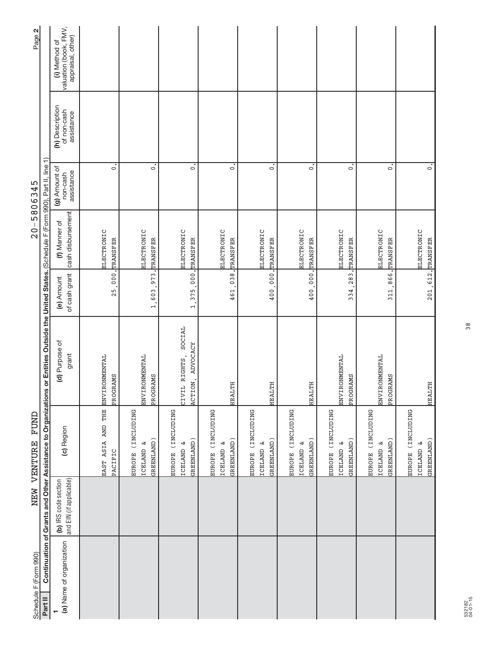| Schedule F (Form 990)    |                                                 | NEW VENTURE FUND                                         |                                                                                                                                              |                             |                                    | $20 - 5806345$                          |                                              | Page 2                                                      |
|--------------------------|-------------------------------------------------|----------------------------------------------------------|----------------------------------------------------------------------------------------------------------------------------------------------|-----------------------------|------------------------------------|-----------------------------------------|----------------------------------------------|-------------------------------------------------------------|
| Part II                  |                                                 |                                                          | Continuation of Grants and Other Assistance to Organizations or Entities Outside the United States. (Schedule F (Form 990), Part II, line 1) |                             |                                    |                                         |                                              |                                                             |
| (a) Name of organization | and EIN (if applicable)<br>(b) IRS code section | (c) Region                                               | (d) Purpose of<br>grant                                                                                                                      | of cash grant<br>(e) Amount | cash disbursement<br>(f) Manner of | (g) Amount of<br>assistance<br>non-cash | (h) Description<br>of non-cash<br>assistance | valuation (book, FMV,<br>appraisal, other)<br>(i) Method of |
|                          |                                                 | EAST ASIA AND THE                                        | <b>ENVIRONMENTAL</b>                                                                                                                         |                             | ELECTRONIC                         |                                         |                                              |                                                             |
|                          |                                                 | PACIFIC                                                  | PROGRAMS                                                                                                                                     | 25,000.                     | TRANSFER                           | $\circ$                                 |                                              |                                                             |
|                          |                                                 | EUROPE (INCLUDING                                        |                                                                                                                                              |                             |                                    |                                         |                                              |                                                             |
|                          |                                                 | ಚ<br><b>ICELAND</b>                                      | ENVIRONMENTAL                                                                                                                                | $-973.$<br>1,603            | ELECTRONIC                         | $\circ$                                 |                                              |                                                             |
|                          |                                                 | GREENLAND)                                               | PROGRAMS                                                                                                                                     |                             | <b>TRANSFER</b>                    |                                         |                                              |                                                             |
|                          |                                                 | EUROPE (INCLUDING<br>GREENLAND)<br>ICELAND &             | SOCIAL<br>ACTION, ADVOCACY<br>CIVIL RIGHTS,                                                                                                  | 1, 375, 000. TRANSFER       | ELECTRONIC                         | $\dot{\circ}$                           |                                              |                                                             |
|                          |                                                 |                                                          |                                                                                                                                              |                             |                                    |                                         |                                              |                                                             |
|                          |                                                 | EUROPE (INCLUDING<br>GREENLAND)<br>ಚ<br><b>ICELAND</b>   | HEALTH                                                                                                                                       | 461,038. TRANSFER           | ELECTRONIC                         | $\circ$                                 |                                              |                                                             |
|                          |                                                 | <b>SNITOTIAL</b><br>ఆ<br><b>TCELAND</b><br><b>EUROPE</b> |                                                                                                                                              |                             | ELECTRONIC                         |                                         |                                              |                                                             |
|                          |                                                 | GREENLAND)                                               | HEALTH                                                                                                                                       | 400,000.                    | TRANSFER                           | $\circ$                                 |                                              |                                                             |
|                          |                                                 | EUROPE (INCLUDING<br>ىئ<br><b>ICELAND</b>                |                                                                                                                                              |                             | ELECTRONIC                         |                                         |                                              |                                                             |
|                          |                                                 | GREENLAND)                                               | HEALTH                                                                                                                                       | 400,000. TRANSFER           |                                    | $\circ$                                 |                                              |                                                             |
|                          |                                                 | EUROPE (INCLUDING<br>ICELAND <sub>&amp;</sub>            | <b>ENVIRONMENTAL</b>                                                                                                                         |                             | ELECTRONIC                         |                                         |                                              |                                                             |
|                          |                                                 | GREENLAND)                                               | PROGRAMS                                                                                                                                     | 334, 283.                   | TRANSFER                           | $\circ$                                 |                                              |                                                             |
|                          |                                                 | EUROPE (INCLUDING                                        |                                                                                                                                              |                             |                                    |                                         |                                              |                                                             |
|                          |                                                 | ట<br><b>ICELAND</b>                                      | ENVIRONMENTAL                                                                                                                                |                             | ELECTRONIC                         |                                         |                                              |                                                             |
|                          |                                                 | GREENLAND)                                               | PROGRAMS                                                                                                                                     | 311.                        | 866. TRANSFER                      | $\dot{\circ}$                           |                                              |                                                             |
|                          |                                                 | EUROPE (INCLUDING                                        |                                                                                                                                              |                             |                                    |                                         |                                              |                                                             |
|                          |                                                 | ઝ<br><b>TCELAND</b>                                      |                                                                                                                                              |                             | <b>ELECTRONIC</b>                  |                                         |                                              |                                                             |
|                          |                                                 | GREENLAND)                                               | <b>HEALTH</b>                                                                                                                                | 201, 612. TRANSFER          |                                    | $\circ$                                 |                                              |                                                             |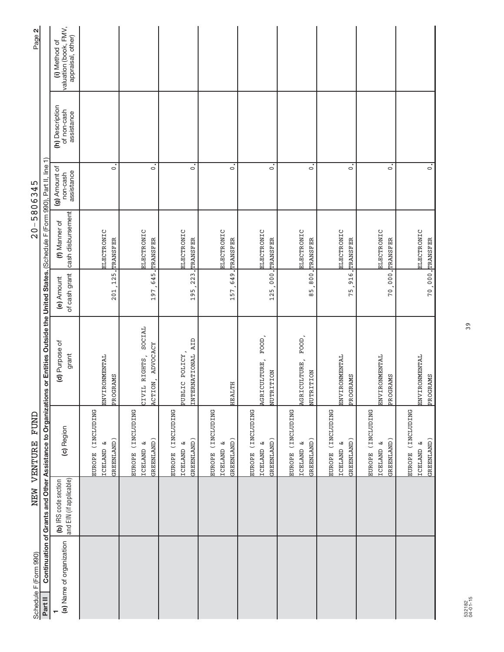| Schedule F (Form 990)    |                                                 | FUND<br>NEW VENTURE                                                    |                                                                                                                                           |                             |                                    | $20 - 5806345$                          |                                              | Page 2                                                      |
|--------------------------|-------------------------------------------------|------------------------------------------------------------------------|-------------------------------------------------------------------------------------------------------------------------------------------|-----------------------------|------------------------------------|-----------------------------------------|----------------------------------------------|-------------------------------------------------------------|
| Part II                  |                                                 |                                                                        | Continuation of Grants and Other Assistance to Organizations or Entities Outside the United States. (Schedule F (Form 990), Part II, line |                             |                                    | ╤                                       |                                              |                                                             |
| (a) Name of organization | and EIN (if applicable)<br>(b) IRS code section | (c) Region                                                             | (d) Purpose of<br>grant                                                                                                                   | of cash grant<br>(e) Amount | cash disbursement<br>(f) Manner of | (g) Amount of<br>assistance<br>non-cash | (h) Description<br>of non-cash<br>assistance | valuation (book, FMV,<br>appraisal, other)<br>(i) Method of |
|                          |                                                 | <b>SNITILITY</b><br>ఆ<br><b>ICELAND</b><br>EUROPE                      | <b>ENVIRONMENTAL</b>                                                                                                                      |                             | ELECTRONIC                         |                                         |                                              |                                                             |
|                          |                                                 | GREENLAND)                                                             | PROGRAMS                                                                                                                                  | 201, 125.                   | TRANSFER                           | $\circ$                                 |                                              |                                                             |
|                          |                                                 | EUROPE (INCLUDING                                                      |                                                                                                                                           |                             |                                    |                                         |                                              |                                                             |
|                          |                                                 | GREENLAND)<br>B<br><b>ICELAND</b>                                      | SOCIAL<br>ADVOCACY<br>CIVIL RIGHTS,<br>ACTION,                                                                                            | 197, 645. TRANSFER          | ELECTRONIC                         | $\circ$                                 |                                              |                                                             |
|                          |                                                 |                                                                        |                                                                                                                                           |                             |                                    |                                         |                                              |                                                             |
|                          |                                                 | EUROPE (INCLUDING<br>ಚ<br><b>ICELAND</b>                               | PUBLIC POLICY,                                                                                                                            |                             | ELECTRONIC                         |                                         |                                              |                                                             |
|                          |                                                 | GREENLAND)                                                             | INTERNATIONAL AID                                                                                                                         | 195, 223. TRANSFER          |                                    | $\ddot{\circ}$                          |                                              |                                                             |
|                          |                                                 | EUROPE (INCLUDING                                                      |                                                                                                                                           |                             |                                    |                                         |                                              |                                                             |
|                          |                                                 | GREENLAND)<br>ఆ<br><b>ICELAND</b>                                      | HEALTH                                                                                                                                    | 157,649. TRANSFER           | ELECTRONIC                         | $\circ$                                 |                                              |                                                             |
|                          |                                                 |                                                                        |                                                                                                                                           |                             |                                    |                                         |                                              |                                                             |
|                          |                                                 | <b>SNITIDENS</b><br>GREENLAND)<br>ఆ<br><b>TCELAND</b><br><b>EUROPE</b> | FOOD,<br>AGRICULTURE,<br>NUTRITION                                                                                                        | 125,000.                    | ELECTRONIC<br>TRANSFER             | $\circ$                                 |                                              |                                                             |
|                          |                                                 |                                                                        |                                                                                                                                           |                             |                                    |                                         |                                              |                                                             |
|                          |                                                 | EUROPE (INCLUDING<br>B<br><b>ICELAND</b>                               | FOOD,<br>AGRICULTURE,                                                                                                                     |                             | ELECTRONIC                         |                                         |                                              |                                                             |
|                          |                                                 | GREENLAND)                                                             | NUTRITION                                                                                                                                 |                             | 85,800. TRANSFER                   | $\circ$                                 |                                              |                                                             |
|                          |                                                 | EUROPE (INCLUDING                                                      |                                                                                                                                           |                             |                                    |                                         |                                              |                                                             |
|                          |                                                 | ICELAND <sub>&amp;</sub>                                               | <b>ENVIRONMENTAL</b>                                                                                                                      |                             | ELECTRONIC                         |                                         |                                              |                                                             |
|                          |                                                 | GREENLAND)                                                             | PROGRAMS                                                                                                                                  |                             | 75, 916. TRANSFER                  | $\circ$                                 |                                              |                                                             |
|                          |                                                 | <b>SNITIONAL</b><br><b>EUROPE</b>                                      |                                                                                                                                           |                             |                                    |                                         |                                              |                                                             |
|                          |                                                 | ట<br><b>ICELAND</b>                                                    | ENVIRONMENTAL                                                                                                                             |                             | ELECTRONIC                         |                                         |                                              |                                                             |
|                          |                                                 | GREENLAND)                                                             | PROGRAMS                                                                                                                                  |                             | 70,000, TRANSFER                   | $\mathbf{c}$                            |                                              |                                                             |
|                          |                                                 | EUROPE (INCLUDING                                                      |                                                                                                                                           |                             |                                    |                                         |                                              |                                                             |
|                          |                                                 | ઝ<br><b>TCELAND</b>                                                    | ENVIRONMENTAL                                                                                                                             |                             | <b>ELECTRONIC</b>                  |                                         |                                              |                                                             |
|                          |                                                 | GREENLAND)                                                             | PROGRAMS                                                                                                                                  |                             | 70,000. TRANSFER                   | $\dot{\circ}$                           |                                              |                                                             |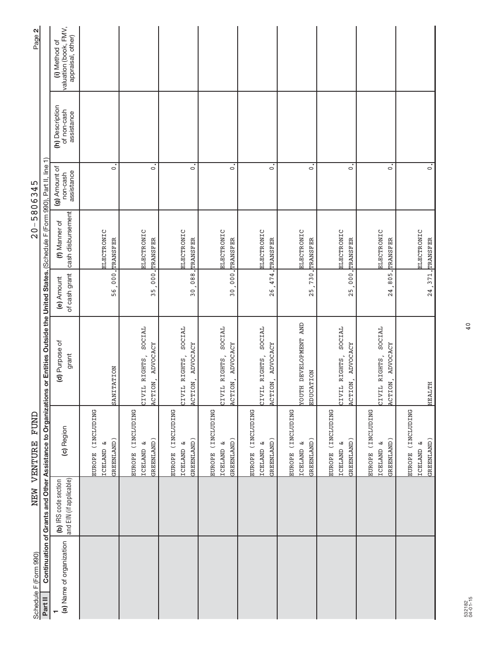| Schedule F (Form 990)    |                                                 | FUND<br>NEW VENTURE                                                    |                                                                                                                                           |                             | $20 - 5806345$                       |                                         |                                              | Page 2                                                      |
|--------------------------|-------------------------------------------------|------------------------------------------------------------------------|-------------------------------------------------------------------------------------------------------------------------------------------|-----------------------------|--------------------------------------|-----------------------------------------|----------------------------------------------|-------------------------------------------------------------|
| Part II                  |                                                 |                                                                        | Continuation of Grants and Other Assistance to Organizations or Entities Outside the United States. (Schedule F (Form 990), Part II, line |                             |                                      |                                         |                                              |                                                             |
| (a) Name of organization | and EIN (if applicable)<br>(b) IRS code section | (c) Region                                                             | (d) Purpose of<br>grant                                                                                                                   | of cash grant<br>(e) Amount | cash disbursement<br>(f) Manner of   | (g) Amount of<br>assistance<br>non-cash | (h) Description<br>of non-cash<br>assistance | valuation (book, FMV,<br>appraisal, other)<br>(i) Method of |
|                          |                                                 | EUROPE (INCLUDING<br>ઝ<br><b>TCELAND</b>                               |                                                                                                                                           |                             | ELECTRONIC                           |                                         |                                              |                                                             |
|                          |                                                 | GREENLAND)                                                             | SANITATION                                                                                                                                | 56,000.                     | TRANSFER                             | $\circ$                                 |                                              |                                                             |
|                          |                                                 | EUROPE (INCLUDING                                                      |                                                                                                                                           |                             |                                      |                                         |                                              |                                                             |
|                          |                                                 | GREENLAND)<br>ω<br><b>TCELAND</b>                                      | SOCIAL<br>ACTION, ADVOCACY<br>CIVIL RIGHTS,                                                                                               | 35.                         | ELECTRONIC<br>000. TRANSFER          | $\overline{\bullet}$                    |                                              |                                                             |
|                          |                                                 | EUROPE (INCLUDING<br>GREENLAND)<br>ω<br><b>TCELAND</b>                 | SOCIAL<br>ACTION, ADVOCACY<br>CIVIL RIGHTS,                                                                                               |                             | ELECTRONIC<br>30,088. TRANSFER       | $\ddot{\circ}$                          |                                              |                                                             |
|                          |                                                 | EUROPE (INCLUDING<br>ఆ<br><b>TCELAND</b>                               | SOCIAL<br>CIVIL RIGHTS,                                                                                                                   | $\frac{1}{2}$               | <b>ELECTRONIC</b>                    |                                         |                                              |                                                             |
|                          |                                                 | GREENLAND)                                                             | <b>ADVOCACY</b><br>ACTION,                                                                                                                |                             | 000. TRANSFER                        | $\circ$                                 |                                              |                                                             |
|                          |                                                 | <b>DNITIONAL</b><br>GREENLAND)<br>ઝ<br><b>TCELAND</b><br><b>EUROPE</b> | SOCIAL<br><b>ADVOCACY</b><br>CIVIL RIGHTS,<br>ACTION,                                                                                     | 474.<br>26                  | <b>ELECTRONIC</b><br><b>TRANSFER</b> | $\circ$                                 |                                              |                                                             |
|                          |                                                 | EUROPE (INCLUDING                                                      |                                                                                                                                           |                             |                                      |                                         |                                              |                                                             |
|                          |                                                 | GREENLAND)<br>ಚ<br><b>ICELAND</b>                                      | <b>TOUTH DEVELOPMENT AND</b><br>EDUCATION                                                                                                 | 25                          | ELECTRONIC<br>730. TRANSFER          | $\overline{\bullet}$                    |                                              |                                                             |
|                          |                                                 | EUROPE (INCLUDING                                                      |                                                                                                                                           |                             |                                      |                                         |                                              |                                                             |
|                          |                                                 | GREENLAND)<br>w<br><b>TCELAND</b>                                      | CIVIL RIGHTS, SOCIAL<br>ACTION, ADVOCACY                                                                                                  |                             | ELECTRONIC<br>25,000. TRANSFER       | $\circ$                                 |                                              |                                                             |
|                          |                                                 | (INCLUDING<br><b>EUROPE</b>                                            |                                                                                                                                           |                             |                                      |                                         |                                              |                                                             |
|                          |                                                 | GREENLAND)<br>ఆ<br><b>TCELAND</b>                                      | SOCIAL<br><b>ADVOCACY</b><br>CIVIL RIGHTS,<br>ACTION,                                                                                     | 1.805<br>24                 | ELECTRONIC<br>TRANSFER               | $\circ$                                 |                                              |                                                             |
|                          |                                                 | EUROPE (INCLUDING                                                      |                                                                                                                                           |                             |                                      |                                         |                                              |                                                             |
|                          |                                                 | ى<br><b>TCELAND</b>                                                    |                                                                                                                                           |                             | ELECTRONIC                           |                                         |                                              |                                                             |
|                          |                                                 | GREENLAND)                                                             | HEALTH                                                                                                                                    |                             | 24, 371. TRANSFER                    | $\dot{\circ}$                           |                                              |                                                             |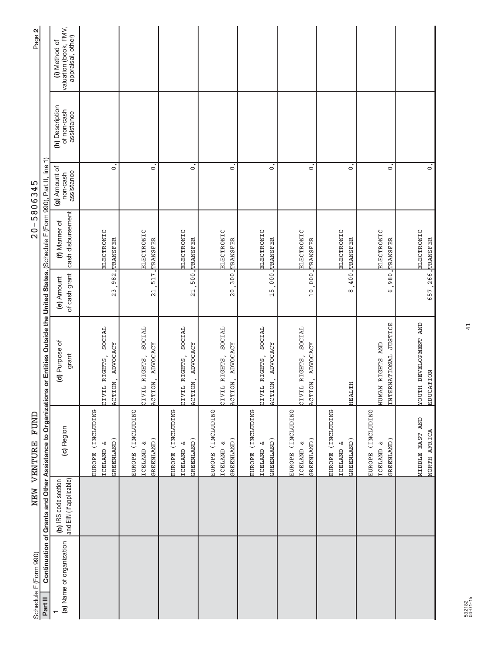| Schedule F (Form 990)    |                                                 | FUND<br>NEW VENTURE                                              |                                                                                                                                           |                                   | $20 - 5806345$                     |                                         |                                              | Page 2                                                      |
|--------------------------|-------------------------------------------------|------------------------------------------------------------------|-------------------------------------------------------------------------------------------------------------------------------------------|-----------------------------------|------------------------------------|-----------------------------------------|----------------------------------------------|-------------------------------------------------------------|
| Part II                  |                                                 |                                                                  | Continuation of Grants and Other Assistance to Organizations or Entities Outside the United States. (Schedule F (Form 990), Part II, line |                                   |                                    |                                         |                                              |                                                             |
| (a) Name of organization | and EIN (if applicable)<br>(b) IRS code section | (c) Region                                                       | (d) Purpose of<br>grant                                                                                                                   | of cash grant<br>(e) Amount       | cash disbursement<br>(f) Manner of | (g) Amount of<br>assistance<br>non-cash | (h) Description<br>of non-cash<br>assistance | valuation (book, FMV,<br>appraisal, other)<br>(i) Method of |
|                          |                                                 | EUROPE (INCLUDING<br>GREENLAND)<br>ఆ<br><b>TCELAND</b>           | SOCIAL<br>ADVOCACY<br>CIVIL RIGHTS,<br>ACTION,                                                                                            | 23,982.                           | ELECTRONIC<br>TRANSFER             | $\circ$                                 |                                              |                                                             |
|                          |                                                 | EUROPE (INCLUDING<br>GREENLAND)<br>ಜ<br><b>TCELAND</b>           | SOCIAL<br>ACTION, ADVOCACY<br>CIVIL RIGHTS,                                                                                               | $\frac{1}{2}$                     | ELECTRONIC<br>517. TRANSFER        | $\circ$                                 |                                              |                                                             |
|                          |                                                 | EUROPE (INCLUDING<br>GREENLAND)<br>ω<br><b>TCELAND</b>           | SOCIAL<br>ACTION, ADVOCACY<br>CIVIL RIGHTS,                                                                                               |                                   | ELECTRONIC<br>21,500. TRANSFER     | $\circ$                                 |                                              |                                                             |
|                          |                                                 | (INCLUDING<br>GREENLAND)<br>ఆ<br><b>TCELAND</b><br><b>EUROPE</b> | SOCIAL<br>ADVOCACY<br>CIVIL RIGHTS,<br>ACTION,                                                                                            |                                   | ELECTRONIC<br>20,300. TRANSFER     | $\circ$                                 |                                              |                                                             |
|                          |                                                 | EUROPE (INCLUDING<br>GREENLAND)<br>ఆ<br><b>ICELAND</b>           | SOCIAL<br><b>ADVOCACY</b><br>CIVIL RIGHTS,<br>ACTION,                                                                                     | $\frac{1}{2}000$<br>$\frac{5}{1}$ | ELECTRONIC<br>TRANSFER             | $\circ$                                 |                                              |                                                             |
|                          |                                                 | EUROPE (INCLUDING<br>GREENLAND)<br>ಳ<br><b>ICELAND</b>           | SOCIAL<br>ACTION, ADVOCACY<br>CIVIL RIGHTS,                                                                                               |                                   | ELECTRONIC<br>10,000. TRANSFER     | $\circ$                                 |                                              |                                                             |
|                          |                                                 | EUROPE (INCLUDING<br>GREENLAND)<br>ىغ<br><b>TCELAND</b>          | HEALTH                                                                                                                                    | 8,400.                            | <b>ELECTRONIC</b><br>TRANSFER      | $\circ$                                 |                                              |                                                             |
|                          |                                                 | (INCLUDING<br>GREENLAND)<br>ట<br><b>ICELAND</b><br><b>EUROPE</b> | INTERNATIONAL JUSTICE<br>HUMAN RIGHTS AND                                                                                                 | ,980,<br>$\circ$                  | ELECTRONIC<br>TRANSFER             | $\circ$                                 |                                              |                                                             |
|                          |                                                 | MIDDLE EAST AND<br>NORTH AFRICA                                  | <b>TOUTH DEVELOPMENT AND</b><br><b>EDUCATION</b>                                                                                          | 657, 266. TRANSFER                | ELECTRONIC                         | $\dot{\circ}$                           |                                              |                                                             |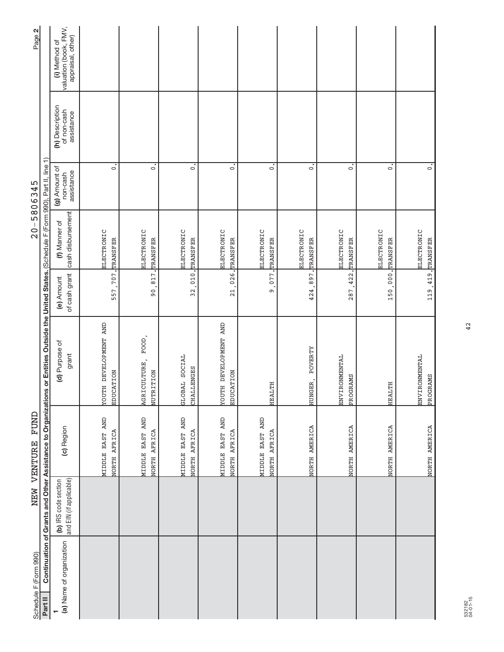| $\circ$      | $\dot{\circ}$                                          | $\ddot{\circ}$<br>$\circ$                              | $\circ$                         | $\dot{\circ}$      | $\circ$                   | $\dot{\circ}$     |
|--------------|--------------------------------------------------------|--------------------------------------------------------|---------------------------------|--------------------|---------------------------|-------------------|
| TRANSFER     | ELECTRONIC<br>ELECTRONIC                               | ELECTRONIC<br>TRANSFER                                 | ELECTRONIC<br>TRANSFER          | ELECTRONIC         | ELECTRONIC                | <b>ELECTRONIC</b> |
| 557,707.     |                                                        |                                                        | o                               |                    |                           |                   |
| EDUCATION    | $FOOD$ ,<br>GLOBAL SOCIAL<br>AGRICULTURE,<br>NUTRITION | <b>CINY LNEAGOLEAE HLOA</b><br>CHALLENGES<br>EDUCATION | HEALTH                          | POVERTY<br>HUNGER, | ENVIRONMENTAL<br>PROGRAMS | HEALTH            |
| NORTH AFRICA | MIDDLE EAST AND<br>MIDDLE EAST AND<br>NORTH AFRICA     | MIDDLE EAST AND<br>NORTH AFRICA<br>AFRICA<br>NORTH     | MIDDLE EAST AND<br>NORTH AFRICA | NORTH AMERICA      | NORTH AMERICA             | NORTH AMERICA     |
|              |                                                        |                                                        |                                 |                    |                           |                   |
|              | 90, 817. TRANSFER                                      | 32,010. TRANSFER<br>21,026.                            | .077.                           | 424,897. TRANSFER  | 287, 422. TRANSFER        | 150,000. TRANSFER |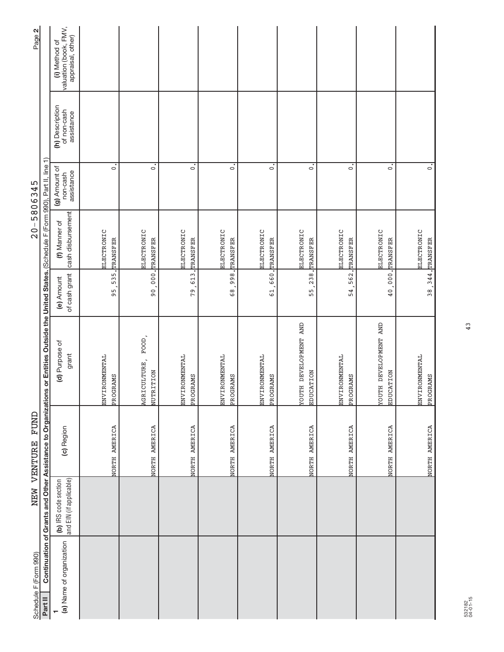| Schedule F (Form 990)    |                                                 | NEW VENTURE FUND |                                                                                                                                              |                                     | $20 - 5806345$                         |                                         |                                              | Page 2                                                      |
|--------------------------|-------------------------------------------------|------------------|----------------------------------------------------------------------------------------------------------------------------------------------|-------------------------------------|----------------------------------------|-----------------------------------------|----------------------------------------------|-------------------------------------------------------------|
| Part II                  |                                                 |                  | Continuation of Grants and Other Assistance to Organizations or Entities Outside the United States. (Schedule F (Form 990), Part II, line 1) |                                     |                                        |                                         |                                              |                                                             |
| (a) Name of organization | and EIN (if applicable)<br>(b) IRS code section | (c) Region       | (d) Purpose of<br>grant                                                                                                                      | of cash grant<br>(e) Amount         | cash disbursement<br>(f) Manner of     | (g) Amount of<br>assistance<br>non-cash | (h) Description<br>of non-cash<br>assistance | valuation (book, FMV,<br>appraisal, other)<br>(i) Method of |
|                          |                                                 | NORTH AMERICA    | ENVIRONMENTAL<br>PROGRAMS                                                                                                                    | 535.<br>95                          | ELECTRONIC<br>TRANSFER                 | $\circ$                                 |                                              |                                                             |
|                          |                                                 |                  |                                                                                                                                              |                                     |                                        |                                         |                                              |                                                             |
|                          |                                                 | NORTH AMERICA    | FOOD<br>AGRICULTURE,<br>NUTRITION                                                                                                            | $\frac{1}{1}000$<br>$\overline{90}$ | <b>ELECTRONIC</b><br>TRANSFER          | $\circ$                                 |                                              |                                                             |
|                          |                                                 | NORTH AMERICA    | <b>ENVIRONMENTAL</b><br>PROGRAMS                                                                                                             |                                     | ELECTRONIC<br>79, 613. TRANSFER        | $\dot{\circ}$                           |                                              |                                                             |
|                          |                                                 | NORTH AMERICA    | ENVIRONMENTAL<br>PROGRAMS                                                                                                                    |                                     | <b>ELECTRONIC</b><br>68,998. TRANSFER  | $\dot{\circ}$                           |                                              |                                                             |
|                          |                                                 | NORTH AMERICA    | ENVIRONMENTAL<br>PROGRAMS                                                                                                                    | $1.099$ .<br>$\overline{61}$        | ELECTRONIC<br><b>TRANSFER</b>          | $\circ$                                 |                                              |                                                             |
|                          |                                                 | NORTH AMERICA    | <b>TOUTH DEVELOPMENT AND</b><br>EDUCATION                                                                                                    | 238.<br>55.                         | ELECTRONIC<br>TRANSFER                 | $\circ$                                 |                                              |                                                             |
|                          |                                                 | NORTH AMERICA    | ENVIRONMENTAL<br>PROGRAMS                                                                                                                    | 54.                                 | ELECTRONIC<br>562. TRANSFER            | $\circ$                                 |                                              |                                                             |
|                          |                                                 | NORTH AMERICA    | <b>TOUTH DEVELOPMENT AND</b><br>EDUCATION                                                                                                    |                                     | <b>ELECTRONIC</b><br>40,000, TRANSFER  | $\dot{\circ}$                           |                                              |                                                             |
|                          |                                                 | NORTH AMERICA    | ENVIRONMENTAL<br>PROGRAMS                                                                                                                    |                                     | <b>ELECTRONIC</b><br>38, 344. TRANSFER | $\dot{\circ}$                           |                                              |                                                             |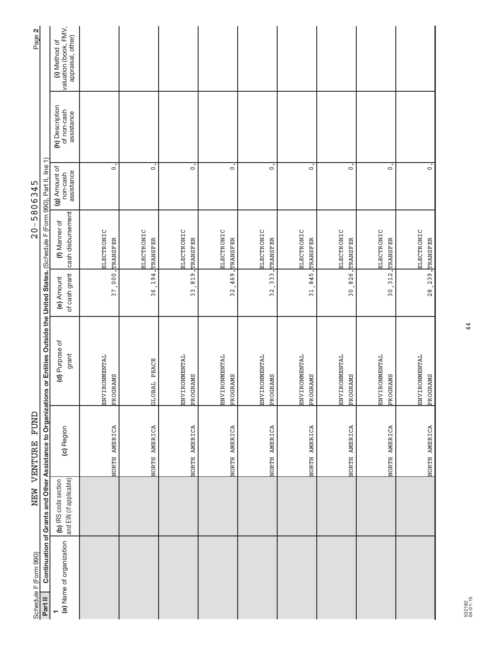| Schedule F (Form 990)    |                                                 | NEW VENTURE FUND |                                                                                                                                              |                             | $20 - 5806345$                         |                                         |                                              | Page 2                                                      |
|--------------------------|-------------------------------------------------|------------------|----------------------------------------------------------------------------------------------------------------------------------------------|-----------------------------|----------------------------------------|-----------------------------------------|----------------------------------------------|-------------------------------------------------------------|
| Part II                  |                                                 |                  | Continuation of Grants and Other Assistance to Organizations or Entities Outside the United States. (Schedule F (Form 990), Part II, line 1) |                             |                                        |                                         |                                              |                                                             |
| (a) Name of organization | and EIN (if applicable)<br>(b) IRS code section | (c) Region       | (d) Purpose of<br>grant                                                                                                                      | of cash grant<br>(e) Amount | cash disbursement<br>(f) Manner of     | (g) Amount of<br>assistance<br>non-cash | (h) Description<br>of non-cash<br>assistance | valuation (book, FMV,<br>appraisal, other)<br>(i) Method of |
|                          |                                                 | NORTH AMERICA    | ENVIRONMENTAL<br>PROGRAMS                                                                                                                    |                             | ELECTRONIC<br>37,000. TRANSFER         | $\circ$                                 |                                              |                                                             |
|                          |                                                 | NORTH AMERICA    | GLOBAL PEACE                                                                                                                                 | 36, 194.                    | ELECTRONIC<br>TRANSFER                 | $\dot{\circ}$                           |                                              |                                                             |
|                          |                                                 | NORTH AMERICA    | <b>ENVIRONMENTAL</b><br>PROGRAMS                                                                                                             |                             | ELECTRONIC<br>33, 819. TRANSFER        | $\overline{\cdot}$                      |                                              |                                                             |
|                          |                                                 | NORTH AMERICA    | ENVIRONMENTAL<br>PROGRAMS                                                                                                                    |                             | ELECTRONIC<br>32,469. TRANSFER         | $\mathbf{c}$                            |                                              |                                                             |
|                          |                                                 | NORTH AMERICA    | ENVIRONMENTAL<br>PROGRAMS                                                                                                                    | .333.<br>32.                | ELECTRONIC<br><b>TRANSFER</b>          | $\overline{\circ}$                      |                                              |                                                             |
|                          |                                                 | NORTH AMERICA    | <b>ENVIRONMENTAL</b><br>PROGRAMS                                                                                                             | 31,845.                     | ELECTRONIC<br><b>TRANSFER</b>          | $\overline{\phantom{0}}$                |                                              |                                                             |
|                          |                                                 | NORTH AMERICA    | ENVIRONMENTAL<br>PROGRAMS                                                                                                                    |                             | ELECTRONIC<br>30, 826, TRANSFER        | $\circ$                                 |                                              |                                                             |
|                          |                                                 | NORTH AMERICA    | <b>ENVIRONMENTAL</b><br>PROGRAMS                                                                                                             |                             | <b>ELECTRONIC</b><br>30, 312. TRANSFER | $\overline{\phantom{0}}$                |                                              |                                                             |
|                          |                                                 | NORTH AMERICA    | ENVIRONMENTAL<br>PROGRAMS                                                                                                                    |                             | ELECTRONIC<br>28, 239. TRANSFER        | $\ddot{\circ}$                          |                                              |                                                             |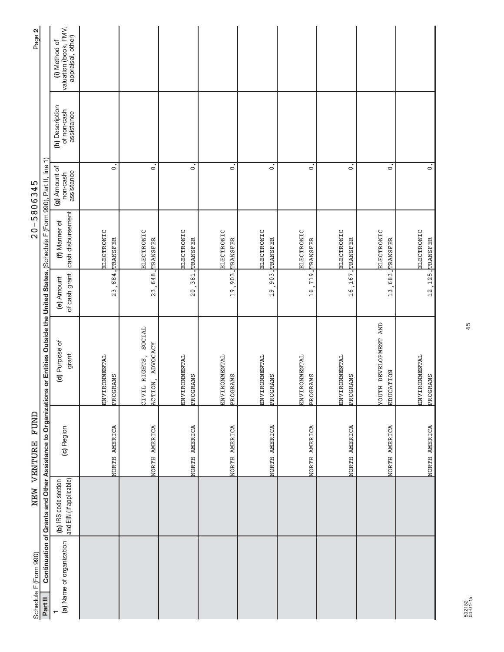| Schedule F (Form 990)    |                                                 | NEW VENTURE FUND |                                                                                                                                              |                             | $20 - 5806345$                         |                                         |                                              | Page 2                                                      |
|--------------------------|-------------------------------------------------|------------------|----------------------------------------------------------------------------------------------------------------------------------------------|-----------------------------|----------------------------------------|-----------------------------------------|----------------------------------------------|-------------------------------------------------------------|
| Part II                  |                                                 |                  | Continuation of Grants and Other Assistance to Organizations or Entities Outside the United States. (Schedule F (Form 990), Part II, line 1) |                             |                                        |                                         |                                              |                                                             |
| (a) Name of organization | and EIN (if applicable)<br>(b) IRS code section | (c) Region       | (d) Purpose of<br>grant                                                                                                                      | of cash grant<br>(e) Amount | cash disbursement<br>(f) Manner of     | (g) Amount of<br>assistance<br>non-cash | (h) Description<br>of non-cash<br>assistance | valuation (book, FMV,<br>appraisal, other)<br>(i) Method of |
|                          |                                                 | NORTH AMERICA    | ENVIRONMENTAL<br>PROGRAMS                                                                                                                    | , 884.<br>23                | ELECTRONIC<br>TRANSFER                 | $\circ$                                 |                                              |                                                             |
|                          |                                                 | NORTH AMERICA    | SOCIAL<br>ADVOCACY<br>CIVIL RIGHTS,<br>ACTION,                                                                                               | 648.<br>23                  | ELECTRONIC<br>TRANSFER                 | $\circ$                                 |                                              |                                                             |
|                          |                                                 | NORTH AMERICA    | <b>ENVIRONMENTAL</b><br>PROGRAMS                                                                                                             |                             | ELECTRONIC<br>20, 381. TRANSFER        | $\dot{\circ}$                           |                                              |                                                             |
|                          |                                                 | NORTH AMERICA    | ENVIRONMENTAL<br>PROGRAMS                                                                                                                    |                             | <b>ELECTRONIC</b><br>19, 903. TRANSFER | $\dot{\circ}$                           |                                              |                                                             |
|                          |                                                 | NORTH AMERICA    | ENVIRONMENTAL<br>PROGRAMS                                                                                                                    | .903.<br>$\frac{9}{1}$      | ELECTRONIC<br>TRANSFER                 | $\circ$                                 |                                              |                                                             |
|                          |                                                 | NORTH AMERICA    | ENVIRONMENTAL<br>PROGRAMS                                                                                                                    | 16,719.                     | ELECTRONIC<br>TRANSFER                 | $\circ$                                 |                                              |                                                             |
|                          |                                                 | NORTH AMERICA    | ENVIRONMENTAL<br>PROGRAMS                                                                                                                    |                             | ELECTRONIC<br>16, 167. TRANSFER        | $\circ$                                 |                                              |                                                             |
|                          |                                                 | NORTH AMERICA    | <b>TOUTH DEVELOPMENT AND</b><br>EDUCATION                                                                                                    | .683.<br>13.                | <b>ELECTRONIC</b><br><b>TRANSFER</b>   | $\dot{\circ}$                           |                                              |                                                             |
|                          |                                                 | NORTH AMERICA    | ENVIRONMENTAL<br>PROGRAMS                                                                                                                    |                             | <b>ELECTRONIC</b><br>12, 125. TRANSFER | $\dot{\circ}$                           |                                              |                                                             |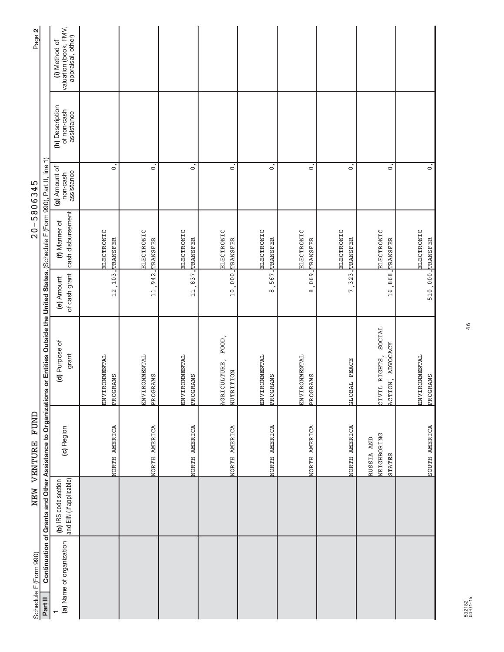| Schedule F (Form 990)<br>Part II |                                                 | NEW VENTURE FUND                    |                                                                                                                                              |                             |                                       | $20 - 5806345$                          |                                              | Page 2                                                      |
|----------------------------------|-------------------------------------------------|-------------------------------------|----------------------------------------------------------------------------------------------------------------------------------------------|-----------------------------|---------------------------------------|-----------------------------------------|----------------------------------------------|-------------------------------------------------------------|
|                                  |                                                 |                                     | Continuation of Grants and Other Assistance to Organizations or Entities Outside the United States. (Schedule F (Form 990), Part II, line 1) |                             |                                       |                                         |                                              |                                                             |
| (a) Name of organization         | and EIN (if applicable)<br>(b) IRS code section | (c) Region                          | (d) Purpose of<br>grant                                                                                                                      | of cash grant<br>(e) Amount | cash disbursement<br>(f) Manner of    | (g) Amount of<br>assistance<br>non-cash | (h) Description<br>of non-cash<br>assistance | valuation (book, FMV,<br>appraisal, other)<br>(i) Method of |
|                                  |                                                 | NORTH AMERICA                       | ENVIRONMENTAL<br>PROGRAMS                                                                                                                    | 12, 103.                    | ELECTRONIC<br>TRANSFER                | $\circ$                                 |                                              |                                                             |
|                                  |                                                 | NORTH AMERICA                       | ENVIRONMENTAL<br>PROGRAMS                                                                                                                    | 942.<br>$\overline{11}$     | ELECTRONIC<br>TRANSFER                | $\circ$                                 |                                              |                                                             |
|                                  |                                                 | NORTH AMERICA                       | <b>ENVIRONMENTAL</b><br>PROGRAMS                                                                                                             |                             | ELECTRONIC<br>11,837. TRANSFER        | $\dot{\circ}$                           |                                              |                                                             |
|                                  |                                                 | NORTH AMERICA                       | FOOD,<br>AGRICULTURE,<br>NUTRITION                                                                                                           |                             | <b>ELECTRONIC</b><br>10,000. TRANSFER | $\dot{\circ}$                           |                                              |                                                             |
|                                  |                                                 | NORTH AMERICA                       | ENVIRONMENTAL<br>PROGRAMS                                                                                                                    | 567.<br>$\infty$            | ELECTRONIC<br>TRANSFER                | $\circ$                                 |                                              |                                                             |
|                                  |                                                 | NORTH AMERICA                       | ENVIRONMENTAL<br>PROGRAMS                                                                                                                    | 1.690<br>$\infty$           | ELECTRONIC<br>TRANSFER                | $\circ$                                 |                                              |                                                             |
|                                  |                                                 | NORTH AMERICA                       | GLOBAL PEACE                                                                                                                                 | 7,323.                      | ELECTRONIC<br><b>TRANSFER</b>         | $\circ$                                 |                                              |                                                             |
|                                  |                                                 | NEIGHBORING<br>RUSSIA AND<br>STATES | SOCIAL<br>ADVOCACY<br>CIVIL RIGHTS,<br>ACTION,                                                                                               |                             | <b>ELECTRONIC</b><br>16,868. TRANSFER | $\dot{\circ}$                           |                                              |                                                             |
|                                  |                                                 | SOUTH AMERICA                       | ENVIRONMENTAL<br>PROGRAMS                                                                                                                    | 510,000. TRANSFER           | <b>ELECTRONIC</b>                     | $\dot{\circ}$                           |                                              |                                                             |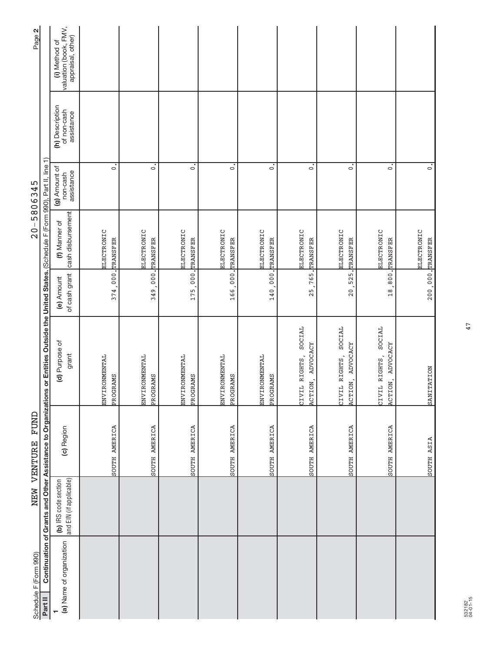| Page 2                |                                                                                                                                              | valuation (book, FMV,<br>appraisal, other)<br>(i) Method of |                                  |                             |                           |                           |                                  |                                                |                                             |                                                       |  |
|-----------------------|----------------------------------------------------------------------------------------------------------------------------------------------|-------------------------------------------------------------|----------------------------------|-----------------------------|---------------------------|---------------------------|----------------------------------|------------------------------------------------|---------------------------------------------|-------------------------------------------------------|--|
|                       |                                                                                                                                              | (h) Description<br>of non-cash<br>assistance                |                                  |                             |                           |                           |                                  |                                                |                                             |                                                       |  |
| $20 - 5806345$        |                                                                                                                                              | (g) Amount of<br>assistance<br>non-cash                     | $\circ$                          | $\circ$                     | $\circ$                   | $\circ$                   | $\circ$                          | $\circ$                                        | $\dot{\circ}$                               | $\dot{\circ}$                                         |  |
|                       |                                                                                                                                              | cash disbursement<br>(f) Manner of                          | ELECTRONIC                       | ELECTRONIC<br>TRANSFER      | ELECTRONIC                | ELECTRONIC                | ELECTRONIC                       | <b>ELECTRONIC</b><br>TRANSFER                  | ELECTRONIC<br>20, 525. TRANSFER             | ELECTRONIC<br>18,800. TRANSFER                        |  |
|                       |                                                                                                                                              | of cash grant<br>(e) Amount                                 | 374,000. TRANSFER                | $\frac{1}{1}$ , 000<br>349. | 175,000. TRANSFER         | 166,000. TRANSFER         | 140,000. TRANSFER                | 765.<br>25                                     |                                             |                                                       |  |
|                       | Continuation of Grants and Other Assistance to Organizations or Entities Outside the United States. (Schedule F (Form 990), Part II, line 1) | (d) Purpose of<br>grant                                     | <b>ENVIRONMENTAL</b><br>PROGRAMS | ENVIRONMENTAL<br>PROGRAMS   | ENVIRONMENTAL<br>PROGRAMS | ENVIRONMENTAL<br>PROGRAMS | <b>ENVIRONMENTAL</b><br>PROGRAMS | SOCIAL<br>ADVOCACY<br>CIVIL RIGHTS,<br>ACTION, | SOCIAL<br>ACTION, ADVOCACY<br>CIVIL RIGHTS, | SOCIAL<br><b>ADVOCACY</b><br>CIVIL RIGHTS,<br>ACTION, |  |
| NEW VENTURE FUND      |                                                                                                                                              | (c) Region                                                  | SOUTH AMERICA                    | SOUTH AMERICA               | SOUTH AMERICA             | SOUTH AMERICA             | SOUTH AMERICA                    | SOUTH AMERICA                                  | SOUTH AMERICA                               | SOUTH AMERICA                                         |  |
|                       |                                                                                                                                              | and EIN (if applicable)<br>(b) IRS code section             |                                  |                             |                           |                           |                                  |                                                |                                             |                                                       |  |
| Schedule F (Form 990) | Part II                                                                                                                                      | (a) Name of organization                                    |                                  |                             |                           |                           |                                  |                                                |                                             |                                                       |  |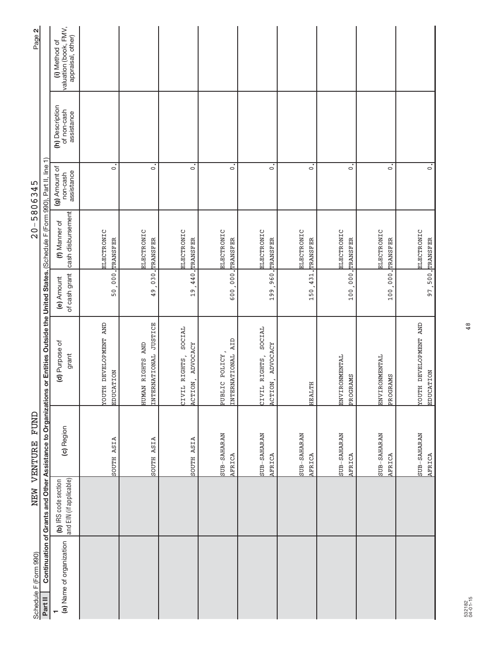| Schedule F (Form 990)    |                                                 | NEW VENTURE FUND          |                                                                                                                                              |                             | $20 - 5806345$                     |                                         |                                              | Page 2                                                      |
|--------------------------|-------------------------------------------------|---------------------------|----------------------------------------------------------------------------------------------------------------------------------------------|-----------------------------|------------------------------------|-----------------------------------------|----------------------------------------------|-------------------------------------------------------------|
| Part II                  |                                                 |                           | Continuation of Grants and Other Assistance to Organizations or Entities Outside the United States. (Schedule F (Form 990), Part II, line 1) |                             |                                    |                                         |                                              |                                                             |
| (a) Name of organization | and EIN (if applicable)<br>(b) IRS code section | (c) Region                | (d) Purpose of<br>grant                                                                                                                      | of cash grant<br>(e) Amount | cash disbursement<br>(f) Manner of | (g) Amount of<br>assistance<br>non-cash | (h) Description<br>of non-cash<br>assistance | valuation (book, FMV,<br>appraisal, other)<br>(i) Method of |
|                          |                                                 | SOUTH ASIA                | <b>TOUTH DEVELOPMENT AND</b><br>EDUCATION                                                                                                    | 50,000.                     | ELECTRONIC<br><b>TRANSFER</b>      | $\circ$                                 |                                              |                                                             |
|                          |                                                 | SOUTH ASIA                | INTERNATIONAL JUSTICE<br><b>AND</b><br><b>HUMAN RIGHTS</b>                                                                                   | 030.<br>49.                 | ELECTRONIC<br>TRANSFER             | $\circ$                                 |                                              |                                                             |
|                          |                                                 | SOUTH ASIA                | SOCIAL<br>ACTION, ADVOCACY<br>CIVIL RIGHTS,                                                                                                  |                             | ELECTRONIC<br>19,440. TRANSFER     | $\dot{\circ}$                           |                                              |                                                             |
|                          |                                                 | $SUB-SAHARAN$<br>AFRICA   | INTERNATIONAL AID<br>PUBLIC POLICY,                                                                                                          | 600,000, TRANSFER           | <b>ELECTRONIC</b>                  | $\dot{\circ}$                           |                                              |                                                             |
|                          |                                                 | SUB-SAHARAN<br>AFRICA     | SOCIAL<br><b>ADVOCACY</b><br>CIVIL RIGHTS,<br>ACTION,                                                                                        | .960.<br>199                | ELECTRONIC<br>TRANSFER             | $\circ$                                 |                                              |                                                             |
|                          |                                                 | SUB-SAHARAN<br>AFRICA     | HEALTH                                                                                                                                       | ,431.<br>150.               | ELECTRONIC<br>TRANSFER             | $\circ$                                 |                                              |                                                             |
|                          |                                                 | SUB-SAHARAN<br>AFRICA     | <b>ENVIRONMENTAL</b><br>PROGRAMS                                                                                                             | $100$ .                     | ELECTRONIC<br>000. TRANSFER        | $\circ$                                 |                                              |                                                             |
|                          |                                                 | $SUB - SAHARAN$<br>AFRICA | <b>ENVIRONMENTAL</b><br>PROGRAMS                                                                                                             | 100,000. TRANSFER           | ELECTRONIC                         | $\dot{\circ}$                           |                                              |                                                             |
|                          |                                                 | SUB-SAHARAN<br>AFRICA     | <b>TOUTH DEVELOPMENT AND</b><br>EDUCATION                                                                                                    |                             | ELECTRONIC<br>97, 500. TRANSFER    | $\dot{\circ}$                           |                                              |                                                             |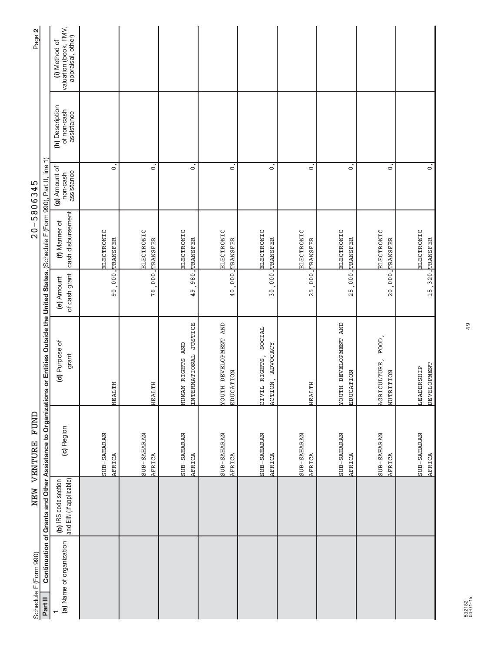| Schedule F (Form 990)    |                                                 | NEW VENTURE FUND      |                                                                                                                                              |                                       | $20 - 5806345$                     |                                         |                                              | Page 2                                                      |
|--------------------------|-------------------------------------------------|-----------------------|----------------------------------------------------------------------------------------------------------------------------------------------|---------------------------------------|------------------------------------|-----------------------------------------|----------------------------------------------|-------------------------------------------------------------|
| Part II                  |                                                 |                       | Continuation of Grants and Other Assistance to Organizations or Entities Outside the United States. (Schedule F (Form 990), Part II, line 1) |                                       |                                    |                                         |                                              |                                                             |
| (a) Name of organization | and EIN (if applicable)<br>(b) IRS code section | (c) Region            | (d) Purpose of<br>grant                                                                                                                      | of cash grant<br>(e) Amount           | cash disbursement<br>(f) Manner of | (g) Amount of<br>assistance<br>non-cash | (h) Description<br>of non-cash<br>assistance | valuation (book, FMV,<br>appraisal, other)<br>(i) Method of |
|                          |                                                 | SUB-SAHARAN           |                                                                                                                                              |                                       | ELECTRONIC                         |                                         |                                              |                                                             |
|                          |                                                 | AFRICA                | HEALTH                                                                                                                                       | 90,000.                               | TRANSFER                           | $\circ$                                 |                                              |                                                             |
|                          |                                                 | SUB-SAHARAN<br>AFRICA | HEALTH                                                                                                                                       | 76,000.                               | ELECTRONIC<br>TRANSFER             | $\dot{\circ}$                           |                                              |                                                             |
|                          |                                                 | SUB-SAHARAN<br>AFRICA | INTERNATIONAL JUSTICE<br>HUMAN RIGHTS AND                                                                                                    |                                       | ELECTRONIC<br>49,980. TRANSFER     | $\dot{\circ}$                           |                                              |                                                             |
|                          |                                                 | SUB-SAHARAN<br>AFRICA | <b>TOUTH DEVELOPMENT AND</b><br>EDUCATION                                                                                                    |                                       | ELECTRONIC<br>40,000. TRANSFER     | $\circ$                                 |                                              |                                                             |
|                          |                                                 | SUB-SAHARAN<br>AFRICA | SOCIAL<br><b>ADVOCACY</b><br>CIVIL RIGHTS,<br>ACTION,                                                                                        | $\frac{1}{2}000$ .<br>30 <sub>1</sub> | ELECTRONIC<br><b>TRANSFER</b>      | $\circ$                                 |                                              |                                                             |
|                          |                                                 | SUB-SAHARAN<br>AFRICA | HEALTH                                                                                                                                       | 25,000.                               | ELECTRONIC<br>TRANSFER             | $\circ$                                 |                                              |                                                             |
|                          |                                                 | SUB-SAHARAN<br>AFRICA | <b>TOUTH DEVELOPMENT AND</b><br>EDUCATION                                                                                                    | 25,000,                               | ELECTRONIC<br>TRANSFER             | $\circ$                                 |                                              |                                                             |
|                          |                                                 | SUB-SAHARAN<br>AFRICA | $FOOD$ ,<br>AGRICULTURE,<br>NUTRITION                                                                                                        |                                       | ELECTRONIC<br>20,000, TRANSFER     | $\circ$                                 |                                              |                                                             |
|                          |                                                 | SUB-SAHARAN<br>AFRICA | <b>DEVELOPMENT</b><br>LEADERSHIP                                                                                                             |                                       | ELECTRONIC<br>15, 320. TRANSFER    | $\dot{\circ}$                           |                                              |                                                             |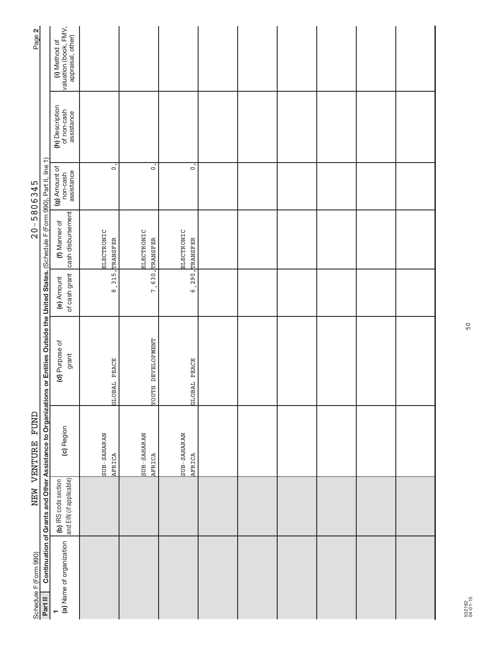| Page 2                |                                                                                                                                              | (i) Method of<br>valuation (book, FMV,<br>appraisal, other) |                                       |                        |                                |  |  |  |
|-----------------------|----------------------------------------------------------------------------------------------------------------------------------------------|-------------------------------------------------------------|---------------------------------------|------------------------|--------------------------------|--|--|--|
|                       |                                                                                                                                              | (h) Description<br>of non-cash<br>assistance                |                                       |                        |                                |  |  |  |
|                       |                                                                                                                                              | (g) Amount of<br>assistance<br>non-cash                     | $\overline{\circ}$                    | $\overline{\circ}$     | $\overline{\circ}$             |  |  |  |
| $20 - 5806345$        |                                                                                                                                              | cash disbursement<br>(f) Manner of                          | <b>ELECTRONIC</b><br>8, 315. TRANSFER | ELECTRONIC<br>TRANSFER | ELECTRONIC<br>6, 290. TRANSFER |  |  |  |
|                       |                                                                                                                                              | of cash grant<br>(e) Amount                                 |                                       | 7,630.                 |                                |  |  |  |
|                       | Continuation of Grants and Other Assistance to Organizations or Entities Outside the United States. (Schedule F (Form 990), Part II, line 1) | (d) Purpose of<br>grant                                     | GLOBAL PEACE                          | TOUTH DEVELOPMENT      | GLOBAL PEACE                   |  |  |  |
| NEW VENTURE FUND      |                                                                                                                                              | (c) Region                                                  | SUB-SAHARAN<br>AFRICA                 | SUB-SAHARAN<br>AFRICA  | SUB-SAHARAN<br>AFRICA          |  |  |  |
|                       |                                                                                                                                              | (b) IRS code section<br>and EIN (if applicable)             |                                       |                        |                                |  |  |  |
| Schedule F (Form 990) | Part II                                                                                                                                      | (a) Name of organization                                    |                                       |                        |                                |  |  |  |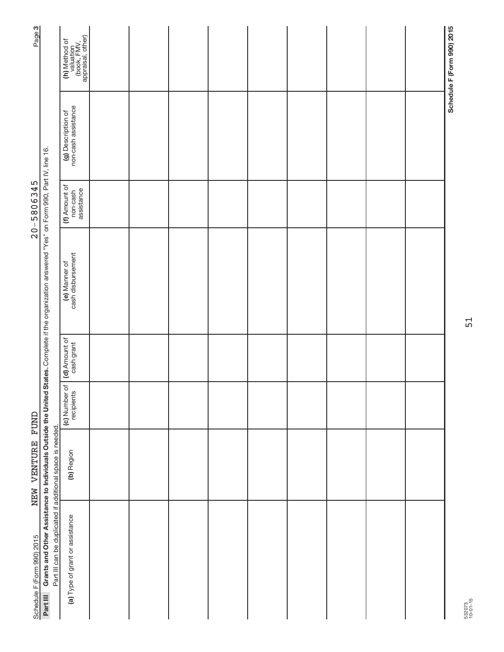| Page <sub>3</sub>          |                                                                                                                                        | ` valuation<br>(book, FMV,<br>appraisal, other)<br>(h) Method of |  |  |  |  | Schedule F (Form 990) 2015 |
|----------------------------|----------------------------------------------------------------------------------------------------------------------------------------|------------------------------------------------------------------|--|--|--|--|----------------------------|
|                            |                                                                                                                                        | non-cash assistance<br>(g) Description of                        |  |  |  |  |                            |
| $20 - 5806345$             |                                                                                                                                        | (f) Amount of<br>non-cash<br>assistance                          |  |  |  |  |                            |
|                            | States. Complete if the organization answered "Yes" on Form 990, Part IV, line 16.                                                     | cash disbursement<br>(e) Manner of                               |  |  |  |  |                            |
|                            |                                                                                                                                        | (d) Amount of<br>cash grant                                      |  |  |  |  |                            |
|                            |                                                                                                                                        | $\frac{1}{\sigma}$<br>C) Number<br>recipients                    |  |  |  |  |                            |
| NEW VENTURE FUND           |                                                                                                                                        | (b) Region                                                       |  |  |  |  |                            |
| Schedule F (Form 990) 2015 | Grants and Other Assistance to Individuals Outside the United<br>Part III can be duplicated if additional space is needed.<br>Part III | (a) Type of grant or assistance                                  |  |  |  |  |                            |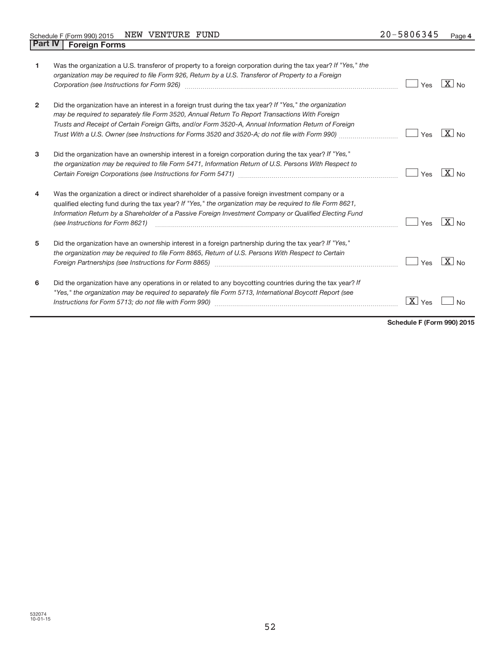| 1              | Was the organization a U.S. transferor of property to a foreign corporation during the tax year? If "Yes," the<br>organization may be required to file Form 926, Return by a U.S. Transferor of Property to a Foreign<br>Corporation (see Instructions for Form 926) manufactured control and the United States of Corporation (see Instructions for Form 926)                                                          | Yes          | $X_{\text{No}}$       |
|----------------|-------------------------------------------------------------------------------------------------------------------------------------------------------------------------------------------------------------------------------------------------------------------------------------------------------------------------------------------------------------------------------------------------------------------------|--------------|-----------------------|
| $\overline{2}$ | Did the organization have an interest in a foreign trust during the tax year? If "Yes," the organization<br>may be required to separately file Form 3520, Annual Return To Report Transactions With Foreign<br>Trusts and Receipt of Certain Foreign Gifts, and/or Form 3520-A, Annual Information Return of Foreign<br>Trust With a U.S. Owner (see Instructions for Forms 3520 and 3520-A; do not file with Form 990) | Yes          | $X _{N0}$             |
| 3              | Did the organization have an ownership interest in a foreign corporation during the tax year? If "Yes,"<br>the organization may be required to file Form 5471, Information Return of U.S. Persons With Respect to                                                                                                                                                                                                       | Yes          | $X_{\text{No}}$       |
| 4              | Was the organization a direct or indirect shareholder of a passive foreign investment company or a<br>qualified electing fund during the tax year? If "Yes," the organization may be required to file Form 8621,<br>Information Return by a Shareholder of a Passive Foreign Investment Company or Qualified Electing Fund<br>(see Instructions for Form 8621)                                                          | Yes          | $\boxed{\text{X}}$ No |
| 5              | Did the organization have an ownership interest in a foreign partnership during the tax year? If "Yes,"<br>the organization may be required to file Form 8865, Return of U.S. Persons With Respect to Certain<br>Foreign Partnerships (see Instructions for Form 8865) [1996] [1996] [1996] [1996] [1996] [1996] [1996] [1996] [                                                                                        | Yes          | $X _{NQ}$             |
| 6              | Did the organization have any operations in or related to any boycotting countries during the tax year? If<br>"Yes," the organization may be required to separately file Form 5713, International Boycott Report (see                                                                                                                                                                                                   | - X I<br>Yes | No                    |

**Schedule F (Form 990) 2015**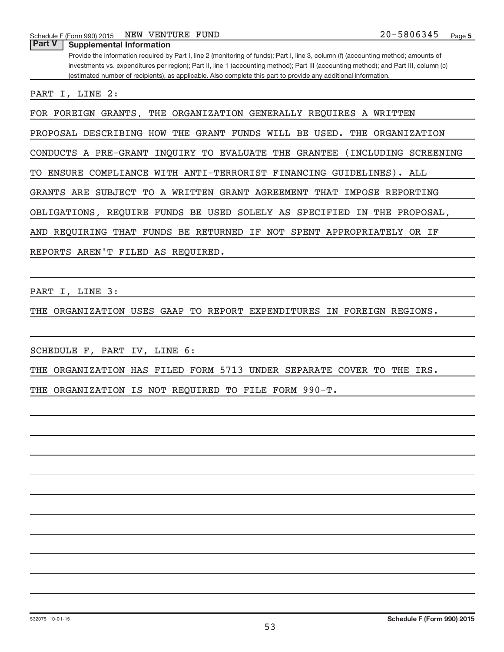Schedule F (Form 990) 2015 NEW VENTURE FUND  $20-5806345$ NEW VENTURE FUND

Provide the information required by Part I, line 2 (monitoring of funds); Part I, line 3, column (f) (accounting method; amounts of investments vs. expenditures per region); Part II, line 1 (accounting method); Part III (accounting method); and Part III, column (c) (estimated number of recipients), as applicable. Also complete this part to provide any additional information. **Part V Supplemental Information** PART I, LINE 2: FOR FOREIGN GRANTS, THE ORGANIZATION GENERALLY REQUIRES A WRITTEN PROPOSAL DESCRIBING HOW THE GRANT FUNDS WILL BE USED. THE ORGANIZATION CONDUCTS A PRE-GRANT INQUIRY TO EVALUATE THE GRANTEE (INCLUDING SCREENING

TO ENSURE COMPLIANCE WITH ANTI-TERRORIST FINANCING GUIDELINES). ALL GRANTS ARE SUBJECT TO A WRITTEN GRANT AGREEMENT THAT IMPOSE REPORTING OBLIGATIONS, REQUIRE FUNDS BE USED SOLELY AS SPECIFIED IN THE PROPOSAL, AND REQUIRING THAT FUNDS BE RETURNED IF NOT SPENT APPROPRIATELY OR IF

REPORTS AREN'T FILED AS REQUIRED.

PART I, LINE 3:

THE ORGANIZATION USES GAAP TO REPORT EXPENDITURES IN FOREIGN REGIONS.

SCHEDULE F, PART IV, LINE 6:

THE ORGANIZATION HAS FILED FORM 5713 UNDER SEPARATE COVER TO THE IRS.

THE ORGANIZATION IS NOT REQUIRED TO FILE FORM 990-T.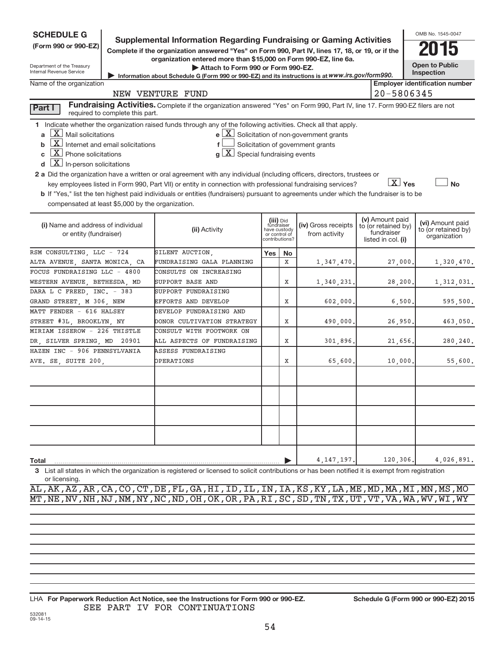| <b>SCHEDULE G</b>                                        |                                 | <b>Supplemental Information Regarding Fundraising or Gaming Activities</b>                                                                       |                                         |         |                                                              |                                  | OMB No. 1545-0047                       |
|----------------------------------------------------------|---------------------------------|--------------------------------------------------------------------------------------------------------------------------------------------------|-----------------------------------------|---------|--------------------------------------------------------------|----------------------------------|-----------------------------------------|
| (Form 990 or 990-EZ)                                     |                                 | Complete if the organization answered "Yes" on Form 990, Part IV, lines 17, 18, or 19, or if the                                                 |                                         |         |                                                              |                                  |                                         |
|                                                          |                                 | organization entered more than \$15,000 on Form 990-EZ, line 6a.                                                                                 |                                         |         |                                                              |                                  |                                         |
| Department of the Treasury<br>Internal Revenue Service   |                                 | Attach to Form 990 or Form 990-EZ.                                                                                                               |                                         |         |                                                              |                                  | <b>Open to Public</b><br>Inspection     |
|                                                          |                                 | Information about Schedule G (Form 990 or 990-EZ) and its instructions is at WWW.irs.gov/form990.                                                |                                         |         |                                                              |                                  |                                         |
| Name of the organization                                 |                                 | NEW VENTURE FUND                                                                                                                                 |                                         |         |                                                              | 20-5806345                       | <b>Employer identification number</b>   |
|                                                          |                                 |                                                                                                                                                  |                                         |         |                                                              |                                  |                                         |
| Part I                                                   | required to complete this part. | Fundraising Activities. Complete if the organization answered "Yes" on Form 990, Part IV, line 17. Form 990-EZ filers are not                    |                                         |         |                                                              |                                  |                                         |
|                                                          |                                 | 1 Indicate whether the organization raised funds through any of the following activities. Check all that apply.                                  |                                         |         |                                                              |                                  |                                         |
| $X$ Mail solicitations<br>a                              |                                 |                                                                                                                                                  |                                         |         | $e$ $\boxed{\text{X}}$ Solicitation of non-government grants |                                  |                                         |
| $\boxed{\text{X}}$ Internet and email solicitations<br>b |                                 | $\mathbf{f}$                                                                                                                                     |                                         |         | Solicitation of government grants                            |                                  |                                         |
| $X$ Phone solicitations<br>C                             |                                 | $g\mid X$ Special fundraising events                                                                                                             |                                         |         |                                                              |                                  |                                         |
| $X$ In-person solicitations<br>d                         |                                 |                                                                                                                                                  |                                         |         |                                                              |                                  |                                         |
|                                                          |                                 | 2 a Did the organization have a written or oral agreement with any individual (including officers, directors, trustees or                        |                                         |         |                                                              |                                  |                                         |
|                                                          |                                 | key employees listed in Form 990, Part VII) or entity in connection with professional fundraising services?                                      |                                         |         |                                                              | $\boxed{\text{X}}$ Yes           | <b>No</b>                               |
|                                                          |                                 | b If "Yes," list the ten highest paid individuals or entities (fundraisers) pursuant to agreements under which the fundraiser is to be           |                                         |         |                                                              |                                  |                                         |
| compensated at least \$5,000 by the organization.        |                                 |                                                                                                                                                  |                                         |         |                                                              |                                  |                                         |
|                                                          |                                 |                                                                                                                                                  |                                         |         |                                                              | (v) Amount paid                  |                                         |
| (i) Name and address of individual                       |                                 | (ii) Activity                                                                                                                                    | (iii) Did<br>fundraiser<br>have custody |         | (iv) Gross receipts                                          | to (or retained by)              | (vi) Amount paid<br>to (or retained by) |
| or entity (fundraiser)                                   |                                 |                                                                                                                                                  | or control of<br>contributions?         |         | from activity                                                | fundraiser<br>listed in col. (i) | organization                            |
| RSM CONSULTING, LLC - 724                                |                                 | SILENT AUCTION,                                                                                                                                  |                                         |         |                                                              |                                  |                                         |
| ALTA AVENUE, SANTA MONICA, CA                            |                                 | FUNDRAISING GALA PLANNING                                                                                                                        | Yes                                     | No<br>X |                                                              |                                  |                                         |
| FOCUS FUNDRAISING LLC - 4800                             |                                 | CONSULTS ON INCREASING                                                                                                                           |                                         |         | 1,347,470.                                                   | 27,000.                          | 1,320,470.                              |
| WESTERN AVENUE, BETHESDA, MD                             |                                 | SUPPORT BASE AND                                                                                                                                 |                                         | Χ       |                                                              | 28, 200.                         |                                         |
| DARA L C FREED, INC. - 383                               |                                 | SUPPORT FUNDRAISING                                                                                                                              |                                         |         | 1,340,231.                                                   |                                  | 1,312,031.                              |
| GRAND STREET, M 306, NEW                                 |                                 | EFFORTS AND DEVELOP                                                                                                                              |                                         | Χ       | 602,000.                                                     | 6,500.                           | 595,500.                                |
| MATT FENDER - 616 HALSEY                                 |                                 | DEVELOP FUNDRAISING AND                                                                                                                          |                                         |         |                                                              |                                  |                                         |
| STREET #3L, BROOKLYN, NY                                 |                                 | DONOR CULTIVATION STRATEGY                                                                                                                       |                                         | Χ       | 490,000.                                                     | 26,950.                          | 463,050.                                |
| MIRIAM ISSEROW - 226 THISTLE                             |                                 | CONSULT WITH FOOTWORK ON                                                                                                                         |                                         |         |                                                              |                                  |                                         |
| DR, SILVER SPRING, MD 20901                              |                                 | ALL ASPECTS OF FUNDRAISING                                                                                                                       |                                         | Χ       | 301,896.                                                     | 21,656.                          | 280,240.                                |
| HAZEN INC - 906 PENNSYLVANIA                             |                                 | ASSESS FUNDRAISING                                                                                                                               |                                         |         |                                                              |                                  |                                         |
| AVE. SE, SUITE 200,                                      |                                 | OPERATIONS                                                                                                                                       |                                         | Χ       | 65,600.                                                      | 10,000.                          | 55,600.                                 |
|                                                          |                                 |                                                                                                                                                  |                                         |         |                                                              |                                  |                                         |
|                                                          |                                 |                                                                                                                                                  |                                         |         |                                                              |                                  |                                         |
|                                                          |                                 |                                                                                                                                                  |                                         |         |                                                              |                                  |                                         |
|                                                          |                                 |                                                                                                                                                  |                                         |         |                                                              |                                  |                                         |
|                                                          |                                 |                                                                                                                                                  |                                         |         |                                                              |                                  |                                         |
|                                                          |                                 |                                                                                                                                                  |                                         |         |                                                              |                                  |                                         |
|                                                          |                                 |                                                                                                                                                  |                                         |         |                                                              |                                  |                                         |
|                                                          |                                 |                                                                                                                                                  |                                         |         |                                                              |                                  |                                         |
|                                                          |                                 |                                                                                                                                                  |                                         |         |                                                              |                                  |                                         |
| Total                                                    |                                 |                                                                                                                                                  |                                         |         | 4, 147, 197.                                                 | 120,306.                         | 4,026,891.                              |
| 3                                                        |                                 | List all states in which the organization is registered or licensed to solicit contributions or has been notified it is exempt from registration |                                         |         |                                                              |                                  |                                         |
| or licensing.                                            |                                 |                                                                                                                                                  |                                         |         |                                                              |                                  |                                         |
|                                                          |                                 | AL, AK, AZ, AR, CA, CO, CT, DE, FL, GA, HI, ID, IL, IN, IA, KS, KY, LA, ME, MD, MA, MI, MN, MS, MO                                               |                                         |         |                                                              |                                  |                                         |
|                                                          |                                 | MT, NE, NV, NH, NJ, NM, NY, NC, ND, OH, OK, OR, PA, RI, SC, SD, TN, TX, UT, VT, VA, WA, WV, WI, WY                                               |                                         |         |                                                              |                                  |                                         |
|                                                          |                                 |                                                                                                                                                  |                                         |         |                                                              |                                  |                                         |

**For Paperwork Reduction Act Notice, see the Instructions for Form 990 or 990-EZ. Schedule G (Form 990 or 990-EZ) 2015** LHA SEE PART IV FOR CONTINUATIONS

532081 09-14-15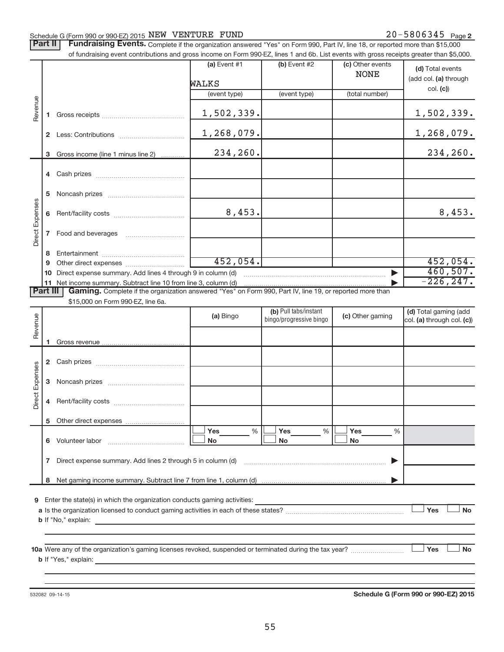#### Schedule G (Form 990 or 990-EZ) 2015  $NEW$   $VENTURE$   $FUND$   $20-5806345$   $Page$

Part II | Fundraising Events. Complete if the organization answered "Yes" on Form 990, Part IV, line 18, or reported more than \$15,000

|                 |              | of fundraising event contributions and gross income on Form 990-EZ, lines 1 and 6b. List events with gross receipts greater than \$5,000.           |                |                         |                      |                            |
|-----------------|--------------|-----------------------------------------------------------------------------------------------------------------------------------------------------|----------------|-------------------------|----------------------|----------------------------|
|                 |              |                                                                                                                                                     | $(a)$ Event #1 | (b) Event #2            | (c) Other events     | (d) Total events           |
|                 |              |                                                                                                                                                     |                |                         | <b>NONE</b>          | (add col. (a) through      |
|                 |              |                                                                                                                                                     | WALKS          |                         |                      | col. (c)                   |
|                 |              |                                                                                                                                                     | (event type)   | (event type)            | (total number)       |                            |
|                 |              |                                                                                                                                                     |                |                         |                      |                            |
| Revenue         | 1.           |                                                                                                                                                     | 1,502,339.     |                         |                      | 1,502,339.                 |
|                 |              |                                                                                                                                                     |                |                         |                      |                            |
|                 | $\mathbf{2}$ |                                                                                                                                                     | 1,268,079.     |                         |                      | 1,268,079.                 |
|                 |              |                                                                                                                                                     |                |                         |                      |                            |
|                 | 3            | Gross income (line 1 minus line 2)                                                                                                                  | 234,260.       |                         |                      | 234, 260.                  |
|                 |              |                                                                                                                                                     |                |                         |                      |                            |
|                 |              |                                                                                                                                                     |                |                         |                      |                            |
|                 |              |                                                                                                                                                     |                |                         |                      |                            |
|                 | 5            |                                                                                                                                                     |                |                         |                      |                            |
| Direct Expenses | 6            |                                                                                                                                                     | 8,453.         |                         |                      | 8,453.                     |
|                 |              |                                                                                                                                                     |                |                         |                      |                            |
|                 | 7            | Food and beverages                                                                                                                                  |                |                         |                      |                            |
|                 |              |                                                                                                                                                     |                |                         |                      |                            |
|                 | 8            |                                                                                                                                                     |                |                         |                      |                            |
|                 | 9            |                                                                                                                                                     | 452,054.       |                         |                      | 452,054.                   |
|                 | 10           | Direct expense summary. Add lines 4 through 9 in column (d)                                                                                         |                |                         |                      | 460,507.                   |
|                 |              | 11 Net income summary. Subtract line 10 from line 3, column (d)                                                                                     |                |                         |                      | $-226, 247.$               |
| <b>Part III</b> |              | Gaming. Complete if the organization answered "Yes" on Form 990, Part IV, line 19, or reported more than                                            |                |                         |                      |                            |
|                 |              | \$15,000 on Form 990-EZ, line 6a.                                                                                                                   |                |                         |                      |                            |
|                 |              |                                                                                                                                                     | (a) Bingo      | (b) Pull tabs/instant   | (c) Other gaming     | (d) Total gaming (add      |
| Revenue         |              |                                                                                                                                                     |                | bingo/progressive bingo |                      | col. (a) through col. (c)) |
|                 |              |                                                                                                                                                     |                |                         |                      |                            |
|                 | 1            |                                                                                                                                                     |                |                         |                      |                            |
|                 |              |                                                                                                                                                     |                |                         |                      |                            |
|                 | $\mathbf{2}$ |                                                                                                                                                     |                |                         |                      |                            |
| Direct Expenses |              |                                                                                                                                                     |                |                         |                      |                            |
|                 | 3            |                                                                                                                                                     |                |                         |                      |                            |
|                 |              |                                                                                                                                                     |                |                         |                      |                            |
|                 | 4            |                                                                                                                                                     |                |                         |                      |                            |
|                 |              |                                                                                                                                                     |                |                         |                      |                            |
|                 |              |                                                                                                                                                     | %<br>Yes       | $\frac{0}{0}$<br>Yes    | $\frac{0}{0}$<br>Yes |                            |
|                 |              | 6 Volunteer labor                                                                                                                                   | No             | No                      | No                   |                            |
|                 |              |                                                                                                                                                     |                |                         |                      |                            |
|                 | 7            | Direct expense summary. Add lines 2 through 5 in column (d)                                                                                         |                |                         |                      |                            |
|                 |              |                                                                                                                                                     |                |                         |                      |                            |
|                 | 8            |                                                                                                                                                     |                |                         |                      |                            |
|                 |              |                                                                                                                                                     |                |                         |                      |                            |
| 9               |              | Enter the state(s) in which the organization conducts gaming activities:                                                                            |                |                         |                      |                            |
|                 |              |                                                                                                                                                     |                |                         |                      | Yes<br><b>No</b>           |
|                 |              | <b>b</b> If "No," explain:<br><u> 1989 - Johann Stoff, deutscher Stoff, der Stoff, der Stoff, der Stoff, der Stoff, der Stoff, der Stoff, der S</u> |                |                         |                      |                            |
|                 |              |                                                                                                                                                     |                |                         |                      |                            |
|                 |              |                                                                                                                                                     |                |                         |                      |                            |
|                 |              | 10a Were any of the organization's gaming licenses revoked, suspended or terminated during the tax year?                                            |                |                         |                      | Yes<br>No                  |
|                 |              |                                                                                                                                                     |                |                         |                      |                            |
|                 |              |                                                                                                                                                     |                |                         |                      |                            |
|                 |              |                                                                                                                                                     |                |                         |                      |                            |

532082 09-14-15

**Schedule G (Form 990 or 990-EZ) 2015**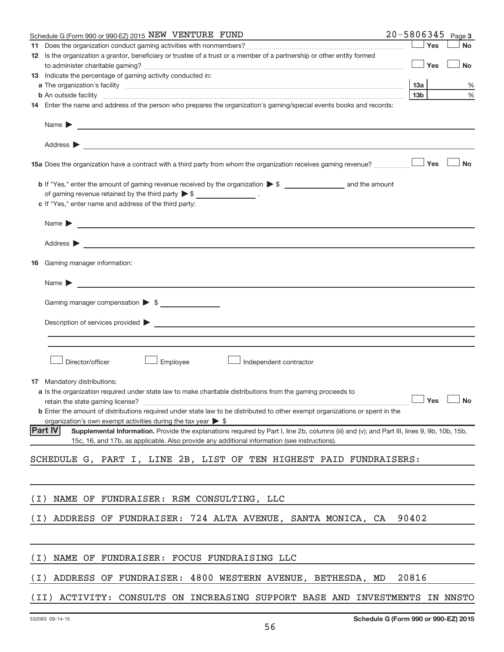| Schedule G (Form 990 or 990-EZ) 2015 NEW VENTURE FUND                                                                                                                                                                                                         |                 | $20 - 5806345$ Page 3 |
|---------------------------------------------------------------------------------------------------------------------------------------------------------------------------------------------------------------------------------------------------------------|-----------------|-----------------------|
| 11.                                                                                                                                                                                                                                                           |                 | Yes<br><b>No</b>      |
| 12 Is the organization a grantor, beneficiary or trustee of a trust or a member of a partnership or other entity formed                                                                                                                                       |                 |                       |
|                                                                                                                                                                                                                                                               |                 | Yes<br><b>No</b>      |
| 13 Indicate the percentage of gaming activity conducted in:                                                                                                                                                                                                   |                 |                       |
|                                                                                                                                                                                                                                                               | 13а             | %                     |
|                                                                                                                                                                                                                                                               | 13 <sub>b</sub> | $\%$                  |
| 14 Enter the name and address of the person who prepares the organization's gaming/special events books and records:                                                                                                                                          |                 |                       |
|                                                                                                                                                                                                                                                               |                 |                       |
|                                                                                                                                                                                                                                                               |                 |                       |
|                                                                                                                                                                                                                                                               |                 | Yes<br><b>No</b>      |
|                                                                                                                                                                                                                                                               |                 |                       |
| of gaming revenue retained by the third party $\triangleright$ \$ ___________________.                                                                                                                                                                        |                 |                       |
| c If "Yes," enter name and address of the third party:                                                                                                                                                                                                        |                 |                       |
| $Name \rightarrow$                                                                                                                                                                                                                                            |                 |                       |
| Address $\triangleright$                                                                                                                                                                                                                                      |                 |                       |
| Gaming manager information:<br>16                                                                                                                                                                                                                             |                 |                       |
| Name $\blacktriangleright$                                                                                                                                                                                                                                    |                 |                       |
| Gaming manager compensation $\triangleright$ \$                                                                                                                                                                                                               |                 |                       |
|                                                                                                                                                                                                                                                               |                 |                       |
| Description of services provided states and the service of the services of the services provided states and the services of the services of the services of the services of the services of the services of the services of th                                |                 |                       |
|                                                                                                                                                                                                                                                               |                 |                       |
|                                                                                                                                                                                                                                                               |                 |                       |
| Director/officer<br>Employee<br>Independent contractor                                                                                                                                                                                                        |                 |                       |
| 17 Mandatory distributions:                                                                                                                                                                                                                                   |                 |                       |
| <b>a</b> Is the organization required under state law to make charitable distributions from the gaming proceeds to                                                                                                                                            |                 |                       |
| $r$ retain the state gaming license? $\Box$ No                                                                                                                                                                                                                |                 |                       |
| <b>b</b> Enter the amount of distributions required under state law to be distributed to other exempt organizations or spent in the                                                                                                                           |                 |                       |
| organization's own exempt activities during the tax year $\triangleright$ \$                                                                                                                                                                                  |                 |                       |
| <b>Part IV</b><br>Supplemental Information. Provide the explanations required by Part I, line 2b, columns (iii) and (v); and Part III, lines 9, 9b, 10b, 15b,<br>15c, 16, and 17b, as applicable. Also provide any additional information (see instructions). |                 |                       |
|                                                                                                                                                                                                                                                               |                 |                       |
| SCHEDULE G, PART I, LINE 2B, LIST OF TEN HIGHEST PAID FUNDRAISERS:                                                                                                                                                                                            |                 |                       |
|                                                                                                                                                                                                                                                               |                 |                       |
| NAME OF FUNDRAISER: RSM CONSULTING, LLC<br>( I )                                                                                                                                                                                                              |                 |                       |
| ADDRESS OF FUNDRAISER: 724 ALTA AVENUE, SANTA MONICA, CA<br>(I)                                                                                                                                                                                               | 90402           |                       |
|                                                                                                                                                                                                                                                               |                 |                       |
| NAME OF FUNDRAISER: FOCUS FUNDRAISING LLC<br>( I )                                                                                                                                                                                                            |                 |                       |
|                                                                                                                                                                                                                                                               |                 |                       |
| ADDRESS OF FUNDRAISER: 4800 WESTERN AVENUE, BETHESDA, MD<br>( I )                                                                                                                                                                                             | 20816           |                       |
| ACTIVITY: CONSULTS ON INCREASING SUPPORT BASE AND INVESTMENTS IN NNSTO<br>(II)                                                                                                                                                                                |                 |                       |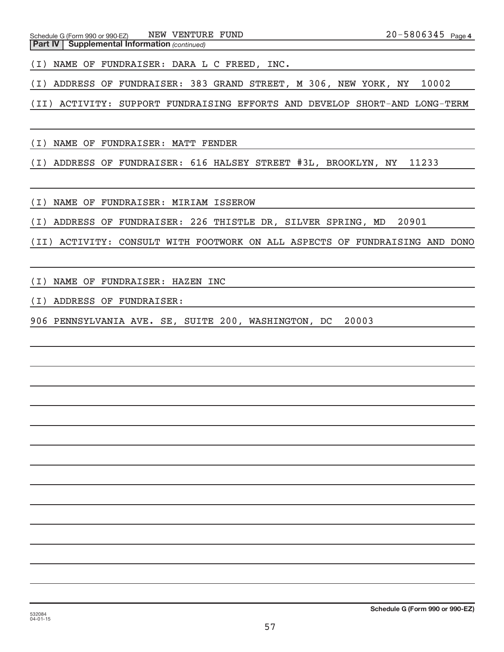**Part IV** | Supplemental Information (continued) Schedule G (Form 990 or 990-EZ) NEW VENTURE FUND

(I) NAME OF FUNDRAISER: DARA L C FREED, INC.

(I) ADDRESS OF FUNDRAISER: 383 GRAND STREET, M 306, NEW YORK, NY 10002

(II) ACTIVITY: SUPPORT FUNDRAISING EFFORTS AND DEVELOP SHORT-AND LONG-TERM

(I) NAME OF FUNDRAISER: MATT FENDER

(I) ADDRESS OF FUNDRAISER: 616 HALSEY STREET #3L, BROOKLYN, NY 11233

(I) NAME OF FUNDRAISER: MIRIAM ISSEROW

(I) ADDRESS OF FUNDRAISER: 226 THISTLE DR, SILVER SPRING, MD 20901

(II) ACTIVITY: CONSULT WITH FOOTWORK ON ALL ASPECTS OF FUNDRAISING AND DONO

(I) NAME OF FUNDRAISER: HAZEN INC

(I) ADDRESS OF FUNDRAISER:

906 PENNSYLVANIA AVE. SE, SUITE 200, WASHINGTON, DC 20003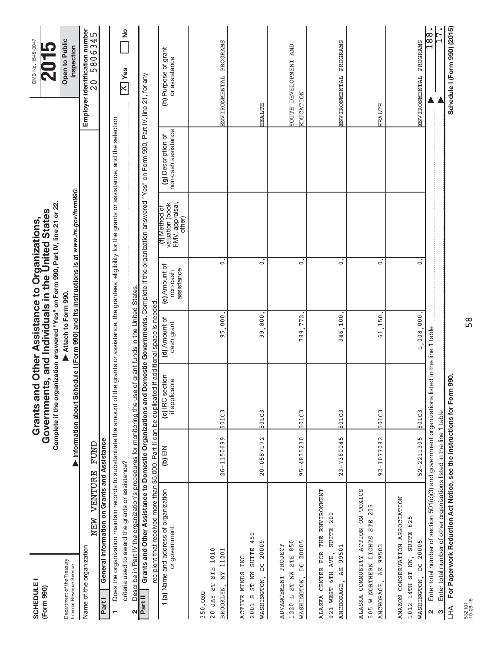| <b>SCHEDULE</b><br>(Form 990)                                                                                                                                                                                                                                                       |                    | Complete if the organization answered "Yes" on Form 990, Part IV, line 21 or 22<br>Governments, and Individuals in the United States<br>Grants and Other Assistance to Organizations, |                             |                                         |                                                                |                                           | OMB No. 1545-0047                                |
|-------------------------------------------------------------------------------------------------------------------------------------------------------------------------------------------------------------------------------------------------------------------------------------|--------------------|---------------------------------------------------------------------------------------------------------------------------------------------------------------------------------------|-----------------------------|-----------------------------------------|----------------------------------------------------------------|-------------------------------------------|--------------------------------------------------|
| Department of the Treasury<br>Internal Revenue Service                                                                                                                                                                                                                              |                    | Information about Schedule I (Form 990) and its instructions is at www.irs.gov/form990.                                                                                               | Attach to Form 990.         |                                         |                                                                |                                           | Open to Public<br>Inspection                     |
| NEW VENTURE<br>Name of the organization                                                                                                                                                                                                                                             | FUND               |                                                                                                                                                                                       |                             |                                         |                                                                |                                           | Employer identification number<br>$20 - 5806345$ |
| General Information on Grants and Assistance<br>Part I                                                                                                                                                                                                                              |                    |                                                                                                                                                                                       |                             |                                         |                                                                |                                           |                                                  |
| Does the organization maintain records to substantiate the amount of the grants or assistance, the grantees' eligibility for the grants or assistance, and the selection                                                                                                            |                    |                                                                                                                                                                                       |                             |                                         |                                                                |                                           |                                                  |
| criteria used to award the grants or assistance?                                                                                                                                                                                                                                    |                    |                                                                                                                                                                                       |                             |                                         |                                                                |                                           | $\frac{1}{2}$<br>$\boxed{\text{X}}$ Yes          |
| Describe in Part IV the organization's procedures for monitoring the use of grant funds in the United States.<br>٧                                                                                                                                                                  |                    |                                                                                                                                                                                       |                             |                                         |                                                                |                                           |                                                  |
| Grants and Other Assistance to Domestic Organizations and Domestic Governments. Complete if the organization answered "Yes" on Form 990, Part IV, line 21, for any<br>recipient that received more than \$5,000. Part II can be duplicated if additional space is needed<br>Part II |                    |                                                                                                                                                                                       |                             |                                         |                                                                |                                           |                                                  |
| 1 (a) Name and address of organization<br>or government                                                                                                                                                                                                                             | NIE (q)            | (c) IRC section<br>if applicable                                                                                                                                                      | (d) Amount of<br>cash grant | (e) Amount of<br>assistance<br>non-cash | valuation (book,<br>FMV, appraisal,<br>(f) Method of<br>other) | non-cash assistance<br>(g) Description of | (h) Purpose of grant<br>or assistance            |
| 1010<br>11201<br><b>STE</b><br>NΥ<br>20 JAY ST<br>BROOKLYN,<br>350.ORG                                                                                                                                                                                                              | $26 - 1150699$     | 501C3                                                                                                                                                                                 | 000<br><u>ທີ</u><br>Ō       | $\dot{\circ}$                           |                                                                |                                           | ENVIRONMENTAL PROGRAMS                           |
| 450<br>DC 20009<br><b>SUITE</b><br>ACTIVE MINDS INC<br>ST NW<br>WASHINGTON,<br>CΩ<br>2001                                                                                                                                                                                           | $20 - 0587172$     | 501C3                                                                                                                                                                                 | 800<br>99                   | $\dot{\circ}$                           |                                                                |                                           | HEALTH                                           |
| 850<br>DC 20005<br>ADVANCEMENT PROJECT<br><b>STE</b><br>ST NW<br>WASHINGTON,<br>$\overline{a}$<br>1220                                                                                                                                                                              | $5 - 4835230$<br>G | 501C3                                                                                                                                                                                 | 772<br>789                  | $\circ$                                 |                                                                |                                           | <b>TOUTH DEVELOPMENT AND</b><br>EDUCATION        |
| THE ENVIRONMENT<br>200<br><b>SUITE</b><br>99501<br>CENTER FOR<br>921 WEST 6TH AVE,<br>AK<br><b>ANCHORAGE</b><br>ALASKA                                                                                                                                                              | $23 - 7380045$     | 501C3                                                                                                                                                                                 | 100<br>946.                 | $\mathbf{c}$                            |                                                                |                                           | ENVIRONMENTAL PROGRAMS                           |
| ALASKA COMMUNITY ACTION ON TOXICS<br>STE 205<br>505 W NORTHERN LIGHTS<br>99503<br>ANCHORAGE, AK                                                                                                                                                                                     | 92-1077082         | 501C3                                                                                                                                                                                 | 150<br>$\frac{1}{6}$        | $\overline{\cdot}$                      |                                                                |                                           | HEALTH                                           |
| AMAZON CONSERVATION ASSOCIATION<br>1012 14TH ST NW, SUITE 625<br>WASHINGTON, DC 20005                                                                                                                                                                                               | $52 - 2211305$     | 501C3                                                                                                                                                                                 | 1,008,000                   | $\overline{\cdot}$                      |                                                                |                                           | ENVIRONMENTAL PROGRAMS                           |
| Enter total number of section 501(c)(3) and government organizations listed in the line 1 table<br>$\mathbf{\Omega}$                                                                                                                                                                |                    |                                                                                                                                                                                       |                             |                                         |                                                                |                                           | ∞<br>∞                                           |
| Enter total number of other organizations listed in the line 1 table<br>S                                                                                                                                                                                                           |                    |                                                                                                                                                                                       |                             |                                         |                                                                |                                           |                                                  |
| For Paperwork Reduction Act Notice, see the Instructions for Form<br>$\overline{\pm}$                                                                                                                                                                                               |                    | 990.                                                                                                                                                                                  |                             |                                         |                                                                |                                           | Schedule I (Form 990) (2015)                     |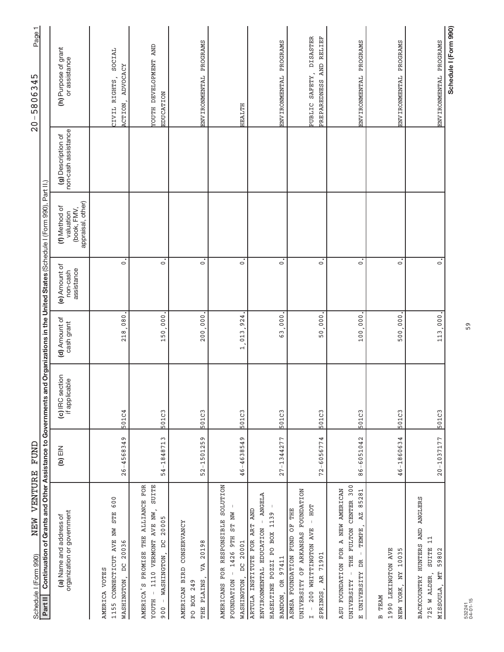| NEW VENTURE<br>Schedule I (Form 990)                                                                                                                                     | FUND             |                                  |                              |                                         |                                                                          |                                           | Page1<br>45<br>$\infty$<br>58806<br>$-0 -$                   |
|--------------------------------------------------------------------------------------------------------------------------------------------------------------------------|------------------|----------------------------------|------------------------------|-----------------------------------------|--------------------------------------------------------------------------|-------------------------------------------|--------------------------------------------------------------|
| Continuation of Grants and Other Assistance to Governments<br>Part II                                                                                                    |                  |                                  |                              |                                         | and Organizations in the United States (Schedule I (Form 990), Part II.) |                                           |                                                              |
| organization or government<br>(a) Name and address of                                                                                                                    | $M\boxminus$ (q) | (c) IRC section<br>if applicable | (d) Amount of<br>cash grant  | (e) Amount of<br>assistance<br>non-cash | appraisal, other)<br>(f) Method of<br>(book, FMV,<br>valuation           | non-cash assistance<br>(g) Description of | (h) Purpose of grant<br>or assistance                        |
| 600<br><b>STE</b><br>NW<br>CONNECTICUT AVE<br>20036<br>$\sum_{i=1}^{n}$<br>AMERICA VOTES<br>WASHINGTON<br>1155                                                           | $26 - 4568349$   | 501C4                            | 218.080                      | $\dot{\circ}$                           |                                                                          |                                           | SOCIAL<br>ADVOCACY<br>CIVIL RIGHTS,<br>ACTION,               |
| PROMISE THE ALLIANCE FOR<br>1110 VERMONT AVE NW, SUITE<br>20005<br>WASHINGTON, DC<br>AMERICA'S<br>$\bar{1}$<br>HLOOL<br>$\mathsf I$<br>900                               | 54-1848713       | 501C3                            | 150,000                      | $\dot{\circ}$                           |                                                                          |                                           | YOUTH DEVELOPMENT AND<br>EDUCATION                           |
| CONSERVANCY<br>20198<br>VA<br><b>BIRD</b><br>THE PLAINS<br>PO BOX 249<br><b>AMERICAN</b>                                                                                 | 52-1501259       | 501C3                            | 200,000                      | $\dot{\circ}$                           |                                                                          |                                           | ENVIRONMENTAL PROGRAMS                                       |
| <b>SOLUTION</b><br>FOUNDATION - 1426 9TH ST NW<br>FOR RESPONSIBLE<br>WASHINGTON, DC 20001<br><b>AMERICANS</b>                                                            | 46-4638549       | 501C3                            | 924<br>013<br>$\overline{a}$ | $\dot{\circ}$                           |                                                                          |                                           | HEALTH                                                       |
| - ANGELA<br>ARTULA INSTITUTE FOR ART AND<br>HASELTINE POZZI PO BOX 1139<br>ENVIRONMENTAL EDUCATION<br>BANDON, OR 97411                                                   | $27 - 1344277$   | 501C3                            | 63,000                       | $\dot{\circ}$                           |                                                                          |                                           | ENVIRONMENTAL PROGRAMS                                       |
| UNIVERSITY OF ARKANSAS FOUNDATION<br>HOT<br>THE<br>$\bar{1}$<br>ASMSA FOUNDATION FUND OF<br>Z00 WHITTINGTON AVE<br>AR 71901<br>SPRINGS,<br>$\mathsf I$<br>$\overline{H}$ | $72 - 6056774$   | 501C3                            | 50,000                       | $\overline{\circ}$                      |                                                                          |                                           | <b>DISASTER</b><br>PREPAREDNESS AND RELIEF<br>PUBLIC SAFETY, |
| THE FULTON CENTER 300<br>ASU FOUNDATION FOR A NEW AMERICAN<br>AZ 85281<br>TEMPE,<br>$\overline{1}$<br>E UNIVERSITY DR<br>UNIVERSITY                                      | 86-6051042       | 501C3                            | 100,000                      | $\dot{\circ}$                           |                                                                          |                                           | ENVIRONMENTAL PROGRAMS                                       |
| <b>IVA MOTONIXEL 0661</b><br>10035<br>NΥ<br>NEW YORK,<br><b>B TEAM</b>                                                                                                   | 46-1860634       | 501C3                            | 500,000                      | $\dot{\circ}$                           |                                                                          |                                           | PROGRAMS<br>ENVIRONMENTAL                                    |
| BACKCOUNTRY HUNTERS AND ANGLERS<br>11<br><b>SUITE</b><br>59802<br>725 W ALDER,<br><b>NL</b><br>MISSOULA,                                                                 | 20-1037177       | 501C3                            | 113,000.                     | $\overline{\circ}$                      |                                                                          |                                           | ENVIRONMENTAL PROGRAMS                                       |
|                                                                                                                                                                          |                  |                                  |                              |                                         |                                                                          |                                           | Schedule I (Form 990)                                        |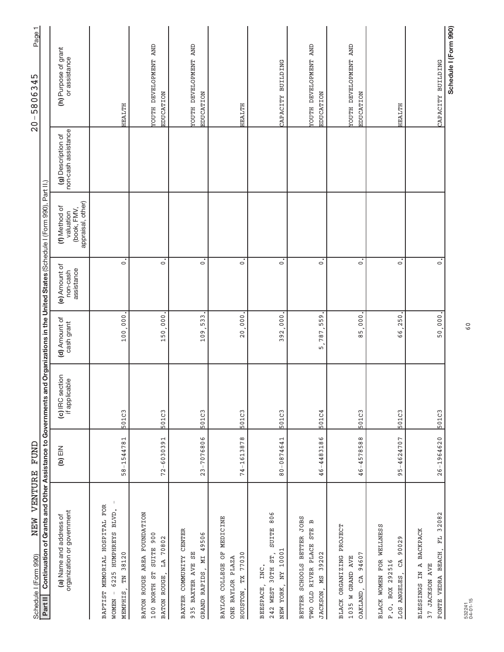| VENTURE<br>NEW<br>Schedule I (Form 990)                                                                                                        | FUND           |                                  |                             |                                         |                                                                |                                           | Page1<br>45<br>58063<br>$-0 -$            |
|------------------------------------------------------------------------------------------------------------------------------------------------|----------------|----------------------------------|-----------------------------|-----------------------------------------|----------------------------------------------------------------|-------------------------------------------|-------------------------------------------|
| Continuation of Grants and Other Assistance to Governments and Organizations in the United States (Schedule I (Form 990), Part II.)<br>Part II |                |                                  |                             |                                         |                                                                |                                           |                                           |
| organization or government<br>(a) Name and address of                                                                                          | NIE (q)        | (c) IRC section<br>if applicable | (d) Amount of<br>cash grant | (e) Amount of<br>assistance<br>non-cash | (book, FMV,<br>appraisal, other)<br>(f) Method of<br>valuation | non-cash assistance<br>(g) Description of | (h) Purpose of grant<br>or assistance     |
| BAPTIST MEMORIAL HOSPITAL FOR<br>6225 HUMPHREYS BLVD.<br>38120<br>$\Xi$<br>$\,$ $\,$<br><b>MEMPHIS</b><br><b>NOMEN</b>                         | 58-1544781     | 501C3                            | 100.000                     | $\dot{\circ}$                           |                                                                |                                           | HEALTH                                    |
| BATON ROUGE AREA FOUNDATION<br>SUITE 900<br>LA 70802<br>100 NORTH ST<br>BATON ROUGE,                                                           | $72 - 6030391$ | 501C3                            | 150.000                     | $\dot{\circ}$                           |                                                                |                                           | YOUTH DEVELOPMENT AND<br>EDUCATION        |
| CENTER<br>49506<br>55<br>BAXTER COMMUNITY<br>NІ<br>935 BAXTER AVE<br>GRAND RAPIDS                                                              | 23-7076806     | 501C3                            | 533<br>109                  | $\dot{\circ}$                           |                                                                |                                           | <b>TOUTH DEVELOPMENT AND</b><br>EDUCATION |
| BAYLOR COLLEGE OF MEDICINE<br>TX 77030<br>ONE BAYLOR PLAZA<br>HOUSTON,                                                                         | 74-1613878     | 501C3                            | 20,000                      | $\dot{\circ}$                           |                                                                |                                           | HEALTH                                    |
| SUITE 806<br>NEW YORK, NY 10001<br>30TH ST<br>INC.<br>BEESPACE,<br>242 WEST                                                                    | 80-0874641     | 501C3                            | 392,000                     | $\dot{\circ}$                           |                                                                |                                           | CAPACITY BUILDING                         |
| BETTER SCHOOLS BETTER JOBS<br>$\mathbf{a}$<br><b>STE</b><br>TWO OLD RIVER PLACE<br>JACKSON, MS 39202                                           | 46-4483186     | 501C4                            | 559<br>787,<br>5.           | $\dot{\circ}$                           |                                                                |                                           | YOUTH DEVELOPMENT AND<br>EDUCATION        |
| BLACK ORGANIZING PROJECT<br>OAKLAND, CA 94607<br>W GRAND AVE<br>1035                                                                           | 46-4578588     | 501C3                            | 85,000                      | $\overline{\circ}$                      |                                                                |                                           | <b>TOUTH DEVELOPMENT AND</b><br>EDUCATION |
| BLACK WOMEN FOR WELLNESS<br>90029<br>CÃ<br>P.O. BOX 292516<br>LOS ANGELES,                                                                     | $95 - 4624707$ | 501C3                            | 250<br>.<br>ه               | $\dot{\circ}$                           |                                                                |                                           | <b>HEALTH</b>                             |
| FL 32082<br><b>BACKPACK</b><br>PONTE VEDRA BEACH,<br>BLESSINGS IN A<br>37 JACKSON AVE                                                          | $26 - 1964620$ | 501C3                            | 50,000.                     | $\dot{\circ}$                           |                                                                |                                           | CAPACITY BUILDING                         |
|                                                                                                                                                |                |                                  |                             |                                         |                                                                |                                           | Schedule I (Form 990)                     |

60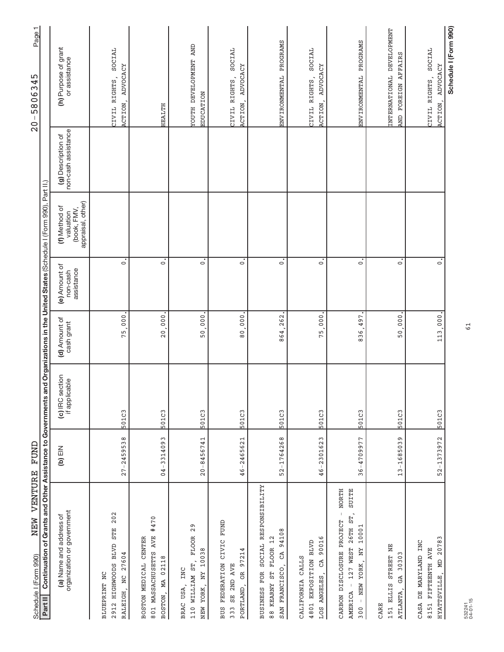| NEW VENTURE<br>Schedule I (Form 990)                                                                                                           | TUND               |                                  |                                   |                                         |                                                                |                                           | Page1<br>45<br>$20 - 58063$                      |
|------------------------------------------------------------------------------------------------------------------------------------------------|--------------------|----------------------------------|-----------------------------------|-----------------------------------------|----------------------------------------------------------------|-------------------------------------------|--------------------------------------------------|
| Continuation of Grants and Other Assistance to Governments and Organizations in the United States (Schedule I (Form 990), Part II.)<br>Part II |                    |                                  |                                   |                                         |                                                                |                                           |                                                  |
| organization or government<br>(a) Name and address of                                                                                          | $\mathsf{NIB}$ (q) | (c) IRC section<br>if applicable | (d) Amount of<br>cash grant       | (e) Amount of<br>assistance<br>non-cash | appraisal, other)<br>(f) Method of<br>(book, FMV,<br>valuation | non-cash assistance<br>(g) Description of | (h) Purpose of grant<br>or assistance            |
| 202<br><b>STE</b><br><b>BLVD</b><br>NC 27604<br><b>HIGHWOODS</b><br>BLUEPRINT NC<br>RALEIGH,<br>2912                                           | $27 - 2459538$     | 501C3                            | 000<br>75                         | $\dot{\circ}$                           |                                                                |                                           | SOCIAL<br>ADVOCACY<br>CIVIL RIGHTS,<br>ACTION,   |
| #470<br>801 MASSACHUSETTS AVE<br><b>CENTER</b><br>MA 02118<br>BOSTON MEDICAL<br>BOSTON,                                                        | $04 - 3314093$     | 501C3                            | 20,000                            | $\ddot{\circ}$                          |                                                                |                                           | <b>HEALTH</b>                                    |
| 29<br><b>FLOOR</b><br>NY 10038<br>110 WILLIAM ST,<br>INC<br>BRAC USA,<br>NEW YORK,                                                             | $20 - 8456741$     | 501C3                            | 000<br>50                         | $\dot{\circ}$                           |                                                                |                                           | <b>TOUTH DEVELOPMENT AND</b><br><b>EDUCATION</b> |
| CIVIC FUND<br>97214<br>FEDERATION<br>SE 2ND AVE<br><b>B</b><br>PORTLAND,<br><b>BUS</b><br>333                                                  | 46-2465621         | 501C3                            | 000 <sub>1</sub><br>$\frac{6}{8}$ | $\dot{\circ}$                           |                                                                |                                           | SOCIAL<br>ADVOCACY<br>CIVIL RIGHTS,<br>ACTION,   |
| SOCIAL RESPONSIBILITY<br>94108<br>88 KEARNY ST FLOOR 12<br>CÃ<br>SAN FRANCISCO,<br>BUSINESS FOR                                                | 52-1764268         | 501C3                            | 864,262                           | $\dot{\circ}$                           |                                                                |                                           | ENVIRONMENTAL PROGRAMS                           |
| 90016<br>4801 EXPOSITION BLVD<br>CALIFORNIA CALLS<br>LOS ANGELES, CA                                                                           | 46-2301623         | 501C3                            | 000<br>75.                        | $\ddot{\circ}$                          |                                                                |                                           | SOCIAL<br>ADVOCACY<br>CIVIL RIGHTS,<br>ACTION,   |
| <b>NORTH</b><br><b>SUITE</b><br>AMERICA - 127 WEST 26TH ST,<br>$\mathsf{I}$<br>CARBON DISCLOSURE PROJECT<br>10001<br>- NEW YORK, NY<br>300     | 36-4709977         | 501C3                            | 497<br>836,                       | $\dot{\circ}$                           |                                                                |                                           | ENVIRONMENTAL PROGRAMS                           |
| 151 ELLIS STREET NE<br>30303<br>GA<br>ATLANTA,<br>CARE                                                                                         | 13-1685039         | 501C3                            | 000<br>50.                        | $\overline{\circ}$                      |                                                                |                                           | INTERNATIONAL DEVELOPMENT<br>AND FOREIGN AFFAIRS |
| HYATTSVILLE, MD 20783<br>CASA DE MARYLAND INC<br>8151 FIFTEENTH AVE                                                                            | 52-1373972         | 501C3                            | 113,000.                          | $\overline{\circ}$                      |                                                                |                                           | SOCIAL<br>ADVOCACY<br>CIVIL RIGHTS,<br>ACTION,   |
|                                                                                                                                                |                    |                                  |                                   |                                         |                                                                |                                           | Schedule I (Form 990)                            |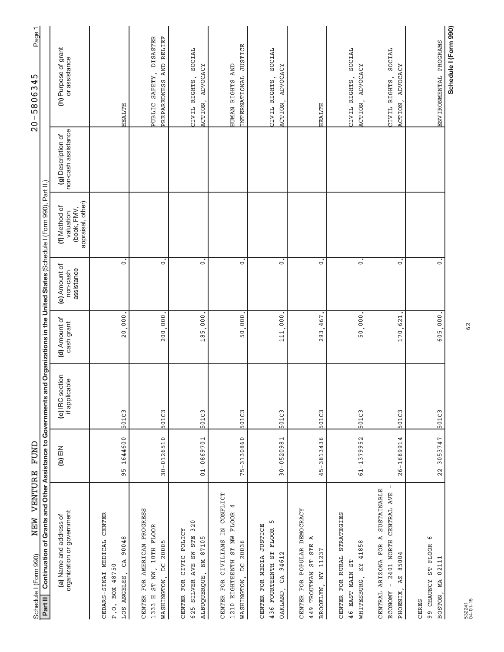| VENTURE<br>NEW<br>Schedule I (Form 990)                                                                        | FUND              |                                                                                                                    |                             |                                         |                                                                |                                           | Page 1<br>ഹ<br>580634<br>$\overline{\phantom{a}}$<br>$\frac{0}{2}$ |
|----------------------------------------------------------------------------------------------------------------|-------------------|--------------------------------------------------------------------------------------------------------------------|-----------------------------|-----------------------------------------|----------------------------------------------------------------|-------------------------------------------|--------------------------------------------------------------------|
| Continuation of<br>Part II                                                                                     |                   | Grants and Other Assistance to Governments and Organizations in the United States (Schedule I (Form 990), Part II, |                             |                                         |                                                                |                                           |                                                                    |
| organization or government<br>(a) Name and address of                                                          | $(b)$ EIN         | (c) IRC section<br>if applicable                                                                                   | (d) Amount of<br>cash grant | (e) Amount of<br>assistance<br>non-cash | appraisal, other)<br>(f) Method of<br>(book, FMV,<br>valuation | non-cash assistance<br>(g) Description of | (h) Purpose of grant<br>or assistance                              |
| CEDARS-SINAI MEDICAL CENTER<br>90048<br>GA<br>BOX 48750<br>ANGELES,<br>P.O.<br>LOS                             | 95-1644600        | 501C3                                                                                                              | 20,000                      | $\circ$                                 |                                                                |                                           | <b>HEALTH</b>                                                      |
| FOR AMERICAN PROGRESS<br>10TH FLOOR<br>20005<br>$\beta$<br>ST NW,<br>WASHINGTON,<br><b>CENTER</b><br>1333 H    | $30 - 0126510$    | 501C3                                                                                                              | 200,000                     | $\overline{\cdot}$                      |                                                                |                                           | <b>DISASTER</b><br>PREPAREDNESS AND RELIEF<br>PUBLIC SAFETY,       |
| 320<br>CIVIC POLICY<br>625 SILVER AVE SW STE<br>ALBUQUERQUE, NM 87105<br><b>FOR</b><br><b>CENTER</b>           | $01 - 0869701$    | 501C3                                                                                                              | 000<br>185.                 | $\dot{\circ}$                           |                                                                |                                           | SOCIAL<br>ADVOCACY<br>CIVIL RIGHTS,<br>ACTION,                     |
| CIVILIANS IN CONFLICT<br>4<br>1210 EIGHTEENTH ST NW FLOOR<br>20036<br>WASHINGTON, DC<br>CENTER FOR             | 3130860<br>$75 -$ | 501C3                                                                                                              | 000<br>50.                  | $\circ$                                 |                                                                |                                           | INTERNATIONAL JUSTICE<br>HUMAN RIGHTS AND                          |
| ۱<br>CENTER FOR MEDIA JUSTICE<br>436 FOURTEENTH ST FLOOR<br>CA 94612<br>OAKLAND,                               | $30 - 0520981$    | 501C3                                                                                                              | 111,000                     | $\dot{\circ}$                           |                                                                |                                           | SOCIAL<br>ADVOCACY<br>CIVIL RIGHTS,<br>ACTION,                     |
| CENTER FOR POPULAR DEMOCRACY<br>Ą<br>ST STE<br>11237<br>449 TROUTMAN<br>BROOKLYN, NY                           | 3813436<br>$45 -$ | 501C3                                                                                                              | 467<br>293.                 | $\overline{\cdot}$                      |                                                                |                                           | HEALTH                                                             |
| STRATEGIES<br>41858<br>CENTER FOR RURAL<br>46 EAST MAIN ST<br>KY<br>WHITESBURG,                                | $61 - 1379952$    | 501C3                                                                                                              | 50,000                      | $\dot{\circ}$                           |                                                                |                                           | SOCIAL<br>ADVOCACY<br>CIVIL RIGHTS,<br>ACTION,                     |
| SUSTAINABLE<br>CENTRAL AVE<br>CENTRAL ARIZONA FOR A<br>2401 NORTH<br>85004<br>AZ<br>PHOENIX,<br><b>ECONOMY</b> | $26 - 1689914$    | 501C3                                                                                                              | 621<br>170.                 | $\overline{\cdot}$                      |                                                                |                                           | SOCIAL<br>ADVOCACY<br>CIVIL RIGHTS,<br>ACTION,                     |
| ما<br>ST FLOOR<br>02111<br>99 CHAUNCY<br>MА<br>BOSTON,<br><b>CERES</b>                                         | $22 - 3053747$    | 501C3                                                                                                              | 605,000.                    | $\dot{\circ}$                           |                                                                |                                           | ENVIRONMENTAL PROGRAMS                                             |
|                                                                                                                |                   |                                                                                                                    |                             |                                         |                                                                |                                           | Schedule I (Form 990)                                              |

62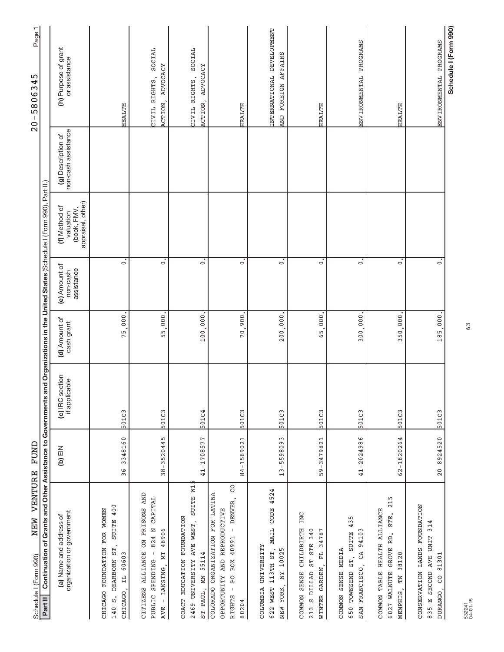| VENTURE<br>NEW<br>Schedule I (Form 990)                                                                                                                    | FUND           |                                  |                             |                                         |                                                                |                                           | Page 1<br>5806345<br>$\mathsf I$<br>$\overline{0}$ |
|------------------------------------------------------------------------------------------------------------------------------------------------------------|----------------|----------------------------------|-----------------------------|-----------------------------------------|----------------------------------------------------------------|-------------------------------------------|----------------------------------------------------|
| Continuation of Grants and Other Assistance to Governments and Organizations in the United States (Schedule I (Form 990), Part II.)<br>Part II             |                |                                  |                             |                                         |                                                                |                                           |                                                    |
| organization or government<br>(a) Name and address of                                                                                                      | $(b)$ EIN      | (c) IRC section<br>if applicable | (d) Amount of<br>cash grant | (e) Amount of<br>assistance<br>non-cash | appraisal, other)<br>(f) Method of<br>(book, FMV,<br>valuation | non-cash assistance<br>(g) Description of | (h) Purpose of grant<br>or assistance              |
| SUITE 400<br>FOR WOMEN<br>DEARBORN ST,<br><b>FOUNDATION</b><br>IL 60603<br>CHICAGO.<br>CHICAGO<br>$\ddot{\mathbf{c}}$<br>140                               | 36-3348160     | 501C3                            | 000<br>75                   | $\circ$                                 |                                                                |                                           | <b>HEALTH</b>                                      |
| ON PRISONS AND<br>CAPITAL<br>824 N<br>48906<br><b>ALLIANCE</b><br>NІ<br>PUBLIC SPENDING<br>LANSING,<br><b>CITIZENS</b><br>$\,$ $\,$<br><b>AVE</b>          | $38 - 3520445$ | 501C3                            | 000 <sub>1</sub><br>55      | $\dot{\circ}$                           |                                                                |                                           | SOCIAL<br>ADVOCACY<br>CIVIL RIGHTS,<br>ACTION,     |
| SUITE W1<br>COACT EDUCATION FOUNDATION<br>2469 UNIVERSITY AVE WEST,<br>ST PAUL, MN 55114                                                                   | 41-1708577     | 501C4                            | 100,000                     | $\dot{\circ}$                           |                                                                |                                           | SOCIAL<br>ADVOCACY<br>CIVIL RIGHTS<br>ACTION,      |
| 8<br>COLORADO ORGANIZATION FOR LATINA<br>DENVER,<br>OPPORTUNITY AND REPRODUCTIVE<br>$\bar{1}$<br>40991<br>BOX<br>Q<br>A<br>$\mathbf{I}$<br>RIGHTS<br>80204 | 84-1569021     | 501C3                            | 900<br>70 <sub>1</sub>      | $\ddot{\circ}$                          |                                                                |                                           | HEALTH                                             |
| 4524<br>MAIL CODE<br>COLUMBIA UNIVERSITY<br>113TH ST,<br>NEW YORK, NY 10025<br>622 WEST                                                                    | $13 - 5598093$ | 501C3                            | 200,000                     | $\dot{\circ}$                           |                                                                |                                           | INTERNATIONAL DEVELOPMENT<br>AND FOREIGN AFFAIRS   |
| INC<br>COMMON SENSE CHILDBIRTH<br>ST STE 340<br>34787<br>WINTER GARDEN, FL<br>S DILLAD<br>213                                                              | 59-3479821     | 501C3                            | 000<br>ن<br>65              | $\dot{\circ}$                           |                                                                |                                           | <b>HEALTH</b>                                      |
| 435<br>94103<br><b>SUITE</b><br>COMMON SENSE MEDIA<br>GA<br>ST,<br>FRANCISCO,<br>650 TOWNSEND<br><b>SAN</b>                                                | 41-2024986     | 501C3                            | 300,000                     | $\overline{\circ}$                      |                                                                |                                           | ENVIRONMENTAL PROGRAMS                             |
| 215<br>COMMON TABLE HEALTH ALLIANCE<br>STE.<br>RD.<br>6027 WALNUTE GROVE<br>38120<br>NL<br>MEMPHIS,                                                        | 62-1820264     | 501C3                            | 000<br>50.<br>Σ             | $\overline{\cdot}$                      |                                                                |                                           | HEALTH                                             |
| CONSERVATION LANDS FOUNDATION<br>835 E SECOND AVE UNIT 314<br>81301<br>S<br>DURANGO,                                                                       | $20 - 8924520$ | 501C3                            | 185,000.                    | $\dot{\circ}$                           |                                                                |                                           | ENVIRONMENTAL PROGRAMS                             |
|                                                                                                                                                            |                |                                  |                             |                                         |                                                                |                                           | Schedule I (Form 990)                              |

63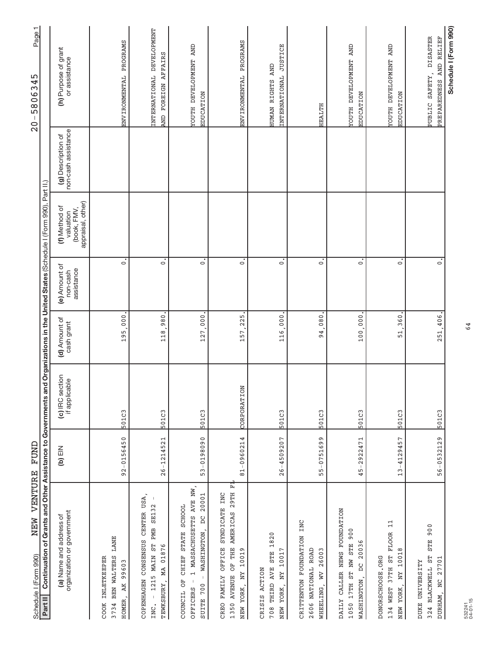| NEW VENTURE<br>Schedule I (Form 990)                                                                                                                                      | FUND           |                                  |                             |                                         |                                                                |                                           | $\mathbf{\tau}$<br>Page <sup>-</sup><br>w<br>34<br>$\ddot{\circ}$<br>$-580$<br>$\frac{0}{2}$ |
|---------------------------------------------------------------------------------------------------------------------------------------------------------------------------|----------------|----------------------------------|-----------------------------|-----------------------------------------|----------------------------------------------------------------|-------------------------------------------|----------------------------------------------------------------------------------------------|
| Continuation of Grants and Other Assistance to Governments and Organizations in the United States (Schedule I (Form 990), Part II.)<br>Part II                            |                |                                  |                             |                                         |                                                                |                                           |                                                                                              |
| organization or government<br>(a) Name and address of                                                                                                                     | NIE (q)        | (c) IRC section<br>if applicable | (d) Amount of<br>cash grant | (e) Amount of<br>assistance<br>non-cash | (book, FMV,<br>appraisal, other)<br>(f) Method of<br>valuation | non-cash assistance<br>(g) Description of | (h) Purpose of grant<br>or assistance                                                        |
| <b>LANE</b><br>BEN WALTERS<br>INLETKEEPER<br>99603<br>AK<br>HOMER,<br>3734<br>COOK                                                                                        | 92-0156450     | 501C3                            | 000<br>195                  | $\dot{\circ}$                           |                                                                |                                           | ENVIRONMENTAL PROGRAMS                                                                       |
| CENTER USA<br>$\mathbf{I}$<br>1215 MAIN ST PMB SE132<br>CONSENSUS<br>01876<br>MA<br>COPENHAGEN<br>TEWKSBURY,<br>INC.                                                      | $26 - 1214521$ | 501C3                            | 980<br>118.                 | $\overline{\cdot}$                      |                                                                |                                           | INTERNATIONAL DEVELOPMENT<br>AND FOREIGN AFFAIRS                                             |
| 1 MASSACHUSETTS AVE NW,<br>20001<br>SCHOOL<br>WASHINGTON, DC<br><b>STATE</b><br><b>CHIEF</b><br>$\,$ $\,$<br>ð<br>$\,$ $\,$<br>700<br><b>OFFICERS</b><br>COUNCIL<br>SUITE | 53-0198090     | 501C3                            | 127,000                     | $\overline{\cdot}$                      |                                                                |                                           | <b>TOUTH DEVELOPMENT AND</b><br>EDUCATION                                                    |
| 古<br>1350 AVENUE OF THE AMERICAS 29TH<br>INC<br><b>SYNDICATE</b><br>OFFICE<br>NEW YORK, NY 10019<br>FAMILY<br>CREO.                                                       | 81-0960214     | CORPORATION                      | 225<br>157,                 | $\dot{\circ}$                           |                                                                |                                           | ENVIRONMENTAL PROGRAMS                                                                       |
| 708 THIRD AVE STE 1820<br>NY 10017<br>CRISIS ACTION<br>NEW YORK,                                                                                                          | $26 - 4509207$ | 501C3                            | 116.000                     | $\overline{\cdot}$                      |                                                                |                                           | INTERNATIONAL JUSTICE<br>HUMAN RIGHTS AND                                                    |
| INC<br>CRITTENTON FOUNDATION<br>2606 NATIONAL ROAD<br>WHEELING, WV 26003                                                                                                  | 55-0751699     | 501C3                            | 94,080                      | $\overline{\cdot}$                      |                                                                |                                           | <b>HEALTH</b>                                                                                |
| DAILY CALLER NEWS FOUNDATION<br>1050 17TH ST NW STE 900<br>20036<br>WASHINGTON, DC                                                                                        | $45 - 2922471$ | 501C3                            | 100,000                     | $\overline{\cdot}$                      |                                                                |                                           | <b>TOUTH DEVELOPMENT AND</b><br>EDUCATION                                                    |
| $\Xi$<br>37TH ST FLOOR<br>10018<br>DONORSCHOOSE.ORG<br>NEW YORK, NY<br>134 WEST                                                                                           | $13 - 4129457$ | 501C3                            | 360<br>51                   | $\overline{\cdot}$                      |                                                                |                                           | <b>TOUTH DEVELOPMENT AND</b><br><b>EDUCATION</b>                                             |
| STE 900<br>324 BLACKWELL ST<br>27701<br>DUKE UNIVERSITY<br>DURHAM, NC                                                                                                     | $56 - 0532129$ | 501C3                            | 251,406.                    | $\dot{\circ}$                           |                                                                |                                           | PUBLIC SAFETY, DISASTER<br>AND RELIEF<br>PREPAREDNESS                                        |
|                                                                                                                                                                           |                |                                  |                             |                                         |                                                                |                                           | Schedule I (Form 990)                                                                        |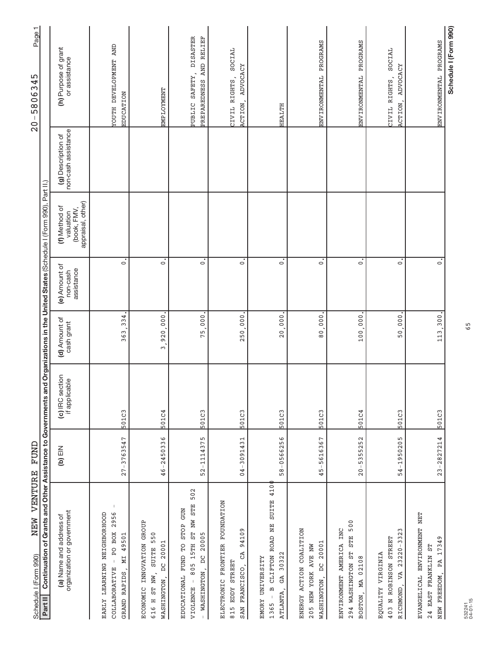| NEW VENTURE<br>Schedule I (Form 990)                                                                                             | FUND           |                                  |                             |                                         |                                                                          |                                           | Page1<br>45<br>$-58063$<br>$\frac{0}{2}$                     |  |
|----------------------------------------------------------------------------------------------------------------------------------|----------------|----------------------------------|-----------------------------|-----------------------------------------|--------------------------------------------------------------------------|-------------------------------------------|--------------------------------------------------------------|--|
| Continuation of Grants and Other Assistance to Governments<br>Part II                                                            |                |                                  |                             |                                         | and Organizations in the United States (Schedule I (Form 990), Part II.) |                                           |                                                              |  |
| organization or government<br>(a) Name and address of                                                                            | $(D)$ EIN      | (c) IRC section<br>if applicable | (d) Amount of<br>cash grant | (e) Amount of<br>assistance<br>non-cash | appraisal, other)<br>(f) Method of<br>(book, FMV,<br>valuation           | non-cash assistance<br>(g) Description of | (h) Purpose of grant<br>or assistance                        |  |
| $\mathbf{I}$<br>2956<br>LEARNING NEIGHBORHOOD<br>PO BOX<br>49501<br>NТ<br>$\,$ $\,$<br>COLLABORATIVE<br>RAPIDS<br>EARLY<br>GRAND | $27 - 3763547$ | 501C3                            | 334<br>363                  | $\ddot{\circ}$                          |                                                                          |                                           | <b>TOUTH DEVELOPMENT AND</b><br><b>EDUCATION</b>             |  |
| INNOVATION GROUP<br>SUITE 550<br>20001<br>$\beta$<br>616 H ST NW,<br>WASHINGTON,<br><b>ECONOMIC</b>                              | 46-2450336     | 501C4                            | ,920,000<br>$\infty$        | $\dot{\circ}$                           |                                                                          |                                           | EMPLOYMENT                                                   |  |
| 502<br>805 15TH ST NW STE<br><b>NOR</b><br>STOP<br>DC 20005<br>EDUCATIONAL FUND TO<br>WASHINGTON,<br>$\mathbf{I}$<br>VIOLENCE    | 52-1114375     | 501C3                            | 75,000                      | $\dot{\circ}$                           |                                                                          |                                           | <b>DISASTER</b><br>PREPAREDNESS AND RELIEF<br>PUBLIC SAFETY, |  |
| ELECTRONIC FRONTIER FOUNDATION<br>94109<br>CA<br>815 EDDY STREET<br>FRANCISCO,<br><b>SAN</b>                                     | $04 - 3091431$ | 501C3                            | 250,000                     | $\ddot{\circ}$                          |                                                                          |                                           | SOCIAL<br>ACTION, ADVOCACY<br>CIVIL RIGHTS,                  |  |
| CLIFTON ROAD NE SUITE 410<br>GA 30322<br>EMORY UNIVERSITY<br>$\mathbf{a}$<br>ATLANTA,<br>1365                                    | 58-0566256     | 501C3                            | 20,000                      | $\dot{\circ}$                           |                                                                          |                                           | <b>HEALTH</b>                                                |  |
| ENERGY ACTION COALITION<br>20001<br>205 NEW YORK AVE NW<br>$\beta$<br>WASHINGTON,                                                | 45-5616367     | 501C3                            | 000<br>$\frac{0}{8}$        | $\overline{\circ}$                      |                                                                          |                                           | ENVIRONMENTAL PROGRAMS                                       |  |
| STE 500<br>ENVIRONMENT AMERICA INC<br>294 WASHINGTON ST<br>BOSTON, MA 02108                                                      | $20 - 5355252$ | 501C4                            | 100,000                     | $\dot{\circ}$                           |                                                                          |                                           | ENVIRONMENTAL PROGRAMS                                       |  |
| $23220 - 3323$<br>403 N ROBINSON STREET<br>EQUALITY VIRGINIA<br>RICHMOND, VA                                                     | 54-1950205     | 501C3                            | 50,000                      | $\dot{\circ}$                           |                                                                          |                                           | SOCIAL<br>ADVOCACY<br>CIVIL RIGHTS,<br>ACTION,               |  |
| EVANGELICAL ENVIRONMENT NET<br>17349<br>24 EAST FRANKLIN ST<br>PA<br>NEW FREEDOM,                                                | $23 - 2827214$ | 501C3                            | 113,300.                    | $\overline{\circ}$                      |                                                                          |                                           | ENVIRONMENTAL PROGRAMS                                       |  |
|                                                                                                                                  |                |                                  |                             |                                         |                                                                          |                                           | Schedule I (Form 990)                                        |  |

65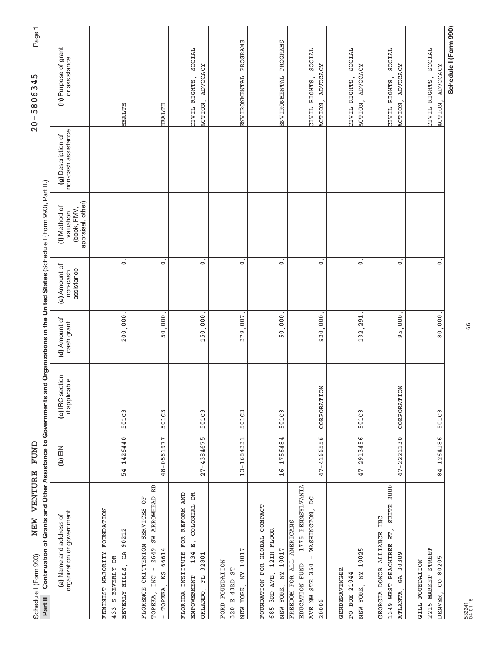| NEW VENTURE FUND<br>Schedule I (Form 990)                                                                                                                              |                |                                  |                             |                                         |                                                                |                                           | Page 1<br>20-5806345                                 |
|------------------------------------------------------------------------------------------------------------------------------------------------------------------------|----------------|----------------------------------|-----------------------------|-----------------------------------------|----------------------------------------------------------------|-------------------------------------------|------------------------------------------------------|
| Continuation of Grants and Other Assistance to Governments and Organizations in the United States (Schedule I (Form 990), Part II.)<br>Part II                         |                |                                  |                             |                                         |                                                                |                                           |                                                      |
| organization or government<br>(a) Name and address of                                                                                                                  | $(D)$ EIN      | (c) IRC section<br>if applicable | (d) Amount of<br>cash grant | (e) Amount of<br>assistance<br>non-cash | appraisal, other)<br>(f) Method of<br>(book, FMV,<br>valuation | non-cash assistance<br>(g) Description of | (h) Purpose of grant<br>or assistance                |
| <b>FOUNDATION</b><br>90212<br>FEMINIST MAJORITY<br>GA<br>S BEVERLY DR<br>BEVERLY HILLS,<br>433                                                                         | 54-1426440     | 501C3                            | 200,000                     | $\ddot{\circ}$                          |                                                                |                                           | HEALTH                                               |
| RD<br>SW ARROWHEAD<br>ð<br>FLORENCE CRITTENTON SERVICES<br>2649<br>66614<br>TOPEKA, KS<br>INC<br>TOPEKA,                                                               | 48-0561977     | 501C3                            | 50,000                      | $\dot{\circ}$                           |                                                                |                                           | HEALTH                                               |
| FLORIDA INSTITUTE FOR REFORM AND<br>COLONIAL DR<br><br>¤i<br>134<br>32801<br>$\begin{array}{c} \begin{array}{c} \end{array} \end{array}$<br>ORLANDO, FL<br>EMPOWERMENT | $27 - 4384675$ | 501C3                            | 150.000                     | $\dot{\circ}$                           |                                                                |                                           | SOCIAL<br>ACTION, ADVOCACY<br>CIVIL RIGHTS,          |
| r<br>NEW YORK, NY 1001<br>FORD FOUNDATION<br>E 43RD ST<br>320                                                                                                          | 13-1684331     | 501C3                            | 007<br>379.                 | $\overline{\circ}$                      |                                                                |                                           | ENVIRONMENTAL PROGRAMS                               |
| FOUNDATION FOR GLOBAL COMPACT<br>12TH FLOOR<br>10017<br>685 3RD AVE,<br>NEW YORK, NY                                                                                   | 16-1756484     | 501C3                            | 50,000                      | $\overline{\circ}$                      |                                                                |                                           | ENVIRONMENTAL PROGRAMS                               |
| 1775 PENNSYLVANIA<br>WASHINGTON, DC<br>FREEDOM FOR ALL AMERICANS<br>$\bar{1}$<br>$\bar{\rm I}$<br>EDUCATION FUND<br>AVE NW STE 350<br>20006                            | 47-4166556     | CORPORATION                      | 920,000                     | $\ddot{\circ}$                          |                                                                |                                           | SOCIAL<br>ADVOCACY<br>CIVIL RIGHTS,<br>ACTION,       |
| 10025<br>GENDERAVENGER<br>NEW YORK, NY<br>PO BOX 21044                                                                                                                 | 47-2913456     | 501C3                            | 291<br>132                  | $\dot{\circ}$                           |                                                                |                                           | SOCIAL<br>ADVOCACY<br>CIVIL RIGHTS,<br>ACTION,       |
| 2000<br><b>SUITE</b><br>INC<br>1349 WEST PEACHTREE ST,<br>GEORGIA DONOR ALLIANCE<br>30309<br>GA<br>ATLANTA,                                                            | 47-2221130     | CORPORATION                      | 000,<br>95                  | $\dot{\circ}$                           |                                                                |                                           | SOCIAL<br>ADVOCACY<br>CIVIL RIGHTS,<br>ACTION,       |
| 2215 MARKET STREET<br>80205<br>GILL FOUNDATION<br>S<br>DENVER,                                                                                                         | 84-1264186     | 501C3                            | $80,000$ .                  | $\dot{\circ}$                           |                                                                |                                           | SOCIAL<br>ADVOCACY<br>CIVIL RIGHTS,<br><b>ACTION</b> |
|                                                                                                                                                                        |                |                                  |                             |                                         |                                                                |                                           | Schedule I (Form 990)                                |

66

# $20 - 5806345$

NEW VENTURE FUND Schedule | (Form 990)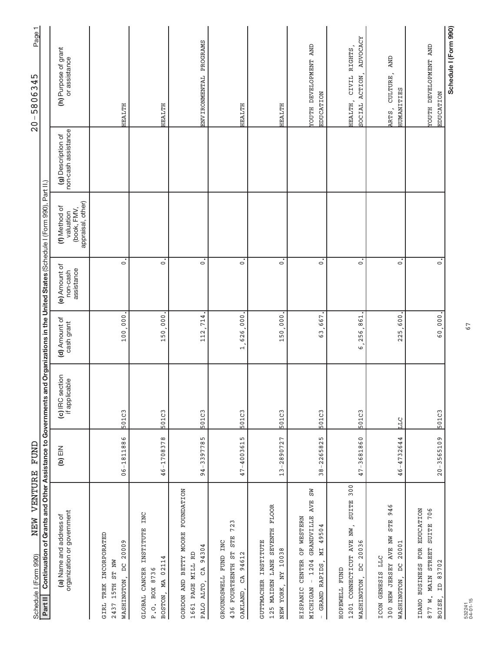| VENTURE<br>NEW<br>Schedule I (Form 990)                                                                                                        | FUND             |                                  |                             |                                         |                                                                |                                           | Page1<br>45<br>58063<br>$-0 -$                        |
|------------------------------------------------------------------------------------------------------------------------------------------------|------------------|----------------------------------|-----------------------------|-----------------------------------------|----------------------------------------------------------------|-------------------------------------------|-------------------------------------------------------|
| Continuation of Grants and Other Assistance to Governments and Organizations in the United States (Schedule I (Form 990), Part II.)<br>Part II |                  |                                  |                             |                                         |                                                                |                                           |                                                       |
| organization or government<br>(a) Name and address of                                                                                          | $M\boxminus$ (q) | (c) IRC section<br>if applicable | (d) Amount of<br>cash grant | (e) Amount of<br>assistance<br>non-cash | (book, FMV,<br>appraisal, other)<br>(f) Method of<br>valuation | non-cash assistance<br>(g) Description of | (h) Purpose of grant<br>or assistance                 |
| INCORPORATED<br>20009<br>ST NW<br>$\overline{\mathsf{D}}$<br>WASHINGTON,<br>TREK<br>15TH<br>GIRL<br>2437                                       | $06 - 1811886$   | 501C3                            | 100,000                     | $\dot{\circ}$                           |                                                                |                                           | <b>HEALTH</b>                                         |
| INSTITUTE INC<br>MA 02114<br>GLOBAL CANCER<br>BOX 8736<br>BOSTON,<br>$P \cdot Q$ .                                                             | 46-1708378       | 501C3                            | 150,000                     | $\dot{\circ}$                           |                                                                |                                           | <b>HEALTH</b>                                         |
| BETTY MOORE FOUNDATION<br>94304<br>1661 PAGE MILL RD<br>GA<br>GORDON AND<br>ALTO <sub>.</sub><br>PALO                                          | 94-3397785       | 501C3                            | .714<br>112                 | $\dot{\circ}$                           |                                                                |                                           | ENVIRONMENTAL PROGRAMS                                |
| 723<br><b>STE</b><br>GROUNDSWELL FUND INC<br>436 FOURTEENTH ST<br>CA 94612<br>OAKLAND,                                                         | 47-4003615       | 501C3                            | 1,626,000                   | $\dot{\circ}$                           |                                                                |                                           | HEALTH                                                |
| 125 MAIDEN LANE SEVENTH FLOOR<br><b>INSTITUTE</b><br>NY 10038<br><b>GUTTMACHER</b><br>NEW YORK,                                                | 13-2890727       | 501C3                            | 150,000                     | $\dot{\circ}$                           |                                                                |                                           | HEALTH                                                |
| <b>N</b> S<br>GRANDVILLE AVE<br>OF WESTERN<br>MI 49504<br>HISPANIC CENTER<br>$-1204$<br>GRAND RAPIDS<br><b>MICHIGAN</b>                        | 38-2265825       | 501C3                            | 667<br>$\overline{63}$      | $\dot{\circ}$                           |                                                                |                                           | YOUTH DEVELOPMENT AND<br>EDUCATION                    |
| 300<br><b>SUITE</b><br>1201 CONNECTICUT AVE NW,<br>20036<br>WASHINGTON, DC<br>HOPEWELL FUND                                                    | 47-3681860       | 501C3                            | 256,861<br>.<br>ص           | $\dot{\circ}$                           |                                                                |                                           | ADVOCACY<br>CIVIL RIGHTS<br>SOCIAL ACTION,<br>HEALTH, |
| 946<br><b>STE</b><br>300 NEW JERSEY AVE NW<br>20001<br>ICON GENESIS LLC<br>WASHINGTON, DC                                                      | 46-4732644       | ЦЦ                               | 600<br>225.                 | $\dot{\circ}$                           |                                                                |                                           | <b>AND</b><br>CULTURE,<br><b>HUMANITIES</b><br>ARTS,  |
| IDAHO BUSINESS FOR EDUCATION<br>706<br>877 W. MAIN STREET SUITE<br>83702<br>$\beta$<br>BOISE,                                                  | $20 - 3565109$   | 501C3                            | 60,000.                     | $\overline{\circ}$                      |                                                                |                                           | <b>TOUTH DEVELOPMENT AND</b><br>EDUCATION             |
|                                                                                                                                                |                  |                                  |                             |                                         |                                                                |                                           | Schedule I (Form 990)                                 |

67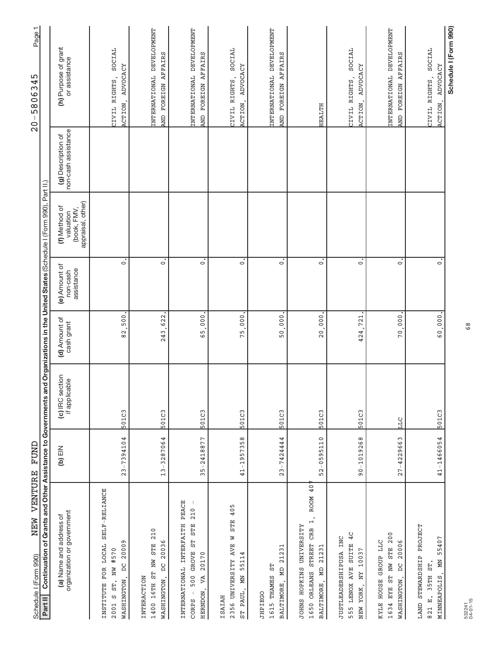| NEW VENTURE<br>Schedule I (Form 990)                                                                                                       | <b>TUND</b>    |                                                                                                                     |                             |                                         |                                                                |                                           | Page1<br>5<br>4<br>$-58063$<br>$\frac{0}{2}$         |
|--------------------------------------------------------------------------------------------------------------------------------------------|----------------|---------------------------------------------------------------------------------------------------------------------|-----------------------------|-----------------------------------------|----------------------------------------------------------------|-------------------------------------------|------------------------------------------------------|
| Continuation of<br>Part II                                                                                                                 |                | Grants and Other Assistance to Governments and Organizations in the United States (Schedule I (Form 990), Part II.) |                             |                                         |                                                                |                                           |                                                      |
| organization or government<br>(a) Name and address of                                                                                      | NIE (q)        | (c) IRC section<br>if applicable                                                                                    | (d) Amount of<br>cash grant | (e) Amount of<br>assistance<br>non-cash | (book, FMV,<br>appraisal, other)<br>(f) Method of<br>valuation | non-cash assistance<br>(g) Description of | (h) Purpose of grant<br>or assistance                |
| SELF-RELIANCE<br>20009<br>FOR LOCAL<br>NW #570<br>ă<br>ST.<br>WASHINGTON<br>INSTITUTE<br>Ω<br>2001                                         | $23 - 7394104$ | 501C3                                                                                                               | 500<br>$\overline{8}$       | $\dot{\circ}$                           |                                                                |                                           | SOCIAL<br>ADVOCACY<br>CIVIL RIGHTS,<br>ACTION,       |
| 210<br>DC 20036<br>1400 16TH ST NW STE<br>INTERACTION<br>WASHINGTON,                                                                       | 13-3287064     | 501C3                                                                                                               | 622<br>243                  | $\mathbf{c}$                            |                                                                |                                           | INTERNATIONAL DEVELOPMENT<br>AND FOREIGN AFFAIRS     |
| PEACE<br>$\mathbf{I}$<br>210<br>INTERNATIONAL INTERFAITH<br><b>STE</b><br>5T<br>500 GROVE<br>20170<br>VA<br>HERNDON,<br>$\bar{1}$<br>CORPS | 35-2418877     | 501C3                                                                                                               | 65,000                      | $\dot{\circ}$                           |                                                                |                                           | INTERNATIONAL DEVELOPMENT<br>AND FOREIGN AFFAIRS     |
| 405<br><b>STE</b><br>Z<br>2356 UNIVERSITY AVE<br>55114<br>ĂМ<br>ST PAUL,<br><b>TSAIAH</b>                                                  | $41 - 1957358$ | 501C3                                                                                                               | 000<br>75,                  | $\dot{\circ}$                           |                                                                |                                           | SOCIAL<br>ADVOCACY<br>CIVIL RIGHTS,<br>ACTION,       |
| MD 21231<br>1615 THAMES ST<br>BALTIMORE,<br><b>JHPIEGO</b>                                                                                 | $23 - 7424444$ | 501C3                                                                                                               | 50,000                      | $\dot{\circ}$                           |                                                                |                                           | INTERNATIONAL DEVELOPMENT<br>AND FOREIGN AFFAIRS     |
| 40 <sup>1</sup><br><b>ROOM</b><br>CRB $1$ ,<br>JOHNS HOPKINS UNIVERSITY<br>1650 ORLEANS STREET<br>MD 21231<br>BALTIMORE,                   | 52-0595110     | 501C3                                                                                                               | 20,000                      | $\dot{\circ}$                           |                                                                |                                           | <b>HEALTH</b>                                        |
| 4 <sub>C</sub><br>JUSTLEADERSHIPUSA INC<br>555 LENOX AVE SUITE<br>NY 10037<br>NEW YORK,                                                    | 90-1019268     | 501C3                                                                                                               | 721<br>424.                 | $\dot{\circ}$                           |                                                                |                                           | SOCIAL<br>ADVOCACY<br>CIVIL RIGHTS,<br>ACTION,       |
| 1634 EYE ST NW STE 200<br>KYLE HOUSE GROUP LLC<br>20006<br><b>DC</b><br>WASHINGTON,                                                        | $27 - 4229663$ | <b>PTT</b>                                                                                                          | 70,000                      | $\dot{\circ}$                           |                                                                |                                           | INTERNATIONAL DEVELOPMENT<br>AND FOREIGN AFFAIRS     |
| LAND STEWARDSHIP PROJECT<br>55407<br>MINNEAPOLIS, MN<br>35TH ST<br>821 E.                                                                  | 41-1466054     | 501C3                                                                                                               | 60,000.                     | $\dot{\circ}$                           |                                                                |                                           | SOCIAL<br>ADVOCACY<br>CIVIL RIGHTS,<br><b>ACTION</b> |
|                                                                                                                                            |                |                                                                                                                     |                             |                                         |                                                                |                                           | Schedule I (Form 990)                                |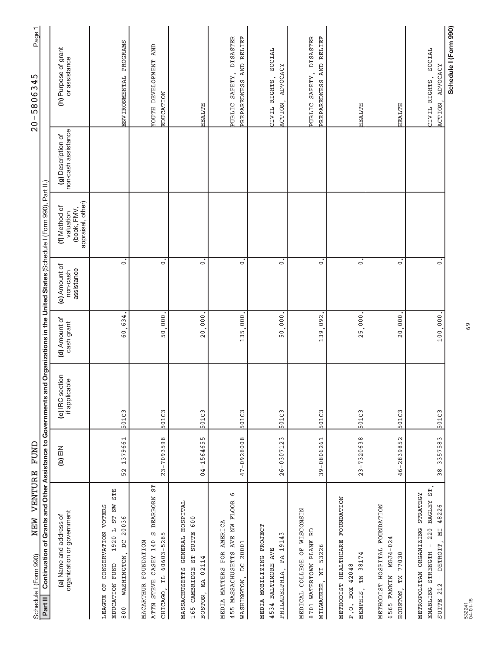| VENTURE<br>NEW<br>Schedule I (Form 990)                                                                                                                                                                   | FUND           |                                  |                             |                                         |                                                                |                                           | $\mathbf -$<br>Page <sup>-</sup><br>345<br>$\ddot{\circ}$<br>$-580$<br>$\frac{0}{2}$ |
|-----------------------------------------------------------------------------------------------------------------------------------------------------------------------------------------------------------|----------------|----------------------------------|-----------------------------|-----------------------------------------|----------------------------------------------------------------|-------------------------------------------|--------------------------------------------------------------------------------------|
| Continuation of Grants and Other Assistance to Governments and Organizations in the United States (Schedule I (Form 990), Part II.)<br>Part II                                                            |                |                                  |                             |                                         |                                                                |                                           |                                                                                      |
| organization or government<br>(a) Name and address of                                                                                                                                                     | NI∃ (q)        | (c) IRC section<br>if applicable | (d) Amount of<br>cash grant | (e) Amount of<br>assistance<br>non-cash | appraisal, other)<br>(f) Method of<br>(book, FMV,<br>valuation | non-cash assistance<br>(g) Description of | (h) Purpose of grant<br>or assistance                                                |
| <b>STE</b><br>ST NW<br>CONSERVATION VOTERS<br>20036<br>1920 L<br>$\sum_{i=1}^{n}$<br>$\mathsf I$<br><b>WASHINGTON</b><br>EDUCATION FUND<br>ð<br>LEAGUE<br>$\bar{1}$<br>800                                | 52-1379661     | 501C3                            | 634<br>$\frac{0}{6}$        | $\circ$                                 |                                                                |                                           | ENVIRONMENTAL PROGRAMS                                                               |
| 55<br><b>DEARBORN</b><br>CΩ<br>60603-5285<br>ATTN STEVE CASEY 140<br><b>FOUNDATION</b><br>$\vec{H}$<br>MACARTHUR<br>CHICAGO,                                                                              | $23 - 7093598$ | 501C3                            | 50,000                      | $\dot{\circ}$                           |                                                                |                                           | YOUTH DEVELOPMENT AND<br><b>EDUCATION</b>                                            |
| HOSPITAL<br>600<br><b>SUITE</b><br>GENERAL<br>5L<br>MA 02114<br>CAMBRIDGE<br>MASSACHUSETTS<br>BOSTON,<br>165                                                                                              | 04-1564655     | 501C3                            | 20,000                      | $\overline{\circ}$                      |                                                                |                                           | HEALTH                                                                               |
| G<br>455 MASSACHUSETTS AVE NW FLOOR<br>MEDIA MATTERS FOR AMERICA<br>WASHINGTON, DC 20001                                                                                                                  | 47-0928008     | 501C3                            | 135.000                     | $\circ$                                 |                                                                |                                           | PUBLIC SAFETY, DISASTER<br>PREPAREDNESS AND RELIEF                                   |
| MEDIA MOBILIZING PROJECT<br>PA 19143<br>4534 BALTIMORE AVE<br>PHILADELPHIA,                                                                                                                               | $26 - 0307123$ | 501C3                            | 50,000                      | $\overline{\cdot}$                      |                                                                |                                           | SOCIAL<br>ADVOCACY<br>CIVIL RIGHTS,<br>ACTION,                                       |
| MEDICAL COLLEGE OF WISCONSIN<br>RD<br>8701 WATERTOWN PLANK<br>53226<br>MILWAUKEE, WI                                                                                                                      | 39-0806261     | 501C3                            | 092<br>139.                 | $\overline{\circ}$                      |                                                                |                                           | PUBLIC SAFETY, DISASTER<br>PREPAREDNESS AND RELIEF                                   |
| METHODIST HEALTHCARE FOUNDATION<br>TN 38174<br>42048<br>P.O. BOX<br>MEMPHIS,                                                                                                                              | $23 - 7320638$ | 501C3                            | 25,000                      | $\dot{\circ}$                           |                                                                |                                           | <b>HEALTH</b>                                                                        |
| METHODIST HOSPITAL FOUNDATION<br>$MGJ4 - 024$<br>77030<br>6565 FANNIN<br>TX<br>HOUSTON,                                                                                                                   | 46-2839852     | 501C3                            | 20,000                      | $\dot{\circ}$                           |                                                                |                                           | HEALTH                                                                               |
| $\texttt{ST}$ ,<br>STRATEGY<br><b>BAGLEY</b><br>48226<br>220<br>METROPOLITAN ORGANIZING<br>ZИ<br>$\bar{1}$<br>DETROIT <sub>.</sub><br>STRENGTH<br>$\bar{\rm I}$<br>212<br><b>ENABLING</b><br><b>SUITE</b> | 38-3357583     | 501C3                            | 100,000.                    | $\overline{\circ}$                      |                                                                |                                           | SOCIAL<br>ADVOCACY<br>CIVIL RIGHTS,<br><b>ACTION</b>                                 |
|                                                                                                                                                                                                           |                |                                  |                             |                                         |                                                                |                                           | Schedule I (Form 990)                                                                |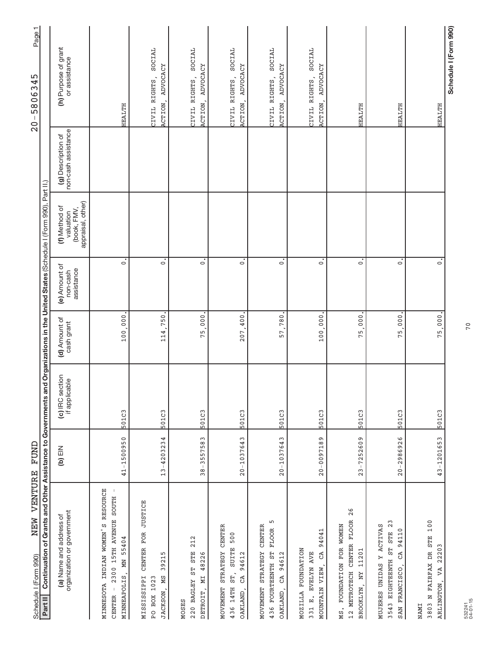| Continuation of Grants and Other Assistance to Governments<br>VENTURE<br>NEW<br>Schedule I (Form 990)<br>Part II                                                    | FUND           |                                  |                             |                                         | and Organizations in the United States (Schedule I (Form 990), Part II.) |                                           | Page 1<br>ഹ<br>580634<br>T<br>$\frac{0}{2}$          |
|---------------------------------------------------------------------------------------------------------------------------------------------------------------------|----------------|----------------------------------|-----------------------------|-----------------------------------------|--------------------------------------------------------------------------|-------------------------------------------|------------------------------------------------------|
| organization or government<br>(a) Name and address of                                                                                                               | $(b)$ EIN      | (c) IRC section<br>if applicable | (d) Amount of<br>cash grant | (e) Amount of<br>assistance<br>non-cash | appraisal, other)<br>(f) Method of<br>valuation<br>(book, FMV,           | non-cash assistance<br>(g) Description of | (h) Purpose of grant<br>or assistance                |
| RESOURCE<br>$\overline{\phantom{a}}$<br>2300 15TH AVENUE SOUTH<br>INDIAN WOMEN'S<br>55404<br>ĂД<br><b>MINNEAPOLIS</b><br>MINNESOTA<br>$\mathsf{I}$<br><b>CENTER</b> | $41 - 1500950$ | 501C3                            | 100,000.                    | $\dot{\circ}$                           |                                                                          |                                           | <b>HEALTH</b>                                        |
| CENTER FOR JUSTICE<br>LO,<br>3921<br><b>MISSISSIPPI</b><br><b>NS</b><br>PO BOX 1023<br>JACKSON,                                                                     | $13 - 4203234$ | 501C3                            | 750<br>114                  | $\dot{\circ}$                           |                                                                          |                                           | SOCIAL<br>ADVOCACY<br>CIVIL RIGHTS,<br><b>ACTION</b> |
| 212<br>220 BAGLEY ST STE<br>MI 48226<br>DETROIT,<br><b>MOSES</b>                                                                                                    | $38 - 3557583$ | 501C3                            | 75,000                      | $\dot{\circ}$                           |                                                                          |                                           | SOCIAL<br>ADVOCACY<br>CIVIL RIGHTS,<br>ACTION,       |
| STRATEGY CENTER<br>500<br><b>SUITE</b><br>94612<br>$\texttt{ST}$ ,<br>CA<br>NOVEMENT<br>436 14TH<br>OAKLAND,                                                        | $20 - 1037643$ | 501C3                            | 207,400                     | $\dot{\circ}$                           |                                                                          |                                           | SOCIAL<br>ADVOCACY<br>CIVIL RIGHTS,<br>ACTION,       |
| ഗ<br><b>CENTER</b><br><b>FLOOR</b><br>MOVEMENT STRATEGY<br>436 FOURTEENTH ST<br>CA 94612<br>OAKLAND,                                                                | $20 - 1037643$ | 501C3                            | 57,780                      | $\dot{\circ}$                           |                                                                          |                                           | SOCIAL<br>ADVOCACY<br>CIVIL RIGHTS,<br>ACTION,       |
| 94041<br>MOZILLA FOUNDATION<br>CA<br>331 E. EVELYN AVE<br>MOUNTAIN VIEW,                                                                                            | $20 - 0097189$ | 501C3                            | 100,000                     | $\dot{\circ}$                           |                                                                          |                                           | SOCIAL<br>ACTION, ADVOCACY<br>CIVIL RIGHTS,          |
| 26<br><b>FLOOR</b><br>MS. FOUNDATION FOR WOMEN<br>12 METROTECH CENTER<br>11201<br>BROOKLYN, NY                                                                      | $23 - 7252609$ | 501C3                            | 000<br>75,                  | $\overline{\circ}$                      |                                                                          |                                           | <b>HEALTH</b>                                        |
| ω<br>MUJERES UNIDAS Y ACTIVAS<br>ST STE 2<br>94110<br>CA<br>3543 EIGHTEENTH<br>SAN FRANCISCO,                                                                       | $20 - 2986926$ | 501C3                            | 000<br>75                   | $\dot{\circ}$                           |                                                                          |                                           | HEALTH                                               |
| 3803 N FAIRFAX DR STE 100<br>22203<br>VA<br>ARLINGTON,<br><b>NAMI</b>                                                                                               | 43-1201653     | 501C3                            | 75,000.                     | $\dot{\circ}$                           |                                                                          |                                           | HEALTH                                               |
|                                                                                                                                                                     |                |                                  |                             |                                         |                                                                          |                                           | Schedule I (Form 990)                                |

70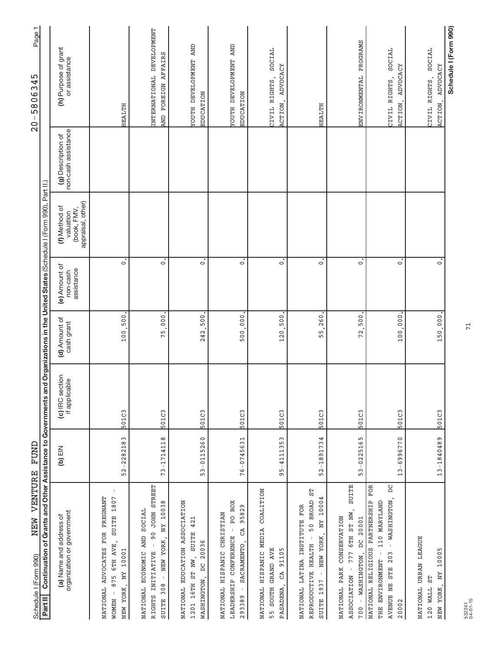| NEW VENTURE<br>Schedule I (Form 990)                                                                                                                            | FUND           |                                                                                                                     |                             |                                         |                                                                |                                           | ↽<br>Page<br>345<br>$-5806$<br>$\frac{0}{2}$     |
|-----------------------------------------------------------------------------------------------------------------------------------------------------------------|----------------|---------------------------------------------------------------------------------------------------------------------|-----------------------------|-----------------------------------------|----------------------------------------------------------------|-------------------------------------------|--------------------------------------------------|
| Continuation of<br>Part II                                                                                                                                      |                | Grants and Other Assistance to Governments and Organizations in the United States (Schedule I (Form 990), Part II.) |                             |                                         |                                                                |                                           |                                                  |
| organization or government<br>(a) Name and address of                                                                                                           | NIE (q)        | (c) IRC section<br>if applicable                                                                                    | (d) Amount of<br>cash grant | (e) Amount of<br>assistance<br>non-cash | (book, FMV,<br>appraisal, other)<br>(f) Method of<br>valuation | non-cash assistance<br>(g) Description of | (h) Purpose of grant<br>or assistance            |
| NATIONAL ADVOCATES FOR PREGNANT<br>SUITE 1807<br>6TH AVE,<br>NY 10001<br>875<br>NEW YORK,<br><b>NOMEN</b>                                                       | $52 - 2282183$ | 501C3                                                                                                               | 100,500                     | $\overline{\circ}$                      |                                                                |                                           | HEALTH                                           |
| 90 JOHN STREET<br>NY 10038<br>SOCIAL<br>NATIONAL ECONOMIC AND<br>NEW YORK,<br>$\mathbf{I}$<br>RIGHTS INITIATIVE<br>$\,$ $\,$<br>308<br><b>SUITE</b>             | 73-1714118     | 501C3                                                                                                               | 75.000                      | $\dot{\circ}$                           |                                                                |                                           | INTERNATIONAL DEVELOPMENT<br>AND FOREIGN AFFAIRS |
| EDUCATION ASSOCIATION<br>421<br><b>SUITE</b><br>DC 20036<br>1201 16TH ST NW,<br><b>WASHINGTON</b><br>NATIONAL                                                   | 53-0115260     | 501C3                                                                                                               | ,500<br>242.                | $\dot{\circ}$                           |                                                                |                                           | YOUTH DEVELOPMENT AND<br>EDUCATION               |
| PO BOX<br>95829<br>CHRISTIAN<br>CA<br>LEADERSHIP CONFERENCE<br>SACRAMENTO,<br>NATIONAL HISPANIC<br>$\,$ $\,$<br>293389                                          | 76-0745631     | 501C3                                                                                                               | 500,000                     | $\dot{\circ}$                           |                                                                |                                           | <b>TOUTH DEVELOPMENT AND</b><br>EDUCATION        |
| COALITION<br>HISPANIC MEDIA<br>GRAND AVE<br>91105<br>$C\overline{A}$<br><b>SOUTH</b><br>PASADENA<br>NATIONAL<br>55                                              | $95 - 4111353$ | 501C3                                                                                                               | 120,500                     | $\dot{\circ}$                           |                                                                |                                           | SOCIAL<br>ADVOCACY<br>CIVIL RIGHTS,<br>ACTION,   |
| 50 BROAD ST<br>NEW YORK, NY 10004<br>NATIONAL LATINA INSTITUTE FOR<br>$\,$ $\,$<br>REPRODUCTIVE HEALTH<br>$\bar{1}$<br>SUITE 1937                               | 52-1891734     | 501C3                                                                                                               | 260<br><u>ທີ່</u><br>Б      | $\dot{\circ}$                           |                                                                |                                           | HEALTH                                           |
| <b>SUITE</b><br>777 6TH ST NW,<br>NATIONAL PARK CONSERVATION<br>DC 20001<br>- WASHINGTON,<br>$\bar{1}$<br><b>ASSOCIATION</b><br>700                             | 53-0225165     | 501C3                                                                                                               | 72,500                      | $\dot{\circ}$                           |                                                                |                                           | ENVIRONMENTAL PROGRAMS                           |
| FOR<br>$\overline{D}$<br>- WASHINGTON,<br>NATIONAL RELIGIOUS PARTNERSHIP<br>110 MARYLAND<br>$\bar{\bar{z}}$<br>STE 203<br>THE ENVIRONMENT<br>AVENUE NE<br>20002 | 13-6996770     | 501C3                                                                                                               | 100,000                     | $\dot{\circ}$                           |                                                                |                                           | SOCIAL<br>ADVOCACY<br>CIVIL RIGHTS,<br>ACTION,   |
| NATIONAL URBAN LEAGUE<br>10005<br>NY<br>55<br>NEW YORK,<br>120 WALL                                                                                             | 13-1840489     | 501C3                                                                                                               | 150,000                     | $\overline{\circ}$                      |                                                                |                                           | SOCIAL<br>ADVOCACY<br>CIVIL RIGHTS,<br>ACTION,   |
|                                                                                                                                                                 |                |                                                                                                                     |                             |                                         |                                                                |                                           | Schedule I (Form 990)                            |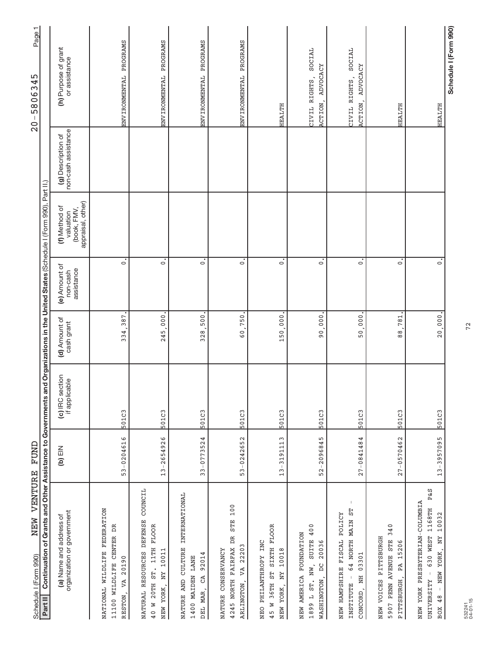| NEW VENTURE<br>Schedule I (Form 990)                                                                                                        | FUND           |                                  |                             |                                         |                                                                          |                                           | Page1<br>IJ<br>4<br>58063<br>$\mathbf{I}$<br>$\frac{0}{2}$ |  |
|---------------------------------------------------------------------------------------------------------------------------------------------|----------------|----------------------------------|-----------------------------|-----------------------------------------|--------------------------------------------------------------------------|-------------------------------------------|------------------------------------------------------------|--|
| Continuation of Grants and Other Assistance to Governments<br>Part II                                                                       |                |                                  |                             |                                         | and Organizations in the United States (Schedule I (Form 990), Part II.) |                                           |                                                            |  |
| organization or government<br>(a) Name and address of                                                                                       | NI∃ (q)        | (c) IRC section<br>if applicable | (d) Amount of<br>cash grant | (e) Amount of<br>assistance<br>non-cash | appraisal, other)<br>(f) Method of<br>(book, FMV,<br>valuation           | non-cash assistance<br>(g) Description of | (h) Purpose of grant<br>or assistance                      |  |
| NATIONAL WILDLIFE FEDERATION<br>CENTER DR<br>20190<br>11100 WILDLIFE<br>VA<br>RESTON,                                                       | 53-0204616     | 501C3                            | 387<br>334                  | $\circ$                                 |                                                                          |                                           | ENVIRONMENTAL PROGRAMS                                     |  |
| COUNCIL<br>NATURAL RESOURCES DEFENSE<br>11TH FLOOR<br>NY 10011<br>20TH ST.<br>NEW YORK,<br>40 W                                             | $13 - 2654926$ | 501C3                            | 000<br>245                  | $\dot{\circ}$                           |                                                                          |                                           | ENVIRONMENTAL PROGRAMS                                     |  |
| CULTURE INTERNATIONAL<br>92014<br><b>I400 MAIDEN LANE</b><br>CA<br>NATURE AND<br>DEL MAR                                                    | $33 - 0773524$ | 501C3                            | 500,<br>328.                | $\dot{\circ}$                           |                                                                          |                                           | ENVIRONMENTAL PROGRAMS                                     |  |
| 100<br><b>STE</b><br>4245 NORTH FAIRFAX DR<br>VA 22203<br>NATURE CONSERVANCY<br>ARLINGTON,                                                  | 53-0242652     | 501C3                            | 750<br>$\overline{6}$ 0     | $\dot{\circ}$                           |                                                                          |                                           | PROGRAMS<br>ENVIRONMENTAL                                  |  |
| ST SIXTH FLOOR<br>NEO PHILANTHROPY INC<br>10018<br>$\rm N_{\rm X}$<br>45 W 36TH<br>NEW YORK,                                                | 13-3191113     | 501C3                            | 150,000                     | $\dot{\circ}$                           |                                                                          |                                           | HEALTH                                                     |  |
| 400<br>NEW AMERICA FOUNDATION<br><b>SUITE</b><br>20036<br>WASHINGTON, DC<br>1899 L ST. NW,                                                  | 52-2096845     | 501C3                            | 000<br>$\frac{6}{9}$        | $\dot{\circ}$                           |                                                                          |                                           | SOCIAL<br>ADVOCACY<br>CIVIL RIGHTS,<br>ACTION,             |  |
| $\, \vert \,$<br>MAIN ST<br>NEW HAMPSHIRE FISCAL POLICY<br>64 NORTH<br>03301<br>CONCORD, NH<br>$\overline{\phantom{a}}$<br><b>INSTITUTE</b> | $27 - 0841484$ | 501C3                            | 50,000                      | $\dot{\circ}$                           |                                                                          |                                           | SOCIAL<br>ADVOCACY<br>CIVIL RIGHTS,<br>ACTION,             |  |
| 340<br>NEW VOICES PITTSBURGH<br>PENN AVENUE STE<br>15206<br>PITTSBURGH, PA<br>5907                                                          | 27-0570462     | 501C3                            | 781<br>$\frac{8}{8}$        | $\dot{\circ}$                           |                                                                          |                                           | HEALTH                                                     |  |
| P&S<br>NEW YORK PRESBYTERIAN-COLUMBIA<br>630 WEST 1168TH<br>10032<br>- NEW YORK, NY<br>UNIVERSITY -<br>48<br>BOX                            | 13-3957095     | 501C3                            | 20,000.                     | $\overline{\cdot}$                      |                                                                          |                                           | HEALTH                                                     |  |
|                                                                                                                                             |                |                                  |                             |                                         |                                                                          |                                           | Schedule I (Form 990)                                      |  |

72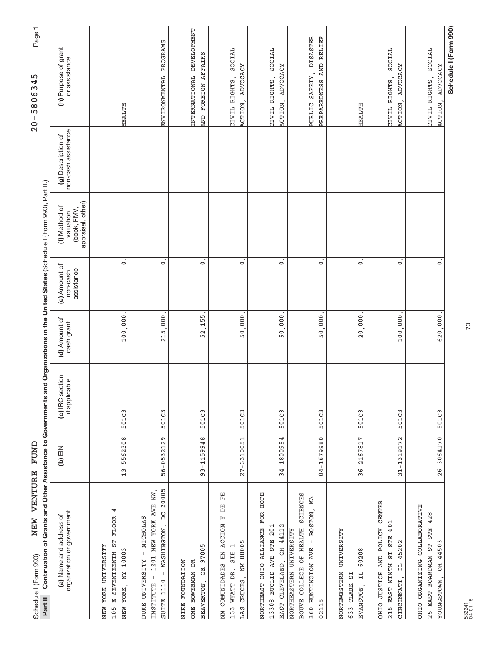| NEW VENTURE<br>Schedule I (Form 990)                                                                                                                                                                                  | FUND           |                                  |                             |                                         |                                                                |                                           | ↽<br>Page <sup>-</sup><br>345<br>$-5806$<br>$\frac{0}{2}$ |
|-----------------------------------------------------------------------------------------------------------------------------------------------------------------------------------------------------------------------|----------------|----------------------------------|-----------------------------|-----------------------------------------|----------------------------------------------------------------|-------------------------------------------|-----------------------------------------------------------|
| Continuation of Grants and Other Assistance to Governments and Organizations in the United States (Schedule I (Form 990), Part II.)<br>Part II                                                                        |                |                                  |                             |                                         |                                                                |                                           |                                                           |
| organization or government<br>(a) Name and address of                                                                                                                                                                 | NIE (q)        | (c) IRC section<br>if applicable | (d) Amount of<br>cash grant | (e) Amount of<br>assistance<br>non-cash | (book, FMV,<br>appraisal, other)<br>(f) Method of<br>valuation | non-cash assistance<br>(g) Description of | (h) Purpose of grant<br>or assistance                     |
| 4<br><b>FLOOR</b><br>E5<br>YORK UNIVERSITY<br>ξ<br>SEVENTEENTH<br>1000<br>$\rm \stackrel{\scriptscriptstyle \rm I}{\scriptscriptstyle \rm I}$<br>YORK,<br>$\begin{array}{c} \square \end{array}$<br>NEW<br>NEW<br>105 | 13-5562308     | 501C3                            | 100.000                     | $\dot{\circ}$                           |                                                                |                                           | HEALTH                                                    |
| 20005<br>1201 NEW YORK AVE NW,<br>DC<br>- NICHOLAS<br>WASHINGTON.<br>DUKE UNIVERSITY<br>$\mathbb{I}$<br>$\perp$<br>SUITE 1110<br>INSTITUTE                                                                            | 56-0532129     | 501C3                            | 215.000                     | $\dot{\circ}$                           |                                                                |                                           | ENVIRONMENTAL PROGRAMS                                    |
| OR 97005<br>NIKE FOUNDATION<br>ONE BOWERMAN DR<br><b>BEAVERTON</b>                                                                                                                                                    | 93-1159948     | 501C3                            | 52,155                      | $\dot{\circ}$                           |                                                                |                                           | INTERNATIONAL DEVELOPMENT<br>AND FOREIGN AFFAIRS          |
| 띥<br>E<br>$\triangleright$<br>COMUNIDADES EN ACCION<br>CRUCES, NM 88005<br>$\overline{ }$<br><b>STE</b><br>133 WYATT DR.<br>LAS<br>NМ                                                                                 | $27 - 3310051$ | 501C3                            | 50,000                      | $\overline{\circ}$                      |                                                                |                                           | SOCIAL<br>ADVOCACY<br>CIVIL RIGHTS,<br>ACTION,            |
| NORTHEAST OHIO ALLIANCE FOR HOPE<br>OH 44112<br>13308 EUCLID AVE STE 201<br>EAST CLEVELAND,                                                                                                                           | 34-1800954     | 501C3                            | 50,000                      | $\ddot{\circ}$                          |                                                                |                                           | SOCIAL<br>ADVOCACY<br>CIVIL RIGHTS,<br>ACTION,            |
| <b>SCIENCES</b><br>МA<br>BOSTON,<br>BOUVE COLLEGE OF HEALTH<br><b>NORTHEASTERN UNIVERSITY</b><br>$\mathsf{I}$<br>360 HUNTINGTON AVE<br>02115                                                                          | 04-1679980     | 501C3                            | 50,000                      | $\dot{\circ}$                           |                                                                |                                           | PUBLIC SAFETY, DISASTER<br>PREPAREDNESS AND RELIEF        |
| NORTHWESTERN UNIVERSITY<br>60208<br>$\vec{H}$<br>55<br>633 CLARK<br>EVANSTON,                                                                                                                                         | 36-2167817     | 501C3                            | 20,000                      | $\dot{\circ}$                           |                                                                |                                           | HEALTH                                                    |
| OHIO JUSTICE AND POLICY CENTER<br>601<br>215 EAST NINTH ST STE<br>45202<br>$\sharp$<br>CINCINNATI,                                                                                                                    | 31-1319172     | 501C3                            | 100.000                     | $\dot{\circ}$                           |                                                                |                                           | SOCIAL<br>ADVOCACY<br>CIVIL RIGHTS,<br>ACTION,            |
| OHIO ORGANIZING COLLABORATIVE<br>STE 428<br>44503<br>25 EAST BOARDMAN ST<br>Fö<br>YOUNGSTOWN,                                                                                                                         | $26 - 3064170$ | 501C3                            | 620,000.                    | $\dot{\circ}$                           |                                                                |                                           | SOCIAL<br>ADVOCACY<br>CIVIL RIGHTS,<br>ACTION,            |
|                                                                                                                                                                                                                       |                |                                  |                             |                                         |                                                                |                                           | Schedule I (Form 990)                                     |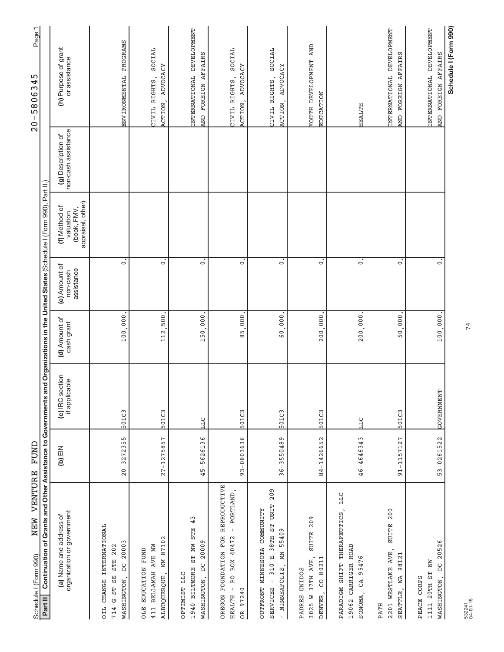| VENTURE<br>NEW<br>Schedule I (Form 990)                                                                                                  | FUND           |                                  |                             |                                         |                                                                         |                                           | Page 1<br>ഹ<br>₹<br>58063<br>$\mathbf{I}$<br>$\overline{0}$ |
|------------------------------------------------------------------------------------------------------------------------------------------|----------------|----------------------------------|-----------------------------|-----------------------------------------|-------------------------------------------------------------------------|-------------------------------------------|-------------------------------------------------------------|
| Grants and Other Assistance to Governments a<br>Continuation of<br>Part II                                                               |                |                                  |                             |                                         | nd Organizations in the United States (Schedule I (Form 990), Part II.) |                                           |                                                             |
| organization or government<br>(a) Name and address of                                                                                    | NIE (q)        | (c) IRC section<br>if applicable | (d) Amount of<br>cash grant | (e) Amount of<br>assistance<br>non-cash | (book, FMV,<br>appraisal, other)<br>(f) Method of<br>valuation          | non-cash assistance<br>(g) Description of | (h) Purpose of grant<br>or assistance                       |
| <b>INTERNATIONAL</b><br>20003<br>202<br><b>STE</b><br>$\sum_{i=1}^{n}$<br>ST SE<br>WASHINGTON<br><b>CHANGE</b><br>U<br><b>OIL</b><br>714 | $20 - 3272355$ | 501C3                            | 100.000                     | $\dot{\circ}$                           |                                                                         |                                           | ENVIRONMENTAL PROGRAMS                                      |
| 87102<br>411 BELLAMAH AVE NW<br>EDUCATION FUND<br>NМ<br>ALBUQUERQUE,<br><b>DTE</b>                                                       | $27 - 1275857$ | 501C3                            | 112,500                     | $\dot{\circ}$                           |                                                                         |                                           | SOCIAL<br>ADVOCACY<br>CIVIL RIGHTS,<br>ACTION,              |
| 43<br><b>STE</b><br>20009<br>1940 BILTMORE ST NW<br><b>DC</b><br>OPTIMIST LLC<br>WASHINGTON,                                             | 45-5626136     | р<br>Ц                           | 150,000                     | $\dot{\circ}$                           |                                                                         |                                           | INTERNATIONAL DEVELOPMENT<br>AND FOREIGN AFFAIRS            |
| REPRODUCTIVE<br>- PORTLAND,<br>OREGON FOUNDATION FOR<br>BOX 40472<br>Q<br>A<br>$\mathsf{I}$<br>97240<br><b>HEALTH</b><br><b>BC</b>       | 93-0803636     | 501C3                            | 000<br>$\frac{5}{8}$        | $\circ$                                 |                                                                         |                                           | SOCIAL<br>ACTION, ADVOCACY<br>CIVIL RIGHTS,                 |
| 209<br>38TH ST UNIT<br>OUTFRONT MINNESOTA COMMUNITY<br>MN 55409<br>310 E<br>MINNEAPOLIS,<br>$\bar{1}$<br><b>SERVICES</b><br>$\pm$        | 36-3550489     | 501C3                            | 60,000                      | $\dot{\circ}$                           |                                                                         |                                           | SOCIAL<br>ADVOCACY<br>CIVIL RIGHTS,<br>ACTION,              |
| 209<br><b>SUITE</b><br>37TH AVE,<br>80211<br>PADRES UNIDOS<br>S<br>DENVER,<br>3025 W                                                     | 84-1426652     | 501C3                            | 200,000                     | $\overline{\circ}$                      |                                                                         |                                           | <b>TOUTH DEVELOPMENT AND</b><br>EDUCATION                   |
| LLC<br>PARADIGM SHIFT THERAPEUTICS<br>ROAD<br>95476<br>19062 CARRIGER<br>GA<br>SONOMA,                                                   | 46-4646343     | ЦI<br>Ц                          | 200.000                     | $\overline{\cdot}$                      |                                                                         |                                           | HEALTH                                                      |
| 200<br><b>SUITE</b><br>WESTLAKE AVE,<br>98121<br>WA<br>SEATTLE,<br>2201<br><b>PATH</b>                                                   | 91-1157127     | 501C3                            | 50,000                      | $\overline{\cdot}$                      |                                                                         |                                           | INTERNATIONAL DEVELOPMENT<br>FOREIGN AFFAIRS<br><b>CINE</b> |
| 20526<br>20TH ST NW<br><b>DC</b><br>PEACE CORPS<br>WASHINGTON,<br>1111                                                                   | 53-0261522     | GOVERNMENT                       | 100,000                     | $\overline{\cdot}$                      |                                                                         |                                           | INTERNATIONAL DEVELOPMENT<br>FOREIGN AFFAIRS<br><b>CINT</b> |
|                                                                                                                                          |                |                                  |                             |                                         |                                                                         |                                           | Schedule I (Form 990)                                       |

74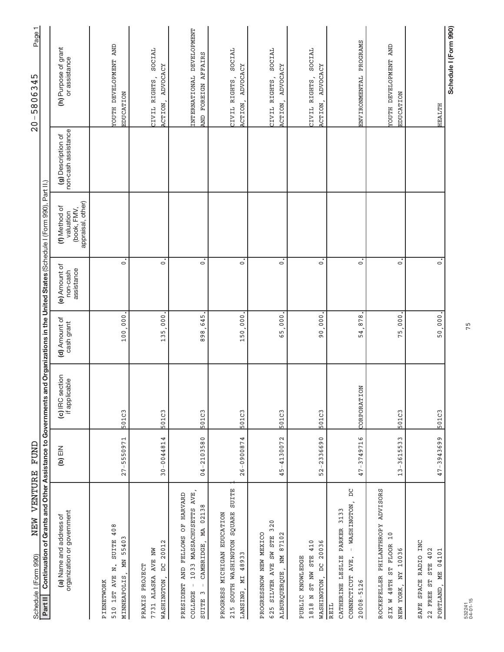| VENTURE<br>NEW<br>Schedule I (Form 990)                                                                                                         | FUND           |                                      |                             |                                         |                                                                          |                                           | Page 1<br>5806345<br>$\mathsf{I}$<br>$\frac{0}{2}$ |
|-------------------------------------------------------------------------------------------------------------------------------------------------|----------------|--------------------------------------|-----------------------------|-----------------------------------------|--------------------------------------------------------------------------|-------------------------------------------|----------------------------------------------------|
| Continuation of Grants and Other Assistance to Governments<br>Part II                                                                           |                |                                      |                             |                                         | and Organizations in the United States (Schedule I (Form 990), Part II.) |                                           |                                                    |
| organization or government<br>(a) Name and address of                                                                                           | NIE (q)        | (c) IRC section<br>if applicable     | (d) Amount of<br>cash grant | (e) Amount of<br>assistance<br>non-cash | appraisal, other)<br>(f) Method of<br>(book, FMV,<br>valuation           | non-cash assistance<br>(g) Description of | (h) Purpose of grant<br>or assistance              |
| SUITE 408<br>MN 55403<br>$\overline{\mathbf{z}}$<br>510 1ST AVE<br>MINNEAPOLIS<br>PIENETWORK                                                    | $27 - 5550971$ | 501C3                                | 100.000                     | $\circ$                                 |                                                                          |                                           | YOUTH DEVELOPMENT AND<br><b>EDUCATION</b>          |
| $\mathbf{\Omega}$<br>2001<br>7731 ALASKA AVE NW<br>$\sum_{i=1}^{n}$<br>PRAXIS PROJECT<br>WASHINGTON,                                            | $30 - 0044814$ | 501C3                                | 000<br>135                  | $\dot{\circ}$                           |                                                                          |                                           | SOCIAL<br>ADVOCACY<br>CIVIL RIGHTS,<br>ACTION,     |
| 1033 MASSACHUSETTS AVE,<br>HARVARD<br>CAMBRIDGE, MA 02138<br>F)<br>AND FELLOWS<br>PRESIDENT<br>$\mathsf I$<br>COLLEGE<br>$\sim$<br><b>SUITE</b> | $04 - 2103580$ | 501C3                                | 898,645                     | $\overline{\circ}$                      |                                                                          |                                           | INTERNATIONAL DEVELOPMENT<br>AND FOREIGN AFFAIRS   |
| 215 SOUTH WASHINGTON SQUARE SUITE<br>PROGRESS MICHIGAN EDUCATION<br>LANSING, MI 48933                                                           | 26-0900874     | 501C3                                | 150,000                     | $\circ$                                 |                                                                          |                                           | SOCIAL<br>ADVOCACY<br>CIVIL RIGHTS,<br>ACTION,     |
| 625 SILVER AVE SW STE 320<br>PROGRESSNOW NEW MEXICO<br>NM 87102<br>ALBURQUERQUE,                                                                | 45-4130072     | 501C3                                | 65,000                      | $\dot{\circ}$                           |                                                                          |                                           | SOCIAL<br>ADVOCACY<br>CIVIL RIGHTS,<br>ACTION,     |
| ST NW STE 410<br>20036<br>PUBLIC KNOWLEDGE<br>WASHINGTON, DC<br>1818 N                                                                          | 52-2336690     | 501C3                                | 90,000                      | $\dot{\circ}$                           |                                                                          |                                           | SOCIAL<br>ADVOCACY<br>CIVIL RIGHTS,<br>ACTION,     |
| $\overline{D}$<br>WASHINGTON,<br>CATHERINE LESLIE PARKER 3133<br>CONNECTICUT AVE.<br>$20008 - 5126$<br><b>REIL</b>                              | 47-3749716     | $\overline{\mathrm{S}}$<br>CORPORATI | 878<br>54,                  | $\overline{\circ}$                      |                                                                          |                                           | ENVIRONMENTAL PROGRAMS                             |
| <b>ADVISORS</b><br>ROCKEFELLER PHILANTHROPY<br>10<br>SIX W 48TH ST FLOOR<br>NEW YORK, NY 10036                                                  | $13 - 3615533$ | 501C3                                | 000<br>5<br>$\overline{ }$  | $\dot{\circ}$                           |                                                                          |                                           | <b>TOUTH DEVELOPMENT AND</b><br><b>EDUCATION</b>   |
| SAFE SPACE RADIO INC<br>22 FREE ST STE 402<br>PORTLAND, ME 04101                                                                                | 47-3943699     | 501C3                                | 50,000.                     | $\dot{\circ}$                           |                                                                          |                                           | HEALTH                                             |
|                                                                                                                                                 |                |                                      |                             |                                         |                                                                          |                                           | Schedule I (Form 990)                              |

75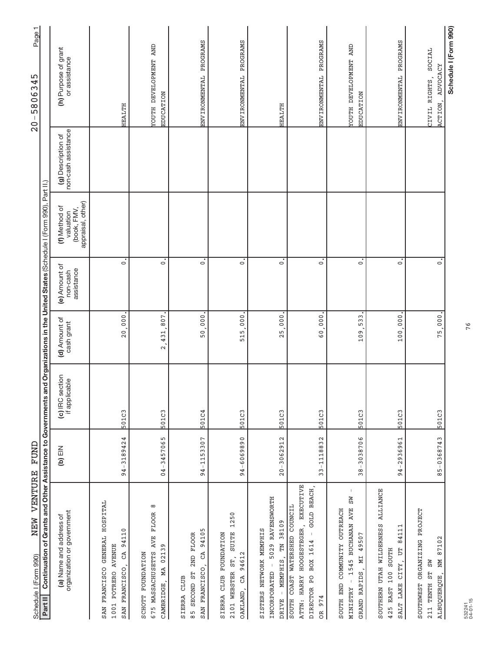| NEW VENTURE<br>Schedule I (Form 990)                                                                                                           | FUND           |                                  |                             |                                         |                                                                          |                                           | Page1<br>45<br>$-58063$<br>$\frac{0}{2}$             |
|------------------------------------------------------------------------------------------------------------------------------------------------|----------------|----------------------------------|-----------------------------|-----------------------------------------|--------------------------------------------------------------------------|-------------------------------------------|------------------------------------------------------|
| Continuation of Grants and Other Assistance to Governments<br>Part II                                                                          |                |                                  |                             |                                         | and Organizations in the United States (Schedule I (Form 990), Part II.) |                                           |                                                      |
| organization or government<br>(a) Name and address of                                                                                          | NIE (q)        | (c) IRC section<br>if applicable | (d) Amount of<br>cash grant | (e) Amount of<br>assistance<br>non-cash | appraisal, other)<br>(f) Method of<br>(book, FMV,<br>valuation           | non-cash assistance<br>(g) Description of | (h) Purpose of grant<br>or assistance                |
| GENERAL HOSPITAL<br>94110<br>1001 POTRERO AVENUE<br>CA<br>SAN FRANCISCO,<br>SAN FRANCISCO                                                      | $94 - 3189424$ | 501C3                            | 000<br>$\frac{0}{2}$        | $\overline{\cdot}$                      |                                                                          |                                           | HEALTH                                               |
| ${}^{\circ}$<br>675 MASSACHUSETTS AVE FLOOR<br>02139<br>SCHOTT FOUNDATION<br>MA<br>CAMBRIDGE,                                                  | 04-3457065     | 501C3                            | ,807<br>431<br>$\sim$       | $\dot{\circ}$                           |                                                                          |                                           | YOUTH DEVELOPMENT AND<br><b>EDUCATION</b>            |
| 94105<br>SECOND ST 2ND FLOOR<br>CA<br>SAN FRANCISCO,<br>CLUB<br>SIERRA<br>$\frac{1}{8}$                                                        | 94-1153307     | 501C4                            | 50,000                      | $\dot{\circ}$                           |                                                                          |                                           | ENVIRONMENTAL PROGRAMS                               |
| 1250<br><b>SUITE</b><br>SIERRA CLUB FOUNDATION<br>94612<br>2101 WEBSTER ST,<br>OAKLAND, CA                                                     | 94-6069890     | 501C3                            | 515.000                     | $\overline{\cdot}$                      |                                                                          |                                           | ENVIRONMENTAL PROGRAMS                               |
| 5029 RAVENSWORTH<br>- MEMPHIS, TN 38109<br>SISTERS NETWORK MEMPHIS<br>INCORPORATED -<br>DRIVE                                                  | $20 - 3062912$ | 501C3                            | 25,000                      | $\dot{\circ}$                           |                                                                          |                                           | <b>HEALTH</b>                                        |
| ATTN: HARRY HOOGESTEGER, EXECUTIVE<br>GOLD BEACH,<br>COAST WATERSHED COUNCIL<br>$\bar{1}$<br>DIRECTOR PO BOX 1614<br>974<br><b>SOUTH</b><br>OR | 33-1118832     | 501C3                            | 000<br>$\overline{6}$       | $\overline{\circ}$                      |                                                                          |                                           | ENVIRONMENTAL PROGRAMS                               |
| $\,$ $\,$<br><b>NS</b><br>- 1545 BUCHANAN AVE<br>SOUTH END COMMUNITY OUTREACH<br>49507<br>GRAND RAPIDS, MI<br>NINISTRY                         | $38 - 3038706$ | 501C3                            | 533<br>109                  | $\overline{\cdot}$                      |                                                                          |                                           | <b>TOUTH DEVELOPMENT AND</b><br><b>EDUCATION</b>     |
| <b>ALLIANCE</b><br>SOUTHERN UTAH WILDERNESS<br>84111<br>Ë<br>100 SOUTH<br>CITY,<br>SALT LAKE<br>425 EAST                                       | 94-2936961     | 501C3                            | 100,000                     | $\dot{\circ}$                           |                                                                          |                                           | PROGRAMS<br>ENVIRONMENTAL                            |
| SOUTHWEST ORGANIZING PROJECT<br>87102<br>ALBUQUERQUE, NM<br>211 TENTH ST SW                                                                    | 85-0368743     | 501C3                            | 75,000.                     | $\dot{\circ}$                           |                                                                          |                                           | SOCIAL<br>ADVOCACY<br>CIVIL RIGHTS,<br><b>ACTION</b> |
|                                                                                                                                                |                |                                  |                             |                                         |                                                                          |                                           | Schedule I (Form 990)                                |

76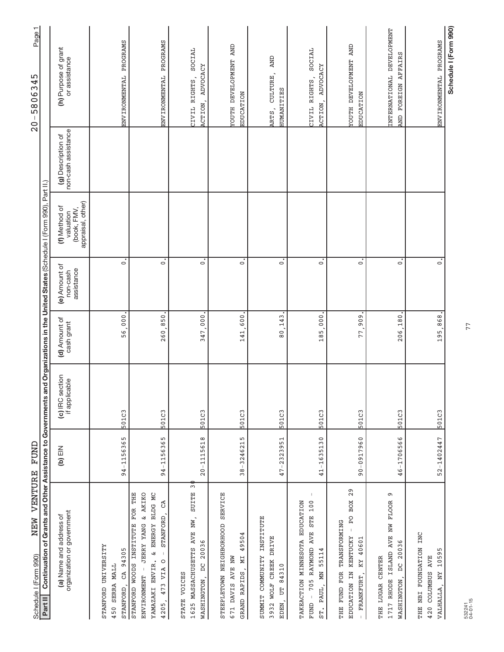| VENTURE<br>NEW<br>Schedule I (Form 990)                                                                                                                                                            | FUND              |                                                                                                                    |                             |                                         |                                                                |                                           | Page 1<br>345<br>$\ddot{\circ}$<br>580<br>$\overline{\phantom{a}}$<br>$\frac{0}{2}$ |
|----------------------------------------------------------------------------------------------------------------------------------------------------------------------------------------------------|-------------------|--------------------------------------------------------------------------------------------------------------------|-----------------------------|-----------------------------------------|----------------------------------------------------------------|-------------------------------------------|-------------------------------------------------------------------------------------|
| Continuation of<br>Part II                                                                                                                                                                         |                   | Grants and Other Assistance to Governments and Organizations in the United States (Schedule I (Form 990), Part II, |                             |                                         |                                                                |                                           |                                                                                     |
| organization or government<br>(a) Name and address of                                                                                                                                              | $(b)$ EIN         | (c) IRC section<br>if applicable                                                                                   | (d) Amount of<br>cash grant | (e) Amount of<br>assistance<br>non-cash | appraisal, other)<br>(f) Method of<br>(book, FMV,<br>valuation | non-cash assistance<br>(g) Description of | (h) Purpose of grant<br>or assistance                                               |
| UNIVERSITY<br>CA 94305<br>450 SERRA MALL<br>STANFORD<br>STANFORD                                                                                                                                   | 94-1156365        | 501C3                                                                                                              | 000<br>56.                  | $\circ$                                 |                                                                |                                           | ENVIRONMENTAL PROGRAMS                                                              |
| STANFORD WOODS INSTITUTE FOR THE<br>& AKIKO<br><b>BLDG MC</b><br>යි<br>STANFORD<br>& ENERGY<br><b><i>YANG</i></b><br><b>JERRY</b><br>$\circ$<br>YAMAZAKI ENVIR.<br>473 VIA<br>ENVIRONMENT<br>4205, | 94-1156365        | 501C3                                                                                                              | 850<br>260                  | $\dot{\circ}$                           |                                                                |                                           | ENVIRONMENTAL PROGRAMS                                                              |
| $\frac{1}{2}$<br><b>SUITE</b><br>1625 MASSACHUSETTS AVE NW,<br>20036<br>$\beta$<br>STATE VOICES<br>WASHINGTON,                                                                                     | $20 - 1115618$    | 501C3                                                                                                              | 347,000                     | $\overline{\circ}$                      |                                                                |                                           | SOCIAL<br>ADVOCACY<br>CIVIL RIGHTS<br>ACTION,                                       |
| STEEPLETOWN NEIGHBORHOOD SERVICE<br>4<br>4950.<br>NІ<br>671 DAVIS AVE NW<br>GRAND RAPIDS,                                                                                                          | 3246215<br>$38 -$ | 501C3                                                                                                              | 141,600                     | $\circ$                                 |                                                                |                                           | <b>TOUTH DEVELOPMENT AND</b><br><b>EDUCATION</b>                                    |
| SUMMIT COMMUNITY INSTITUTE<br><b>DRIVE</b><br>3932 WOLF CREEK<br>84310<br>Ë<br>EDEN,                                                                                                               | $47 - 2323951$    | 501C3                                                                                                              | 80,143                      | $\dot{\circ}$                           |                                                                |                                           | <b>AND</b><br>ARTS, CULTURE,<br>HUMANITIES                                          |
| $\overline{\phantom{a}}$<br><b>STE 100</b><br>TAKEACTION MINNESOTA EDUCATION<br>705 RAYMOND AVE<br>55114<br>PAUL, MN<br>FUND<br>ST.                                                                | $41 - 1635130$    | 501C3                                                                                                              | 000<br>185,                 | $\dot{\circ}$                           |                                                                |                                           | SOCIAL<br>ACTION, ADVOCACY<br>CIVIL RIGHTS,                                         |
| 29<br>PO BOX<br>THE FUND FOR TRANSFORMING<br><b>KENTUCKY</b><br>40601<br>$\mathtt{KY}$<br>EDUCATION IN<br>FRANKFURT,                                                                               | 90-0917960        | 501C3                                                                                                              | 909<br>77.                  | $\overline{\circ}$                      |                                                                |                                           | <b>TOUTH DEVELOPMENT AND</b><br><b>EDUCATION</b>                                    |
| o<br>ISLAND AVE NW FLOOR<br>20036<br>THE LUGAR CENTER<br>$\beta$<br>WASHINGTON,<br>1717 RHODE                                                                                                      | 46-1706566        | 501C3                                                                                                              | 180<br>206.                 | $\dot{\circ}$                           |                                                                |                                           | INTERNATIONAL DEVELOPMENT<br>AND FOREIGN AFFAIRS                                    |
| THE NBI FOUNDATION INC<br>Б<br>1059<br>COLUMBUS AVE<br>VALHALLA, NY<br>420                                                                                                                         | 52-1402447        | 501C3                                                                                                              | 195,868                     | $\dot{\circ}$                           |                                                                |                                           | ENVIRONMENTAL PROGRAMS                                                              |
|                                                                                                                                                                                                    |                   |                                                                                                                    |                             |                                         |                                                                |                                           | Schedule I (Form 990)                                                               |

77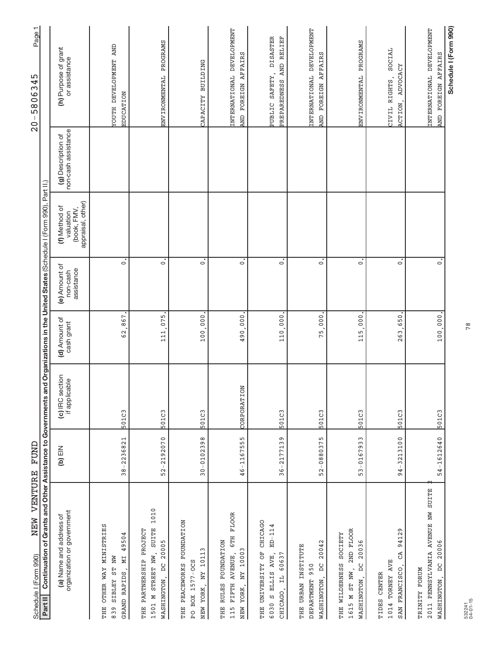| VENTURE<br>NEW<br>Schedule I (Form 990)                                                                                                        | FUND           |                                  |                             |                                         |                                                                |                                           | ┯<br>Page<br>45<br>$\overline{c}$<br>$-5806$<br>$\frac{0}{2}$ |
|------------------------------------------------------------------------------------------------------------------------------------------------|----------------|----------------------------------|-----------------------------|-----------------------------------------|----------------------------------------------------------------|-------------------------------------------|---------------------------------------------------------------|
| Continuation of Grants and Other Assistance to Governments and Organizations in the United States (Schedule I (Form 990), Part II.)<br>Part II |                |                                  |                             |                                         |                                                                |                                           |                                                               |
| organization or government<br>(a) Name and address of                                                                                          | NIE (q)        | (c) IRC section<br>if applicable | (d) Amount of<br>cash grant | (e) Amount of<br>assistance<br>non-cash | appraisal, other)<br>(f) Method of<br>(book, FMV,<br>valuation | non-cash assistance<br>(g) Description of | (h) Purpose of grant<br>or assistance                         |
| MINISTRIES<br>49504<br>ST NW<br>NІ<br><b>OTHER WAY</b><br>GRAND RAPIDS<br><b>ZETBLEZ</b><br>THE<br>839                                         | 38-2236821     | 501C3                            | 62,867                      | $\overline{\circ}$                      |                                                                |                                           | <b>TOUTH DEVELOPMENT AND</b><br><b>EDUCATION</b>              |
| 1010<br><b>SUITE</b><br>THE PARTNERSHIP PROJECT<br>DC 20005<br>STREET NW,<br>WASHINGTON,<br>1501 M                                             | 52-2192070     | 501C3                            | 111.075                     | $\ddot{\circ}$                          |                                                                |                                           | ENVIRONMENTAL PROGRAMS                                        |
| THE PEACEWORKS FOUNDATION<br>$\mathsf{c}$<br>NY 1011<br>PO BOX 1577-OCS<br>NEW YORK,                                                           | $30 - 0102398$ | 501C3                            | 100,000                     | $\dot{\circ}$                           |                                                                |                                           | CAPACITY BUILDING                                             |
| <b>FLOOR</b><br>6TH<br><b>FOUNDATION</b><br>NY 10003<br>FIFTH AVENUE,<br><b>RULLES</b><br>YORK,<br>THE<br>NEW<br>115                           | 46-1167555     | CORPORATION                      | 490,000                     | $\dot{\circ}$                           |                                                                |                                           | INTERNATIONAL DEVELOPMENT<br>AND FOREIGN AFFAIRS              |
| CHICAGO<br>$ED - 114$<br>THE UNIVERSITY OF<br>$6030$ S ELLIS AVE,<br>60637<br>CHICAGO, IL                                                      | $36 - 2177139$ | 501C3                            | 110.000                     | $\ddot{\circ}$                          |                                                                |                                           | PUBLIC SAFETY, DISASTER<br>PREPAREDNESS AND RELIEF            |
| 20042<br>THE URBAN INSTITUTE<br>$\overline{D}$<br>950<br>WASHINGTON,<br><b>DEPARTMENT</b>                                                      | 52-0880375     | 501C3                            | 000<br>75,                  | $\dot{\circ}$                           |                                                                |                                           | INTERNATIONAL DEVELOPMENT<br>AND FOREIGN AFFAIRS              |
| 2ND FLOOR<br>THE WILDERNESS SOCIETY<br>DC 20036<br>1615 M ST NW,<br>WASHINGTON,                                                                | 53-0167933     | 501C3                            | 000 <sub>1</sub><br>115.    | $\dot{\circ}$                           |                                                                |                                           | ENVIRONMENTAL PROGRAMS                                        |
| 94129<br>GA<br>1014 TORNEY AVE<br>SAN FRANCISCO,<br>TIDES CENTER                                                                               | 94-3213100     | 501C3                            | 650<br>263                  | $\overline{\circ}$                      |                                                                |                                           | SOCIAL<br>ADVOCACY<br>CIVIL RIGHTS,<br>ACTION,                |
| 2011 PENNSYLVANIA AVENUE NW SUITE<br>20006<br>$\beta$<br>TRINITY FORUM<br>WASHINGTON,                                                          | $54 - 1612640$ | 501C3                            | 100,000.                    | $\dot{\circ}$                           |                                                                |                                           | INTERNATIONAL DEVELOPMENT<br>AND FOREIGN AFFAIRS              |
|                                                                                                                                                |                |                                  |                             |                                         |                                                                |                                           | Schedule I (Form 990)                                         |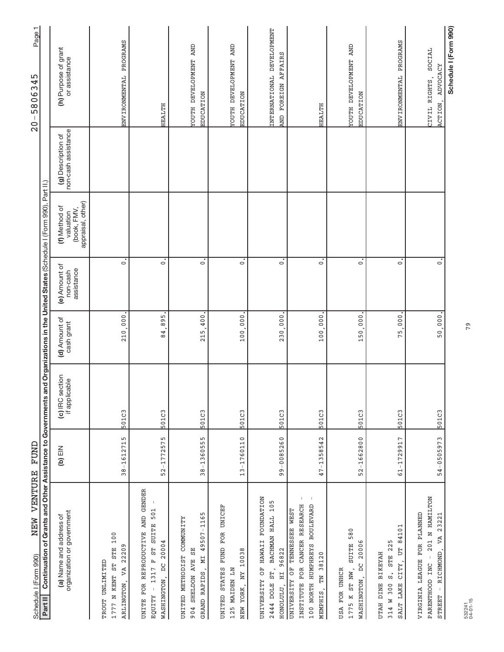| VENTURE<br>NEW<br>Schedule I (Form 990)                                                                                                          | FUND           |                                  |                             |                                         |                                                                |                                           | Page 1<br>45<br>$\overline{c}$<br>5886<br>$\mathsf I$<br>$\overline{0}$ |
|--------------------------------------------------------------------------------------------------------------------------------------------------|----------------|----------------------------------|-----------------------------|-----------------------------------------|----------------------------------------------------------------|-------------------------------------------|-------------------------------------------------------------------------|
| Continuation of Grants and Other Assistance to Governments and Organizations in the United States (Schedule I (Form 990), Part II.)<br>Part II   |                |                                  |                             |                                         |                                                                |                                           |                                                                         |
| organization or government<br>(a) Name and address of                                                                                            | $(b)$ EIN      | (c) IRC section<br>if applicable | (d) Amount of<br>cash grant | (e) Amount of<br>assistance<br>non-cash | appraisal, other)<br>(f) Method of<br>(book, FMV,<br>valuation | non-cash assistance<br>(g) Description of | (h) Purpose of grant<br>or assistance                                   |
| 100<br>22209<br>1777 N KENT ST STE<br>TROUT UNLIMITED<br>VA<br>ARLINGTON,                                                                        | $38 - 1612715$ | 501C3                            | 210,000                     | $\circ$                                 |                                                                |                                           | ENVIRONMENTAL PROGRAMS                                                  |
| UNITE FOR REPRODUCTIVE AND GENDER<br>501<br>ST SUITE<br>20004<br>1317 F<br>$\overline{a}$<br>WASHINGTON,<br>$\bar{1}$<br><b>EQUITY</b>           | $52 - 1772575$ | 501C3                            | 895<br>84                   | $\dot{\circ}$                           |                                                                |                                           | HEALTH                                                                  |
| ъ<br>49507-116<br><b>COMMUNITY</b><br>55<br>UNITED METHODIST<br>GRAND RAPIDS, MI<br><b>SO4 SHELDON AVE</b>                                       | 38-1360555     | 501C3                            | 004<br>215                  | $\dot{\circ}$                           |                                                                |                                           | <b>TOUTH DEVELOPMENT AND</b><br>EDUCATION                               |
| UNITED STATES FUND FOR UNICEF<br>NEW YORK, NY 10038<br>125 MAIDEN LN                                                                             | 13-1760110     | 501C3                            | 100.000                     | $\ddot{\circ}$                          |                                                                |                                           | <b>TOUTH DEVELOPMENT AND</b><br>EDUCATION                               |
| <b>FOUNDATION</b><br>BACHMAN HALL 105<br>UNIVERSITY OF HAWAII<br>96822<br>2444 DOLE ST,<br>H <sub>L</sub><br>HONOLULU,                           | 99-0085260     | 501C3                            | 230,000                     | $\dot{\circ}$                           |                                                                |                                           | INTERNATIONAL DEVELOPMENT<br>AND FOREIGN AFFAIRS                        |
| $\,$ $\,$<br>CANCER RESEARCH<br><b>BOULEVARD</b><br>UNIVERSITY OF TENNESSEE WEST<br>100 NORTH HUMPHREYS<br>TN 38120<br>INSTITUTE FOR<br>MEMPHIS, | $47 - 1358542$ | 501C3                            | 100,000                     | $\overline{\circ}$                      |                                                                |                                           | HEALTH                                                                  |
| SUITE 580<br>20006<br>$\beta$<br>1775 K ST NW,<br>USA FOR UNHCR<br>WASHINGTON,                                                                   | 52-1662800     | 501C3                            | 000<br>150.                 | $\overline{\circ}$                      |                                                                |                                           | <b>TOUTH DEVELOPMENT AND</b><br><b>EDUCATION</b>                        |
| 84101<br>STE 225<br>CITY, UT<br><b>BIKEYAH</b><br>$\ddot{a}$<br>UTAH DINE<br>SALT LAKE<br>314 W 300                                              | $61 - 1729917$ | 501C3                            | 000<br>75                   | $\overline{\cdot}$                      |                                                                |                                           | ENVIRONMENTAL PROGRAMS                                                  |
| Z01 N HAMILTON<br>VIRGINIA LEAGUE FOR PLANNED<br>23221<br>STREET - RICHMOND, VA<br>PARENTHOOD INC                                                | 54-0505973     | 501C3                            | $50,000$ .                  | $\dot{\circ}$                           |                                                                |                                           | SOCIAL<br>ADVOCACY<br>CIVIL RIGHTS,<br><b>ACTION</b>                    |
|                                                                                                                                                  |                |                                  |                             |                                         |                                                                |                                           | Schedule I (Form 990)                                                   |

79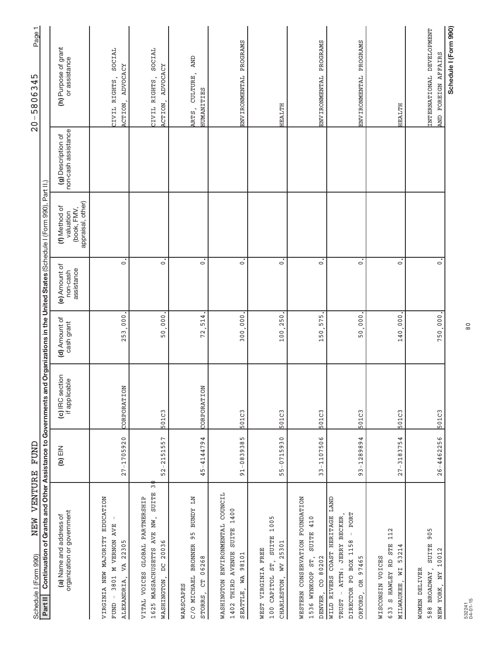| NEW VENTURE<br>Schedule I (Form 990)                                                                                                          | FUND           |                                                                                                                    |                             |                                         |                                                                |                                           | Page1<br>5<br>4<br>$-58063$<br>$\frac{0}{2}$                |
|-----------------------------------------------------------------------------------------------------------------------------------------------|----------------|--------------------------------------------------------------------------------------------------------------------|-----------------------------|-----------------------------------------|----------------------------------------------------------------|-------------------------------------------|-------------------------------------------------------------|
| Continuation of<br>Part II                                                                                                                    |                | Grants and Other Assistance to Governments and Organizations in the United States (Schedule I (Form 990), Part II, |                             |                                         |                                                                |                                           |                                                             |
| organization or government<br>(a) Name and address of                                                                                         | NIE (q)        | (c) IRC section<br>if applicable                                                                                   | (d) Amount of<br>cash grant | (e) Amount of<br>assistance<br>non-cash | (book, FMV,<br>appraisal, other)<br>(f) Method of<br>valuation | non-cash assistance<br>(g) Description of | (h) Purpose of grant<br>or assistance                       |
| EDUCATION<br><b>AVE</b><br>VIRGINIA NEW MAJORITY<br><b>M VERNON</b><br>22305<br>VA<br>3801<br>ALEXANDRIA,<br>FUND                             | $27 - 1705920$ | CORPORATION                                                                                                        | $000$ .<br>253              | $\dot{\circ}$                           |                                                                |                                           | SOCIAL<br>ADVOCACY<br>CIVIL RIGHTS,<br>ACTION,              |
| $\overline{5}$<br><b>SUITE</b><br>GLOBAL PARTNERSHIP<br>1625 MASSACHUSETTS AVE NW,<br>DC 20036<br>VITAL VOICES<br>WASHINGTON,                 | $52 - 2151557$ | 501C3                                                                                                              | 50,000                      | $\mathbf{c}$                            |                                                                |                                           | SOCIAL<br>ADVOCACY<br>CIVIL RIGHTS,<br>ACTION.              |
| NT ACNDE<br>95<br>C/O MICHAEL BRONNER<br>06268<br>$\overline{5}$<br>WARSCAPES<br>STORRS,                                                      | 45-4144794     | CORPORATION                                                                                                        | 514<br>72                   | $\dot{\circ}$                           |                                                                |                                           | <b>AND</b><br>CULTURE,<br><b>HUMANITIES</b><br>ARTS,        |
| COUNCIL<br>SUITE 1400<br>WASHINGTON ENVIRONMENTAL<br>1402 THIRD AVENUE<br>98101<br>SEATTLE, WA                                                | 91-0839385     | 501C3                                                                                                              | 300,000                     | $\dot{\circ}$                           |                                                                |                                           | ENVIRONMENTAL PROGRAMS                                      |
| 1005<br><b>SUITE</b><br>WV 25301<br>WEST VIRGINIA FREE<br>100 CAPITOL ST,<br>CHARLESTON,                                                      | $55 - 0715930$ | 501C3                                                                                                              | 100.250                     | $\dot{\circ}$                           |                                                                |                                           | <b>HEALTH</b>                                               |
| WESTERN CONSERVATION FOUNDATION<br>410<br><b>SUITE</b><br>1536 WYNKOOP ST,<br>DENVER, CO 80202                                                | 33-1107506     | 501C3                                                                                                              | 575<br>150.                 | $\dot{\circ}$                           |                                                                |                                           | ENVIRONMENTAL PROGRAMS                                      |
| <b>LIAND</b><br>PORT<br>WILD RIVERS COAST HERITAGE<br>ATTN: JERRY BECKER<br>$\perp$<br>DIRECTOR PO BOX 1158<br>97465<br>ORFORD, OR<br>TRUST - | 93-1289894     | 501C3                                                                                                              | 50,000                      | $\dot{\circ}$                           |                                                                |                                           | ENVIRONMENTAL PROGRAMS                                      |
| 112<br><b>STE</b><br>53214<br>WISCONSIN VOICES<br>633 S HAWLEY RD<br>MILWAUKEE, WI                                                            | $27 - 3183754$ | 501C3                                                                                                              | 140.000                     | $\dot{\circ}$                           |                                                                |                                           | HEALTH                                                      |
| 905<br><b>SUITE</b><br>10012<br>WOMEN DELIVER<br>588 BROADWAY,<br>NEW YORK, NY                                                                | $26 - 4462256$ | 501C3                                                                                                              | 750,000.                    | $\dot{\circ}$                           |                                                                |                                           | INTERNATIONAL DEVELOPMENT<br>FOREIGN AFFAIRS<br><b>CINN</b> |
|                                                                                                                                               |                |                                                                                                                    |                             |                                         |                                                                |                                           | Schedule I (Form 990)                                       |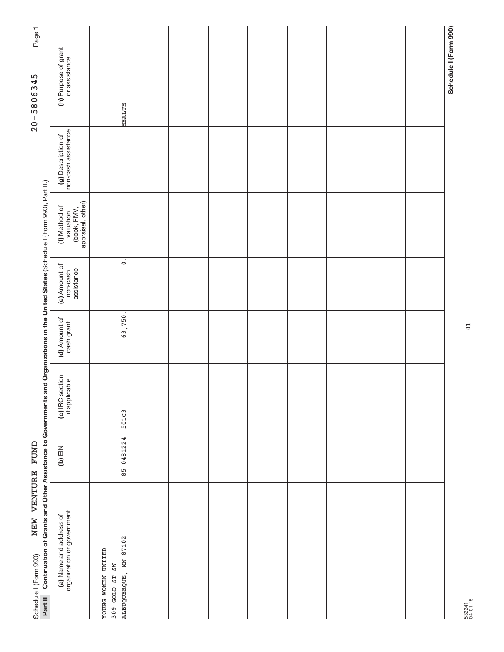| Page1                                     |                                                                                                                                                |                                                                |                                                                         |  |  |  |  |                       |
|-------------------------------------------|------------------------------------------------------------------------------------------------------------------------------------------------|----------------------------------------------------------------|-------------------------------------------------------------------------|--|--|--|--|-----------------------|
| $20 - 5806345$                            |                                                                                                                                                | (h) Purpose of grant<br>or assistance                          | <b>HEALTH</b>                                                           |  |  |  |  | Schedule I (Form 990) |
|                                           |                                                                                                                                                | non-cash assistance<br>(g) Description of                      |                                                                         |  |  |  |  |                       |
|                                           |                                                                                                                                                | valuation<br>(book, FMV,<br>appraisal, other)<br>(f) Method of |                                                                         |  |  |  |  |                       |
|                                           |                                                                                                                                                | (e) Amount of<br>assistance<br>non-cash                        | $\overline{\cdot}$                                                      |  |  |  |  |                       |
|                                           |                                                                                                                                                | (d) Amount of<br>cash grant                                    | 63,750.                                                                 |  |  |  |  |                       |
|                                           |                                                                                                                                                | (c) IRC section<br>if applicable                               | 501C3                                                                   |  |  |  |  |                       |
|                                           |                                                                                                                                                | NEIN)                                                          | 85-0481224                                                              |  |  |  |  |                       |
| NEW VENTURE FUND<br>Schedule I (Form 990) | Continuation of Grants and Other Assistance to Governments and Organizations in the United States (Schedule I (Form 990), Part II.)<br>Part II | (a) Name and address of<br>organization or government          | 87102<br><b>GETIMO NEWOM SMOGY</b><br>ALBUQUERQUE, MN<br>309 GOLD ST SW |  |  |  |  |                       |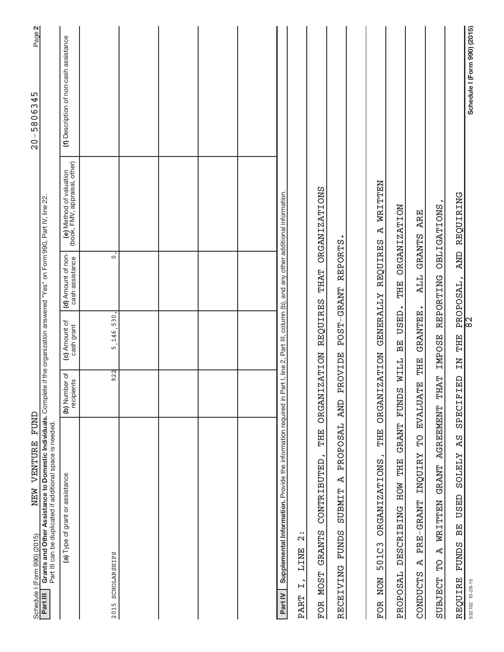| FUND<br>NEW VENTURE<br>Schedule I (Form 990) (2015)                                                                                                                                                     |                             |                             |                                       |                                                          | Page 2<br>$20 - 5806345$               |
|---------------------------------------------------------------------------------------------------------------------------------------------------------------------------------------------------------|-----------------------------|-----------------------------|---------------------------------------|----------------------------------------------------------|----------------------------------------|
| Grants and Other Assistance to Domestic Individuals. Complete if the organization answered "Yes" on Form 990, Part IV, line 22<br>Part III can be duplicated if additional space is needed.<br>Part III |                             |                             |                                       |                                                          |                                        |
| (a) Type of grant or assistance                                                                                                                                                                         | (b) Number of<br>recipients | (c) Amount of<br>cash grant | (d) Amount of non-<br>cash assistance | (e) Method of valuation<br>(book, FMV, appraisal, other) | (f) Description of non-cash assistance |
| 2015 SCHOLARSHIPS                                                                                                                                                                                       | 922                         | 5,146,530.                  | $\dot{\circ}$                         |                                                          |                                        |
|                                                                                                                                                                                                         |                             |                             |                                       |                                                          |                                        |
|                                                                                                                                                                                                         |                             |                             |                                       |                                                          |                                        |
|                                                                                                                                                                                                         |                             |                             |                                       |                                                          |                                        |
|                                                                                                                                                                                                         |                             |                             |                                       |                                                          |                                        |
| Supplemental Information. Provide the information required in Part I, line 2, Part III, column (b), and any other additional information.<br>Part IV                                                    |                             |                             |                                       |                                                          |                                        |
| $\bullet\bullet$<br>$\mathbf{\Omega}$<br><b>TINE</b><br>$\ddot{z}$<br><b>PART</b>                                                                                                                       |                             |                             |                                       |                                                          |                                        |
| THE<br>CONTRIBUTED,<br><b>GRANTS</b><br><b>MOST</b><br><b>FOR</b>                                                                                                                                       | <b>ORGANIZATION</b>         | <b>REQUIRES</b>             | <b>THAT</b>                           | <b>ORGANIZATIONS</b>                                     |                                        |
| PROPOSAL<br>$\Delta$<br><b>SUBMIT</b><br>RECEIVING FUNDS                                                                                                                                                | PROVIDE<br><b>CINA</b>      |                             | POST-GRANT REPORTS                    |                                                          |                                        |
|                                                                                                                                                                                                         |                             |                             |                                       |                                                          |                                        |
| THE<br><b>ORGANIZATIONS</b><br>501C3<br>NON<br><b>FOR</b>                                                                                                                                               | <b>ORGANIZATION</b>         | <b>GENERALLY</b>            | <b>REQUIRES</b>                       | WRITTEN<br>Ą                                             |                                        |
| PROPOSAL DESCRIBING HOW THE                                                                                                                                                                             | GRANT FUNDS WILL            | BE USED.                    | THE                                   | <b>ORGANIZATION</b>                                      |                                        |
| $\Omega$<br><b>INQUIRY</b><br>PRE-GRANT<br>$\Delta$<br>CONDUCTS                                                                                                                                         | EVALUATE THE                | GRANTEE.                    | ALL GRANTS ARE                        |                                                          |                                        |
| <b>AGREEMENT</b><br><b>GRANT</b><br>WRITTEN<br>$\overline{A}$<br><b>PL</b><br>SUBJECT                                                                                                                   | <b>THAT</b>                 | <b>IMPOSE</b>               | REPORTING                             | <b>OBLIGATIONS</b>                                       |                                        |
| <b>AS</b><br><b>ZTETZS</b><br>USED<br><b>BE</b><br><b>FUNDS</b><br>REQUIRE                                                                                                                              | SPECIFIED                   | TN THE                      | PROPOSAL,<br>82                       | AND REQUIRING                                            |                                        |
| 532102 10-28-15                                                                                                                                                                                         |                             |                             |                                       |                                                          | Schedule I (Form 990) (2015)           |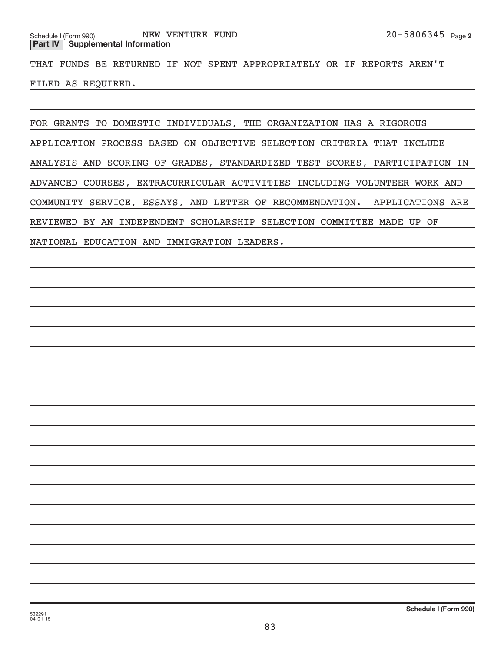**Part IV** Supplemental Information

THAT FUNDS BE RETURNED IF NOT SPENT APPROPRIATELY OR IF REPORTS AREN'T

FILED AS REQUIRED.

FOR GRANTS TO DOMESTIC INDIVIDUALS, THE ORGANIZATION HAS A RIGOROUS APPLICATION PROCESS BASED ON OBJECTIVE SELECTION CRITERIA THAT INCLUDE ANALYSIS AND SCORING OF GRADES, STANDARDIZED TEST SCORES, PARTICIPATION IN ADVANCED COURSES, EXTRACURRICULAR ACTIVITIES INCLUDING VOLUNTEER WORK AND COMMUNITY SERVICE, ESSAYS, AND LETTER OF RECOMMENDATION. APPLICATIONS ARE REVIEWED BY AN INDEPENDENT SCHOLARSHIP SELECTION COMMITTEE MADE UP OF NATIONAL EDUCATION AND IMMIGRATION LEADERS.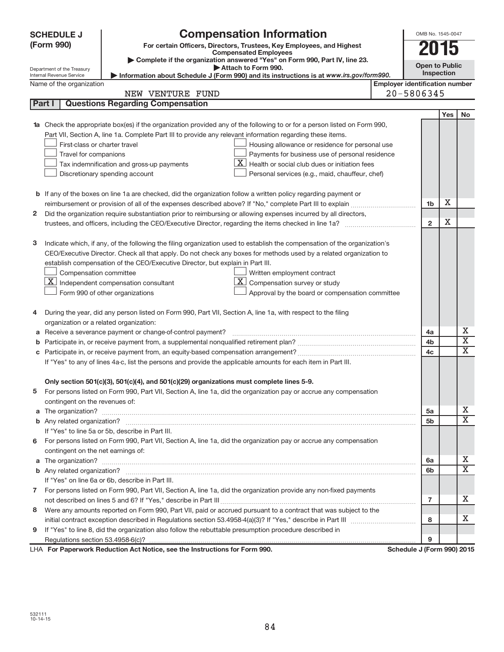| <b>Compensation Information</b><br><b>SCHEDULE J</b>                                                                                            |                                       | OMB No. 1545-0047     |                         |
|-------------------------------------------------------------------------------------------------------------------------------------------------|---------------------------------------|-----------------------|-------------------------|
| (Form 990)<br>For certain Officers, Directors, Trustees, Key Employees, and Highest                                                             |                                       | 15                    |                         |
| <b>Compensated Employees</b><br>Complete if the organization answered "Yes" on Form 990, Part IV, line 23.                                      |                                       |                       |                         |
| Attach to Form 990.<br>Department of the Treasury                                                                                               |                                       | <b>Open to Public</b> |                         |
| Information about Schedule J (Form 990) and its instructions is at www.irs.gov/form990.<br>Internal Revenue Service<br>Name of the organization | <b>Employer identification number</b> | Inspection            |                         |
| NEW VENTURE FUND                                                                                                                                | 20-5806345                            |                       |                         |
| <b>Questions Regarding Compensation</b><br>Part I                                                                                               |                                       |                       |                         |
|                                                                                                                                                 |                                       | Yes                   | <b>No</b>               |
| Check the appropriate box(es) if the organization provided any of the following to or for a person listed on Form 990,<br>1a                    |                                       |                       |                         |
| Part VII, Section A, line 1a. Complete Part III to provide any relevant information regarding these items.                                      |                                       |                       |                         |
| First-class or charter travel<br>Housing allowance or residence for personal use                                                                |                                       |                       |                         |
| Payments for business use of personal residence<br>Travel for companions                                                                        |                                       |                       |                         |
| X.<br>Health or social club dues or initiation fees<br>Tax indemnification and gross-up payments                                                |                                       |                       |                         |
| Personal services (e.g., maid, chauffeur, chef)<br>Discretionary spending account                                                               |                                       |                       |                         |
|                                                                                                                                                 |                                       |                       |                         |
| <b>b</b> If any of the boxes on line 1a are checked, did the organization follow a written policy regarding payment or                          |                                       |                       |                         |
|                                                                                                                                                 |                                       | х<br>1 <sub>b</sub>   |                         |
| Did the organization require substantiation prior to reimbursing or allowing expenses incurred by all directors,<br>2                           |                                       |                       |                         |
|                                                                                                                                                 |                                       | х<br>$\overline{2}$   |                         |
|                                                                                                                                                 |                                       |                       |                         |
| Indicate which, if any, of the following the filing organization used to establish the compensation of the organization's<br>з                  |                                       |                       |                         |
| CEO/Executive Director. Check all that apply. Do not check any boxes for methods used by a related organization to                              |                                       |                       |                         |
| establish compensation of the CEO/Executive Director, but explain in Part III.                                                                  |                                       |                       |                         |
| Compensation committee<br>Written employment contract                                                                                           |                                       |                       |                         |
| X.<br>$\mathbf{X}$ Independent compensation consultant<br>Compensation survey or study                                                          |                                       |                       |                         |
| Form 990 of other organizations<br>Approval by the board or compensation committee                                                              |                                       |                       |                         |
|                                                                                                                                                 |                                       |                       |                         |
| During the year, did any person listed on Form 990, Part VII, Section A, line 1a, with respect to the filing<br>4                               |                                       |                       |                         |
| organization or a related organization:                                                                                                         |                                       |                       |                         |
| Receive a severance payment or change-of-control payment?<br>а                                                                                  |                                       | 4a                    | х                       |
| b                                                                                                                                               | 4b                                    |                       | $\overline{\textbf{x}}$ |
| С                                                                                                                                               | 4c                                    |                       | Χ                       |
| If "Yes" to any of lines 4a-c, list the persons and provide the applicable amounts for each item in Part III.                                   |                                       |                       |                         |
|                                                                                                                                                 |                                       |                       |                         |
| Only section 501(c)(3), 501(c)(4), and 501(c)(29) organizations must complete lines 5-9.                                                        |                                       |                       |                         |
| For persons listed on Form 990, Part VII, Section A, line 1a, did the organization pay or accrue any compensation                               |                                       |                       |                         |
| contingent on the revenues of:                                                                                                                  |                                       |                       |                         |
|                                                                                                                                                 |                                       | 5a                    | x<br>X                  |
|                                                                                                                                                 |                                       | 5b                    |                         |
| If "Yes" to line 5a or 5b, describe in Part III.                                                                                                |                                       |                       |                         |
| For persons listed on Form 990, Part VII, Section A, line 1a, did the organization pay or accrue any compensation<br>6                          |                                       |                       |                         |
| contingent on the net earnings of:                                                                                                              |                                       |                       | x                       |
|                                                                                                                                                 |                                       | 6a                    | x                       |
|                                                                                                                                                 |                                       | 6b                    |                         |
| If "Yes" on line 6a or 6b, describe in Part III.                                                                                                |                                       |                       |                         |
| 7 For persons listed on Form 990, Part VII, Section A, line 1a, did the organization provide any non-fixed payments                             |                                       |                       | x                       |
|                                                                                                                                                 |                                       | 7                     |                         |
| Were any amounts reported on Form 990, Part VII, paid or accrued pursuant to a contract that was subject to the<br>8                            |                                       | 8                     | X.                      |
| If "Yes" to line 8, did the organization also follow the rebuttable presumption procedure described in                                          |                                       |                       |                         |
| 9                                                                                                                                               |                                       | 9                     |                         |
| LHA For Paperwork Reduction Act Notice, see the Instructions for Form 990.                                                                      | Schedule J (Form 990) 2015            |                       |                         |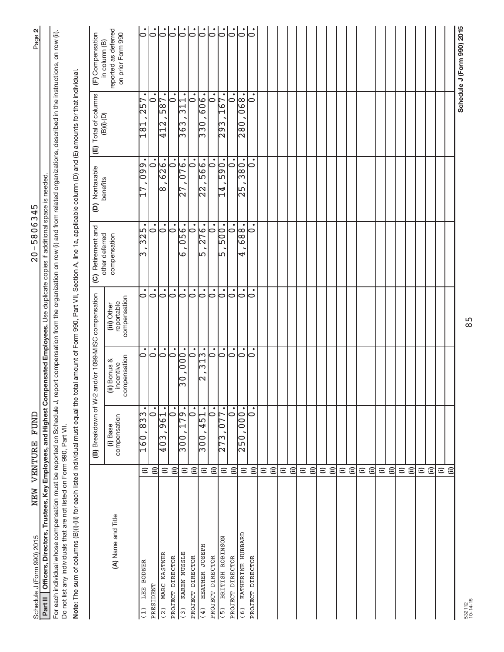| Schedule J (Form 990) 2015                                                                                                                                                                                                                                                        |                    | NEW VENTURE FUND                       |                                           |                                           | $20 - 5806345$                   |                                    |                                                    | Page 2                                                     |
|-----------------------------------------------------------------------------------------------------------------------------------------------------------------------------------------------------------------------------------------------------------------------------------|--------------------|----------------------------------------|-------------------------------------------|-------------------------------------------|----------------------------------|------------------------------------|----------------------------------------------------|------------------------------------------------------------|
| Part II   Officers, Directors, Trustees, Key Employees, and Highest Compensated Employees. Use duplicate copies if additional space is needed                                                                                                                                     |                    |                                        |                                           |                                           |                                  |                                    |                                                    |                                                            |
| For each individual whose compensation must be reported on Schedule J, report compensation from the organization on row (i) and from related organizations, described in the instructions, on row (ii).<br>Do not list any individuals that are not listed on Form 990, Part VII. |                    |                                        |                                           |                                           |                                  |                                    |                                                    |                                                            |
| Note: The sum of columns (B)(i)-(iii) for each listed individual must equal the total amount of Form 990, Part VII, Section A, line 1a, applicable column (D) and (E) amounts for that individual                                                                                 |                    |                                        |                                           |                                           |                                  |                                    |                                                    |                                                            |
|                                                                                                                                                                                                                                                                                   |                    | (B) Breakdown of W-2                   |                                           | and/or 1099-MISC compensation             | (C) Retirement and               | (D) Nontaxable                     | Total of columns<br>$\widehat{\mathbb{E}}$         | (F) Compensation                                           |
| (A) Name and Title                                                                                                                                                                                                                                                                |                    | compensation<br>(i) Base               | compensation<br>(ii) Bonus &<br>incentive | compensation<br>reportable<br>(iii) Other | other deferred<br>compensation   | benefits                           | $\textcolor{blue}{\textbf{(B)(i)\text{-}(D)}}$     | reported as deferred<br>on prior Form 990<br>in column (B) |
| LEE BODNER<br>(1)                                                                                                                                                                                                                                                                 | $\widehat{=}$      | ,833<br>160                            | $\circ$                                   | $\overline{\bullet}$                      | $\frac{1}{32}$<br>ന              | $\overline{09}$                    | $\sqrt{257}$<br>↤<br>$\frac{8}{1}$                 | $  \dot{\circ}$                                            |
| PRESIDENT                                                                                                                                                                                                                                                                         | $\widehat{\equiv}$ | $\overline{\phantom{0}}$               | $\dot{\circ}$                             | $\dot{\circ}$                             | $\circ$                          | $\Rightarrow$                      |                                                    | $\dot{\circ}$                                              |
| MARC KASTNER<br>(2)                                                                                                                                                                                                                                                               | $\widehat{=}$      | $\frac{1}{6}$<br> თ<br>$\sqrt{403}$    | $  \text{.}$                              | $  \text{.}$                              | $\overline{\vphantom{a}}$        | $\frac{1}{626}$ .<br>∣∞            | 587<br>$\frac{12}{12}$                             | $\overline{\circ}$                                         |
| PROJECT DIRECTOR                                                                                                                                                                                                                                                                  | $\widehat{\equiv}$ | $\dot{\circ}$                          | $\overline{\circ}$                        | $\mathsf{C}$                              | $\overline{\overline{\circ}}$    | $\mathsf{C}$                       | $\overline{\bullet}$                               | $\overline{10}$                                            |
| KAREN NUSSLE<br>(3)                                                                                                                                                                                                                                                               | $\widehat{=}$      | 79.<br>$\overline{\phantom{0}}$<br>300 | $\ddot{ }$ . 000<br>30                    | $\dot{\circ}$                             | .<br>056<br>م                    | 27,076.                            | $\overline{\phantom{0}}$<br>$\overline{31}$<br>363 | $ \cdot $                                                  |
| PROJECT DIRECTOR                                                                                                                                                                                                                                                                  | ε                  | $\circ$                                | ٠<br>$\circ$                              | $\dot{\circ}$                             | $\bullet$<br>$\circ$             | $\dot{\circ}$                      | $\circ$                                            |                                                            |
| HEATHER JOSEPH<br>(4)                                                                                                                                                                                                                                                             | $\widehat{=}$      | $\frac{1}{2}$<br>Ā<br>300              | ္က<br>1<br>ω<br>2                         | $\dot{\circ}$                             | 276.<br>5                        | 566.<br>2<br>$\mathbf{\Omega}$     | 606<br>ြ<br>ဂ<br>ო                                 | $ \cdot $                                                  |
| PROJECT DIRECTOR                                                                                                                                                                                                                                                                  | $\widehat{=}$      | $\dot{\circ}$                          | $\dot{\circ}$                             | $  \text{.}$                              | $\ddot{\circ}$                   | $\frac{1}{\circ}$                  | $\dot{\circ}$                                      |                                                            |
| BRITISH ROBINSON<br>$(5)$                                                                                                                                                                                                                                                         |                    | 077<br>$\frac{273}{ }$                 | $\dot{\circ}$                             | $\dot{\circ}$                             | $\bullet$<br>$\frac{00}{5}$<br>ഥ | 590.<br>$\frac{1}{4}$              | 167<br>$\frac{1}{29}$                              | $\overline{\mathsf{S}}$                                    |
| PROJECT DIRECTOR                                                                                                                                                                                                                                                                  | ΞÊ                 | ٠<br>$\circ$                           | $\dot{\circ}$                             | $\dot{\circ}$                             | $\bullet$<br>$\circ$             | $\bullet$<br>$\circ$               | $\circ$                                            | $\dot{\circ}$                                              |
| KATHERINE HUBBARD<br>(6)                                                                                                                                                                                                                                                          | $\widehat{=}$      | 000.<br>$\frac{6}{25}$                 | $\dot{\circ}$                             | $\mathsf{C}$                              | 688.<br>4                        | $\frac{1}{380}$ .<br>$\frac{5}{2}$ | 068.<br>$\frac{8}{28}$                             | $\mathsf{S}$                                               |
| PROJECT DIRECTOR                                                                                                                                                                                                                                                                  | $\widehat{=}$      | 0                                      | 0                                         | 0                                         | 0                                | $\bullet$<br>0                     | 0                                                  | lo                                                         |
|                                                                                                                                                                                                                                                                                   | $\widehat{=}$      |                                        |                                           |                                           |                                  |                                    |                                                    |                                                            |
|                                                                                                                                                                                                                                                                                   | $\widehat{=}$      |                                        |                                           |                                           |                                  |                                    |                                                    |                                                            |
|                                                                                                                                                                                                                                                                                   | $\widehat{=}$      |                                        |                                           |                                           |                                  |                                    |                                                    |                                                            |
|                                                                                                                                                                                                                                                                                   | $\widehat{\equiv}$ |                                        |                                           |                                           |                                  |                                    |                                                    |                                                            |
|                                                                                                                                                                                                                                                                                   | $\widehat{=}$      |                                        |                                           |                                           |                                  |                                    |                                                    |                                                            |
|                                                                                                                                                                                                                                                                                   | $\widehat{\equiv}$ |                                        |                                           |                                           |                                  |                                    |                                                    |                                                            |
|                                                                                                                                                                                                                                                                                   |                    |                                        |                                           |                                           |                                  |                                    |                                                    |                                                            |
|                                                                                                                                                                                                                                                                                   | ΞÊ                 |                                        |                                           |                                           |                                  |                                    |                                                    |                                                            |
|                                                                                                                                                                                                                                                                                   | $\widehat{=}$      |                                        |                                           |                                           |                                  |                                    |                                                    |                                                            |
|                                                                                                                                                                                                                                                                                   | $\widehat{=}$      |                                        |                                           |                                           |                                  |                                    |                                                    |                                                            |
|                                                                                                                                                                                                                                                                                   | $\widehat{=}$      |                                        |                                           |                                           |                                  |                                    |                                                    |                                                            |
|                                                                                                                                                                                                                                                                                   | $\widehat{\equiv}$ |                                        |                                           |                                           |                                  |                                    |                                                    |                                                            |
|                                                                                                                                                                                                                                                                                   | $\widehat{=}$      |                                        |                                           |                                           |                                  |                                    |                                                    |                                                            |
|                                                                                                                                                                                                                                                                                   | $\widehat{=}$      |                                        |                                           |                                           |                                  |                                    |                                                    |                                                            |
|                                                                                                                                                                                                                                                                                   | $\widehat{=}$      |                                        |                                           |                                           |                                  |                                    |                                                    |                                                            |
|                                                                                                                                                                                                                                                                                   | $\widehat{\equiv}$ |                                        |                                           |                                           |                                  |                                    |                                                    |                                                            |
|                                                                                                                                                                                                                                                                                   | ΞÊ                 |                                        |                                           |                                           |                                  |                                    |                                                    |                                                            |
|                                                                                                                                                                                                                                                                                   |                    |                                        |                                           |                                           |                                  |                                    |                                                    |                                                            |
|                                                                                                                                                                                                                                                                                   | $\widehat{=}$      |                                        |                                           |                                           |                                  |                                    |                                                    |                                                            |
|                                                                                                                                                                                                                                                                                   | ε                  |                                        |                                           |                                           |                                  |                                    |                                                    |                                                            |
|                                                                                                                                                                                                                                                                                   |                    |                                        |                                           |                                           |                                  |                                    |                                                    | Schedule J (Form 990) 2015                                 |

 $20 - 5806345$ 

NEW VENTURE FUND

 $\frac{5}{8}$ 

532112 10-14-15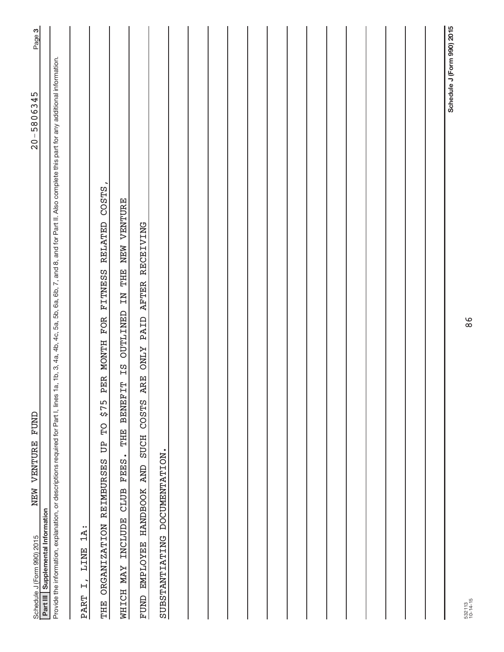| FUND<br>NEW VENTURE<br>Schedule J (Form 990) 2015                                                                                                                                                             | Page 3<br>$20 - 5806345$   |  |
|---------------------------------------------------------------------------------------------------------------------------------------------------------------------------------------------------------------|----------------------------|--|
| Part III Supplemental Information                                                                                                                                                                             |                            |  |
| 1a, 1b, 3, 4a, 4b, 4c, 5a, 5b, 6a, 6b, 7, and 8, and for Part II. Also complete this part for any additional information.<br>Provide the information, explanation, or descriptions required for Part I, lines |                            |  |
| $1A$ :<br>LINE<br>$\ddot{L}$<br>PART                                                                                                                                                                          |                            |  |
| FITNESS RELATED COSTS,<br>FOR<br>PER MONTH<br>515<br>PD<br>B<br><b>REIMBURSES</b><br><b>ORGANIZATION</b><br>THE                                                                                               |                            |  |
| IS OUTLINED IN THE NEW VENTURE<br><b>BENEFIT</b><br>THE <sub>1</sub><br>FEES.<br>CLUB<br>MHICH MAY INCLUDE                                                                                                    |                            |  |
| AFTER RECEIVING<br>ARE ONLY PAID<br>COSTS<br><b>SUCH</b><br><b>AND</b><br>EMPLOYEE HANDBOOK<br>FUND                                                                                                           |                            |  |
| DOCUMENTATION.<br>SUBSTANTIATING                                                                                                                                                                              |                            |  |
|                                                                                                                                                                                                               |                            |  |
|                                                                                                                                                                                                               |                            |  |
|                                                                                                                                                                                                               |                            |  |
|                                                                                                                                                                                                               |                            |  |
|                                                                                                                                                                                                               |                            |  |
|                                                                                                                                                                                                               |                            |  |
|                                                                                                                                                                                                               |                            |  |
|                                                                                                                                                                                                               |                            |  |
|                                                                                                                                                                                                               |                            |  |
|                                                                                                                                                                                                               |                            |  |
|                                                                                                                                                                                                               |                            |  |
|                                                                                                                                                                                                               |                            |  |
|                                                                                                                                                                                                               |                            |  |
|                                                                                                                                                                                                               |                            |  |
|                                                                                                                                                                                                               | Schedule J (Form 990) 2015 |  |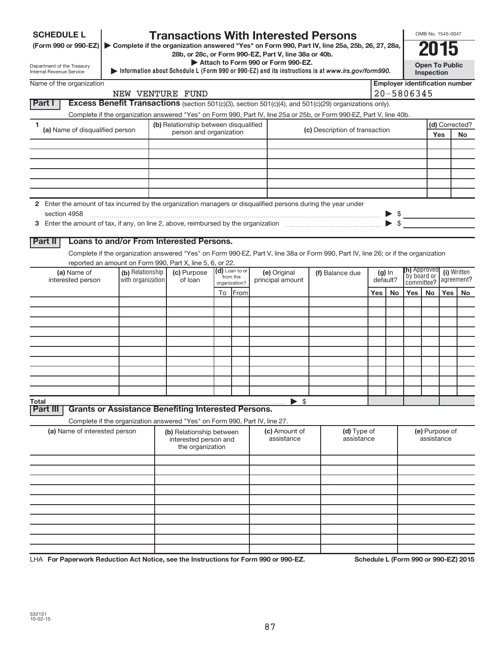| <b>SCHEDULE L</b>                                                                                                                                                                                                                                                                                                                                                                                                                                                                                                                                                                                                                                                                                                                                                                                                                                                                                                                                                                                                                                       | <b>Transactions With Interested Persons</b>                                                                                       |  |                                                                       |               |      |  |                                         |  |                                                                                                   |     |    | OMB No. 1545-0047                     |                               |                       |                |
|---------------------------------------------------------------------------------------------------------------------------------------------------------------------------------------------------------------------------------------------------------------------------------------------------------------------------------------------------------------------------------------------------------------------------------------------------------------------------------------------------------------------------------------------------------------------------------------------------------------------------------------------------------------------------------------------------------------------------------------------------------------------------------------------------------------------------------------------------------------------------------------------------------------------------------------------------------------------------------------------------------------------------------------------------------|-----------------------------------------------------------------------------------------------------------------------------------|--|-----------------------------------------------------------------------|---------------|------|--|-----------------------------------------|--|---------------------------------------------------------------------------------------------------|-----|----|---------------------------------------|-------------------------------|-----------------------|----------------|
|                                                                                                                                                                                                                                                                                                                                                                                                                                                                                                                                                                                                                                                                                                                                                                                                                                                                                                                                                                                                                                                         |                                                                                                                                   |  |                                                                       |               |      |  |                                         |  |                                                                                                   |     |    |                                       |                               |                       |                |
|                                                                                                                                                                                                                                                                                                                                                                                                                                                                                                                                                                                                                                                                                                                                                                                                                                                                                                                                                                                                                                                         |                                                                                                                                   |  | 28b, or 28c, or Form 990-EZ, Part V, line 38a or 40b.                 |               |      |  | Attach to Form 990 or Form 990-EZ.      |  |                                                                                                   |     |    |                                       |                               |                       |                |
| (Form 990 or 990-EZ) Complete if the organization answered "Yes" on Form 990, Part IV, line 25a, 25b, 26, 27, 28a,<br>Department of the Treasury<br>Internal Revenue Service<br>Excess Benefit Transactions (section 501(c)(3), section 501(c)(4), and 501(c)(29) organizations only).<br>Complete if the organization answered "Yes" on Form 990, Part IV, line 25a or 25b, or Form 990-EZ, Part V, line 40b.<br>1<br>(a) Name of disqualified person<br>2 Enter the amount of tax incurred by the organization managers or disqualified persons during the year under<br>section 4958<br>Loans to and/or From Interested Persons.<br>Complete if the organization answered "Yes" on Form 990-EZ, Part V, line 38a or Form 990, Part IV, line 26; or if the organization<br>reported an amount on Form 990, Part X, line 5, 6, or 22.<br>(a) Name of<br>interested person<br><b>Grants or Assistance Benefiting Interested Persons.</b><br>Complete if the organization answered "Yes" on Form 990, Part IV, line 27.<br>(a) Name of interested person |                                                                                                                                   |  |                                                                       |               |      |  |                                         |  | Information about Schedule L (Form 990 or 990-EZ) and its instructions is at www.irs.gov/form990. |     |    |                                       | Inspection                    | <b>Open To Public</b> |                |
| Name of the organization                                                                                                                                                                                                                                                                                                                                                                                                                                                                                                                                                                                                                                                                                                                                                                                                                                                                                                                                                                                                                                |                                                                                                                                   |  |                                                                       |               |      |  |                                         |  |                                                                                                   |     |    | <b>Employer identification number</b> |                               |                       |                |
|                                                                                                                                                                                                                                                                                                                                                                                                                                                                                                                                                                                                                                                                                                                                                                                                                                                                                                                                                                                                                                                         |                                                                                                                                   |  | NEW VENTURE FUND                                                      |               |      |  |                                         |  |                                                                                                   |     |    | 20-5806345                            |                               |                       |                |
| Part I                                                                                                                                                                                                                                                                                                                                                                                                                                                                                                                                                                                                                                                                                                                                                                                                                                                                                                                                                                                                                                                  |                                                                                                                                   |  |                                                                       |               |      |  |                                         |  |                                                                                                   |     |    |                                       |                               |                       |                |
|                                                                                                                                                                                                                                                                                                                                                                                                                                                                                                                                                                                                                                                                                                                                                                                                                                                                                                                                                                                                                                                         |                                                                                                                                   |  |                                                                       |               |      |  |                                         |  |                                                                                                   |     |    |                                       |                               |                       |                |
|                                                                                                                                                                                                                                                                                                                                                                                                                                                                                                                                                                                                                                                                                                                                                                                                                                                                                                                                                                                                                                                         |                                                                                                                                   |  | (b) Relationship between disqualified<br>person and organization      |               |      |  |                                         |  | (c) Description of transaction                                                                    |     |    |                                       |                               |                       | (d) Corrected? |
|                                                                                                                                                                                                                                                                                                                                                                                                                                                                                                                                                                                                                                                                                                                                                                                                                                                                                                                                                                                                                                                         |                                                                                                                                   |  |                                                                       |               |      |  |                                         |  |                                                                                                   |     |    |                                       |                               | Yes                   | No             |
|                                                                                                                                                                                                                                                                                                                                                                                                                                                                                                                                                                                                                                                                                                                                                                                                                                                                                                                                                                                                                                                         |                                                                                                                                   |  |                                                                       |               |      |  |                                         |  |                                                                                                   |     |    |                                       |                               |                       |                |
|                                                                                                                                                                                                                                                                                                                                                                                                                                                                                                                                                                                                                                                                                                                                                                                                                                                                                                                                                                                                                                                         |                                                                                                                                   |  |                                                                       |               |      |  |                                         |  |                                                                                                   |     |    |                                       |                               |                       |                |
|                                                                                                                                                                                                                                                                                                                                                                                                                                                                                                                                                                                                                                                                                                                                                                                                                                                                                                                                                                                                                                                         |                                                                                                                                   |  |                                                                       |               |      |  |                                         |  |                                                                                                   |     |    |                                       |                               |                       |                |
|                                                                                                                                                                                                                                                                                                                                                                                                                                                                                                                                                                                                                                                                                                                                                                                                                                                                                                                                                                                                                                                         |                                                                                                                                   |  |                                                                       |               |      |  |                                         |  |                                                                                                   |     |    |                                       |                               |                       |                |
|                                                                                                                                                                                                                                                                                                                                                                                                                                                                                                                                                                                                                                                                                                                                                                                                                                                                                                                                                                                                                                                         |                                                                                                                                   |  |                                                                       |               |      |  |                                         |  |                                                                                                   |     |    |                                       |                               |                       |                |
|                                                                                                                                                                                                                                                                                                                                                                                                                                                                                                                                                                                                                                                                                                                                                                                                                                                                                                                                                                                                                                                         |                                                                                                                                   |  |                                                                       |               |      |  |                                         |  |                                                                                                   |     |    |                                       |                               |                       |                |
|                                                                                                                                                                                                                                                                                                                                                                                                                                                                                                                                                                                                                                                                                                                                                                                                                                                                                                                                                                                                                                                         |                                                                                                                                   |  |                                                                       |               |      |  |                                         |  |                                                                                                   |     |    | $\triangleright$ \$                   |                               |                       |                |
|                                                                                                                                                                                                                                                                                                                                                                                                                                                                                                                                                                                                                                                                                                                                                                                                                                                                                                                                                                                                                                                         |                                                                                                                                   |  |                                                                       |               |      |  |                                         |  |                                                                                                   |     |    |                                       |                               |                       |                |
| Part II                                                                                                                                                                                                                                                                                                                                                                                                                                                                                                                                                                                                                                                                                                                                                                                                                                                                                                                                                                                                                                                 |                                                                                                                                   |  |                                                                       |               |      |  |                                         |  |                                                                                                   |     |    |                                       |                               |                       |                |
|                                                                                                                                                                                                                                                                                                                                                                                                                                                                                                                                                                                                                                                                                                                                                                                                                                                                                                                                                                                                                                                         |                                                                                                                                   |  |                                                                       |               |      |  |                                         |  |                                                                                                   |     |    |                                       |                               |                       |                |
|                                                                                                                                                                                                                                                                                                                                                                                                                                                                                                                                                                                                                                                                                                                                                                                                                                                                                                                                                                                                                                                         |                                                                                                                                   |  |                                                                       |               |      |  |                                         |  |                                                                                                   |     |    |                                       |                               |                       |                |
|                                                                                                                                                                                                                                                                                                                                                                                                                                                                                                                                                                                                                                                                                                                                                                                                                                                                                                                                                                                                                                                         | (d) Loan to or<br>(b) Relationship<br>(c) Purpose<br>(e) Original<br>from the<br>with organization<br>of loan<br>principal amount |  |                                                                       |               |      |  | (f) Balance due<br>$(g)$ In<br>default? |  | <b>(h)</b> Approved<br>by board or<br>committee?                                                  |     |    | (i) Written<br>agreement?             |                               |                       |                |
| Total<br>Part III                                                                                                                                                                                                                                                                                                                                                                                                                                                                                                                                                                                                                                                                                                                                                                                                                                                                                                                                                                                                                                       |                                                                                                                                   |  |                                                                       | organization? |      |  |                                         |  |                                                                                                   |     |    |                                       | <b>Yes</b><br>No<br><b>No</b> |                       |                |
|                                                                                                                                                                                                                                                                                                                                                                                                                                                                                                                                                                                                                                                                                                                                                                                                                                                                                                                                                                                                                                                         |                                                                                                                                   |  |                                                                       | To            | From |  |                                         |  |                                                                                                   | Yes | No | Yes                                   |                               |                       |                |
|                                                                                                                                                                                                                                                                                                                                                                                                                                                                                                                                                                                                                                                                                                                                                                                                                                                                                                                                                                                                                                                         |                                                                                                                                   |  |                                                                       |               |      |  |                                         |  |                                                                                                   |     |    |                                       |                               |                       |                |
|                                                                                                                                                                                                                                                                                                                                                                                                                                                                                                                                                                                                                                                                                                                                                                                                                                                                                                                                                                                                                                                         |                                                                                                                                   |  |                                                                       |               |      |  |                                         |  |                                                                                                   |     |    |                                       |                               |                       |                |
|                                                                                                                                                                                                                                                                                                                                                                                                                                                                                                                                                                                                                                                                                                                                                                                                                                                                                                                                                                                                                                                         |                                                                                                                                   |  |                                                                       |               |      |  |                                         |  |                                                                                                   |     |    |                                       |                               |                       |                |
|                                                                                                                                                                                                                                                                                                                                                                                                                                                                                                                                                                                                                                                                                                                                                                                                                                                                                                                                                                                                                                                         |                                                                                                                                   |  |                                                                       |               |      |  |                                         |  |                                                                                                   |     |    |                                       |                               |                       |                |
|                                                                                                                                                                                                                                                                                                                                                                                                                                                                                                                                                                                                                                                                                                                                                                                                                                                                                                                                                                                                                                                         |                                                                                                                                   |  |                                                                       |               |      |  |                                         |  |                                                                                                   |     |    |                                       |                               |                       |                |
|                                                                                                                                                                                                                                                                                                                                                                                                                                                                                                                                                                                                                                                                                                                                                                                                                                                                                                                                                                                                                                                         |                                                                                                                                   |  |                                                                       |               |      |  |                                         |  |                                                                                                   |     |    |                                       |                               |                       |                |
|                                                                                                                                                                                                                                                                                                                                                                                                                                                                                                                                                                                                                                                                                                                                                                                                                                                                                                                                                                                                                                                         |                                                                                                                                   |  |                                                                       |               |      |  |                                         |  |                                                                                                   |     |    |                                       |                               |                       |                |
|                                                                                                                                                                                                                                                                                                                                                                                                                                                                                                                                                                                                                                                                                                                                                                                                                                                                                                                                                                                                                                                         |                                                                                                                                   |  |                                                                       |               |      |  |                                         |  |                                                                                                   |     |    |                                       |                               |                       |                |
|                                                                                                                                                                                                                                                                                                                                                                                                                                                                                                                                                                                                                                                                                                                                                                                                                                                                                                                                                                                                                                                         |                                                                                                                                   |  |                                                                       |               |      |  | \$                                      |  |                                                                                                   |     |    |                                       |                               |                       |                |
|                                                                                                                                                                                                                                                                                                                                                                                                                                                                                                                                                                                                                                                                                                                                                                                                                                                                                                                                                                                                                                                         |                                                                                                                                   |  |                                                                       |               |      |  |                                         |  |                                                                                                   |     |    |                                       |                               |                       |                |
|                                                                                                                                                                                                                                                                                                                                                                                                                                                                                                                                                                                                                                                                                                                                                                                                                                                                                                                                                                                                                                                         |                                                                                                                                   |  |                                                                       |               |      |  |                                         |  |                                                                                                   |     |    |                                       |                               |                       |                |
|                                                                                                                                                                                                                                                                                                                                                                                                                                                                                                                                                                                                                                                                                                                                                                                                                                                                                                                                                                                                                                                         |                                                                                                                                   |  | (b) Relationship between<br>interested person and<br>the organization |               |      |  | (c) Amount of<br>assistance             |  | (d) Type of<br>assistance                                                                         |     |    | (e) Purpose of<br>assistance          |                               |                       |                |
|                                                                                                                                                                                                                                                                                                                                                                                                                                                                                                                                                                                                                                                                                                                                                                                                                                                                                                                                                                                                                                                         |                                                                                                                                   |  |                                                                       |               |      |  |                                         |  |                                                                                                   |     |    |                                       |                               |                       |                |
|                                                                                                                                                                                                                                                                                                                                                                                                                                                                                                                                                                                                                                                                                                                                                                                                                                                                                                                                                                                                                                                         |                                                                                                                                   |  |                                                                       |               |      |  |                                         |  |                                                                                                   |     |    |                                       |                               |                       |                |
|                                                                                                                                                                                                                                                                                                                                                                                                                                                                                                                                                                                                                                                                                                                                                                                                                                                                                                                                                                                                                                                         |                                                                                                                                   |  |                                                                       |               |      |  |                                         |  |                                                                                                   |     |    |                                       |                               |                       |                |
|                                                                                                                                                                                                                                                                                                                                                                                                                                                                                                                                                                                                                                                                                                                                                                                                                                                                                                                                                                                                                                                         |                                                                                                                                   |  |                                                                       |               |      |  |                                         |  |                                                                                                   |     |    |                                       |                               |                       |                |
|                                                                                                                                                                                                                                                                                                                                                                                                                                                                                                                                                                                                                                                                                                                                                                                                                                                                                                                                                                                                                                                         |                                                                                                                                   |  |                                                                       |               |      |  |                                         |  |                                                                                                   |     |    |                                       |                               |                       |                |
|                                                                                                                                                                                                                                                                                                                                                                                                                                                                                                                                                                                                                                                                                                                                                                                                                                                                                                                                                                                                                                                         |                                                                                                                                   |  |                                                                       |               |      |  |                                         |  |                                                                                                   |     |    |                                       |                               |                       |                |
|                                                                                                                                                                                                                                                                                                                                                                                                                                                                                                                                                                                                                                                                                                                                                                                                                                                                                                                                                                                                                                                         |                                                                                                                                   |  |                                                                       |               |      |  |                                         |  |                                                                                                   |     |    |                                       |                               |                       |                |
|                                                                                                                                                                                                                                                                                                                                                                                                                                                                                                                                                                                                                                                                                                                                                                                                                                                                                                                                                                                                                                                         |                                                                                                                                   |  |                                                                       |               |      |  |                                         |  |                                                                                                   |     |    |                                       |                               |                       |                |
|                                                                                                                                                                                                                                                                                                                                                                                                                                                                                                                                                                                                                                                                                                                                                                                                                                                                                                                                                                                                                                                         |                                                                                                                                   |  |                                                                       |               |      |  |                                         |  |                                                                                                   |     |    |                                       |                               |                       |                |

LHA For Paperwork Reduction Act Notice, see the Instructions for Form 990 or 990-EZ. Schedule L (Form 990 or 990-EZ) 2015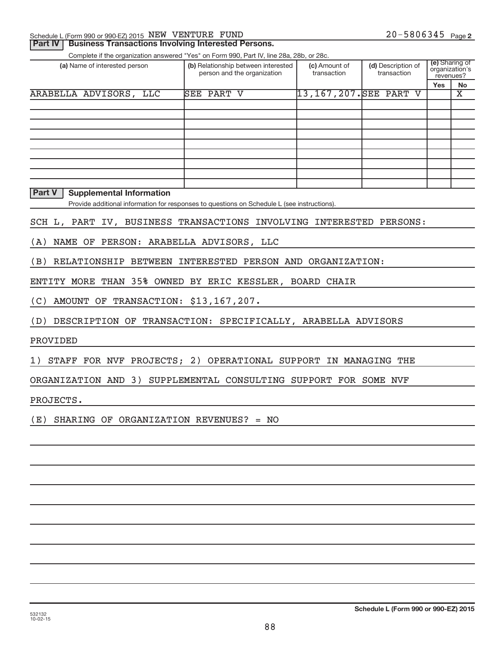| Schedule L (Form 990 or 990-EZ) 2015 NEW VENTURE FUND | $20 - 5806345$ Page 2 |
|-------------------------------------------------------|-----------------------|
|-------------------------------------------------------|-----------------------|

### **Part IV | Business Transactions Involving Interested Persons.**

Complete if the organization answered "Yes" on Form 990, Part IV, line 28a, 28b, or 28c.

| (a) Name of interested person | (b) Relationship between interested<br>person and the organization | (c) Amount of<br>transaction | (d) Description of<br>transaction | (e) Sharing of<br>organization's<br>revenues? |    |
|-------------------------------|--------------------------------------------------------------------|------------------------------|-----------------------------------|-----------------------------------------------|----|
|                               |                                                                    |                              |                                   | <b>Yes</b>                                    | No |
| ARABELLA ADVISORS, LLC        | <b>SEE PART V</b>                                                  | 13, 167, 207. SEE PART V     |                                   |                                               | х  |
|                               |                                                                    |                              |                                   |                                               |    |
|                               |                                                                    |                              |                                   |                                               |    |
|                               |                                                                    |                              |                                   |                                               |    |
|                               |                                                                    |                              |                                   |                                               |    |
|                               |                                                                    |                              |                                   |                                               |    |
|                               |                                                                    |                              |                                   |                                               |    |
|                               |                                                                    |                              |                                   |                                               |    |
|                               |                                                                    |                              |                                   |                                               |    |
|                               |                                                                    |                              |                                   |                                               |    |

### **Part V** | Supplemental Information

Provide additional information for responses to questions on Schedule L (see instructions).

### SCH L, PART IV, BUSINESS TRANSACTIONS INVOLVING INTERESTED PERSONS:

(A) NAME OF PERSON: ARABELLA ADVISORS, LLC

(B) RELATIONSHIP BETWEEN INTERESTED PERSON AND ORGANIZATION:

ENTITY MORE THAN 35% OWNED BY ERIC KESSLER, BOARD CHAIR

(C) AMOUNT OF TRANSACTION: \$13,167,207.

(D) DESCRIPTION OF TRANSACTION: SPECIFICALLY, ARABELLA ADVISORS

PROVIDED

1) STAFF FOR NVF PROJECTS; 2) OPERATIONAL SUPPORT IN MANAGING THE

ORGANIZATION AND 3) SUPPLEMENTAL CONSULTING SUPPORT FOR SOME NVF

PROJECTS.

(E) SHARING OF ORGANIZATION REVENUES? = NO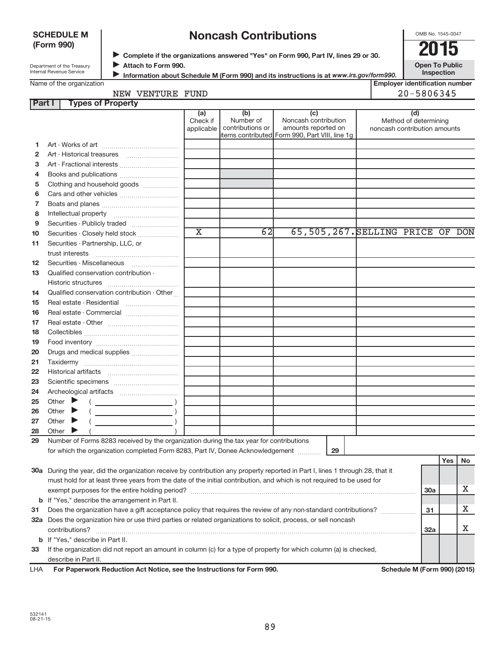### **SCHEDULE M (Form 990)**

### **Noncash Contributions**

OMB No. 1545-0047

Department of the Treasury Internal Revenue Service

◆ Complete if the organizations answered "Yes" on Form 990, Part IV, lines 29 or 30.<br>▶ Complete if the organizations answered "Yes" on Form 990, Part IV, lines 29 or 30. **Attach to Form 990.**  $\blacktriangleright$ 

**Open To Public Inspection**

|  | Name of the organization |
|--|--------------------------|
|  |                          |

**Information about Schedule M (Form 990) and its instructions is at www.irs.gov/form990.** 

| <b>Employer identification number</b> |  |
|---------------------------------------|--|
| ON EQUESTE                            |  |

### NEW VENTURE FUND 20-5806345

| Part I | <b>Types of Property</b>                                                                                                       |                             |                               |                                                |                                                       |            |     |    |
|--------|--------------------------------------------------------------------------------------------------------------------------------|-----------------------------|-------------------------------|------------------------------------------------|-------------------------------------------------------|------------|-----|----|
|        |                                                                                                                                | (a)                         | (b)                           | (c)                                            | (d)                                                   |            |     |    |
|        |                                                                                                                                | Check if<br>applicable      | Number of<br>contributions or | Noncash contribution<br>amounts reported on    | Method of determining<br>noncash contribution amounts |            |     |    |
|        |                                                                                                                                |                             |                               | items contributed Form 990, Part VIII, line 1g |                                                       |            |     |    |
| 1.     |                                                                                                                                |                             |                               |                                                |                                                       |            |     |    |
| 2      |                                                                                                                                |                             |                               |                                                |                                                       |            |     |    |
| з      | Art - Fractional interests                                                                                                     |                             |                               |                                                |                                                       |            |     |    |
| 4      |                                                                                                                                |                             |                               |                                                |                                                       |            |     |    |
| 5      | Clothing and household goods                                                                                                   |                             |                               |                                                |                                                       |            |     |    |
| 6      |                                                                                                                                |                             |                               |                                                |                                                       |            |     |    |
| 7      |                                                                                                                                |                             |                               |                                                |                                                       |            |     |    |
| 8      |                                                                                                                                |                             |                               |                                                |                                                       |            |     |    |
| 9      | Securities - Publicly traded                                                                                                   |                             |                               |                                                |                                                       |            |     |    |
| 10     | Securities - Closely held stock                                                                                                | $\overline{\textnormal{x}}$ | 62                            |                                                | 65,505,267. SELLING PRICE OF DON                      |            |     |    |
| 11     | Securities - Partnership, LLC, or                                                                                              |                             |                               |                                                |                                                       |            |     |    |
|        | trust interests                                                                                                                |                             |                               |                                                |                                                       |            |     |    |
| 12     | Securities - Miscellaneous                                                                                                     |                             |                               |                                                |                                                       |            |     |    |
| 13     | Qualified conservation contribution -                                                                                          |                             |                               |                                                |                                                       |            |     |    |
|        |                                                                                                                                |                             |                               |                                                |                                                       |            |     |    |
| 14     | Qualified conservation contribution - Other                                                                                    |                             |                               |                                                |                                                       |            |     |    |
| 15     | Real estate - Residential                                                                                                      |                             |                               |                                                |                                                       |            |     |    |
| 16     | Real estate - Commercial                                                                                                       |                             |                               |                                                |                                                       |            |     |    |
| 17     |                                                                                                                                |                             |                               |                                                |                                                       |            |     |    |
| 18     |                                                                                                                                |                             |                               |                                                |                                                       |            |     |    |
| 19     |                                                                                                                                |                             |                               |                                                |                                                       |            |     |    |
| 20     | Drugs and medical supplies                                                                                                     |                             |                               |                                                |                                                       |            |     |    |
| 21     |                                                                                                                                |                             |                               |                                                |                                                       |            |     |    |
| 22     |                                                                                                                                |                             |                               |                                                |                                                       |            |     |    |
| 23     |                                                                                                                                |                             |                               |                                                |                                                       |            |     |    |
| 24     |                                                                                                                                |                             |                               |                                                |                                                       |            |     |    |
| 25     | Other $\blacktriangleright$                                                                                                    |                             |                               |                                                |                                                       |            |     |    |
| 26     | Other                                                                                                                          |                             |                               |                                                |                                                       |            |     |    |
| 27     | Other $\blacktriangleright$                                                                                                    |                             |                               |                                                |                                                       |            |     |    |
| 28     | Other $\triangleright$                                                                                                         |                             |                               |                                                |                                                       |            |     |    |
| 29     | Number of Forms 8283 received by the organization during the tax year for contributions                                        |                             |                               |                                                |                                                       |            |     |    |
|        | for which the organization completed Form 8283, Part IV, Donee Acknowledgement [10001]                                         |                             |                               | 29                                             |                                                       |            |     |    |
|        |                                                                                                                                |                             |                               |                                                |                                                       |            | Yes | No |
|        | 30a During the year, did the organization receive by contribution any property reported in Part I, lines 1 through 28, that it |                             |                               |                                                |                                                       |            |     |    |
|        | must hold for at least three years from the date of the initial contribution, and which is not required to be used for         |                             |                               |                                                |                                                       |            |     |    |
|        |                                                                                                                                |                             |                               |                                                |                                                       | 30a        |     | Х  |
|        | <b>b</b> If "Yes," describe the arrangement in Part II.                                                                        |                             |                               |                                                |                                                       |            |     |    |
| 31     | Does the organization have a gift acceptance policy that requires the review of any non-standard contributions?                |                             |                               |                                                |                                                       | 31         |     | Х  |
|        | 32a Does the organization hire or use third parties or related organizations to solicit, process, or sell noncash              |                             |                               |                                                |                                                       |            |     |    |
|        | contributions?                                                                                                                 |                             |                               |                                                |                                                       | <b>32a</b> |     | х  |
|        | <b>b</b> If "Yes," describe in Part II.                                                                                        |                             |                               |                                                |                                                       |            |     |    |
| 33     | If the organization did not report an amount in column (c) for a type of property for which column (a) is checked,             |                             |                               |                                                |                                                       |            |     |    |
|        | describe in Part II.                                                                                                           |                             |                               |                                                |                                                       |            |     |    |

| LHA | For Paperwork Reduction Act Notice, see the Instructions for Form 990. |
|-----|------------------------------------------------------------------------|
|     |                                                                        |

**Schedule M (Form 990) (2015)**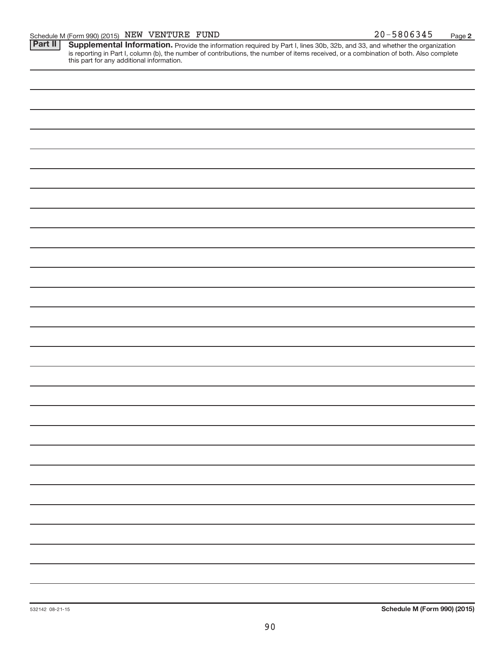**2**

Provide the information required by Part I, lines 30b, 32b, and 33, and whether the organization is reporting in Part I, column (b), the number of contributions, the number of items received, or a combination of both. Also complete this part for any additional information. **Part II Supplemental Information.**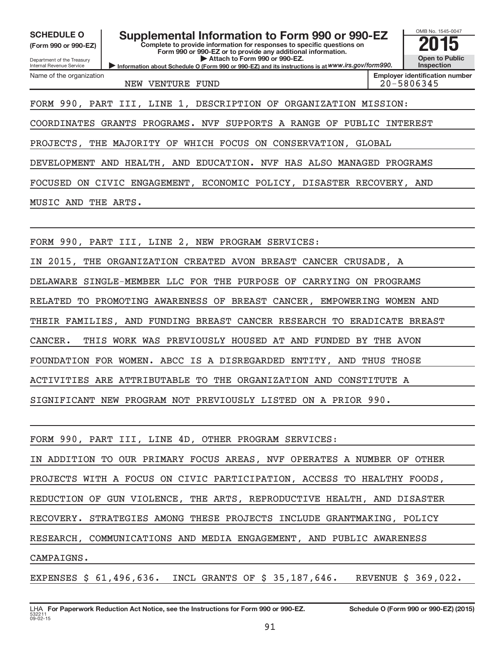**(Form 990 or 990-EZ)**

Department of the Treasury Internal Revenue Service

Name of the organization

### SCHEDULE O **Supplemental Information to Form 990 or 990-EZ** 2015<br>(Form 990 or 990-EZ)

**Complete to provide information for responses to specific questions on Form 990 or 990-EZ or to provide any additional information. | Attach to Form 990 or 990-EZ.**

**Information about Schedule O (Form 990 or 990-EZ) and its instructions is at WWW.irs.gov/form990.** 

NEW VENTURE FUND 20-5806345

**Employer identification number**

OMB No. 1545-0047

**Open to Public Inspection**

FORM 990, PART III, LINE 1, DESCRIPTION OF ORGANIZATION MISSION:

COORDINATES GRANTS PROGRAMS. NVF SUPPORTS A RANGE OF PUBLIC INTEREST

PROJECTS, THE MAJORITY OF WHICH FOCUS ON CONSERVATION, GLOBAL

DEVELOPMENT AND HEALTH, AND EDUCATION. NVF HAS ALSO MANAGED PROGRAMS

FOCUSED ON CIVIC ENGAGEMENT, ECONOMIC POLICY, DISASTER RECOVERY, AND

MUSIC AND THE ARTS.

FORM 990, PART III, LINE 2, NEW PROGRAM SERVICES:

IN 2015, THE ORGANIZATION CREATED AVON BREAST CANCER CRUSADE, A

DELAWARE SINGLE-MEMBER LLC FOR THE PURPOSE OF CARRYING ON PROGRAMS

RELATED TO PROMOTING AWARENESS OF BREAST CANCER, EMPOWERING WOMEN AND

THEIR FAMILIES, AND FUNDING BREAST CANCER RESEARCH TO ERADICATE BREAST

CANCER. THIS WORK WAS PREVIOUSLY HOUSED AT AND FUNDED BY THE AVON

FOUNDATION FOR WOMEN. ABCC IS A DISREGARDED ENTITY, AND THUS THOSE

ACTIVITIES ARE ATTRIBUTABLE TO THE ORGANIZATION AND CONSTITUTE A

SIGNIFICANT NEW PROGRAM NOT PREVIOUSLY LISTED ON A PRIOR 990.

FORM 990, PART III, LINE 4D, OTHER PROGRAM SERVICES: IN ADDITION TO OUR PRIMARY FOCUS AREAS, NVF OPERATES A NUMBER OF OTHER PROJECTS WITH A FOCUS ON CIVIC PARTICIPATION, ACCESS TO HEALTHY FOODS, REDUCTION OF GUN VIOLENCE, THE ARTS, REPRODUCTIVE HEALTH, AND DISASTER RECOVERY. STRATEGIES AMONG THESE PROJECTS INCLUDE GRANTMAKING, POLICY RESEARCH, COMMUNICATIONS AND MEDIA ENGAGEMENT, AND PUBLIC AWARENESS CAMPAIGNS. EXPENSES \$ 61,496,636. INCL GRANTS OF \$ 35,187,646. REVENUE \$ 369,022.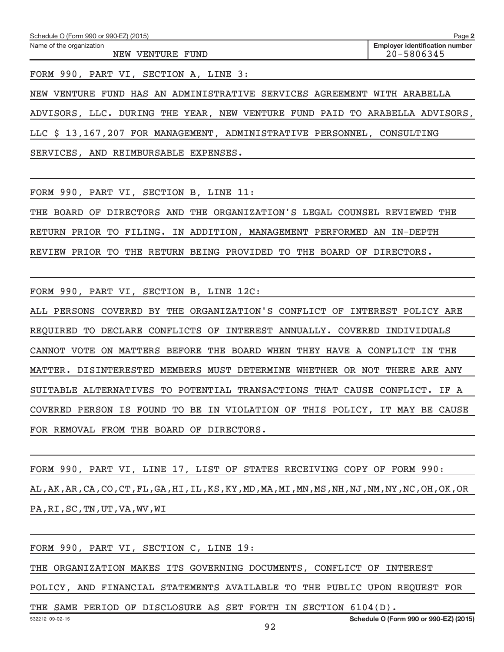FORM 990, PART VI, SECTION A, LINE 3:

NEW VENTURE FUND HAS AN ADMINISTRATIVE SERVICES AGREEMENT WITH ARABELLA ADVISORS, LLC. DURING THE YEAR, NEW VENTURE FUND PAID TO ARABELLA ADVISORS, LLC \$ 13,167,207 FOR MANAGEMENT, ADMINISTRATIVE PERSONNEL, CONSULTING SERVICES, AND REIMBURSABLE EXPENSES.

FORM 990, PART VI, SECTION B, LINE 11:

THE BOARD OF DIRECTORS AND THE ORGANIZATION'S LEGAL COUNSEL REVIEWED THE RETURN PRIOR TO FILING. IN ADDITION, MANAGEMENT PERFORMED AN IN-DEPTH REVIEW PRIOR TO THE RETURN BEING PROVIDED TO THE BOARD OF DIRECTORS.

FORM 990, PART VI, SECTION B, LINE 12C:

ALL PERSONS COVERED BY THE ORGANIZATION'S CONFLICT OF INTEREST POLICY ARE REQUIRED TO DECLARE CONFLICTS OF INTEREST ANNUALLY. COVERED INDIVIDUALS CANNOT VOTE ON MATTERS BEFORE THE BOARD WHEN THEY HAVE A CONFLICT IN THE MATTER. DISINTERESTED MEMBERS MUST DETERMINE WHETHER OR NOT THERE ARE ANY SUITABLE ALTERNATIVES TO POTENTIAL TRANSACTIONS THAT CAUSE CONFLICT. IF A COVERED PERSON IS FOUND TO BE IN VIOLATION OF THIS POLICY, IT MAY BE CAUSE FOR REMOVAL FROM THE BOARD OF DIRECTORS.

FORM 990, PART VI, LINE 17, LIST OF STATES RECEIVING COPY OF FORM 990: AL,AK,AR,CA,CO,CT,FL,GA,HI,IL,KS,KY,MD,MA,MI,MN,MS,NH,NJ,NM,NY,NC,OH,OK,OR PA,RI,SC,TN,UT,VA,WV,WI

FORM 990, PART VI, SECTION C, LINE 19:

THE ORGANIZATION MAKES ITS GOVERNING DOCUMENTS, CONFLICT OF INTEREST

POLICY, AND FINANCIAL STATEMENTS AVAILABLE TO THE PUBLIC UPON REQUEST FOR

THE SAME PERIOD OF DISCLOSURE AS SET FORTH IN SECTION 6104(D).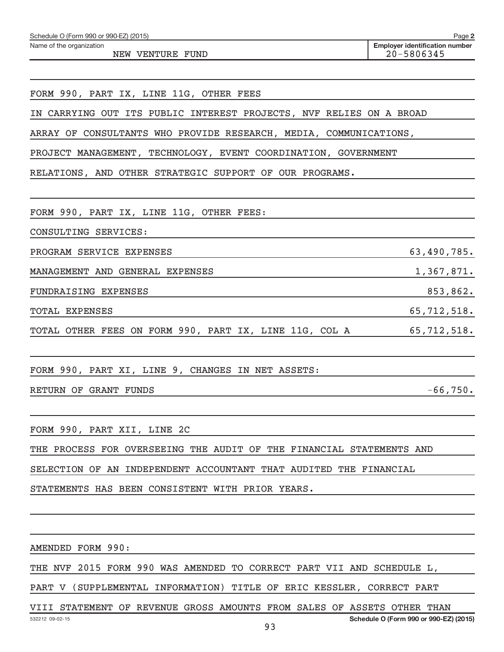| Schedule O (Form 990 or 990-EZ) (2015) |  | Page |  |
|----------------------------------------|--|------|--|
|                                        |  |      |  |

Name of the organization

NEW VENTURE FUND 20-5806345

FORM 990, PART IX, LINE 11G, OTHER FEES

IN CARRYING OUT ITS PUBLIC INTEREST PROJECTS, NVF RELIES ON A BROAD

ARRAY OF CONSULTANTS WHO PROVIDE RESEARCH, MEDIA, COMMUNICATIONS,

PROJECT MANAGEMENT, TECHNOLOGY, EVENT COORDINATION, GOVERNMENT

RELATIONS, AND OTHER STRATEGIC SUPPORT OF OUR PROGRAMS.

FORM 990, PART IX, LINE 11G, OTHER FEES:

CONSULTING SERVICES:

PROGRAM SERVICE EXPENSES 63,490,785.

MANAGEMENT AND GENERAL EXPENSES 1,367,871.

FUNDRAISING EXPENSES 853,862.

TOTAL EXPENSES 65,712,518.

TOTAL OTHER FEES ON FORM 990, PART IX, LINE 11G, COL A 65,712,518.

FORM 990, PART XI, LINE 9, CHANGES IN NET ASSETS:

RETURN OF GRANT FUNDS  $-66,750$ .

FORM 990, PART XII, LINE 2C

THE PROCESS FOR OVERSEEING THE AUDIT OF THE FINANCIAL STATEMENTS AND

SELECTION OF AN INDEPENDENT ACCOUNTANT THAT AUDITED THE FINANCIAL

STATEMENTS HAS BEEN CONSISTENT WITH PRIOR YEARS.

AMENDED FORM 990:

THE NVF 2015 FORM 990 WAS AMENDED TO CORRECT PART VII AND SCHEDULE L,

PART V (SUPPLEMENTAL INFORMATION) TITLE OF ERIC KESSLER, CORRECT PART

VIII STATEMENT OF REVENUE GROSS AMOUNTS FROM SALES OF ASSETS OTHER THAN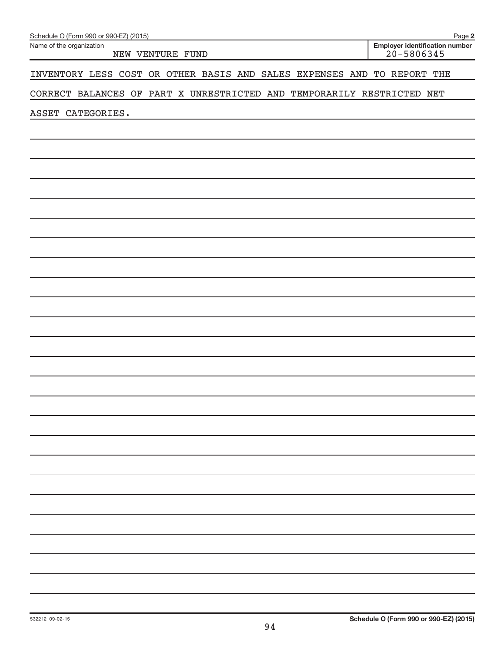| Schedule O (Form 990 or 990-EZ) (2015)                                  | Page 2                                                  |
|-------------------------------------------------------------------------|---------------------------------------------------------|
| Name of the organization<br>NEW VENTURE FUND                            | <b>Employer identification number</b><br>$20 - 5806345$ |
| INVENTORY LESS COST OR OTHER BASIS AND SALES EXPENSES AND TO REPORT THE |                                                         |
| CORRECT BALANCES OF PART X UNRESTRICTED AND TEMPORARILY RESTRICTED NET  |                                                         |
| ASSET CATEGORIES.                                                       |                                                         |
|                                                                         |                                                         |
|                                                                         |                                                         |
|                                                                         |                                                         |
|                                                                         |                                                         |
|                                                                         |                                                         |
|                                                                         |                                                         |
|                                                                         |                                                         |
|                                                                         |                                                         |
|                                                                         |                                                         |
|                                                                         |                                                         |
|                                                                         |                                                         |
|                                                                         |                                                         |
|                                                                         |                                                         |
|                                                                         |                                                         |
|                                                                         |                                                         |
|                                                                         |                                                         |
|                                                                         |                                                         |
|                                                                         |                                                         |
|                                                                         |                                                         |
|                                                                         |                                                         |
|                                                                         |                                                         |
|                                                                         |                                                         |
|                                                                         |                                                         |
|                                                                         |                                                         |
|                                                                         |                                                         |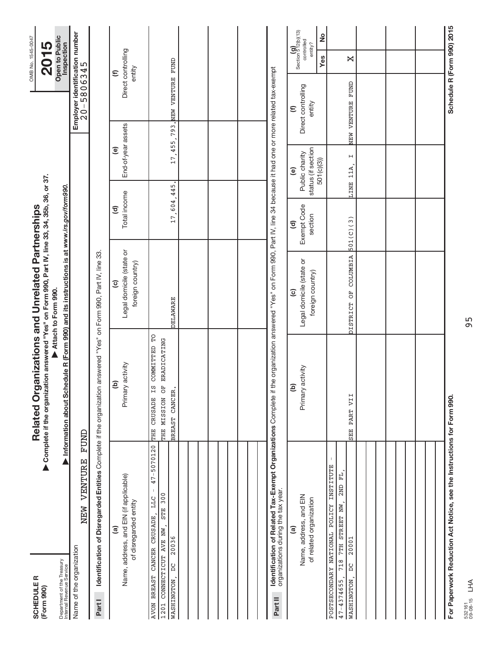| <b>SCHEDULER</b><br>(Form 990)                                                                                               |                                                                | Complete if the organization answered "Yes" on Form 990, Part IV, line 33, 34, 35b, 36, or 37.<br>Related Organizations and Unrelated Partnerships |                                                                                                             |                                              |                                                                    |                                            | OMB No. 1545-0047<br>2015                                                   |  |
|------------------------------------------------------------------------------------------------------------------------------|----------------------------------------------------------------|----------------------------------------------------------------------------------------------------------------------------------------------------|-------------------------------------------------------------------------------------------------------------|----------------------------------------------|--------------------------------------------------------------------|--------------------------------------------|-----------------------------------------------------------------------------|--|
| Department of the Treasury<br>Internal Revenue Service                                                                       |                                                                | Information about Schedule R (Form 990) and its instructions is at www.irs.gov/form990.                                                            | Attach to Form 990.                                                                                         |                                              |                                                                    |                                            | Open to Public<br>Inspection                                                |  |
| Name of the organization                                                                                                     | FUND<br>NEW VENTURE                                            |                                                                                                                                                    |                                                                                                             |                                              |                                                                    |                                            | Employer identification number<br>20-5806345                                |  |
| Part I                                                                                                                       |                                                                | Identification of Disregarded Entities Complete if the organization answered "Yes" on Form 990, Part IV, line 33.                                  |                                                                                                             |                                              |                                                                    |                                            |                                                                             |  |
| Name, address, and EIN (if applicable)<br>of disregarded entity<br><u>ි</u>                                                  |                                                                | Primary activity<br>ê                                                                                                                              | Legal domicile (state or<br>foreign country)<br>$\mathbf{c}$                                                | Total income<br>$\widehat{\mathbf{c}}$       | End-of-year assets<br>$\mathbf{e}$                                 |                                            | Direct controlling<br>entity<br>$\mathbf{\epsilon}$                         |  |
| AVON BREAST CANCER CRUSADE,<br>CONNECTICUT AVE NW,<br>20036<br>WASHINGTON, DC<br>1201                                        | $47 - 5070120$<br>$\,$ $\,$<br>300<br><b>LLC</b><br><b>STE</b> | DE CERTIFIED ED<br>THE MISSION OF ERADICATING<br>BREAST CANCER.<br>THE CRUSADE                                                                     | <b>DELAWARE</b>                                                                                             | 17,604,                                      | 445.                                                               | 17, 455, 793. NEW VENTURE FUND             |                                                                             |  |
|                                                                                                                              |                                                                |                                                                                                                                                    |                                                                                                             |                                              |                                                                    |                                            |                                                                             |  |
|                                                                                                                              |                                                                |                                                                                                                                                    |                                                                                                             |                                              |                                                                    |                                            |                                                                             |  |
|                                                                                                                              |                                                                |                                                                                                                                                    |                                                                                                             |                                              |                                                                    |                                            |                                                                             |  |
| organizations during the tax year.<br>Part II                                                                                | Identification of Related Tax-Exempt Organizations Complete if |                                                                                                                                                    | the organization answered "Yes" on Form 990, Part IV, line 34 because it had one or more related tax-exempt |                                              |                                                                    |                                            |                                                                             |  |
| Name, address, and EIN<br>of related organization<br>@                                                                       |                                                                | Primary activity<br>e)                                                                                                                             | Legal domicile (state or<br>foreign country)<br>$\widehat{\mathbf{c}}$                                      | Exempt Code<br>section<br>$\widehat{\sigma}$ | status (if section<br>Public charity<br>501(c)(3)<br>$\widehat{e}$ | Direct controlling<br>entity<br>$\epsilon$ | Section $\frac{1}{5}$ 12(b)(13)<br><u>ہ</u><br>controlled<br>entity?<br>Yes |  |
| POSTSECONDARY NATIONAL POLICY INSTITUTE<br>718 7TH STREET NW,<br>20001<br>$\sum_{i=1}^{n}$<br>$47 - 4374655,$<br>WASHINGTON, | F <sub>L</sub><br>2ND                                          | SEE PART VII                                                                                                                                       | DISTRICT OF COLUMBIA                                                                                        | 501(C)(3)                                    | $\mathsf{H}$<br>LINE 11A,                                          | NEW VENTURE FUND                           | X                                                                           |  |
|                                                                                                                              |                                                                |                                                                                                                                                    |                                                                                                             |                                              |                                                                    |                                            |                                                                             |  |
|                                                                                                                              |                                                                |                                                                                                                                                    |                                                                                                             |                                              |                                                                    |                                            |                                                                             |  |
|                                                                                                                              |                                                                |                                                                                                                                                    |                                                                                                             |                                              |                                                                    |                                            |                                                                             |  |
| For Paperwork Reduction Act Notice, see the Instructions for Form 990.                                                       |                                                                |                                                                                                                                                    |                                                                                                             |                                              |                                                                    |                                            | Schedule R (Form 990) 2015                                                  |  |

532161 09-08-15 LHA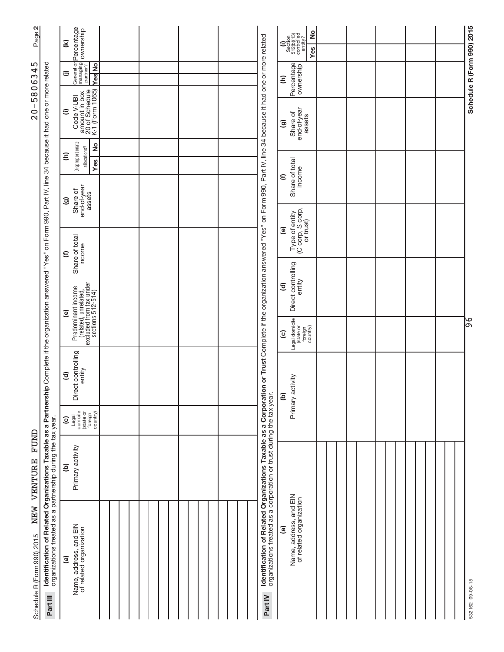| Page 2                                                                                                                                                                                                                                   |                                                                      | General or <b>Percentage</b><br>managing <b>ownership</b><br>partner?<br>$\mathfrak{D}$ |  |                                                                                                                          |                                                                                                                                                        | $\frac{1}{2}$<br>$\begin{array}{c} \textbf{(i)}\\ \text{Section}\\ 512 \text{(b)} \text{(13)}\\ \text{controlled}\\ \text{contrנled} \end{array}$<br>Yes |  |   | Schedule R (Form 990) 2015 |
|------------------------------------------------------------------------------------------------------------------------------------------------------------------------------------------------------------------------------------------|----------------------------------------------------------------------|-----------------------------------------------------------------------------------------|--|--------------------------------------------------------------------------------------------------------------------------|--------------------------------------------------------------------------------------------------------------------------------------------------------|----------------------------------------------------------------------------------------------------------------------------------------------------------|--|---|----------------------------|
| 5806345                                                                                                                                                                                                                                  |                                                                      | YesNo<br>$\widehat{=}$                                                                  |  |                                                                                                                          |                                                                                                                                                        | Percentage<br>$\widehat{\epsilon}$                                                                                                                       |  |   |                            |
| $\,$ $\,$<br>$\overline{0}$                                                                                                                                                                                                              |                                                                      | amount in box<br>20 of Schedule<br>K-1 (Form 1065)<br>Code V-UBI<br>$\widehat{=}$       |  |                                                                                                                          |                                                                                                                                                        | end-of-year<br>Share of<br>assets<br>ම                                                                                                                   |  |   |                            |
|                                                                                                                                                                                                                                          |                                                                      | Disproportionate<br><sup>2</sup><br>allocations?<br>Ξ<br><b>Yes</b>                     |  |                                                                                                                          |                                                                                                                                                        |                                                                                                                                                          |  |   |                            |
| Identification of Related Organizations Taxable as a Partnership Complete if the organization answered "Yes" on Form 990, Part IV, line 34 because it had one or more related<br>$\circledcirc$<br>$\epsilon$<br>ම<br>$\widehat{\sigma}$ | end-of-year<br>assets<br>Share of                                    |                                                                                         |  |                                                                                                                          | Share of total<br>income<br>$\widehat{\epsilon}$                                                                                                       |                                                                                                                                                          |  |   |                            |
|                                                                                                                                                                                                                                          |                                                                      |                                                                                         |  |                                                                                                                          | Type of entity<br>(C corp, S corp,<br>or trust)<br>$\widehat{e}$                                                                                       |                                                                                                                                                          |  |   |                            |
|                                                                                                                                                                                                                                          | Share of total<br>income                                             |                                                                                         |  |                                                                                                                          |                                                                                                                                                        |                                                                                                                                                          |  |   |                            |
|                                                                                                                                                                                                                                          | Predominant income                                                   |                                                                                         |  |                                                                                                                          | Direct controlling<br>entity<br>$\widehat{\sigma}$                                                                                                     |                                                                                                                                                          |  |   |                            |
|                                                                                                                                                                                                                                          | (related, unrelated,<br>excluded from tax under<br>sections 512-514) |                                                                                         |  |                                                                                                                          | Legal domicile<br>foreign<br>country)<br>(state or<br>$\widehat{\mathbf{c}}$                                                                           |                                                                                                                                                          |  | မ |                            |
|                                                                                                                                                                                                                                          | ect controlling<br>entity<br>ă                                       |                                                                                         |  | on or Trust Complete if the organization answered "Yes" on Form 990, Part IV, line 34 because it had one or more related | Primary activity<br><u>ම</u>                                                                                                                           |                                                                                                                                                          |  |   |                            |
|                                                                                                                                                                                                                                          |                                                                      | Legal<br>domicile<br>(state or<br>foreign<br>country)<br>$\widehat{c}$                  |  |                                                                                                                          |                                                                                                                                                        |                                                                                                                                                          |  |   |                            |
| <b>TUND</b><br>NEW VENTURE                                                                                                                                                                                                               | Primary activity<br>e)                                               |                                                                                         |  |                                                                                                                          |                                                                                                                                                        |                                                                                                                                                          |  |   |                            |
| Schedule R (Form 990) 2015                                                                                                                                                                                                               | organizations treated as a partnership during the tax year.          | Name, address, and EIN<br>of related organization<br>$\widehat{a}$                      |  |                                                                                                                          | Identification of Related Organizations Taxable as a Corporation of the Market as a Corporations treated as a corporation or trust during the tax year | Name, address, and EIN<br>of related organization<br>ම                                                                                                   |  |   |                            |
|                                                                                                                                                                                                                                          | Part III                                                             |                                                                                         |  |                                                                                                                          | Part IV                                                                                                                                                |                                                                                                                                                          |  |   |                            |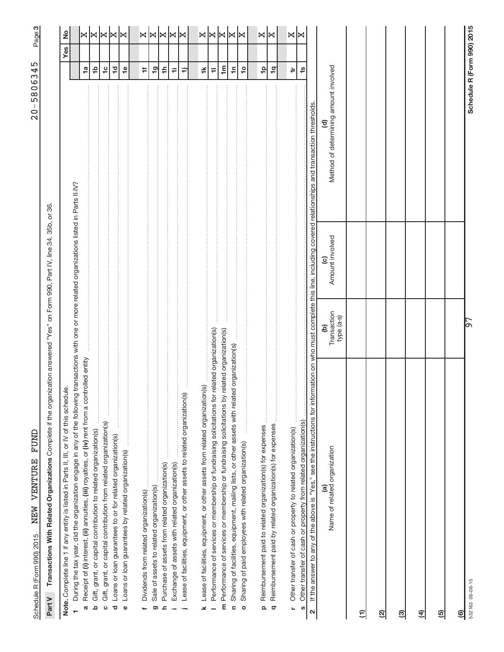| I                                                                                    |
|--------------------------------------------------------------------------------------|
| l<br>)<br>)<br>)<br>)<br>١<br>י<br>י<br>١<br>$\mathbf{I}$<br>ı<br>$\frac{1}{6}$<br>I |
|                                                                                      |
|                                                                                      |
|                                                                                      |
| ļ                                                                                    |
| <br> <br> <br>í<br>ı                                                                 |
| ı<br>I<br>I                                                                          |
| ı<br>ĺ<br>,<br>!<br>!<br>i                                                           |
| j<br>j<br>ļ                                                                          |
| i<br>Kabupatèn<br>١<br>֕<br>֕                                                        |

က|

Part V Transactions With Related Organizations Complete if the organization answered "Yes" on Form 990, Part IV, line 34, 35b, or 36. Complete if the organization answered "Yes" on Form 990, Part IV, line 34, 35b, or 36. **Part V Transactions With Related Organizations** 

| $\underline{\dot{\Phi}}$<br>Note. Complete line 1 if any entity is listed in Parts II, III, or IV of this schedu                                                                                  |                                |                                                                            |                                                                 |                            | $\frac{1}{2}$<br>Yes      |
|---------------------------------------------------------------------------------------------------------------------------------------------------------------------------------------------------|--------------------------------|----------------------------------------------------------------------------|-----------------------------------------------------------------|----------------------------|---------------------------|
| During the tax year, did the organization engage in any of the following                                                                                                                          |                                | transactions with one or more related organizations listed in Parts II-IV? |                                                                 |                            |                           |
| Receipt of (i) interest, (ii) annuities, (iii) royalties, or (iv) rent from a controlled entity<br>G                                                                                              |                                |                                                                            |                                                                 | <b>1</b> a                 |                           |
| Gift, grant, or capital contribution to related organization(s)<br>$\Omega$                                                                                                                       |                                |                                                                            |                                                                 | $\frac{1}{2}$              | ×l×                       |
| Gift, grant, or capital contribution from related organization(s)<br>$\circ$                                                                                                                      |                                |                                                                            |                                                                 | $\frac{1}{2}$              | ∣⋈                        |
| <b><i><u><u><u></u></u></u></i></b><br>Loans or loan guarantees to or for related organization(s)<br>ত                                                                                            |                                |                                                                            |                                                                 | $\overline{1}$             | K                         |
|                                                                                                                                                                                                   |                                |                                                                            |                                                                 |                            | l⋈                        |
| Loans or loan guarantees by related organization(s)<br>$\mathbf 0$                                                                                                                                |                                |                                                                            |                                                                 | $\frac{6}{1}$              |                           |
|                                                                                                                                                                                                   |                                |                                                                            |                                                                 | ŧ,                         |                           |
| Sale of assets to related organization(s)<br>ರಾ                                                                                                                                                   |                                |                                                                            |                                                                 | $\overline{9}$             | $\Join \Join$             |
| Purchase of assets from related organization(s)<br>ᇰ                                                                                                                                              |                                |                                                                            |                                                                 | ≑                          |                           |
|                                                                                                                                                                                                   |                                |                                                                            |                                                                 |                            |                           |
| Exchange of assets with related organization(s)                                                                                                                                                   |                                |                                                                            |                                                                 | Ŧ                          | $ \mathbb{X} \mathbb{X} $ |
| Lease of facilities, equipment, or other assets to related organization(s)                                                                                                                        |                                |                                                                            |                                                                 | Ξ                          |                           |
| $\overline{6}$<br>Lease of facilities, equipment, or other assets from related organization<br>×                                                                                                  |                                |                                                                            |                                                                 | $\breve{+}$                |                           |
| Performance of services or membership or fundraising solicitations for                                                                                                                            | related organization(s)        |                                                                            |                                                                 | $\equiv$                   | x x                       |
| Performance of services or membership or fundraising solicitations by<br>E                                                                                                                        | related organization(s)        |                                                                            |                                                                 | $\mathbf{m}$               |                           |
| Sharing of facilities, equipment, mailing lists, or other assets with related organization(s)<br>$\epsilon$                                                                                       |                                |                                                                            |                                                                 | $\ddot{=}$                 | K                         |
|                                                                                                                                                                                                   |                                |                                                                            |                                                                 |                            | K                         |
| $\frac{1}{2}$<br>Sharing of paid employees with related organization(s)<br>$\circ$                                                                                                                |                                |                                                                            |                                                                 | $\overline{a}$             |                           |
| Reimbursement paid to related organization(s) for expenses<br>$\Omega$                                                                                                                            |                                |                                                                            |                                                                 | 우                          | X.                        |
| Reimbursement paid by related organization(s) for expenses<br>$\sigma$                                                                                                                            |                                |                                                                            |                                                                 | $\overline{q}$             | lЖ                        |
|                                                                                                                                                                                                   |                                |                                                                            |                                                                 |                            |                           |
| Other transfer of cash or property to related organization(s)<br>L,                                                                                                                               |                                |                                                                            |                                                                 | $\dagger$                  | X                         |
| Other transfer of cash or property from related organization(s)<br>S                                                                                                                              |                                |                                                                            |                                                                 | $\frac{0}{1}$              |                           |
| If the answer to any of the above is "Yes," see the instructions for information on who must complete this line, including covered relationships and transaction thresholds.<br>$\mathbf{\Omega}$ |                                |                                                                            |                                                                 |                            |                           |
| Name of related organization<br>$\widehat{a}$                                                                                                                                                     | Transaction<br>type (a-s)<br>ව | Amount involved<br>$\widehat{\mathbf{c}}$                                  | Method of determining amount involved<br>$\widehat{\mathbf{c}}$ |                            |                           |
| $\widehat{E}$                                                                                                                                                                                     |                                |                                                                            |                                                                 |                            |                           |
| ତ୍ର                                                                                                                                                                                               |                                |                                                                            |                                                                 |                            |                           |
| ම                                                                                                                                                                                                 |                                |                                                                            |                                                                 |                            |                           |
| E)                                                                                                                                                                                                |                                |                                                                            |                                                                 |                            |                           |
| ම                                                                                                                                                                                                 |                                |                                                                            |                                                                 |                            |                           |
| මු                                                                                                                                                                                                |                                |                                                                            |                                                                 |                            |                           |
| 532163 09-08-15                                                                                                                                                                                   | 57                             |                                                                            |                                                                 | Schedule R (Form 990) 2015 |                           |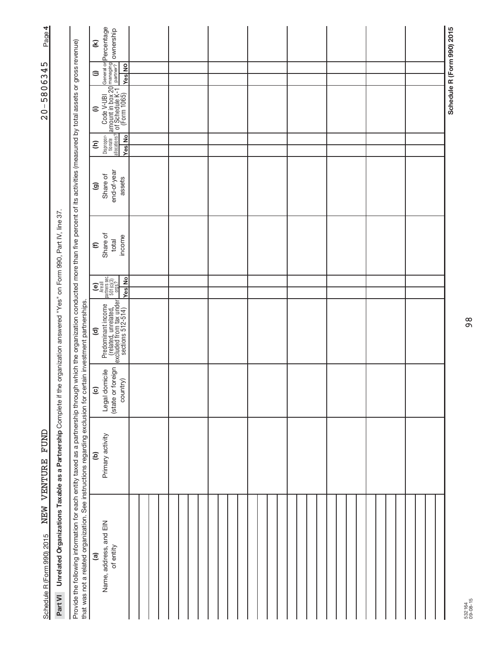| Page 4                                                                        |                                                                         |                                                                                                                                                                                                                                                                                                                          | $\mathfrak{D}$                                                                                  | General or <b>Percentage</b><br>managing<br>partner? <b>OWNership</b>                                                                                    |  |  |  |  |  |  |  |  |  |  |  |  |  |  | Schedule R (Form 990) 2015 |
|-------------------------------------------------------------------------------|-------------------------------------------------------------------------|--------------------------------------------------------------------------------------------------------------------------------------------------------------------------------------------------------------------------------------------------------------------------------------------------------------------------|-------------------------------------------------------------------------------------------------|----------------------------------------------------------------------------------------------------------------------------------------------------------|--|--|--|--|--|--|--|--|--|--|--|--|--|--|----------------------------|
| 5                                                                             |                                                                         |                                                                                                                                                                                                                                                                                                                          | $\widehat{=}$                                                                                   | <b>Yes</b> No                                                                                                                                            |  |  |  |  |  |  |  |  |  |  |  |  |  |  |                            |
| 580634                                                                        |                                                                         |                                                                                                                                                                                                                                                                                                                          |                                                                                                 |                                                                                                                                                          |  |  |  |  |  |  |  |  |  |  |  |  |  |  |                            |
| $-0.5$                                                                        |                                                                         |                                                                                                                                                                                                                                                                                                                          | $\widehat{=}$                                                                                   | $\begin{array}{c}\n 2 \text{ or } \text{Cotel V-UB1} \\  \hline\n 2 \text{ or } \text{Schedule K-1} \\  1 \text{ or } \text{Schedule K-1}\n \end{array}$ |  |  |  |  |  |  |  |  |  |  |  |  |  |  |                            |
|                                                                               |                                                                         |                                                                                                                                                                                                                                                                                                                          | Ξ                                                                                               | Dispropor-<br>tionate<br>allocations?<br><b>Yes</b> No                                                                                                   |  |  |  |  |  |  |  |  |  |  |  |  |  |  |                            |
|                                                                               |                                                                         |                                                                                                                                                                                                                                                                                                                          |                                                                                                 |                                                                                                                                                          |  |  |  |  |  |  |  |  |  |  |  |  |  |  |                            |
|                                                                               |                                                                         |                                                                                                                                                                                                                                                                                                                          | $\widehat{\mathbf{e}}$                                                                          | end-of-year<br>Share of<br>assets                                                                                                                        |  |  |  |  |  |  |  |  |  |  |  |  |  |  |                            |
|                                                                               |                                                                         |                                                                                                                                                                                                                                                                                                                          | $\boldsymbol{\epsilon}$                                                                         | Share of<br>income<br>total                                                                                                                              |  |  |  |  |  |  |  |  |  |  |  |  |  |  |                            |
|                                                                               |                                                                         |                                                                                                                                                                                                                                                                                                                          |                                                                                                 |                                                                                                                                                          |  |  |  |  |  |  |  |  |  |  |  |  |  |  |                            |
| the organization answered "Yes" on Form 990, Part IV, line 37.<br><b>TUND</b> |                                                                         |                                                                                                                                                                                                                                                                                                                          |                                                                                                 | $\begin{bmatrix} \mathbf{e} \\ \mathbf{h} \end{bmatrix}$<br>Are all<br>partners sec.<br>501(c)(3)<br>$\frac{501(0)(3)}{9095.2}$<br><b>Yes</b> No         |  |  |  |  |  |  |  |  |  |  |  |  |  |  |                            |
|                                                                               |                                                                         | $\widehat{\mathbf{c}}$                                                                                                                                                                                                                                                                                                   | Predominant income<br>(related, unrelated,<br>excluded from tax under<br>sections 512-514)<br>v |                                                                                                                                                          |  |  |  |  |  |  |  |  |  |  |  |  |  |  |                            |
|                                                                               |                                                                         | $\widehat{\mathbf{c}}$                                                                                                                                                                                                                                                                                                   | (state or foreign<br>Legal domicile<br>country)                                                 |                                                                                                                                                          |  |  |  |  |  |  |  |  |  |  |  |  |  |  |                            |
|                                                                               |                                                                         | ê                                                                                                                                                                                                                                                                                                                        | Primary activity                                                                                |                                                                                                                                                          |  |  |  |  |  |  |  |  |  |  |  |  |  |  |                            |
| NEW VENTURE<br>Schedule R (Form 990) 2015                                     | Unrelated Organizations Taxable as a Partnership Complete if<br>Part VI | Provide the following information for each entity taxed as a partnership through which the organization conducted more than five percent of its activities (measured by total assets or gross revenue)<br>that was not a related organization. See instructions regarding exclusion for certain investment partnerships. | $\widehat{a}$                                                                                   | Name, address, and EIN<br>of entity                                                                                                                      |  |  |  |  |  |  |  |  |  |  |  |  |  |  |                            |

532164 09-08-15